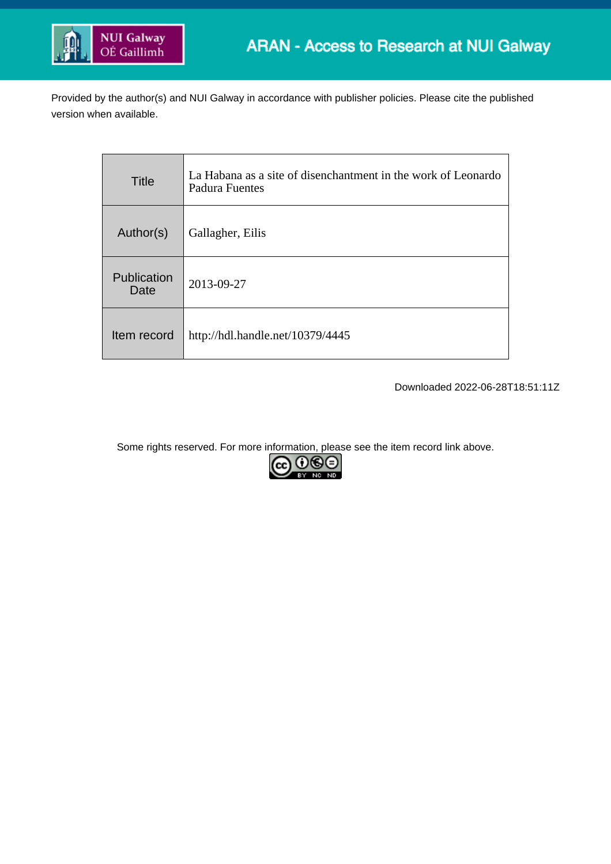

Provided by the author(s) and NUI Galway in accordance with publisher policies. Please cite the published version when available.

| <b>Title</b>        | La Habana as a site of disenchantment in the work of Leonardo<br>Padura Fuentes |
|---------------------|---------------------------------------------------------------------------------|
| Author(s)           | Gallagher, Eilis                                                                |
| Publication<br>Date | 2013-09-27                                                                      |
| Item record         | http://hdl.handle.net/10379/4445                                                |

Downloaded 2022-06-28T18:51:11Z

Some rights reserved. For more information, please see the item record link above.

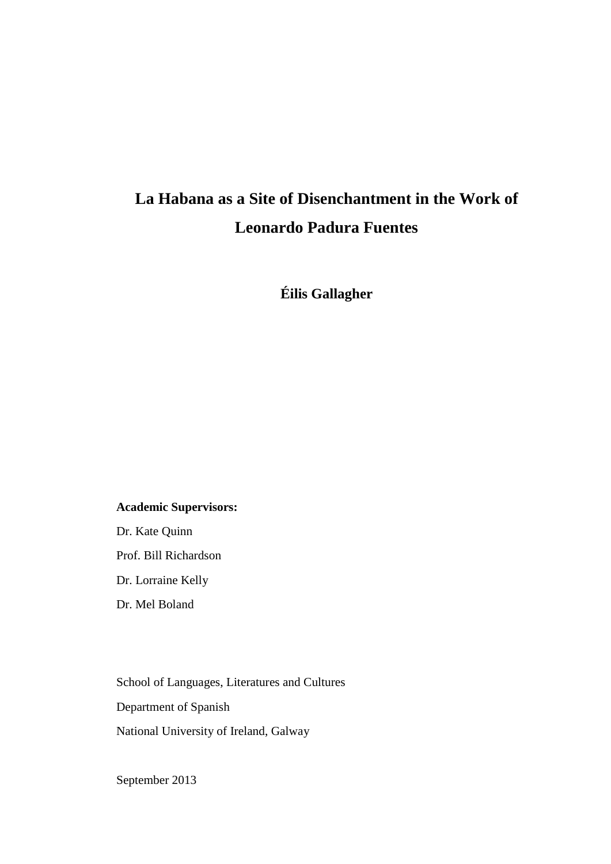# **La Habana as a Site of Disenchantment in the Work of Leonardo Padura Fuentes**

**Éilis Gallagher**

#### **Academic Supervisors:**

Dr. Kate Quinn Prof. Bill Richardson Dr. Lorraine Kelly

Dr. Mel Boland

School of Languages, Literatures and Cultures Department of Spanish National University of Ireland, Galway

<span id="page-1-0"></span>September 2013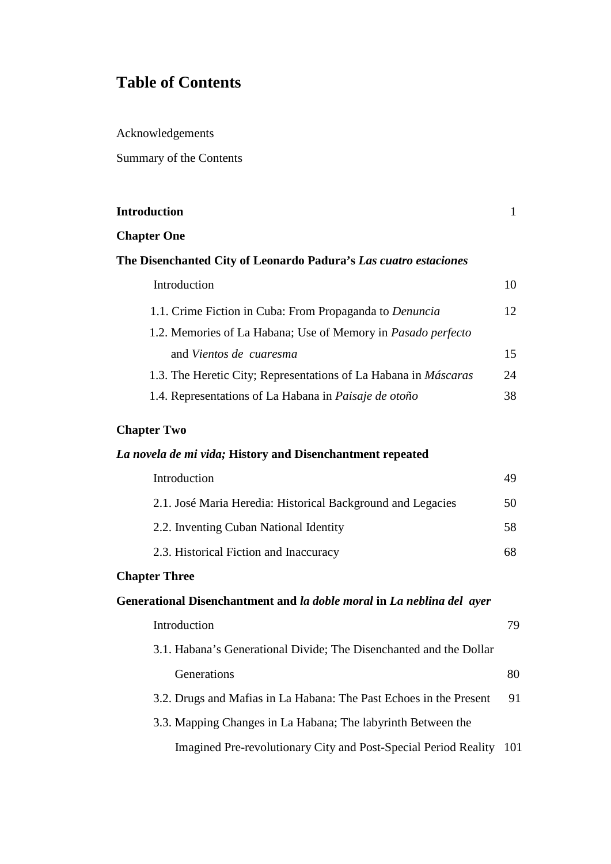# **Table of Contents**

Acknowledgements

Summary of the Contents

| <b>Introduction</b>                                                    | $\mathbf{1}$ |
|------------------------------------------------------------------------|--------------|
| <b>Chapter One</b>                                                     |              |
| The Disenchanted City of Leonardo Padura's Las cuatro estaciones       |              |
| Introduction                                                           | 10           |
| 1.1. Crime Fiction in Cuba: From Propaganda to Denuncia                | 12           |
| 1.2. Memories of La Habana; Use of Memory in Pasado perfecto           |              |
| and Vientos de cuaresma                                                | 15           |
| 1.3. The Heretic City; Representations of La Habana in <i>Máscaras</i> | 24           |
| 1.4. Representations of La Habana in Paisaje de otoño                  | 38           |
| <b>Chapter Two</b>                                                     |              |
| La novela de mi vida; History and Disenchantment repeated              |              |
| Introduction                                                           | 49           |
| 2.1. José Maria Heredia: Historical Background and Legacies            | 50           |
| 2.2. Inventing Cuban National Identity                                 | 58           |
| 2.3. Historical Fiction and Inaccuracy                                 | 68           |
| <b>Chapter Three</b>                                                   |              |
| Generational Disenchantment and la doble moral in La neblina del ayer  |              |
| Introduction                                                           | 79           |
| 3.1. Habana's Generational Divide; The Disenchanted and the Dollar     |              |
| Generations                                                            | 80           |
| 3.2. Drugs and Mafias in La Habana: The Past Echoes in the Present     | 91           |

3.3. Mapping Changes in La Habana; The labyrinth Between the Imagined Pre-revolutionary City and Post-Special Period Reality 101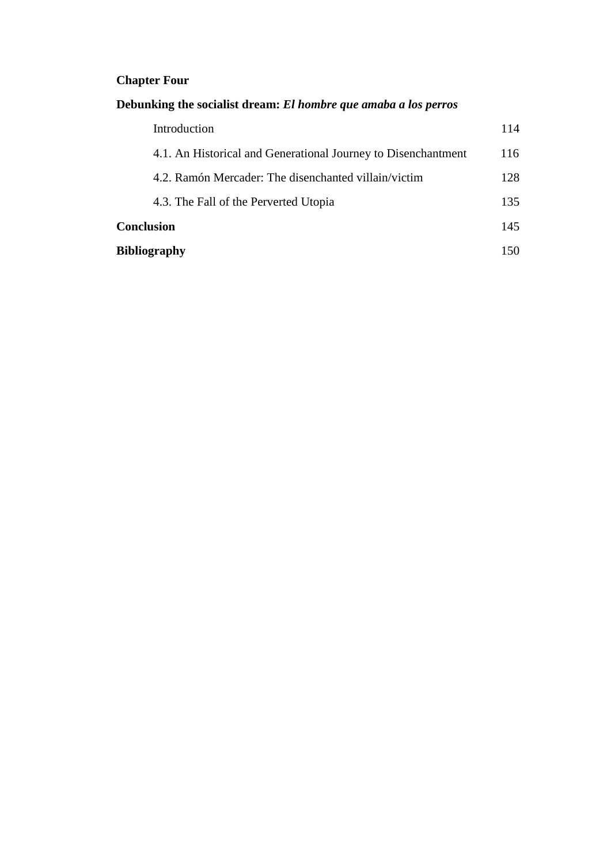## **Chapter Four**

## **Debunking the socialist dream:** *El hombre que amaba a los perros*

| <b>Bibliography</b> |                                                               | 150 |
|---------------------|---------------------------------------------------------------|-----|
| <b>Conclusion</b>   |                                                               | 145 |
|                     | 4.3. The Fall of the Perverted Utopia                         | 135 |
|                     | 4.2. Ramón Mercader: The disenchanted villain/victim          | 128 |
|                     | 4.1. An Historical and Generational Journey to Disenchantment | 116 |
|                     | Introduction                                                  | 114 |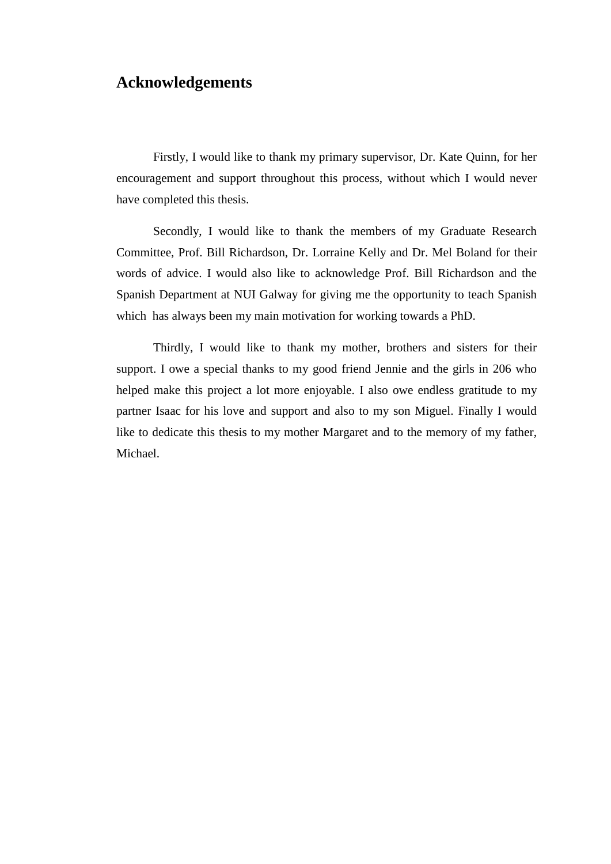## **Acknowledgements**

Firstly, I would like to thank my primary supervisor, Dr. Kate Quinn, for her encouragement and support throughout this process, without which I would never have completed this thesis.

Secondly, I would like to thank the members of my Graduate Research Committee, Prof. Bill Richardson, Dr. Lorraine Kelly and Dr. Mel Boland for their words of advice. I would also like to acknowledge Prof. Bill Richardson and the Spanish Department at NUI Galway for giving me the opportunity to teach Spanish which has always been my main motivation for working towards a PhD.

Thirdly, I would like to thank my mother, brothers and sisters for their support. I owe a special thanks to my good friend Jennie and the girls in 206 who helped make this project a lot more enjoyable. I also owe endless gratitude to my partner Isaac for his love and support and also to my son Miguel. Finally I would like to dedicate this thesis to my mother Margaret and to the memory of my father, Michael.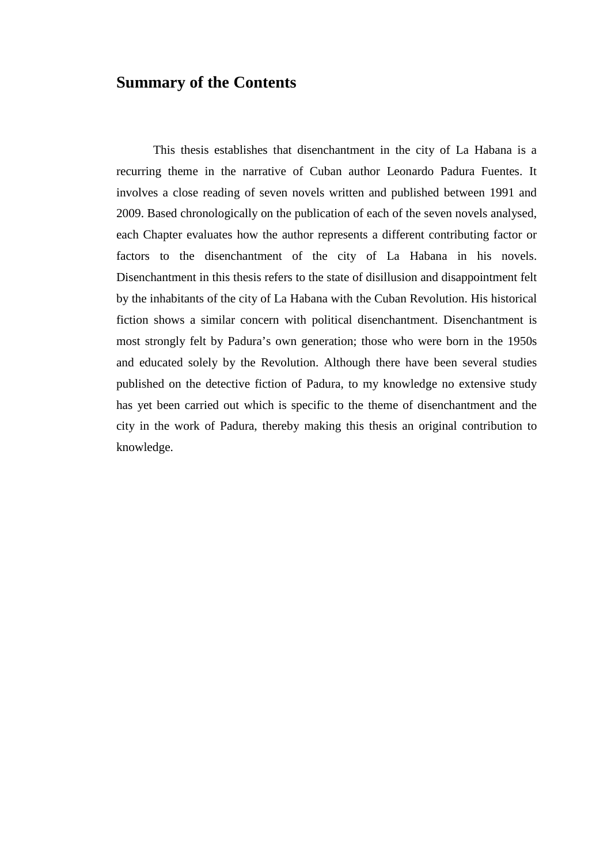## **Summary of the Contents**

This thesis establishes that disenchantment in the city of La Habana is a recurring theme in the narrative of Cuban author Leonardo Padura Fuentes. It involves a close reading of seven novels written and published between 1991 and 2009. Based chronologically on the publication of each of the seven novels analysed, each Chapter evaluates how the author represents a different contributing factor or factors to the disenchantment of the city of La Habana in his novels. Disenchantment in this thesis refers to the state of disillusion and disappointment felt by the inhabitants of the city of La Habana with the Cuban Revolution. His historical fiction shows a similar concern with political disenchantment. Disenchantment is most strongly felt by Padura's own generation; those who were born in the 1950s and educated solely by the Revolution. Although there have been several studies published on the detective fiction of Padura, to my knowledge no extensive study has yet been carried out which is specific to the theme of disenchantment and the city in the work of Padura, thereby making this thesis an original contribution to knowledge.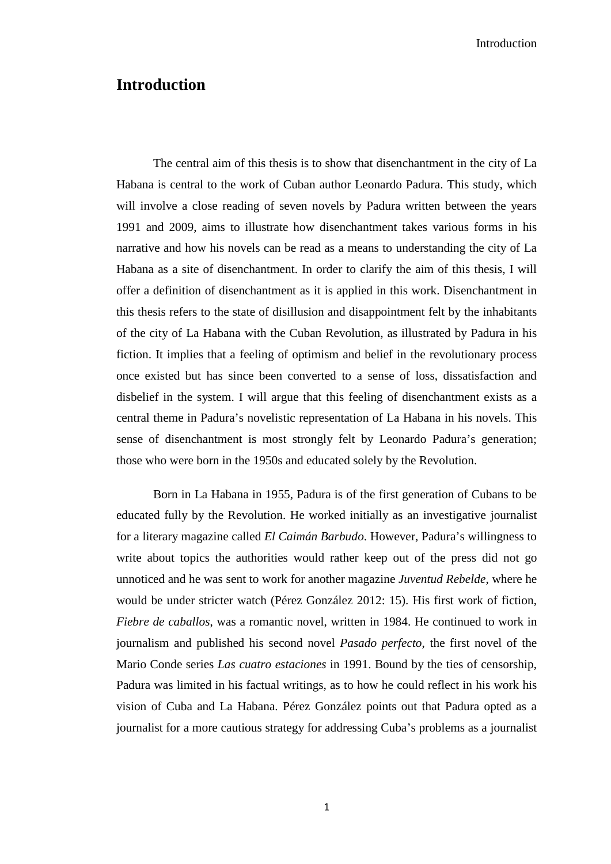Introduction

### **Introduction**

The central aim of this thesis is to show that disenchantment in the city of La Habana is central to the work of Cuban author Leonardo Padura. This study, which will involve a close reading of seven novels by Padura written between the years 1991 and 2009, aims to illustrate how disenchantment takes various forms in his narrative and how his novels can be read as a means to understanding the city of La Habana as a site of disenchantment. In order to clarify the aim of this thesis, I will offer a definition of disenchantment as it is applied in this work. Disenchantment in this thesis refers to the state of disillusion and disappointment felt by the inhabitants of the city of La Habana with the Cuban Revolution, as illustrated by Padura in his fiction. It implies that a feeling of optimism and belief in the revolutionary process once existed but has since been converted to a sense of loss, dissatisfaction and disbelief in the system. I will argue that this feeling of disenchantment exists as a central theme in Padura's novelistic representation of La Habana in his novels. This sense of disenchantment is most strongly felt by Leonardo Padura's generation; those who were born in the 1950s and educated solely by the Revolution.

Born in La Habana in 1955, Padura is of the first generation of Cubans to be educated fully by the Revolution. He worked initially as an investigative journalist for a literary magazine called *El Caimán Barbudo*. However, Padura's willingness to write about topics the authorities would rather keep out of the press did not go unnoticed and he was sent to work for another magazine *Juventud Rebelde*, where he would be under stricter watch (Pérez González 2012: 15). His first work of fiction, *Fiebre de caballos*, was a romantic novel, written in 1984. He continued to work in journalism and published his second novel *Pasado perfecto*, the first novel of the Mario Conde series *Las cuatro estaciones* in 1991. Bound by the ties of censorship, Padura was limited in his factual writings, as to how he could reflect in his work his vision of Cuba and La Habana. Pérez González points out that Padura opted as a journalist for a more cautious strategy for addressing Cuba's problems as a journalist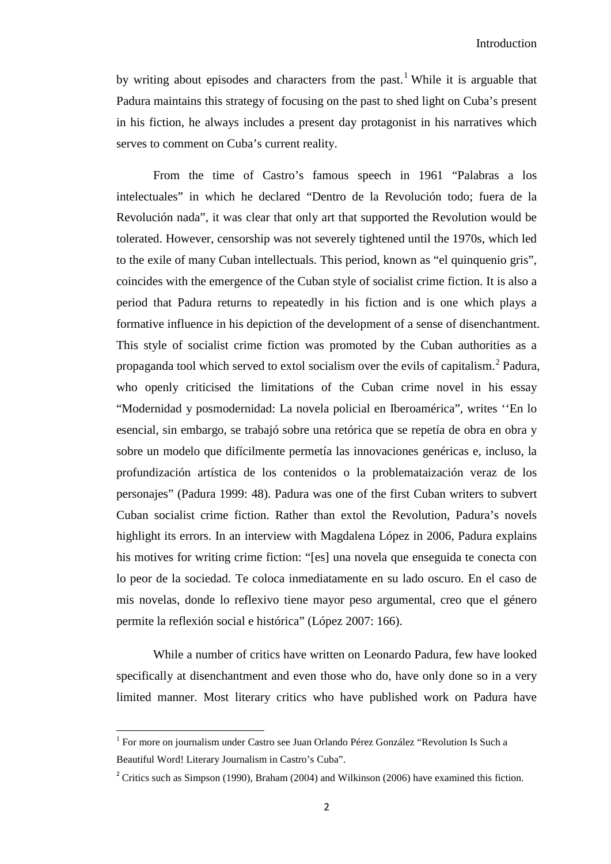by writing about episodes and characters from the past.<sup>[1](#page-1-0)</sup> While it is arguable that Padura maintains this strategy of focusing on the past to shed light on Cuba's present in his fiction, he always includes a present day protagonist in his narratives which serves to comment on Cuba's current reality.

From the time of Castro's famous speech in 1961 "Palabras a los intelectuales" in which he declared "Dentro de la Revolución todo; fuera de la Revolución nada", it was clear that only art that supported the Revolution would be tolerated. However, censorship was not severely tightened until the 1970s, which led to the exile of many Cuban intellectuals. This period, known as "el quinquenio gris", coincides with the emergence of the Cuban style of socialist crime fiction. It is also a period that Padura returns to repeatedly in his fiction and is one which plays a formative influence in his depiction of the development of a sense of disenchantment. This style of socialist crime fiction was promoted by the Cuban authorities as a propaganda tool which served to extol socialism over the evils of capitalism.[2](#page-7-0) Padura, who openly criticised the limitations of the Cuban crime novel in his essay "Modernidad y posmodernidad: La novela policial en Iberoamérica", writes ''En lo esencial, sin embargo, se trabajó sobre una retórica que se repetía de obra en obra y sobre un modelo que difícilmente permetía las innovaciones genéricas e, incluso, la profundización artística de los contenidos o la problemataización veraz de los personajes" (Padura 1999: 48). Padura was one of the first Cuban writers to subvert Cuban socialist crime fiction. Rather than extol the Revolution, Padura's novels highlight its errors. In an interview with Magdalena López in 2006, Padura explains his motives for writing crime fiction: "[es] una novela que enseguida te conecta con lo peor de la sociedad. Te coloca inmediatamente en su lado oscuro. En el caso de mis novelas, donde lo reflexivo tiene mayor peso argumental, creo que el género permite la reflexión social e histórica" (López 2007: 166).

While a number of critics have written on Leonardo Padura, few have looked specifically at disenchantment and even those who do, have only done so in a very limited manner. Most literary critics who have published work on Padura have

 $\overline{\phantom{0}}$ 

<sup>1</sup> For more on journalism under Castro see Juan Orlando Pérez González "Revolution Is Such a Beautiful Word! Literary Journalism in Castro's Cuba".

<span id="page-7-1"></span><span id="page-7-0"></span><sup>&</sup>lt;sup>2</sup> Critics such as Simpson (1990), Braham (2004) and Wilkinson (2006) have examined this fiction.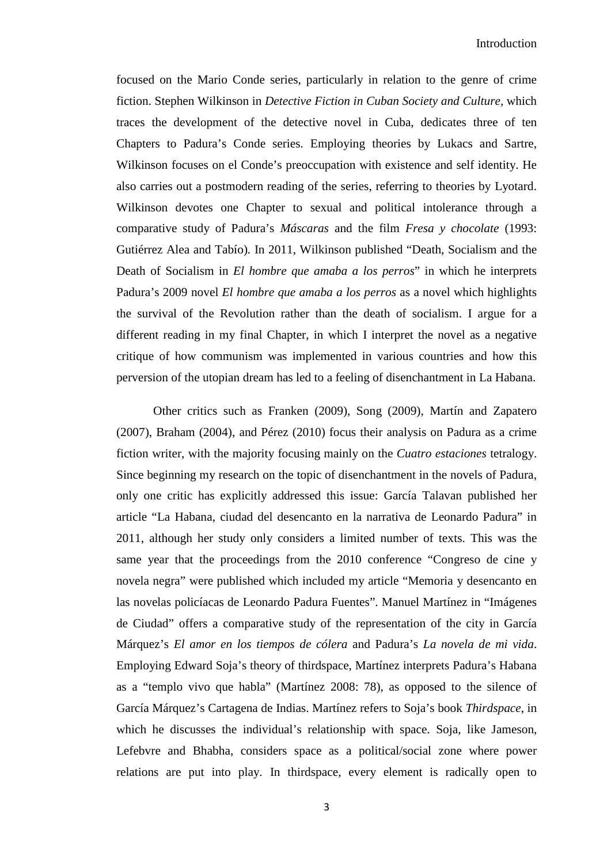focused on the Mario Conde series, particularly in relation to the genre of crime fiction. Stephen Wilkinson in *Detective Fiction in Cuban Society and Culture,* which traces the development of the detective novel in Cuba, dedicates three of ten Chapters to Padura's Conde series. Employing theories by Lukacs and Sartre, Wilkinson focuses on el Conde's preoccupation with existence and self identity. He also carries out a postmodern reading of the series, referring to theories by Lyotard. Wilkinson devotes one Chapter to sexual and political intolerance through a comparative study of Padura's *Máscaras* and the film *Fresa y chocolate* (1993: Gutiérrez Alea and Tabío)*.* In 2011, Wilkinson published "Death, Socialism and the Death of Socialism in *El hombre que amaba a los perros*" in which he interprets Padura's 2009 novel *El hombre que amaba a los perros* as a novel which highlights the survival of the Revolution rather than the death of socialism. I argue for a different reading in my final Chapter, in which I interpret the novel as a negative critique of how communism was implemented in various countries and how this perversion of the utopian dream has led to a feeling of disenchantment in La Habana.

Other critics such as Franken (2009), Song (2009), Martín and Zapatero (2007), Braham (2004), and Pérez (2010) focus their analysis on Padura as a crime fiction writer, with the majority focusing mainly on the *Cuatro estaciones* tetralogy. Since beginning my research on the topic of disenchantment in the novels of Padura, only one critic has explicitly addressed this issue: García Talavan published her article "La Habana, ciudad del desencanto en la narrativa de Leonardo Padura" in 2011, although her study only considers a limited number of texts. This was the same year that the proceedings from the 2010 conference "Congreso de cine y novela negra" were published which included my article "Memoria y desencanto en las novelas policíacas de Leonardo Padura Fuentes". Manuel Martínez in "Imágenes de Ciudad" offers a comparative study of the representation of the city in García Márquez's *El amor en los tiempos de cólera* and Padura's *La novela de mi vida*. Employing Edward Soja's theory of thirdspace, Martínez interprets Padura's Habana as a "templo vivo que habla" (Martínez 2008: 78), as opposed to the silence of García Márquez's Cartagena de Indias. Martínez refers to Soja's book *Thirdspace*, in which he discusses the individual's relationship with space. Soja, like Jameson, Lefebvre and Bhabha, considers space as a political/social zone where power relations are put into play. In thirdspace, every element is radically open to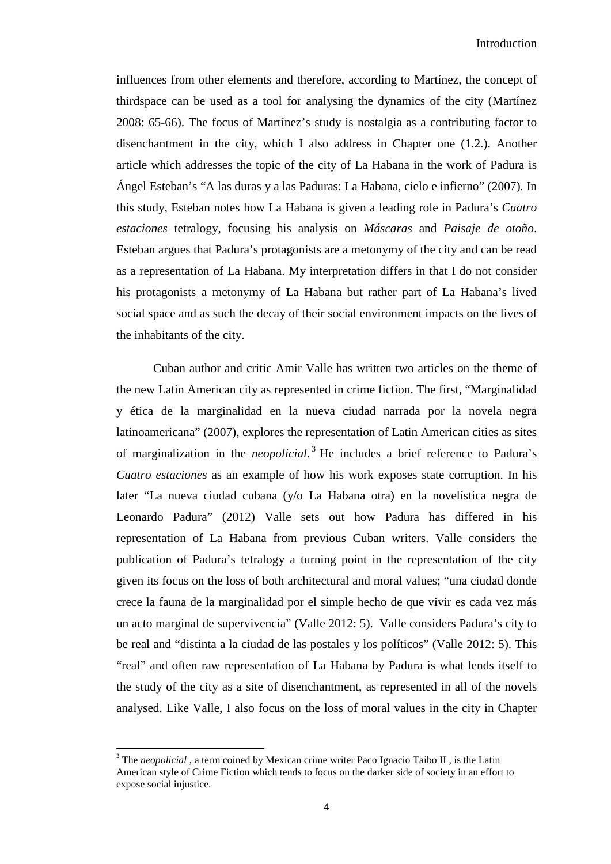influences from other elements and therefore, according to Martínez, the concept of thirdspace can be used as a tool for analysing the dynamics of the city (Martínez 2008: 65-66). The focus of Martínez's study is nostalgia as a contributing factor to disenchantment in the city, which I also address in Chapter one (1.2.). Another article which addresses the topic of the city of La Habana in the work of Padura is Ángel Esteban's "A las duras y a las Paduras: La Habana, cielo e infierno" (2007)*.* In this study, Esteban notes how La Habana is given a leading role in Padura's *Cuatro estaciones* tetralogy, focusing his analysis on *Máscaras* and *Paisaje de otoño*. Esteban argues that Padura's protagonists are a metonymy of the city and can be read as a representation of La Habana. My interpretation differs in that I do not consider his protagonists a metonymy of La Habana but rather part of La Habana's lived social space and as such the decay of their social environment impacts on the lives of the inhabitants of the city.

Cuban author and critic Amir Valle has written two articles on the theme of the new Latin American city as represented in crime fiction. The first, "Marginalidad y ética de la marginalidad en la nueva ciudad narrada por la novela negra latinoamericana" (2007), explores the representation of Latin American cities as sites of marginalization in the *neopolicial*. [3](#page-7-1) He includes a brief reference to Padura's *Cuatro estaciones* as an example of how his work exposes state corruption. In his later "La nueva ciudad cubana (y/o La Habana otra) en la novelística negra de Leonardo Padura" (2012) Valle sets out how Padura has differed in his representation of La Habana from previous Cuban writers. Valle considers the publication of Padura's tetralogy a turning point in the representation of the city given its focus on the loss of both architectural and moral values; "una ciudad donde crece la fauna de la marginalidad por el simple hecho de que vivir es cada vez más un acto marginal de supervivencia" (Valle 2012: 5). Valle considers Padura's city to be real and "distinta a la ciudad de las postales y los políticos" (Valle 2012: 5). This "real" and often raw representation of La Habana by Padura is what lends itself to the study of the city as a site of disenchantment, as represented in all of the novels analysed. Like Valle, I also focus on the loss of moral values in the city in Chapter

<span id="page-9-0"></span><sup>&</sup>lt;sup>3</sup> The *neopolicial*, a term coined by Mexican crime writer Paco Ignacio Taibo II, is the Latin American style of Crime Fiction which tends to focus on the darker side of society in an effort to expose social injustice.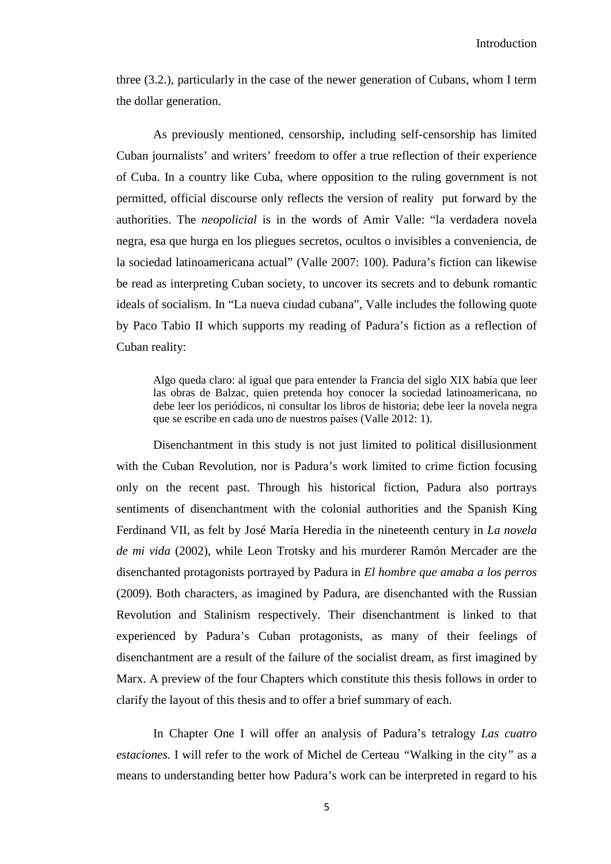three (3.2.), particularly in the case of the newer generation of Cubans, whom I term the dollar generation.

As previously mentioned, censorship, including self-censorship has limited Cuban journalists' and writers' freedom to offer a true reflection of their experience of Cuba. In a country like Cuba, where opposition to the ruling government is not permitted, official discourse only reflects the version of reality put forward by the authorities. The *neopolicial* is in the words of Amir Valle: "la verdadera novela negra, esa que hurga en los pliegues secretos, ocultos o invisibles a conveniencia, de la sociedad latinoamericana actual" (Valle 2007: 100). Padura's fiction can likewise be read as interpreting Cuban society, to uncover its secrets and to debunk romantic ideals of socialism. In "La nueva ciudad cubana"*,* Valle includes the following quote by Paco Tabio II which supports my reading of Padura's fiction as a reflection of Cuban reality:

Algo queda claro: al igual que para entender la Francia del siglo XIX había que leer las obras de Balzac, quien pretenda hoy conocer la sociedad latinoamericana, no debe leer los periódicos, ni consultar los libros de historia; debe leer la novela negra que se escribe en cada uno de nuestros países (Valle 2012: 1).

Disenchantment in this study is not just limited to political disillusionment with the Cuban Revolution, nor is Padura's work limited to crime fiction focusing only on the recent past. Through his historical fiction, Padura also portrays sentiments of disenchantment with the colonial authorities and the Spanish King Ferdinand VII, as felt by José María Heredia in the nineteenth century in *La novela de mi vida* (2002), while Leon Trotsky and his murderer Ramón Mercader are the disenchanted protagonists portrayed by Padura in *El hombre que amaba a los perros* (2009). Both characters, as imagined by Padura, are disenchanted with the Russian Revolution and Stalinism respectively. Their disenchantment is linked to that experienced by Padura's Cuban protagonists, as many of their feelings of disenchantment are a result of the failure of the socialist dream, as first imagined by Marx. A preview of the four Chapters which constitute this thesis follows in order to clarify the layout of this thesis and to offer a brief summary of each.

In Chapter One I will offer an analysis of Padura's tetralogy *Las cuatro estaciones.* I will refer to the work of Michel de Certeau *"*Walking in the city*"* as a means to understanding better how Padura's work can be interpreted in regard to his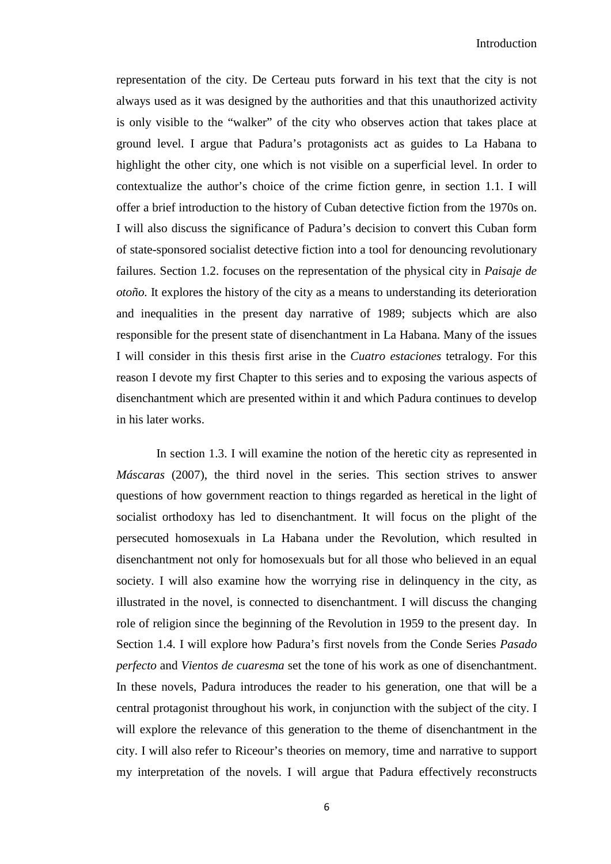Introduction

representation of the city. De Certeau puts forward in his text that the city is not always used as it was designed by the authorities and that this unauthorized activity is only visible to the "walker" of the city who observes action that takes place at ground level. I argue that Padura's protagonists act as guides to La Habana to highlight the other city, one which is not visible on a superficial level. In order to contextualize the author's choice of the crime fiction genre, in section 1.1. I will offer a brief introduction to the history of Cuban detective fiction from the 1970s on. I will also discuss the significance of Padura's decision to convert this Cuban form of state-sponsored socialist detective fiction into a tool for denouncing revolutionary failures. Section 1.2. focuses on the representation of the physical city in *Paisaje de otoño.* It explores the history of the city as a means to understanding its deterioration and inequalities in the present day narrative of 1989; subjects which are also responsible for the present state of disenchantment in La Habana. Many of the issues I will consider in this thesis first arise in the *Cuatro estaciones* tetralogy. For this reason I devote my first Chapter to this series and to exposing the various aspects of disenchantment which are presented within it and which Padura continues to develop in his later works.

In section 1.3. I will examine the notion of the heretic city as represented in *Máscaras* (2007), the third novel in the series. This section strives to answer questions of how government reaction to things regarded as heretical in the light of socialist orthodoxy has led to disenchantment. It will focus on the plight of the persecuted homosexuals in La Habana under the Revolution, which resulted in disenchantment not only for homosexuals but for all those who believed in an equal society. I will also examine how the worrying rise in delinquency in the city, as illustrated in the novel, is connected to disenchantment. I will discuss the changing role of religion since the beginning of the Revolution in 1959 to the present day. In Section 1.4. I will explore how Padura's first novels from the Conde Series *Pasado perfecto* and *Vientos de cuaresma* set the tone of his work as one of disenchantment. In these novels, Padura introduces the reader to his generation, one that will be a central protagonist throughout his work, in conjunction with the subject of the city. I will explore the relevance of this generation to the theme of disenchantment in the city. I will also refer to Riceour's theories on memory, time and narrative to support my interpretation of the novels. I will argue that Padura effectively reconstructs

6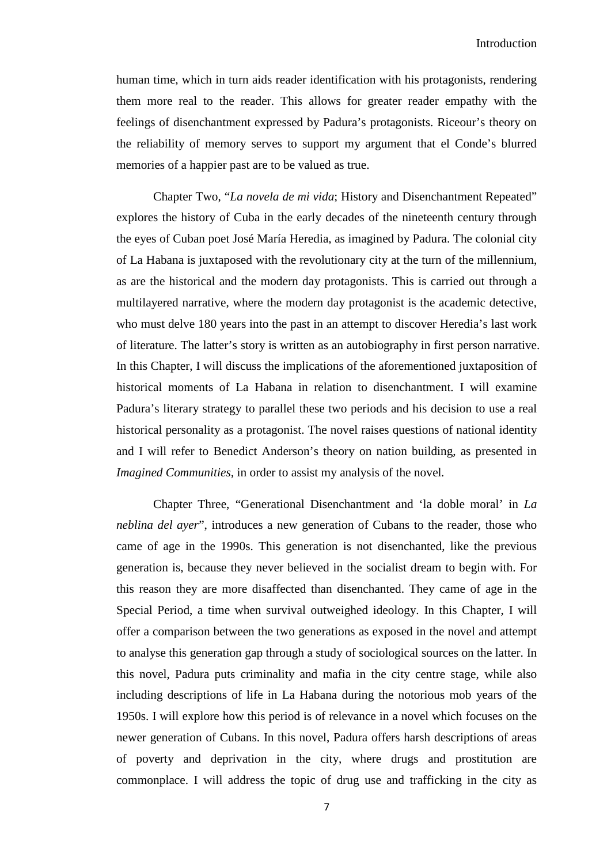human time, which in turn aids reader identification with his protagonists, rendering them more real to the reader. This allows for greater reader empathy with the feelings of disenchantment expressed by Padura's protagonists. Riceour's theory on the reliability of memory serves to support my argument that el Conde's blurred memories of a happier past are to be valued as true.

Chapter Two, "*La novela de mi vida*; History and Disenchantment Repeated" explores the history of Cuba in the early decades of the nineteenth century through the eyes of Cuban poet José María Heredia, as imagined by Padura. The colonial city of La Habana is juxtaposed with the revolutionary city at the turn of the millennium, as are the historical and the modern day protagonists. This is carried out through a multilayered narrative, where the modern day protagonist is the academic detective, who must delve 180 years into the past in an attempt to discover Heredia's last work of literature. The latter's story is written as an autobiography in first person narrative. In this Chapter, I will discuss the implications of the aforementioned juxtaposition of historical moments of La Habana in relation to disenchantment. I will examine Padura's literary strategy to parallel these two periods and his decision to use a real historical personality as a protagonist. The novel raises questions of national identity and I will refer to Benedict Anderson's theory on nation building, as presented in *Imagined Communities,* in order to assist my analysis of the novel*.* 

Chapter Three, "Generational Disenchantment and 'la doble moral' in *La neblina del ayer*", introduces a new generation of Cubans to the reader, those who came of age in the 1990s. This generation is not disenchanted, like the previous generation is, because they never believed in the socialist dream to begin with. For this reason they are more disaffected than disenchanted. They came of age in the Special Period, a time when survival outweighed ideology. In this Chapter, I will offer a comparison between the two generations as exposed in the novel and attempt to analyse this generation gap through a study of sociological sources on the latter. In this novel, Padura puts criminality and mafia in the city centre stage, while also including descriptions of life in La Habana during the notorious mob years of the 1950s. I will explore how this period is of relevance in a novel which focuses on the newer generation of Cubans. In this novel, Padura offers harsh descriptions of areas of poverty and deprivation in the city, where drugs and prostitution are commonplace. I will address the topic of drug use and trafficking in the city as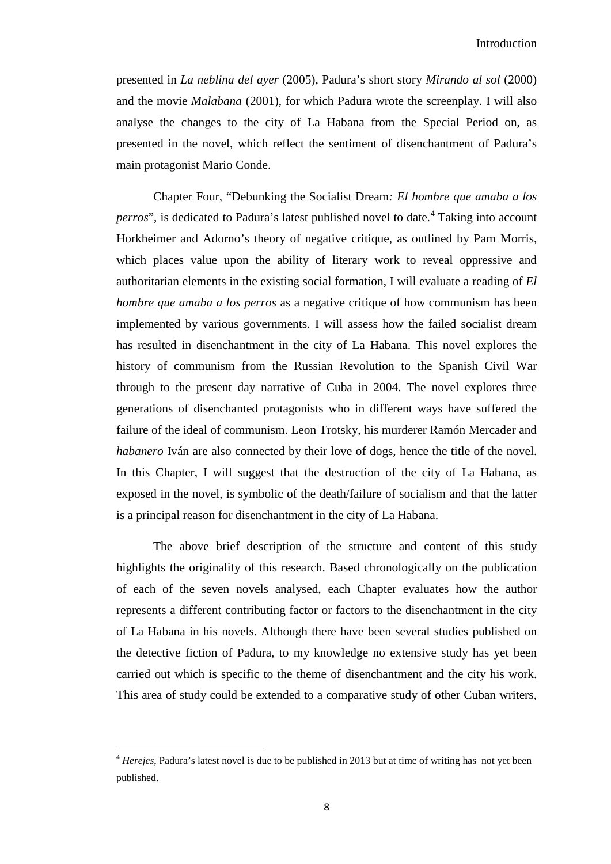presented in *La neblina del ayer* (2005), Padura's short story *Mirando al sol* (2000) and the movie *Malabana* (2001), for which Padura wrote the screenplay. I will also analyse the changes to the city of La Habana from the Special Period on, as presented in the novel, which reflect the sentiment of disenchantment of Padura's main protagonist Mario Conde.

Chapter Four, "Debunking the Socialist Dream*: El hombre que amaba a los perros*", is dedicated to Padura's latest published novel to date.<sup>[4](#page-9-0)</sup> Taking into account Horkheimer and Adorno's theory of negative critique, as outlined by Pam Morris, which places value upon the ability of literary work to reveal oppressive and authoritarian elements in the existing social formation, I will evaluate a reading of *El hombre que amaba a los perros* as a negative critique of how communism has been implemented by various governments. I will assess how the failed socialist dream has resulted in disenchantment in the city of La Habana. This novel explores the history of communism from the Russian Revolution to the Spanish Civil War through to the present day narrative of Cuba in 2004. The novel explores three generations of disenchanted protagonists who in different ways have suffered the failure of the ideal of communism. Leon Trotsky, his murderer Ramón Mercader and *habanero* Iván are also connected by their love of dogs, hence the title of the novel. In this Chapter, I will suggest that the destruction of the city of La Habana, as exposed in the novel, is symbolic of the death/failure of socialism and that the latter is a principal reason for disenchantment in the city of La Habana.

The above brief description of the structure and content of this study highlights the originality of this research. Based chronologically on the publication of each of the seven novels analysed, each Chapter evaluates how the author represents a different contributing factor or factors to the disenchantment in the city of La Habana in his novels. Although there have been several studies published on the detective fiction of Padura, to my knowledge no extensive study has yet been carried out which is specific to the theme of disenchantment and the city his work. This area of study could be extended to a comparative study of other Cuban writers,

ı

<span id="page-13-0"></span><sup>4</sup> *Herejes*, Padura's latest novel is due to be published in 2013 but at time of writing has not yet been published.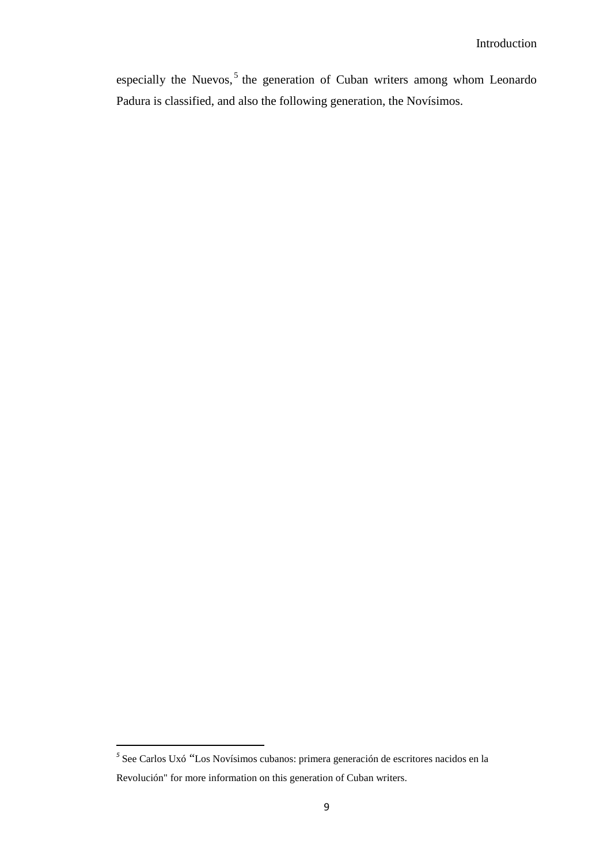especially the Nuevos,<sup>[5](#page-13-0)</sup> the generation of Cuban writers among whom Leonardo Padura is classified, and also the following generation, the Novísimos.

ı

<span id="page-14-0"></span>*<sup>5</sup>* See Carlos Uxó "Los Novísimos cubanos: primera generación de escritores nacidos en la Revolución" for more information on this generation of Cuban writers.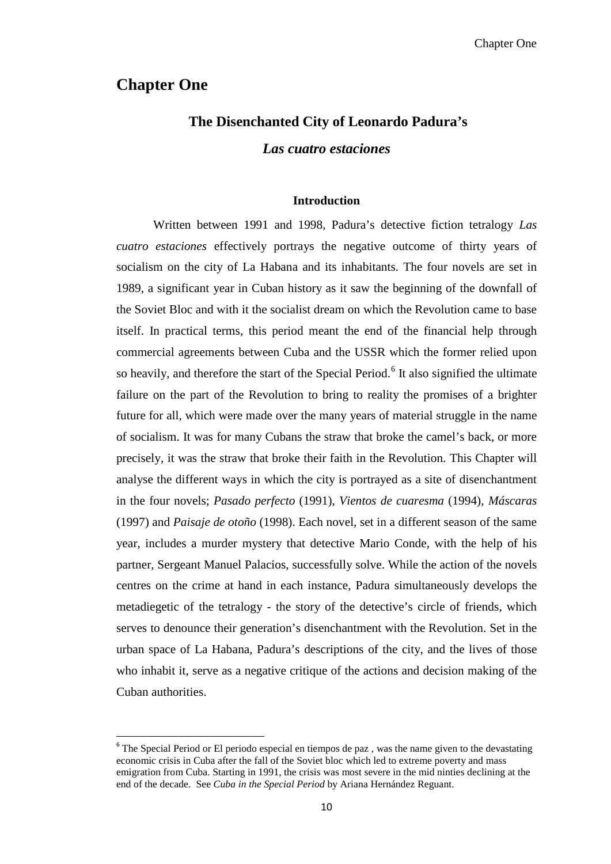## **Chapter One**

# **The Disenchanted City of Leonardo Padura's**  *Las cuatro estaciones*

#### **Introduction**

Written between 1991 and 1998, Padura's detective fiction tetralogy *Las cuatro estaciones* effectively portrays the negative outcome of thirty years of socialism on the city of La Habana and its inhabitants. The four novels are set in 1989, a significant year in Cuban history as it saw the beginning of the downfall of the Soviet Bloc and with it the socialist dream on which the Revolution came to base itself. In practical terms, this period meant the end of the financial help through commercial agreements between Cuba and the USSR which the former relied upon so heavily, and therefore the start of the Special Period.<sup>[6](#page-14-0)</sup> It also signified the ultimate failure on the part of the Revolution to bring to reality the promises of a brighter future for all, which were made over the many years of material struggle in the name of socialism. It was for many Cubans the straw that broke the camel's back, or more precisely, it was the straw that broke their faith in the Revolution. This Chapter will analyse the different ways in which the city is portrayed as a site of disenchantment in the four novels; *Pasado perfecto* (1991), *Vientos de cuaresma* (1994)*, Máscaras* (1997) and *Paisaje de otoño* (1998). Each novel, set in a different season of the same year, includes a murder mystery that detective Mario Conde, with the help of his partner, Sergeant Manuel Palacios, successfully solve. While the action of the novels centres on the crime at hand in each instance, Padura simultaneously develops the metadiegetic of the tetralogy - the story of the detective's circle of friends, which serves to denounce their generation's disenchantment with the Revolution. Set in the urban space of La Habana, Padura's descriptions of the city, and the lives of those who inhabit it, serve as a negative critique of the actions and decision making of the Cuban authorities.

<span id="page-15-0"></span> $6$  The Special Period or El periodo especial en tiempos de paz, was the name given to the devastating economic crisis in Cuba after the fall of the Soviet bloc which led to extreme poverty and mass emigration from Cuba. Starting in 1991, the crisis was most severe in the mid ninties declining at the end of the decade. See *Cuba in the Special Period* by Ariana Hernández Reguant.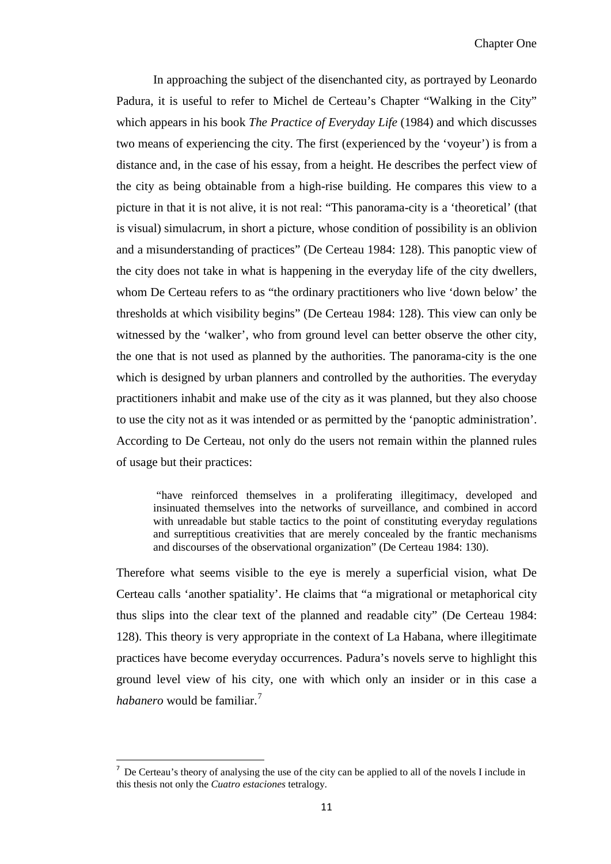In approaching the subject of the disenchanted city, as portrayed by Leonardo Padura, it is useful to refer to Michel de Certeau's Chapter "Walking in the City" which appears in his book *The Practice of Everyday Life* (1984) and which discusses two means of experiencing the city. The first (experienced by the 'voyeur') is from a distance and, in the case of his essay, from a height. He describes the perfect view of the city as being obtainable from a high-rise building. He compares this view to a picture in that it is not alive, it is not real: "This panorama-city is a 'theoretical' (that is visual) simulacrum, in short a picture, whose condition of possibility is an oblivion and a misunderstanding of practices" (De Certeau 1984: 128). This panoptic view of the city does not take in what is happening in the everyday life of the city dwellers, whom De Certeau refers to as "the ordinary practitioners who live 'down below' the thresholds at which visibility begins" (De Certeau 1984: 128). This view can only be witnessed by the 'walker', who from ground level can better observe the other city, the one that is not used as planned by the authorities. The panorama-city is the one which is designed by urban planners and controlled by the authorities. The everyday practitioners inhabit and make use of the city as it was planned, but they also choose to use the city not as it was intended or as permitted by the 'panoptic administration'. According to De Certeau, not only do the users not remain within the planned rules of usage but their practices:

"have reinforced themselves in a proliferating illegitimacy, developed and insinuated themselves into the networks of surveillance, and combined in accord with unreadable but stable tactics to the point of constituting everyday regulations and surreptitious creativities that are merely concealed by the frantic mechanisms and discourses of the observational organization" (De Certeau 1984: 130).

Therefore what seems visible to the eye is merely a superficial vision, what De Certeau calls 'another spatiality'. He claims that "a migrational or metaphorical city thus slips into the clear text of the planned and readable city" (De Certeau 1984: 128). This theory is very appropriate in the context of La Habana, where illegitimate practices have become everyday occurrences. Padura's novels serve to highlight this ground level view of his city, one with which only an insider or in this case a *habanero* would be familiar. [7](#page-15-0)

<span id="page-16-0"></span><sup>-&</sup>lt;br>7  $\alpha$  De Certeau's theory of analysing the use of the city can be applied to all of the novels I include in this thesis not only the *Cuatro estaciones* tetralogy.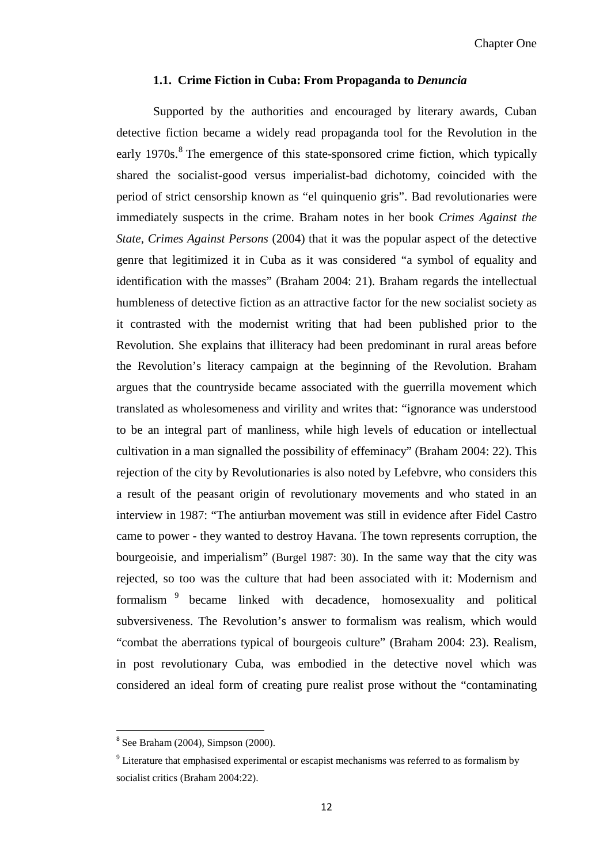#### **1.1. Crime Fiction in Cuba: From Propaganda to** *Denuncia*

Supported by the authorities and encouraged by literary awards, Cuban detective fiction became a widely read propaganda tool for the Revolution in the early 1970s.<sup>[8](#page-16-0)</sup> The emergence of this state-sponsored crime fiction, which typically shared the socialist-good versus imperialist-bad dichotomy, coincided with the period of strict censorship known as "el quinquenio gris". Bad revolutionaries were immediately suspects in the crime. Braham notes in her book *Crimes Against the State, Crimes Against Persons* (2004) that it was the popular aspect of the detective genre that legitimized it in Cuba as it was considered "a symbol of equality and identification with the masses" (Braham 2004: 21). Braham regards the intellectual humbleness of detective fiction as an attractive factor for the new socialist society as it contrasted with the modernist writing that had been published prior to the Revolution. She explains that illiteracy had been predominant in rural areas before the Revolution's literacy campaign at the beginning of the Revolution. Braham argues that the countryside became associated with the guerrilla movement which translated as wholesomeness and virility and writes that: "ignorance was understood to be an integral part of manliness, while high levels of education or intellectual cultivation in a man signalled the possibility of effeminacy" (Braham 2004: 22). This rejection of the city by Revolutionaries is also noted by Lefebvre, who considers this a result of the peasant origin of revolutionary movements and who stated in an interview in 1987: "The antiurban movement was still in evidence after Fidel Castro came to power - they wanted to destroy Havana. The town represents corruption, the bourgeoisie, and imperialism" (Burgel 1987: 30). In the same way that the city was rejected, so too was the culture that had been associated with it: Modernism and formalism [9](#page-17-0) became linked with decadence, homosexuality and political subversiveness. The Revolution's answer to formalism was realism, which would "combat the aberrations typical of bourgeois culture" (Braham 2004: 23). Realism, in post revolutionary Cuba, was embodied in the detective novel which was considered an ideal form of creating pure realist prose without the "contaminating

 $8$  See Braham (2004), Simpson (2000).

<span id="page-17-1"></span><span id="page-17-0"></span><sup>&</sup>lt;sup>9</sup> Literature that emphasised experimental or escapist mechanisms was referred to as formalism by socialist critics (Braham 2004:22).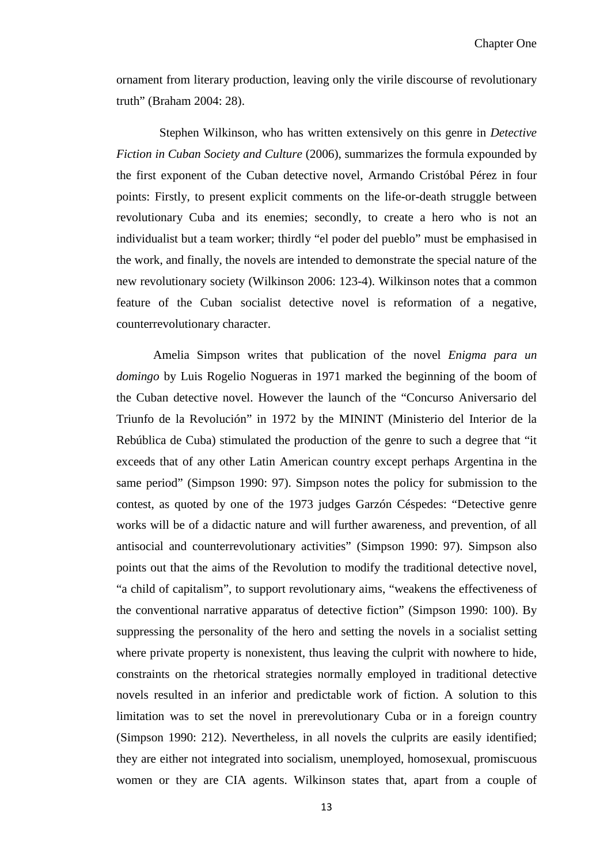ornament from literary production, leaving only the virile discourse of revolutionary truth" (Braham 2004: 28).

Stephen Wilkinson, who has written extensively on this genre in *Detective Fiction in Cuban Society and Culture* (2006), summarizes the formula expounded by the first exponent of the Cuban detective novel, Armando Cristóbal Pérez in four points: Firstly, to present explicit comments on the life-or-death struggle between revolutionary Cuba and its enemies; secondly, to create a hero who is not an individualist but a team worker; thirdly "el poder del pueblo" must be emphasised in the work, and finally, the novels are intended to demonstrate the special nature of the new revolutionary society (Wilkinson 2006: 123-4). Wilkinson notes that a common feature of the Cuban socialist detective novel is reformation of a negative, counterrevolutionary character.

Amelia Simpson writes that publication of the novel *Enigma para un domingo* by Luis Rogelio Nogueras in 1971 marked the beginning of the boom of the Cuban detective novel. However the launch of the "Concurso Aniversario del Triunfo de la Revolución" in 1972 by the MININT (Ministerio del Interior de la Rebública de Cuba) stimulated the production of the genre to such a degree that "it exceeds that of any other Latin American country except perhaps Argentina in the same period" (Simpson 1990: 97). Simpson notes the policy for submission to the contest, as quoted by one of the 1973 judges Garzón Céspedes: "Detective genre works will be of a didactic nature and will further awareness, and prevention, of all antisocial and counterrevolutionary activities" (Simpson 1990: 97). Simpson also points out that the aims of the Revolution to modify the traditional detective novel, "a child of capitalism", to support revolutionary aims, "weakens the effectiveness of the conventional narrative apparatus of detective fiction" (Simpson 1990: 100). By suppressing the personality of the hero and setting the novels in a socialist setting where private property is nonexistent, thus leaving the culprit with nowhere to hide, constraints on the rhetorical strategies normally employed in traditional detective novels resulted in an inferior and predictable work of fiction. A solution to this limitation was to set the novel in prerevolutionary Cuba or in a foreign country (Simpson 1990: 212). Nevertheless, in all novels the culprits are easily identified; they are either not integrated into socialism, unemployed, homosexual, promiscuous women or they are CIA agents. Wilkinson states that, apart from a couple of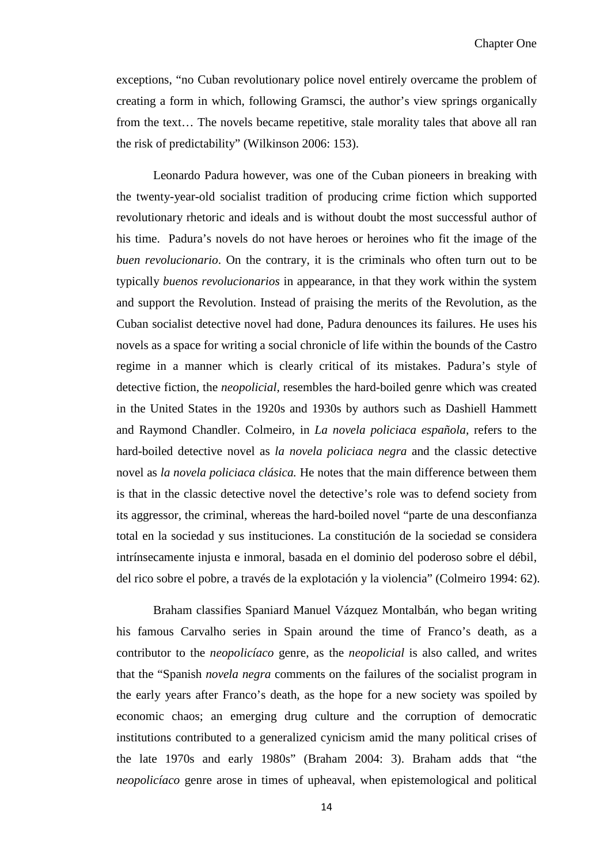exceptions, "no Cuban revolutionary police novel entirely overcame the problem of creating a form in which, following Gramsci, the author's view springs organically from the text… The novels became repetitive, stale morality tales that above all ran the risk of predictability" (Wilkinson 2006: 153).

Leonardo Padura however, was one of the Cuban pioneers in breaking with the twenty-year-old socialist tradition of producing crime fiction which supported revolutionary rhetoric and ideals and is without doubt the most successful author of his time. Padura's novels do not have heroes or heroines who fit the image of the *buen revolucionario*. On the contrary, it is the criminals who often turn out to be typically *buenos revolucionarios* in appearance, in that they work within the system and support the Revolution. Instead of praising the merits of the Revolution, as the Cuban socialist detective novel had done, Padura denounces its failures. He uses his novels as a space for writing a social chronicle of life within the bounds of the Castro regime in a manner which is clearly critical of its mistakes. Padura's style of detective fiction, the *neopolicial,* resembles the hard-boiled genre which was created in the United States in the 1920s and 1930s by authors such as Dashiell Hammett and Raymond Chandler. Colmeiro, in *La novela policiaca española,* refers to the hard-boiled detective novel as *la novela policiaca negra* and the classic detective novel as *la novela policiaca clásica.* He notes that the main difference between them is that in the classic detective novel the detective's role was to defend society from its aggressor, the criminal, whereas the hard-boiled novel "parte de una desconfianza total en la sociedad y sus instituciones. La constitución de la sociedad se considera intrínsecamente injusta e inmoral, basada en el dominio del poderoso sobre el débil, del rico sobre el pobre, a través de la explotación y la violencia" (Colmeiro 1994: 62).

Braham classifies Spaniard Manuel Vázquez Montalbán, who began writing his famous Carvalho series in Spain around the time of Franco's death, as a contributor to the *neopolicíaco* genre, as the *neopolicial* is also called, and writes that the "Spanish *novela negra* comments on the failures of the socialist program in the early years after Franco's death, as the hope for a new society was spoiled by economic chaos; an emerging drug culture and the corruption of democratic institutions contributed to a generalized cynicism amid the many political crises of the late 1970s and early 1980s" (Braham 2004: 3). Braham adds that "the *neopolicíaco* genre arose in times of upheaval, when epistemological and political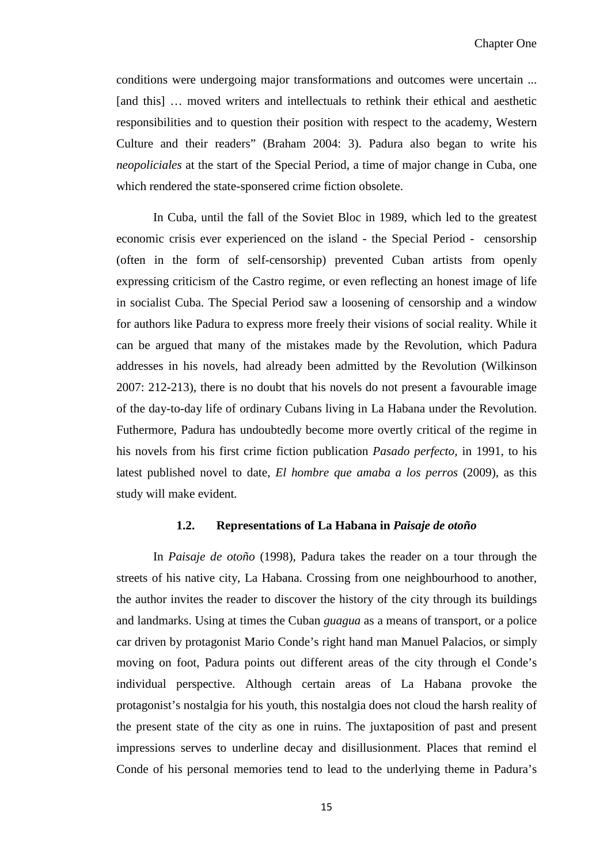conditions were undergoing major transformations and outcomes were uncertain ... [and this] … moved writers and intellectuals to rethink their ethical and aesthetic responsibilities and to question their position with respect to the academy, Western Culture and their readers" (Braham 2004: 3). Padura also began to write his *neopoliciales* at the start of the Special Period, a time of major change in Cuba, one which rendered the state-sponsered crime fiction obsolete.

In Cuba, until the fall of the Soviet Bloc in 1989, which led to the greatest economic crisis ever experienced on the island - the Special Period - censorship (often in the form of self-censorship) prevented Cuban artists from openly expressing criticism of the Castro regime, or even reflecting an honest image of life in socialist Cuba. The Special Period saw a loosening of censorship and a window for authors like Padura to express more freely their visions of social reality. While it can be argued that many of the mistakes made by the Revolution, which Padura addresses in his novels, had already been admitted by the Revolution (Wilkinson 2007: 212-213), there is no doubt that his novels do not present a favourable image of the day-to-day life of ordinary Cubans living in La Habana under the Revolution. Futhermore, Padura has undoubtedly become more overtly critical of the regime in his novels from his first crime fiction publication *Pasado perfecto,* in 1991, to his latest published novel to date, *El hombre que amaba a los perros* (2009), as this study will make evident*.*

#### **1.2. Representations of La Habana in** *Paisaje de otoño*

In *Paisaje de otoño* (1998), Padura takes the reader on a tour through the streets of his native city, La Habana. Crossing from one neighbourhood to another, the author invites the reader to discover the history of the city through its buildings and landmarks. Using at times the Cuban *guagua* as a means of transport, or a police car driven by protagonist Mario Conde's right hand man Manuel Palacios, or simply moving on foot, Padura points out different areas of the city through el Conde's individual perspective. Although certain areas of La Habana provoke the protagonist's nostalgia for his youth, this nostalgia does not cloud the harsh reality of the present state of the city as one in ruins. The juxtaposition of past and present impressions serves to underline decay and disillusionment. Places that remind el Conde of his personal memories tend to lead to the underlying theme in Padura's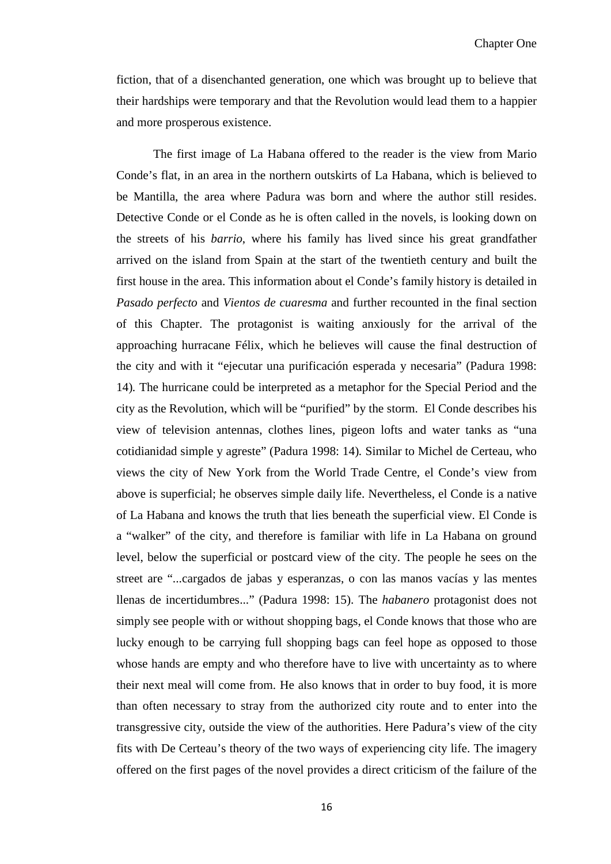fiction, that of a disenchanted generation, one which was brought up to believe that their hardships were temporary and that the Revolution would lead them to a happier and more prosperous existence.

The first image of La Habana offered to the reader is the view from Mario Conde's flat, in an area in the northern outskirts of La Habana, which is believed to be Mantilla, the area where Padura was born and where the author still resides. Detective Conde or el Conde as he is often called in the novels, is looking down on the streets of his *barrio*, where his family has lived since his great grandfather arrived on the island from Spain at the start of the twentieth century and built the first house in the area. This information about el Conde's family history is detailed in *Pasado perfecto* and *Vientos de cuaresma* and further recounted in the final section of this Chapter. The protagonist is waiting anxiously for the arrival of the approaching hurracane Félix, which he believes will cause the final destruction of the city and with it "ejecutar una purificación esperada y necesaria" (Padura 1998: 14)*.* The hurricane could be interpreted as a metaphor for the Special Period and the city as the Revolution, which will be "purified" by the storm. El Conde describes his view of television antennas, clothes lines, pigeon lofts and water tanks as "una cotidianidad simple y agreste" (Padura 1998: 14)*.* Similar to Michel de Certeau, who views the city of New York from the World Trade Centre, el Conde's view from above is superficial; he observes simple daily life. Nevertheless, el Conde is a native of La Habana and knows the truth that lies beneath the superficial view. El Conde is a "walker" of the city, and therefore is familiar with life in La Habana on ground level, below the superficial or postcard view of the city. The people he sees on the street are "...cargados de jabas y esperanzas, o con las manos vacías y las mentes llenas de incertidumbres..." (Padura 1998: 15). The *habanero* protagonist does not simply see people with or without shopping bags, el Conde knows that those who are lucky enough to be carrying full shopping bags can feel hope as opposed to those whose hands are empty and who therefore have to live with uncertainty as to where their next meal will come from. He also knows that in order to buy food, it is more than often necessary to stray from the authorized city route and to enter into the transgressive city, outside the view of the authorities. Here Padura's view of the city fits with De Certeau's theory of the two ways of experiencing city life. The imagery offered on the first pages of the novel provides a direct criticism of the failure of the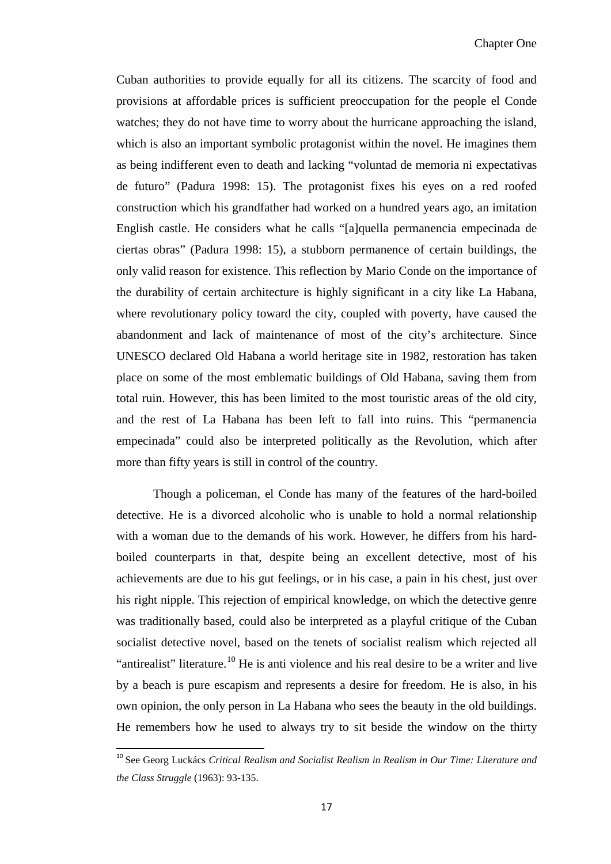Cuban authorities to provide equally for all its citizens. The scarcity of food and provisions at affordable prices is sufficient preoccupation for the people el Conde watches; they do not have time to worry about the hurricane approaching the island, which is also an important symbolic protagonist within the novel. He imagines them as being indifferent even to death and lacking "voluntad de memoria ni expectativas de futuro" (Padura 1998: 15). The protagonist fixes his eyes on a red roofed construction which his grandfather had worked on a hundred years ago, an imitation English castle. He considers what he calls "[a]quella permanencia empecinada de ciertas obras" (Padura 1998: 15), a stubborn permanence of certain buildings, the only valid reason for existence. This reflection by Mario Conde on the importance of the durability of certain architecture is highly significant in a city like La Habana, where revolutionary policy toward the city, coupled with poverty, have caused the abandonment and lack of maintenance of most of the city's architecture. Since UNESCO declared Old Habana a world heritage site in 1982, restoration has taken place on some of the most emblematic buildings of Old Habana, saving them from total ruin. However, this has been limited to the most touristic areas of the old city, and the rest of La Habana has been left to fall into ruins. This "permanencia empecinada" could also be interpreted politically as the Revolution, which after more than fifty years is still in control of the country.

Though a policeman, el Conde has many of the features of the hard-boiled detective. He is a divorced alcoholic who is unable to hold a normal relationship with a woman due to the demands of his work. However, he differs from his hardboiled counterparts in that, despite being an excellent detective, most of his achievements are due to his gut feelings, or in his case, a pain in his chest, just over his right nipple. This rejection of empirical knowledge, on which the detective genre was traditionally based, could also be interpreted as a playful critique of the Cuban socialist detective novel, based on the tenets of socialist realism which rejected all "antirealist" literature.<sup>[10](#page-17-1)</sup> He is anti violence and his real desire to be a writer and live by a beach is pure escapism and represents a desire for freedom. He is also, in his own opinion, the only person in La Habana who sees the beauty in the old buildings. He remembers how he used to always try to sit beside the window on the thirty

<span id="page-22-0"></span> <sup>10</sup> See Georg Luckács *Critical Realism and Socialist Realism in Realism in Our Time: Literature and the Class Struggle* (1963): 93-135.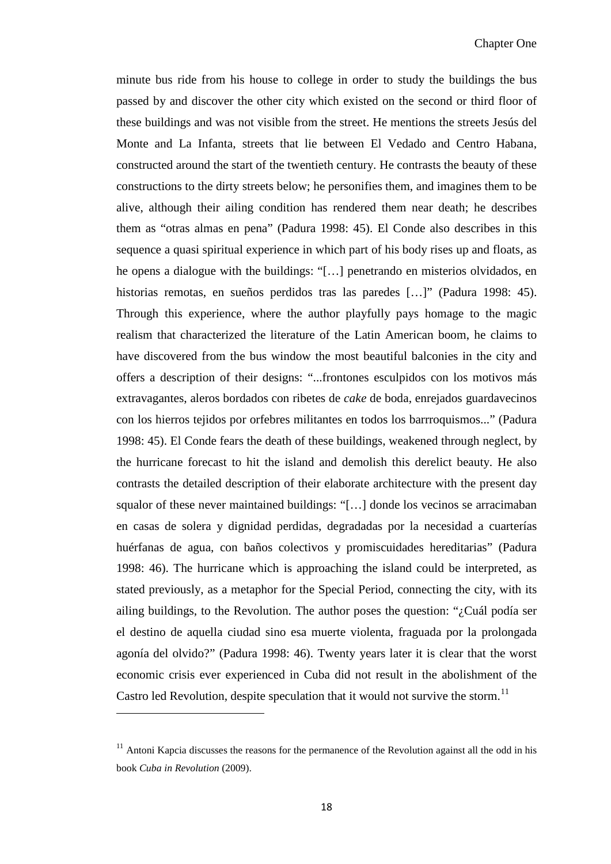minute bus ride from his house to college in order to study the buildings the bus passed by and discover the other city which existed on the second or third floor of these buildings and was not visible from the street. He mentions the streets Jesús del Monte and La Infanta, streets that lie between El Vedado and Centro Habana, constructed around the start of the twentieth century. He contrasts the beauty of these constructions to the dirty streets below; he personifies them, and imagines them to be alive, although their ailing condition has rendered them near death; he describes them as "otras almas en pena" (Padura 1998: 45). El Conde also describes in this sequence a quasi spiritual experience in which part of his body rises up and floats, as he opens a dialogue with the buildings: "[…] penetrando en misterios olvidados, en historias remotas, en sueños perdidos tras las paredes [...]" (Padura 1998: 45). Through this experience, where the author playfully pays homage to the magic realism that characterized the literature of the Latin American boom, he claims to have discovered from the bus window the most beautiful balconies in the city and offers a description of their designs: "...frontones esculpidos con los motivos más extravagantes, aleros bordados con ribetes de *cake* de boda, enrejados guardavecinos con los hierros tejidos por orfebres militantes en todos los barrroquismos..." (Padura 1998: 45). El Conde fears the death of these buildings, weakened through neglect, by the hurricane forecast to hit the island and demolish this derelict beauty. He also contrasts the detailed description of their elaborate architecture with the present day squalor of these never maintained buildings: "[…] donde los vecinos se arracimaban en casas de solera y dignidad perdidas, degradadas por la necesidad a cuarterías huérfanas de agua, con baños colectivos y promiscuidades hereditarias" (Padura 1998: 46). The hurricane which is approaching the island could be interpreted, as stated previously, as a metaphor for the Special Period, connecting the city, with its ailing buildings, to the Revolution. The author poses the question: "¿Cuál podía ser el destino de aquella ciudad sino esa muerte violenta, fraguada por la prolongada agonía del olvido?" (Padura 1998: 46). Twenty years later it is clear that the worst economic crisis ever experienced in Cuba did not result in the abolishment of the Castro led Revolution, despite speculation that it would not survive the storm.<sup>[11](#page-22-0)</sup>

ı

<span id="page-23-0"></span> $11$  Antoni Kapcia discusses the reasons for the permanence of the Revolution against all the odd in his book *Cuba in Revolution* (2009).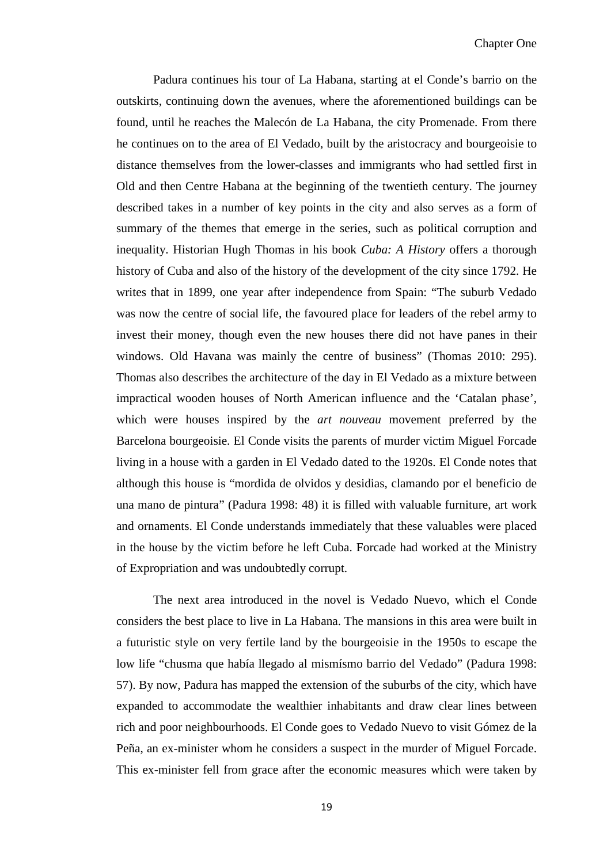Padura continues his tour of La Habana, starting at el Conde's barrio on the outskirts, continuing down the avenues, where the aforementioned buildings can be found, until he reaches the Malecón de La Habana, the city Promenade. From there he continues on to the area of El Vedado, built by the aristocracy and bourgeoisie to distance themselves from the lower-classes and immigrants who had settled first in Old and then Centre Habana at the beginning of the twentieth century. The journey described takes in a number of key points in the city and also serves as a form of summary of the themes that emerge in the series, such as political corruption and inequality. Historian Hugh Thomas in his book *Cuba: A History* offers a thorough history of Cuba and also of the history of the development of the city since 1792. He writes that in 1899, one year after independence from Spain: "The suburb Vedado was now the centre of social life, the favoured place for leaders of the rebel army to invest their money, though even the new houses there did not have panes in their windows. Old Havana was mainly the centre of business" (Thomas 2010: 295). Thomas also describes the architecture of the day in El Vedado as a mixture between impractical wooden houses of North American influence and the 'Catalan phase', which were houses inspired by the *art nouveau* movement preferred by the Barcelona bourgeoisie. El Conde visits the parents of murder victim Miguel Forcade living in a house with a garden in El Vedado dated to the 1920s. El Conde notes that although this house is "mordida de olvidos y desidias, clamando por el beneficio de una mano de pintura" (Padura 1998: 48) it is filled with valuable furniture, art work and ornaments. El Conde understands immediately that these valuables were placed in the house by the victim before he left Cuba. Forcade had worked at the Ministry of Expropriation and was undoubtedly corrupt.

The next area introduced in the novel is Vedado Nuevo, which el Conde considers the best place to live in La Habana. The mansions in this area were built in a futuristic style on very fertile land by the bourgeoisie in the 1950s to escape the low life "chusma que había llegado al mismísmo barrio del Vedado" (Padura 1998: 57). By now, Padura has mapped the extension of the suburbs of the city, which have expanded to accommodate the wealthier inhabitants and draw clear lines between rich and poor neighbourhoods. El Conde goes to Vedado Nuevo to visit Gómez de la Peña, an ex-minister whom he considers a suspect in the murder of Miguel Forcade. This ex-minister fell from grace after the economic measures which were taken by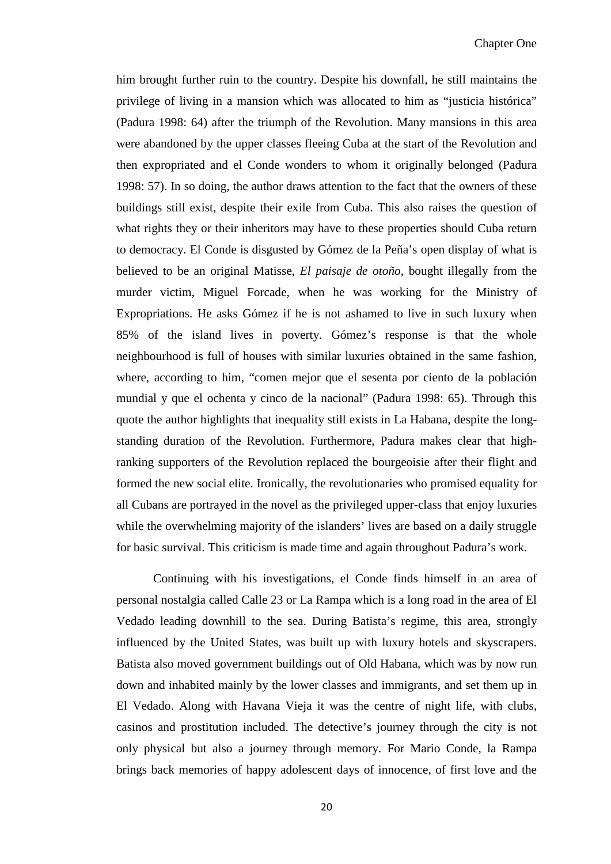him brought further ruin to the country. Despite his downfall, he still maintains the privilege of living in a mansion which was allocated to him as "justicia histórica" (Padura 1998: 64) after the triumph of the Revolution. Many mansions in this area were abandoned by the upper classes fleeing Cuba at the start of the Revolution and then expropriated and el Conde wonders to whom it originally belonged (Padura 1998: 57). In so doing, the author draws attention to the fact that the owners of these buildings still exist, despite their exile from Cuba. This also raises the question of what rights they or their inheritors may have to these properties should Cuba return to democracy. El Conde is disgusted by Gómez de la Peña's open display of what is believed to be an original Matisse, *El paisaje de otoño*, bought illegally from the murder victim, Miguel Forcade, when he was working for the Ministry of Expropriations. He asks Gómez if he is not ashamed to live in such luxury when 85% of the island lives in poverty. Gómez's response is that the whole neighbourhood is full of houses with similar luxuries obtained in the same fashion, where, according to him, "comen mejor que el sesenta por ciento de la población mundial y que el ochenta y cinco de la nacional" (Padura 1998: 65). Through this quote the author highlights that inequality still exists in La Habana, despite the longstanding duration of the Revolution. Furthermore, Padura makes clear that highranking supporters of the Revolution replaced the bourgeoisie after their flight and formed the new social elite. Ironically, the revolutionaries who promised equality for all Cubans are portrayed in the novel as the privileged upper-class that enjoy luxuries while the overwhelming majority of the islanders' lives are based on a daily struggle for basic survival. This criticism is made time and again throughout Padura's work.

Continuing with his investigations, el Conde finds himself in an area of personal nostalgia called Calle 23 or La Rampa which is a long road in the area of El Vedado leading downhill to the sea. During Batista's regime, this area, strongly influenced by the United States, was built up with luxury hotels and skyscrapers. Batista also moved government buildings out of Old Habana, which was by now run down and inhabited mainly by the lower classes and immigrants, and set them up in El Vedado. Along with Havana Vieja it was the centre of night life, with clubs, casinos and prostitution included. The detective's journey through the city is not only physical but also a journey through memory. For Mario Conde, la Rampa brings back memories of happy adolescent days of innocence, of first love and the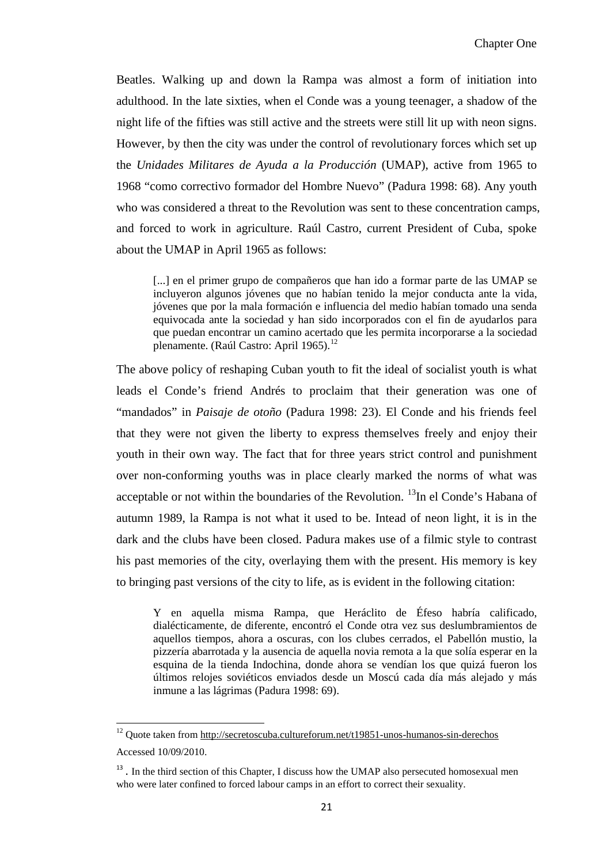Beatles. Walking up and down la Rampa was almost a form of initiation into adulthood. In the late sixties, when el Conde was a young teenager, a shadow of the night life of the fifties was still active and the streets were still lit up with neon signs. However, by then the city was under the control of revolutionary forces which set up the *Unidades Militares de Ayuda a la Producción* (UMAP), active from 1965 to 1968 "como correctivo formador del Hombre Nuevo" (Padura 1998: 68). Any youth who was considered a threat to the Revolution was sent to these concentration camps, and forced to work in agriculture. Raúl Castro, current President of Cuba, spoke about the UMAP in April 1965 as follows:

[...] en el primer grupo de compañeros que han ido a formar parte de las UMAP se incluyeron algunos jóvenes que no habían tenido la mejor conducta ante la vida, jóvenes que por la mala formación e influencia del medio habían tomado una senda equivocada ante la sociedad y han sido incorporados con el fin de ayudarlos para que puedan encontrar un camino acertado que les permita incorporarse a la sociedad plenamente. (Raúl Castro: April 1965).<sup>[12](#page-23-0)</sup>

The above policy of reshaping Cuban youth to fit the ideal of socialist youth is what leads el Conde's friend Andrés to proclaim that their generation was one of "mandados" in *Paisaje de otoño* (Padura 1998: 23). El Conde and his friends feel that they were not given the liberty to express themselves freely and enjoy their youth in their own way. The fact that for three years strict control and punishment over non-conforming youths was in place clearly marked the norms of what was acceptable or not within the boundaries of the Revolution.  $^{13}$  $^{13}$  $^{13}$ In el Conde's Habana of autumn 1989, la Rampa is not what it used to be. Intead of neon light, it is in the dark and the clubs have been closed. Padura makes use of a filmic style to contrast his past memories of the city, overlaying them with the present. His memory is key to bringing past versions of the city to life, as is evident in the following citation:

Y en aquella misma Rampa, que Heráclito de Éfeso habría calificado, dialécticamente, de diferente, encontró el Conde otra vez sus deslumbramientos de aquellos tiempos, ahora a oscuras, con los clubes cerrados, el Pabellón mustio, la pizzería abarrotada y la ausencia de aquella novia remota a la que solía esperar en la esquina de la tienda Indochina, donde ahora se vendían los que quizá fueron los últimos relojes soviéticos enviados desde un Moscú cada día más alejado y más inmune a las lágrimas (Padura 1998: 69).

 $\overline{\phantom{0}}$ 

<span id="page-26-1"></span><sup>12</sup> Quote taken from<http://secretoscuba.cultureforum.net/t19851-unos-humanos-sin-derechos> Accessed 10/09/2010.

<span id="page-26-0"></span><sup>&</sup>lt;sup>13</sup>. In the third section of this Chapter, I discuss how the UMAP also persecuted homosexual men who were later confined to forced labour camps in an effort to correct their sexuality.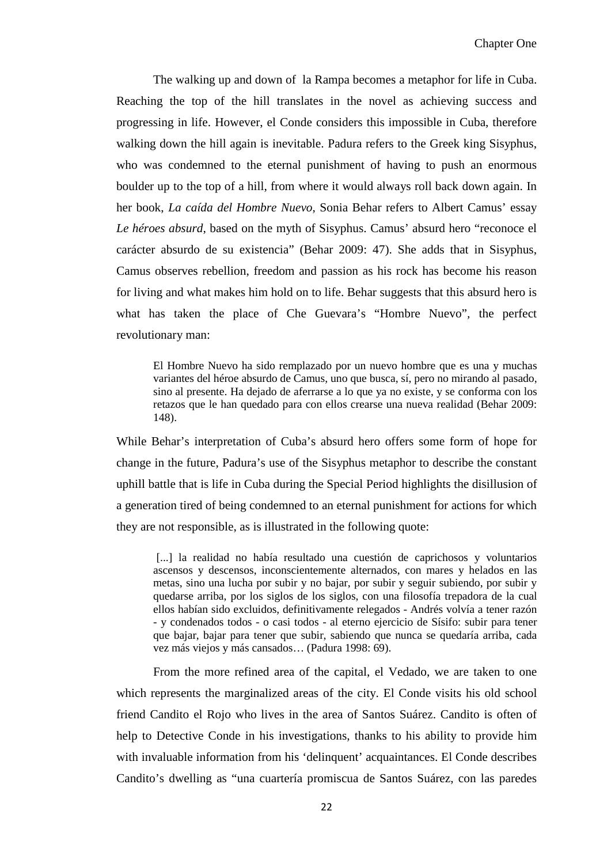The walking up and down of la Rampa becomes a metaphor for life in Cuba. Reaching the top of the hill translates in the novel as achieving success and progressing in life. However, el Conde considers this impossible in Cuba, therefore walking down the hill again is inevitable. Padura refers to the Greek king Sisyphus, who was condemned to the eternal punishment of having to push an enormous boulder up to the top of a hill, from where it would always roll back down again. In her book, *La caída del Hombre Nuevo*, Sonia Behar refers to Albert Camus' essay *Le héroes absurd*, based on the myth of Sisyphus. Camus' absurd hero "reconoce el carácter absurdo de su existencia" (Behar 2009: 47). She adds that in Sisyphus, Camus observes rebellion, freedom and passion as his rock has become his reason for living and what makes him hold on to life. Behar suggests that this absurd hero is what has taken the place of Che Guevara's "Hombre Nuevo"*,* the perfect revolutionary man:

El Hombre Nuevo ha sido remplazado por un nuevo hombre que es una y muchas variantes del héroe absurdo de Camus, uno que busca, sí, pero no mirando al pasado, sino al presente. Ha dejado de aferrarse a lo que ya no existe, y se conforma con los retazos que le han quedado para con ellos crearse una nueva realidad (Behar 2009: 148).

While Behar's interpretation of Cuba's absurd hero offers some form of hope for change in the future, Padura's use of the Sisyphus metaphor to describe the constant uphill battle that is life in Cuba during the Special Period highlights the disillusion of a generation tired of being condemned to an eternal punishment for actions for which they are not responsible, as is illustrated in the following quote:

[...] la realidad no había resultado una cuestión de caprichosos y voluntarios ascensos y descensos, inconscientemente alternados, con mares y helados en las metas, sino una lucha por subir y no bajar, por subir y seguir subiendo, por subir y quedarse arriba, por los siglos de los siglos, con una filosofía trepadora de la cual ellos habían sido excluidos, definitivamente relegados - Andrés volvía a tener razón - y condenados todos - o casi todos - al eterno ejercicio de Sísifo: subir para tener que bajar, bajar para tener que subir, sabiendo que nunca se quedaría arriba, cada vez más viejos y más cansados… (Padura 1998: 69).

From the more refined area of the capital, el Vedado, we are taken to one which represents the marginalized areas of the city. El Conde visits his old school friend Candito el Rojo who lives in the area of Santos Suárez. Candito is often of help to Detective Conde in his investigations, thanks to his ability to provide him with invaluable information from his 'delinquent' acquaintances. El Conde describes Candito's dwelling as "una cuartería promiscua de Santos Suárez, con las paredes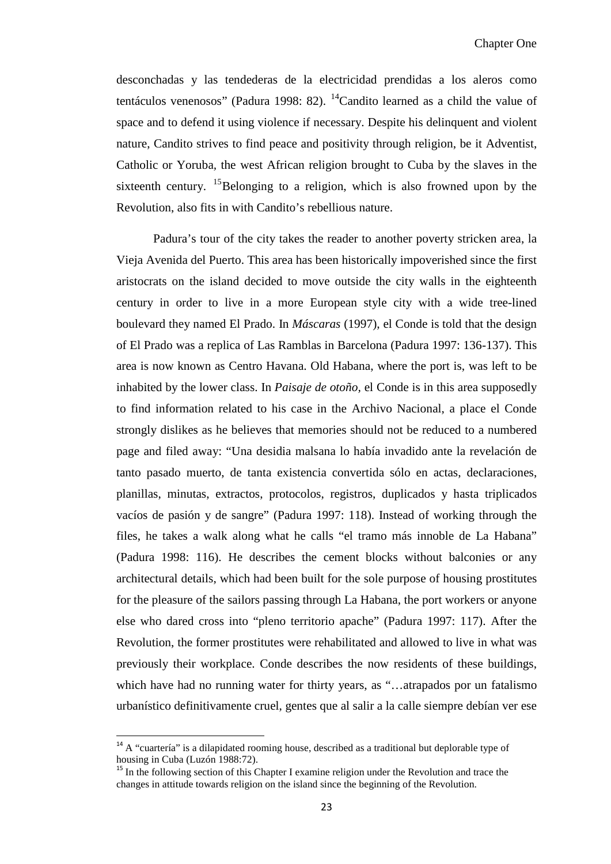desconchadas y las tendederas de la electricidad prendidas a los aleros como tentáculos venenosos" (Padura 1998: 82).  $^{14}$ Candito learned as a child the value of space and to defend it using violence if necessary. Despite his delinquent and violent nature, Candito strives to find peace and positivity through religion, be it Adventist, Catholic or Yoruba*,* the west African religion brought to Cuba by the slaves in the sixteenth century. <sup>[15](#page-28-0)</sup>Belonging to a religion, which is also frowned upon by the Revolution, also fits in with Candito's rebellious nature.

Padura's tour of the city takes the reader to another poverty stricken area, la Vieja Avenida del Puerto. This area has been historically impoverished since the first aristocrats on the island decided to move outside the city walls in the eighteenth century in order to live in a more European style city with a wide tree-lined boulevard they named El Prado. In *Máscaras* (1997), el Conde is told that the design of El Prado was a replica of Las Ramblas in Barcelona (Padura 1997: 136-137). This area is now known as Centro Havana. Old Habana, where the port is, was left to be inhabited by the lower class. In *Paisaje de otoño,* el Conde is in this area supposedly to find information related to his case in the Archivo Nacional, a place el Conde strongly dislikes as he believes that memories should not be reduced to a numbered page and filed away: "Una desidia malsana lo había invadido ante la revelación de tanto pasado muerto, de tanta existencia convertida sólo en actas, declaraciones, planillas, minutas, extractos, protocolos, registros, duplicados y hasta triplicados vacíos de pasión y de sangre" (Padura 1997: 118). Instead of working through the files, he takes a walk along what he calls "el tramo más innoble de La Habana" (Padura 1998: 116). He describes the cement blocks without balconies or any architectural details, which had been built for the sole purpose of housing prostitutes for the pleasure of the sailors passing through La Habana, the port workers or anyone else who dared cross into "pleno territorio apache" (Padura 1997: 117). After the Revolution, the former prostitutes were rehabilitated and allowed to live in what was previously their workplace. Conde describes the now residents of these buildings, which have had no running water for thirty years, as "...atrapados por un fatalismo urbanístico definitivamente cruel, gentes que al salir a la calle siempre debían ver ese

 $<sup>14</sup>$  A "cuartería" is a dilapidated rooming house, described as a traditional but deplorable type of</sup> housing in Cuba (Luzón 1988:72).

<span id="page-28-1"></span><span id="page-28-0"></span><sup>&</sup>lt;sup>15</sup> In the following section of this Chapter I examine religion under the Revolution and trace the changes in attitude towards religion on the island since the beginning of the Revolution.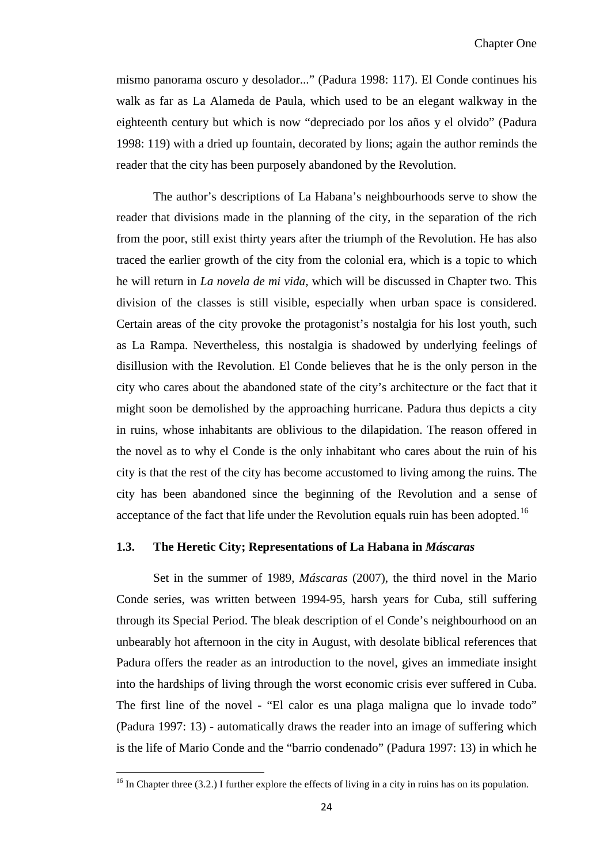mismo panorama oscuro y desolador..." (Padura 1998: 117). El Conde continues his walk as far as La Alameda de Paula, which used to be an elegant walkway in the eighteenth century but which is now "depreciado por los años y el olvido" (Padura 1998: 119) with a dried up fountain, decorated by lions; again the author reminds the reader that the city has been purposely abandoned by the Revolution.

The author's descriptions of La Habana's neighbourhoods serve to show the reader that divisions made in the planning of the city, in the separation of the rich from the poor, still exist thirty years after the triumph of the Revolution. He has also traced the earlier growth of the city from the colonial era, which is a topic to which he will return in *La novela de mi vida*, which will be discussed in Chapter two. This division of the classes is still visible, especially when urban space is considered. Certain areas of the city provoke the protagonist's nostalgia for his lost youth, such as La Rampa. Nevertheless, this nostalgia is shadowed by underlying feelings of disillusion with the Revolution. El Conde believes that he is the only person in the city who cares about the abandoned state of the city's architecture or the fact that it might soon be demolished by the approaching hurricane. Padura thus depicts a city in ruins, whose inhabitants are oblivious to the dilapidation. The reason offered in the novel as to why el Conde is the only inhabitant who cares about the ruin of his city is that the rest of the city has become accustomed to living among the ruins. The city has been abandoned since the beginning of the Revolution and a sense of acceptance of the fact that life under the Revolution equals ruin has been adopted.<sup>[16](#page-28-1)</sup>

#### **1.3. The Heretic City; Representations of La Habana in** *Máscaras*

Set in the summer of 1989, *Máscaras* (2007), the third novel in the Mario Conde series, was written between 1994-95, harsh years for Cuba, still suffering through its Special Period. The bleak description of el Conde's neighbourhood on an unbearably hot afternoon in the city in August, with desolate biblical references that Padura offers the reader as an introduction to the novel, gives an immediate insight into the hardships of living through the worst economic crisis ever suffered in Cuba. The first line of the novel - "El calor es una plaga maligna que lo invade todo" (Padura 1997: 13) - automatically draws the reader into an image of suffering which is the life of Mario Conde and the "barrio condenado" (Padura 1997: 13) in which he

<span id="page-29-0"></span> $\overline{\phantom{0}}$ 

 $16$  In Chapter three (3.2.) I further explore the effects of living in a city in ruins has on its population.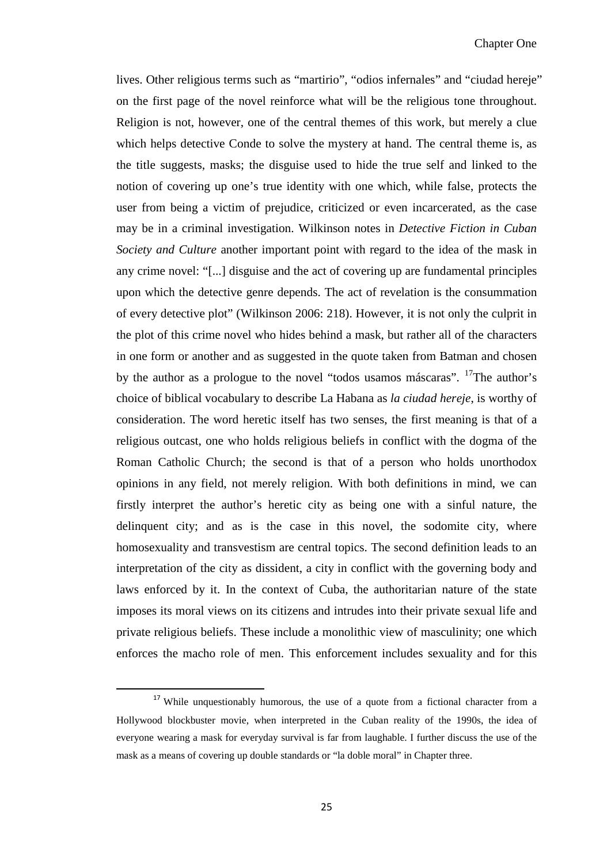lives. Other religious terms such as "martirio", "odios infernales" and "ciudad hereje" on the first page of the novel reinforce what will be the religious tone throughout. Religion is not, however, one of the central themes of this work, but merely a clue which helps detective Conde to solve the mystery at hand. The central theme is, as the title suggests, masks; the disguise used to hide the true self and linked to the notion of covering up one's true identity with one which, while false, protects the user from being a victim of prejudice, criticized or even incarcerated, as the case may be in a criminal investigation. Wilkinson notes in *Detective Fiction in Cuban Society and Culture* another important point with regard to the idea of the mask in any crime novel: "[...] disguise and the act of covering up are fundamental principles upon which the detective genre depends. The act of revelation is the consummation of every detective plot" (Wilkinson 2006: 218). However, it is not only the culprit in the plot of this crime novel who hides behind a mask, but rather all of the characters in one form or another and as suggested in the quote taken from Batman and chosen by the author as a prologue to the novel "todos usamos máscaras". <sup>[17](#page-29-0)</sup>The author's choice of biblical vocabulary to describe La Habana as *la ciudad hereje*, is worthy of consideration. The word heretic itself has two senses, the first meaning is that of a religious outcast, one who holds religious beliefs in conflict with the dogma of the Roman Catholic Church; the second is that of a person who holds unorthodox opinions in any field, not merely religion. With both definitions in mind, we can firstly interpret the author's heretic city as being one with a sinful nature, the delinquent city; and as is the case in this novel, the sodomite city, where homosexuality and transvestism are central topics. The second definition leads to an interpretation of the city as dissident, a city in conflict with the governing body and laws enforced by it. In the context of Cuba, the authoritarian nature of the state imposes its moral views on its citizens and intrudes into their private sexual life and private religious beliefs. These include a monolithic view of masculinity; one which enforces the macho role of men. This enforcement includes sexuality and for this

<span id="page-30-0"></span><sup>&</sup>lt;sup>17</sup> While unquestionably humorous, the use of a quote from a fictional character from a Hollywood blockbuster movie, when interpreted in the Cuban reality of the 1990s, the idea of everyone wearing a mask for everyday survival is far from laughable. I further discuss the use of the mask as a means of covering up double standards or "la doble moral" in Chapter three.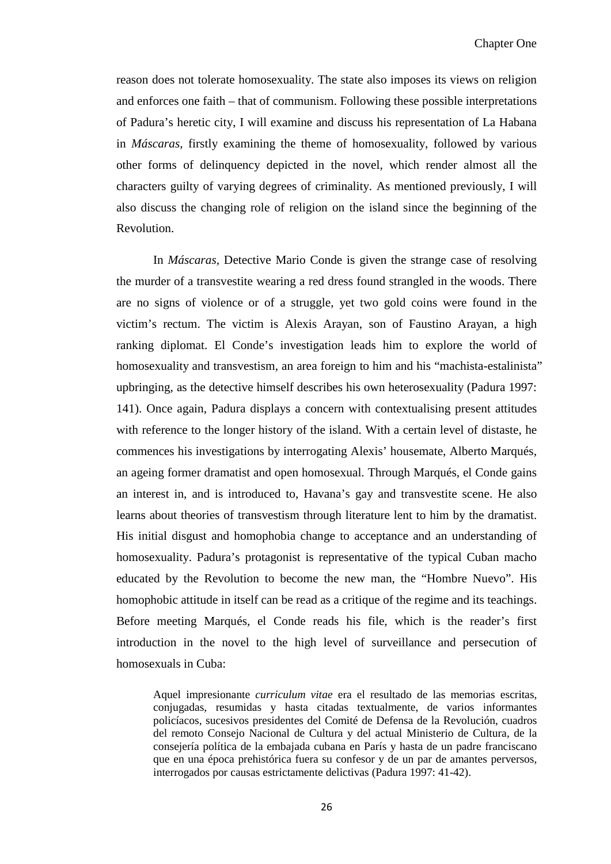reason does not tolerate homosexuality. The state also imposes its views on religion and enforces one faith – that of communism. Following these possible interpretations of Padura's heretic city, I will examine and discuss his representation of La Habana in *Máscaras,* firstly examining the theme of homosexuality, followed by various other forms of delinquency depicted in the novel, which render almost all the characters guilty of varying degrees of criminality. As mentioned previously, I will also discuss the changing role of religion on the island since the beginning of the Revolution.

In *Máscaras,* Detective Mario Conde is given the strange case of resolving the murder of a transvestite wearing a red dress found strangled in the woods. There are no signs of violence or of a struggle, yet two gold coins were found in the victim's rectum. The victim is Alexis Arayan, son of Faustino Arayan, a high ranking diplomat. El Conde's investigation leads him to explore the world of homosexuality and transvestism, an area foreign to him and his "machista-estalinista" upbringing, as the detective himself describes his own heterosexuality (Padura 1997: 141). Once again, Padura displays a concern with contextualising present attitudes with reference to the longer history of the island. With a certain level of distaste, he commences his investigations by interrogating Alexis' housemate, Alberto Marqués, an ageing former dramatist and open homosexual. Through Marqués, el Conde gains an interest in, and is introduced to, Havana's gay and transvestite scene. He also learns about theories of transvestism through literature lent to him by the dramatist. His initial disgust and homophobia change to acceptance and an understanding of homosexuality. Padura's protagonist is representative of the typical Cuban macho educated by the Revolution to become the new man, the "Hombre Nuevo". His homophobic attitude in itself can be read as a critique of the regime and its teachings. Before meeting Marqués, el Conde reads his file, which is the reader's first introduction in the novel to the high level of surveillance and persecution of homosexuals in Cuba:

Aquel impresionante *curriculum vitae* era el resultado de las memorias escritas, conjugadas, resumidas y hasta citadas textualmente, de varios informantes policíacos, sucesivos presidentes del Comité de Defensa de la Revolución, cuadros del remoto Consejo Nacional de Cultura y del actual Ministerio de Cultura, de la consejería política de la embajada cubana en París y hasta de un padre franciscano que en una época prehistórica fuera su confesor y de un par de amantes perversos, interrogados por causas estrictamente delictivas (Padura 1997: 41-42).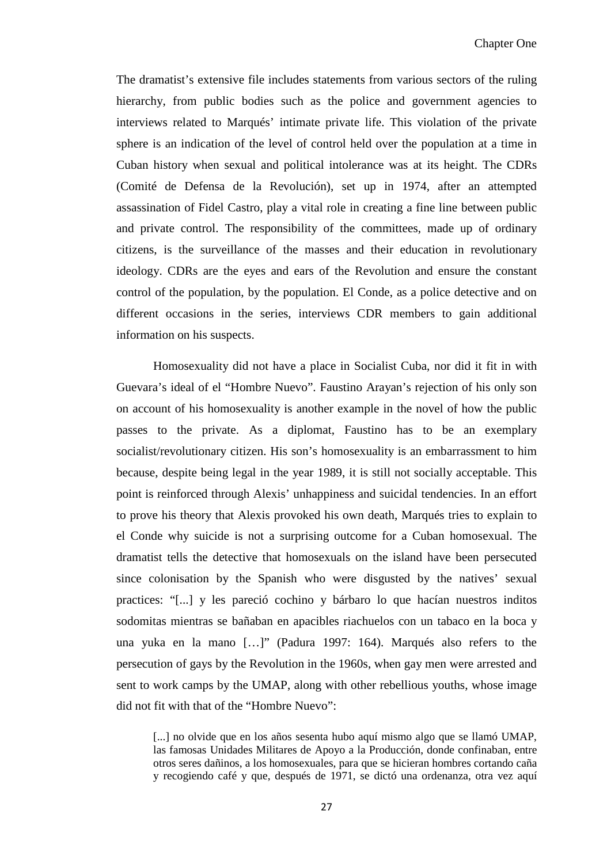The dramatist's extensive file includes statements from various sectors of the ruling hierarchy, from public bodies such as the police and government agencies to interviews related to Marqués' intimate private life. This violation of the private sphere is an indication of the level of control held over the population at a time in Cuban history when sexual and political intolerance was at its height. The CDRs (Comité de Defensa de la Revolución), set up in 1974, after an attempted assassination of Fidel Castro, play a vital role in creating a fine line between public and private control. The responsibility of the committees, made up of ordinary citizens, is the surveillance of the masses and their education in revolutionary ideology. CDRs are the eyes and ears of the Revolution and ensure the constant control of the population, by the population. El Conde, as a police detective and on different occasions in the series, interviews CDR members to gain additional information on his suspects.

Homosexuality did not have a place in Socialist Cuba, nor did it fit in with Guevara's ideal of el "Hombre Nuevo". Faustino Arayan's rejection of his only son on account of his homosexuality is another example in the novel of how the public passes to the private. As a diplomat, Faustino has to be an exemplary socialist/revolutionary citizen. His son's homosexuality is an embarrassment to him because, despite being legal in the year 1989, it is still not socially acceptable. This point is reinforced through Alexis' unhappiness and suicidal tendencies. In an effort to prove his theory that Alexis provoked his own death, Marqués tries to explain to el Conde why suicide is not a surprising outcome for a Cuban homosexual. The dramatist tells the detective that homosexuals on the island have been persecuted since colonisation by the Spanish who were disgusted by the natives' sexual practices: "[...] y les pareció cochino y bárbaro lo que hacían nuestros inditos sodomitas mientras se bañaban en apacibles riachuelos con un tabaco en la boca y una yuka en la mano […]" (Padura 1997: 164). Marqués also refers to the persecution of gays by the Revolution in the 1960s, when gay men were arrested and sent to work camps by the UMAP, along with other rebellious youths, whose image did not fit with that of the "Hombre Nuevo":

[...] no olvide que en los años sesenta hubo aquí mismo algo que se llamó UMAP, las famosas Unidades Militares de Apoyo a la Producción, donde confinaban, entre otros seres dañinos, a los homosexuales, para que se hicieran hombres cortando caña y recogiendo café y que, después de 1971, se dictó una ordenanza, otra vez aquí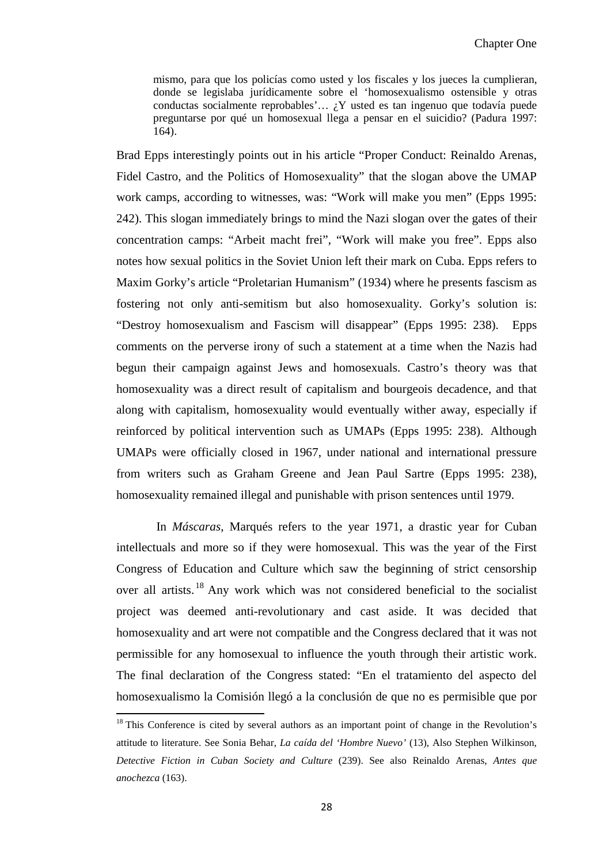mismo, para que los policías como usted y los fiscales y los jueces la cumplieran, donde se legislaba jurídicamente sobre el 'homosexualismo ostensible y otras conductas socialmente reprobables'...  $\chi$ Y usted es tan ingenuo que todavía puede preguntarse por qué un homosexual llega a pensar en el suicidio? (Padura 1997: 164).

Brad Epps interestingly points out in his article "Proper Conduct: Reinaldo Arenas, Fidel Castro, and the Politics of Homosexuality" that the slogan above the UMAP work camps, according to witnesses, was: "Work will make you men" (Epps 1995: 242). This slogan immediately brings to mind the Nazi slogan over the gates of their concentration camps: "Arbeit macht frei", "Work will make you free". Epps also notes how sexual politics in the Soviet Union left their mark on Cuba. Epps refers to Maxim Gorky's article "Proletarian Humanism" (1934) where he presents fascism as fostering not only anti-semitism but also homosexuality. Gorky's solution is: "Destroy homosexualism and Fascism will disappear" (Epps 1995: 238). Epps comments on the perverse irony of such a statement at a time when the Nazis had begun their campaign against Jews and homosexuals. Castro's theory was that homosexuality was a direct result of capitalism and bourgeois decadence, and that along with capitalism, homosexuality would eventually wither away, especially if reinforced by political intervention such as UMAPs (Epps 1995: 238). Although UMAPs were officially closed in 1967, under national and international pressure from writers such as Graham Greene and Jean Paul Sartre (Epps 1995: 238), homosexuality remained illegal and punishable with prison sentences until 1979.

In *Máscaras*, Marqués refers to the year 1971, a drastic year for Cuban intellectuals and more so if they were homosexual. This was the year of the First Congress of Education and Culture which saw the beginning of strict censorship over all artists.<sup>[18](#page-30-0)</sup> Any work which was not considered beneficial to the socialist project was deemed anti-revolutionary and cast aside. It was decided that homosexuality and art were not compatible and the Congress declared that it was not permissible for any homosexual to influence the youth through their artistic work. The final declaration of the Congress stated: "En el tratamiento del aspecto del homosexualismo la Comisión llegó a la conclusión de que no es permisible que por

 $\overline{\phantom{0}}$ 

<sup>&</sup>lt;sup>18</sup> This Conference is cited by several authors as an important point of change in the Revolution's attitude to literature. See Sonia Behar, *La caída del 'Hombre Nuevo'* (13), Also Stephen Wilkinson, *Detective Fiction in Cuban Society and Culture* (239). See also Reinaldo Arenas, *Antes que anochezca* (163).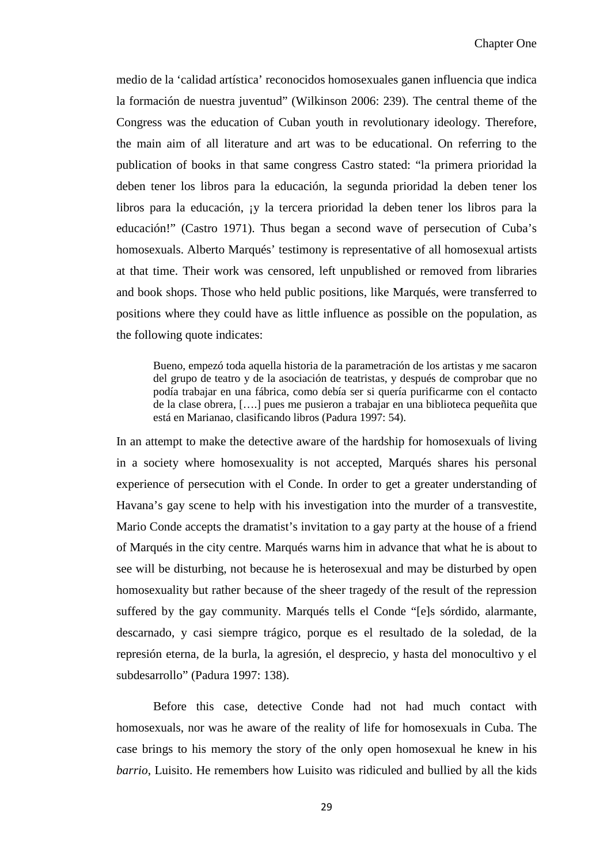medio de la 'calidad artística' reconocidos homosexuales ganen influencia que indica la formación de nuestra juventud" (Wilkinson 2006: 239). The central theme of the Congress was the education of Cuban youth in revolutionary ideology. Therefore, the main aim of all literature and art was to be educational. On referring to the publication of books in that same congress Castro stated: "la primera prioridad la deben tener los libros para la educación, la segunda prioridad la deben tener los libros para la educación, ¡y la tercera prioridad la deben tener los libros para la educación!" (Castro 1971). Thus began a second wave of persecution of Cuba's homosexuals. Alberto Marqués' testimony is representative of all homosexual artists at that time. Their work was censored, left unpublished or removed from libraries and book shops. Those who held public positions, like Marqués, were transferred to positions where they could have as little influence as possible on the population, as the following quote indicates:

Bueno, empezó toda aquella historia de la parametración de los artistas y me sacaron del grupo de teatro y de la asociación de teatristas, y después de comprobar que no podía trabajar en una fábrica, como debía ser si quería purificarme con el contacto de la clase obrera, [….] pues me pusieron a trabajar en una biblioteca pequeñita que está en Marianao, clasificando libros (Padura 1997: 54).

In an attempt to make the detective aware of the hardship for homosexuals of living in a society where homosexuality is not accepted, Marqués shares his personal experience of persecution with el Conde. In order to get a greater understanding of Havana's gay scene to help with his investigation into the murder of a transvestite, Mario Conde accepts the dramatist's invitation to a gay party at the house of a friend of Marqués in the city centre. Marqués warns him in advance that what he is about to see will be disturbing, not because he is heterosexual and may be disturbed by open homosexuality but rather because of the sheer tragedy of the result of the repression suffered by the gay community. Marqués tells el Conde "[e]s sórdido, alarmante, descarnado, y casi siempre trágico, porque es el resultado de la soledad, de la represión eterna, de la burla, la agresión, el desprecio, y hasta del monocultivo y el subdesarrollo" (Padura 1997: 138).

Before this case, detective Conde had not had much contact with homosexuals, nor was he aware of the reality of life for homosexuals in Cuba. The case brings to his memory the story of the only open homosexual he knew in his *barrio*, Luisito. He remembers how Luisito was ridiculed and bullied by all the kids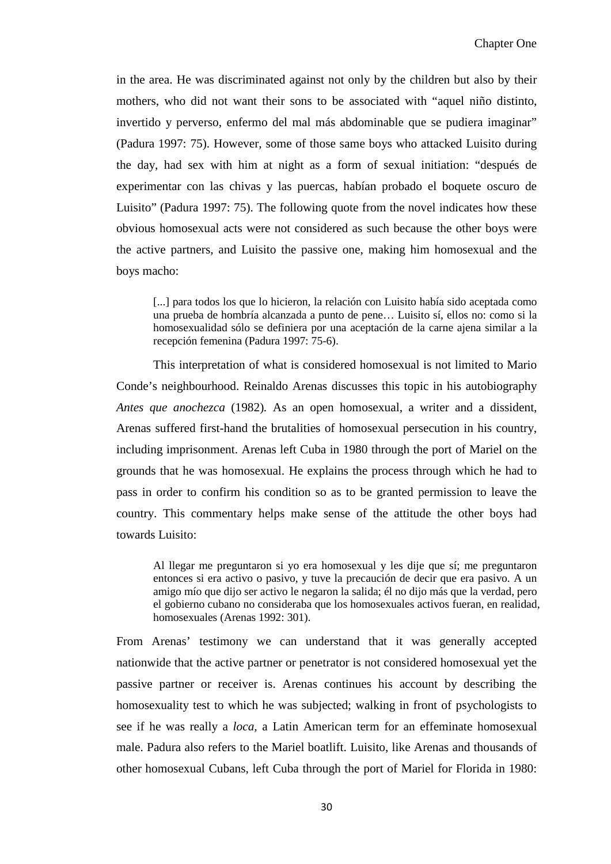in the area. He was discriminated against not only by the children but also by their mothers, who did not want their sons to be associated with "aquel niño distinto, invertido y perverso, enfermo del mal más abdominable que se pudiera imaginar" (Padura 1997: 75). However, some of those same boys who attacked Luisito during the day, had sex with him at night as a form of sexual initiation: "después de experimentar con las chivas y las puercas, habían probado el boquete oscuro de Luisito" (Padura 1997: 75). The following quote from the novel indicates how these obvious homosexual acts were not considered as such because the other boys were the active partners, and Luisito the passive one, making him homosexual and the boys macho:

[...] para todos los que lo hicieron, la relación con Luisito había sido aceptada como una prueba de hombría alcanzada a punto de pene… Luisito sí, ellos no: como si la homosexualidad sólo se definiera por una aceptación de la carne ajena similar a la recepción femenina (Padura 1997: 75-6).

This interpretation of what is considered homosexual is not limited to Mario Conde's neighbourhood. Reinaldo Arenas discusses this topic in his autobiography *Antes que anochezca* (1982)*.* As an open homosexual, a writer and a dissident, Arenas suffered first-hand the brutalities of homosexual persecution in his country, including imprisonment. Arenas left Cuba in 1980 through the port of Mariel on the grounds that he was homosexual. He explains the process through which he had to pass in order to confirm his condition so as to be granted permission to leave the country. This commentary helps make sense of the attitude the other boys had towards Luisito:

Al llegar me preguntaron si yo era homosexual y les dije que sí; me preguntaron entonces si era activo o pasivo, y tuve la precaución de decir que era pasivo. A un amigo mío que dijo ser activo le negaron la salida; él no dijo más que la verdad, pero el gobierno cubano no consideraba que los homosexuales activos fueran, en realidad, homosexuales (Arenas 1992: 301).

From Arenas' testimony we can understand that it was generally accepted nationwide that the active partner or penetrator is not considered homosexual yet the passive partner or receiver is. Arenas continues his account by describing the homosexuality test to which he was subjected; walking in front of psychologists to see if he was really a *loca*, a Latin American term for an effeminate homosexual male. Padura also refers to the Mariel boatlift. Luisito, like Arenas and thousands of other homosexual Cubans, left Cuba through the port of Mariel for Florida in 1980: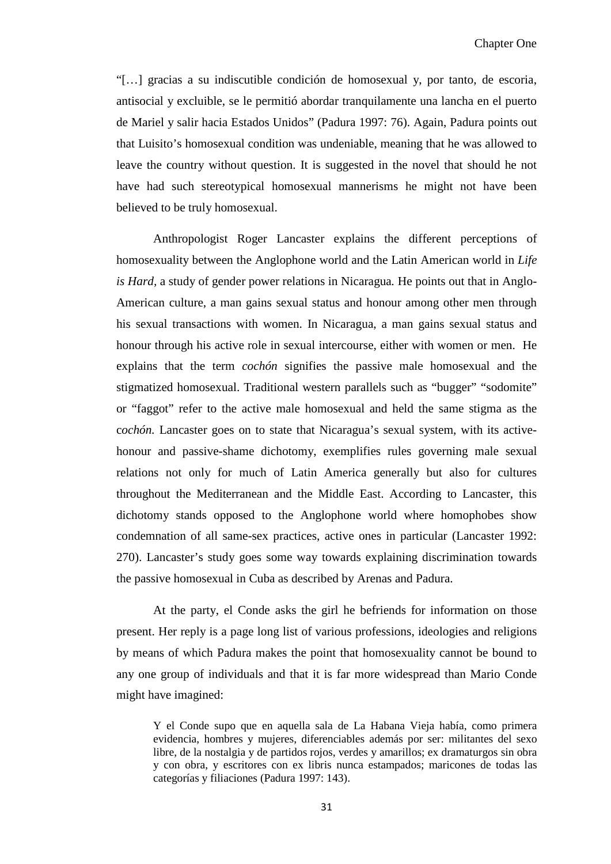"[…] gracias a su indiscutible condición de homosexual y, por tanto, de escoria, antisocial y excluible, se le permitió abordar tranquilamente una lancha en el puerto de Mariel y salir hacia Estados Unidos" (Padura 1997: 76). Again, Padura points out that Luisito's homosexual condition was undeniable, meaning that he was allowed to leave the country without question. It is suggested in the novel that should he not have had such stereotypical homosexual mannerisms he might not have been believed to be truly homosexual.

Anthropologist Roger Lancaster explains the different perceptions of homosexuality between the Anglophone world and the Latin American world in *Life is Hard,* a study of gender power relations in Nicaragua*.* He points out that in Anglo-American culture, a man gains sexual status and honour among other men through his sexual transactions with women. In Nicaragua, a man gains sexual status and honour through his active role in sexual intercourse, either with women or men. He explains that the term *cochón* signifies the passive male homosexual and the stigmatized homosexual. Traditional western parallels such as "bugger" "sodomite" or "faggot" refer to the active male homosexual and held the same stigma as the c*ochón.* Lancaster goes on to state that Nicaragua's sexual system, with its activehonour and passive-shame dichotomy, exemplifies rules governing male sexual relations not only for much of Latin America generally but also for cultures throughout the Mediterranean and the Middle East. According to Lancaster, this dichotomy stands opposed to the Anglophone world where homophobes show condemnation of all same-sex practices, active ones in particular (Lancaster 1992: 270). Lancaster's study goes some way towards explaining discrimination towards the passive homosexual in Cuba as described by Arenas and Padura.

At the party, el Conde asks the girl he befriends for information on those present. Her reply is a page long list of various professions, ideologies and religions by means of which Padura makes the point that homosexuality cannot be bound to any one group of individuals and that it is far more widespread than Mario Conde might have imagined:

Y el Conde supo que en aquella sala de La Habana Vieja había, como primera evidencia, hombres y mujeres, diferenciables además por ser: militantes del sexo libre, de la nostalgia y de partidos rojos, verdes y amarillos; ex dramaturgos sin obra y con obra, y escritores con ex libris nunca estampados; maricones de todas las categorías y filiaciones (Padura 1997: 143).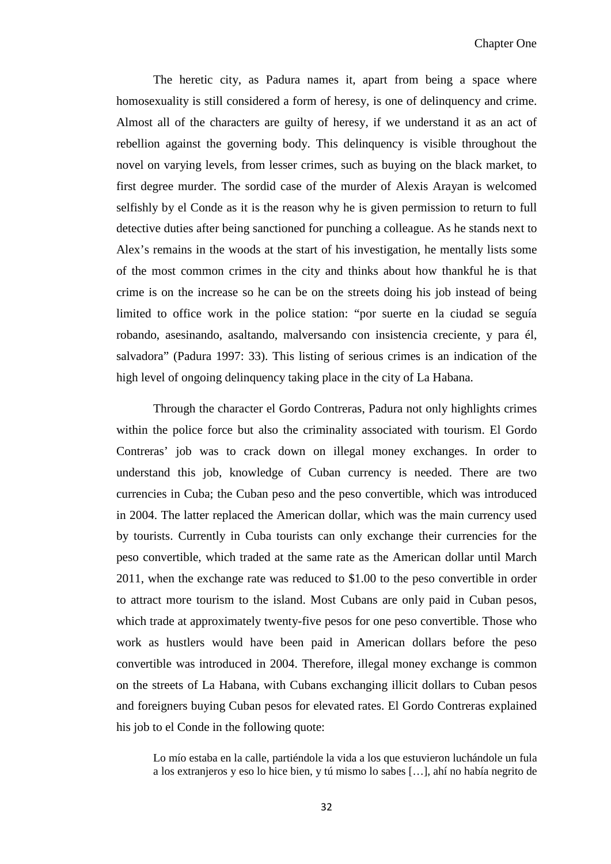The heretic city, as Padura names it, apart from being a space where homosexuality is still considered a form of heresy, is one of delinquency and crime. Almost all of the characters are guilty of heresy, if we understand it as an act of rebellion against the governing body. This delinquency is visible throughout the novel on varying levels, from lesser crimes, such as buying on the black market, to first degree murder. The sordid case of the murder of Alexis Arayan is welcomed selfishly by el Conde as it is the reason why he is given permission to return to full detective duties after being sanctioned for punching a colleague. As he stands next to Alex's remains in the woods at the start of his investigation, he mentally lists some of the most common crimes in the city and thinks about how thankful he is that crime is on the increase so he can be on the streets doing his job instead of being limited to office work in the police station: "por suerte en la ciudad se seguía robando, asesinando, asaltando, malversando con insistencia creciente, y para él, salvadora" (Padura 1997: 33). This listing of serious crimes is an indication of the high level of ongoing delinquency taking place in the city of La Habana.

Through the character el Gordo Contreras, Padura not only highlights crimes within the police force but also the criminality associated with tourism. El Gordo Contreras' job was to crack down on illegal money exchanges. In order to understand this job, knowledge of Cuban currency is needed. There are two currencies in Cuba; the Cuban peso and the peso convertible, which was introduced in 2004. The latter replaced the American dollar, which was the main currency used by tourists. Currently in Cuba tourists can only exchange their currencies for the peso convertible, which traded at the same rate as the American dollar until March 2011, when the exchange rate was reduced to \$1.00 to the peso convertible in order to attract more tourism to the island. Most Cubans are only paid in Cuban pesos, which trade at approximately twenty-five pesos for one peso convertible. Those who work as hustlers would have been paid in American dollars before the peso convertible was introduced in 2004. Therefore, illegal money exchange is common on the streets of La Habana, with Cubans exchanging illicit dollars to Cuban pesos and foreigners buying Cuban pesos for elevated rates. El Gordo Contreras explained his job to el Conde in the following quote:

Lo mío estaba en la calle, partiéndole la vida a los que estuvieron luchándole un fula a los extranjeros y eso lo hice bien, y tú mismo lo sabes […], ahí no había negrito de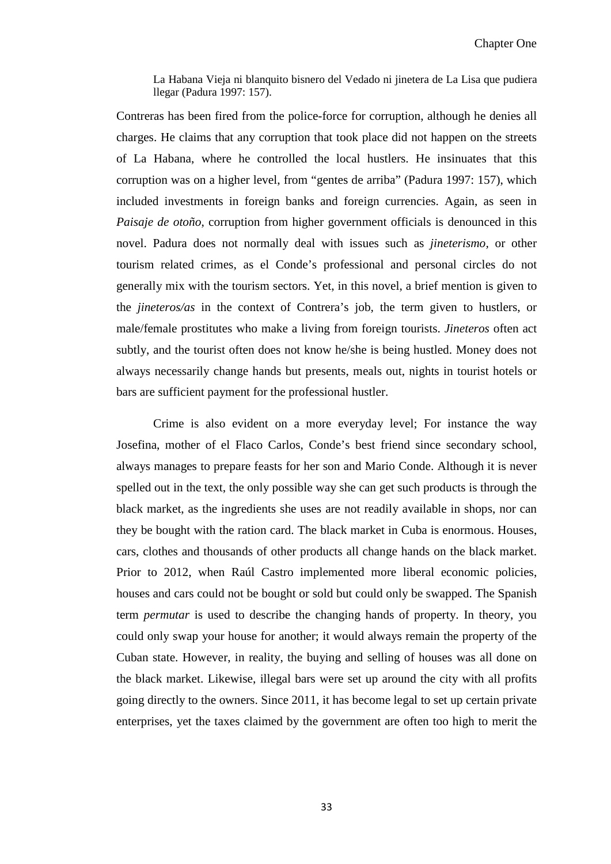La Habana Vieja ni blanquito bisnero del Vedado ni jinetera de La Lisa que pudiera llegar (Padura 1997: 157).

Contreras has been fired from the police-force for corruption, although he denies all charges. He claims that any corruption that took place did not happen on the streets of La Habana, where he controlled the local hustlers. He insinuates that this corruption was on a higher level, from "gentes de arriba" (Padura 1997: 157), which included investments in foreign banks and foreign currencies. Again, as seen in *Paisaje de otoño*, corruption from higher government officials is denounced in this novel. Padura does not normally deal with issues such as *jineterismo,* or other tourism related crimes, as el Conde's professional and personal circles do not generally mix with the tourism sectors. Yet, in this novel, a brief mention is given to the *jineteros/as* in the context of Contrera's job*,* the term given to hustlers, or male/female prostitutes who make a living from foreign tourists. *Jineteros* often act subtly, and the tourist often does not know he/she is being hustled. Money does not always necessarily change hands but presents, meals out, nights in tourist hotels or bars are sufficient payment for the professional hustler.

Crime is also evident on a more everyday level; For instance the way Josefina, mother of el Flaco Carlos, Conde's best friend since secondary school, always manages to prepare feasts for her son and Mario Conde. Although it is never spelled out in the text, the only possible way she can get such products is through the black market, as the ingredients she uses are not readily available in shops, nor can they be bought with the ration card. The black market in Cuba is enormous. Houses, cars, clothes and thousands of other products all change hands on the black market. Prior to 2012, when Raúl Castro implemented more liberal economic policies, houses and cars could not be bought or sold but could only be swapped. The Spanish term *permutar* is used to describe the changing hands of property. In theory, you could only swap your house for another; it would always remain the property of the Cuban state. However, in reality, the buying and selling of houses was all done on the black market. Likewise, illegal bars were set up around the city with all profits going directly to the owners. Since 2011, it has become legal to set up certain private enterprises, yet the taxes claimed by the government are often too high to merit the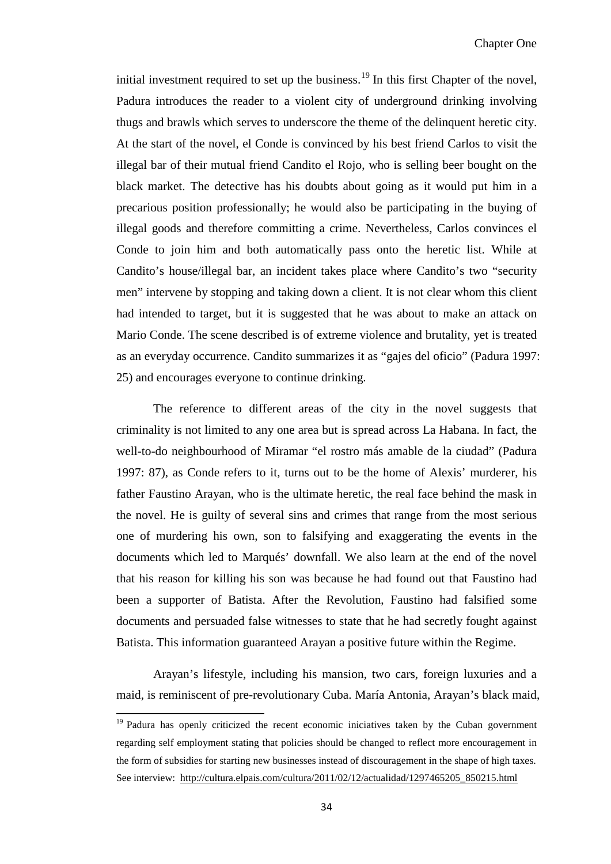initial investment required to set up the business.<sup>[19](#page-33-0)</sup> In this first Chapter of the novel, Padura introduces the reader to a violent city of underground drinking involving thugs and brawls which serves to underscore the theme of the delinquent heretic city. At the start of the novel, el Conde is convinced by his best friend Carlos to visit the illegal bar of their mutual friend Candito el Rojo, who is selling beer bought on the black market. The detective has his doubts about going as it would put him in a precarious position professionally; he would also be participating in the buying of illegal goods and therefore committing a crime. Nevertheless, Carlos convinces el Conde to join him and both automatically pass onto the heretic list. While at Candito's house/illegal bar, an incident takes place where Candito's two "security men" intervene by stopping and taking down a client. It is not clear whom this client had intended to target, but it is suggested that he was about to make an attack on Mario Conde. The scene described is of extreme violence and brutality, yet is treated as an everyday occurrence. Candito summarizes it as "gajes del oficio" (Padura 1997: 25) and encourages everyone to continue drinking.

The reference to different areas of the city in the novel suggests that criminality is not limited to any one area but is spread across La Habana. In fact, the well-to-do neighbourhood of Miramar "el rostro más amable de la ciudad" (Padura 1997: 87), as Conde refers to it, turns out to be the home of Alexis' murderer, his father Faustino Arayan, who is the ultimate heretic, the real face behind the mask in the novel. He is guilty of several sins and crimes that range from the most serious one of murdering his own, son to falsifying and exaggerating the events in the documents which led to Marqués' downfall. We also learn at the end of the novel that his reason for killing his son was because he had found out that Faustino had been a supporter of Batista. After the Revolution, Faustino had falsified some documents and persuaded false witnesses to state that he had secretly fought against Batista. This information guaranteed Arayan a positive future within the Regime.

Arayan's lifestyle, including his mansion, two cars, foreign luxuries and a maid, is reminiscent of pre-revolutionary Cuba. María Antonia, Arayan's black maid,

 $\overline{\phantom{0}}$ 

<span id="page-39-0"></span> $19$  Padura has openly criticized the recent economic iniciatives taken by the Cuban government regarding self employment stating that policies should be changed to reflect more encouragement in the form of subsidies for starting new businesses instead of discouragement in the shape of high taxes. See interview: http://cultura.elpais.com/cultura/2011/02/12/actualidad/1297465205 850215.html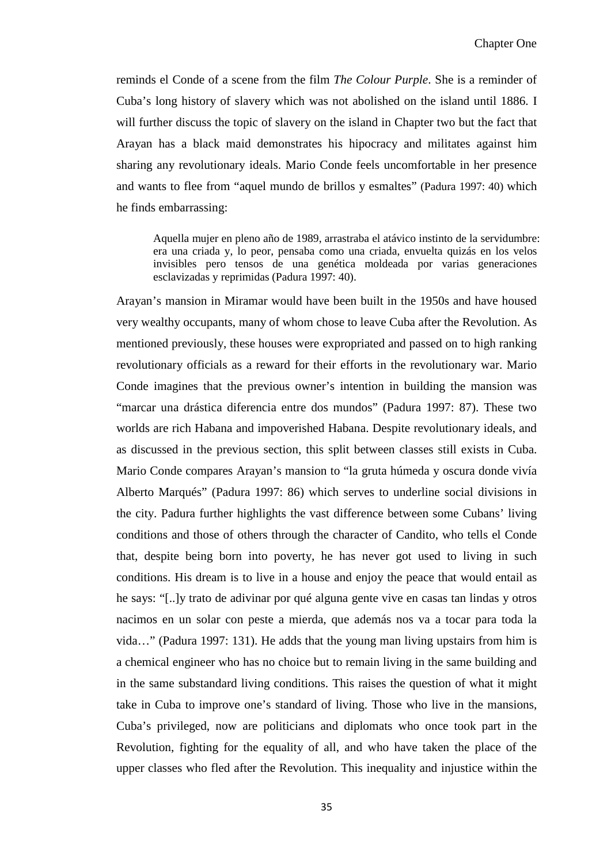reminds el Conde of a scene from the film *The Colour Purple*. She is a reminder of Cuba's long history of slavery which was not abolished on the island until 1886. I will further discuss the topic of slavery on the island in Chapter two but the fact that Arayan has a black maid demonstrates his hipocracy and militates against him sharing any revolutionary ideals. Mario Conde feels uncomfortable in her presence and wants to flee from "aquel mundo de brillos y esmaltes" (Padura 1997: 40) which he finds embarrassing:

Aquella mujer en pleno año de 1989, arrastraba el atávico instinto de la servidumbre: era una criada y, lo peor, pensaba como una criada, envuelta quizás en los velos invisibles pero tensos de una genética moldeada por varias generaciones esclavizadas y reprimidas (Padura 1997: 40).

Arayan's mansion in Miramar would have been built in the 1950s and have housed very wealthy occupants, many of whom chose to leave Cuba after the Revolution. As mentioned previously, these houses were expropriated and passed on to high ranking revolutionary officials as a reward for their efforts in the revolutionary war. Mario Conde imagines that the previous owner's intention in building the mansion was "marcar una drástica diferencia entre dos mundos" (Padura 1997: 87). These two worlds are rich Habana and impoverished Habana. Despite revolutionary ideals, and as discussed in the previous section, this split between classes still exists in Cuba. Mario Conde compares Arayan's mansion to "la gruta húmeda y oscura donde vivía Alberto Marqués" (Padura 1997: 86) which serves to underline social divisions in the city. Padura further highlights the vast difference between some Cubans' living conditions and those of others through the character of Candito, who tells el Conde that, despite being born into poverty, he has never got used to living in such conditions. His dream is to live in a house and enjoy the peace that would entail as he says: "[..]y trato de adivinar por qué alguna gente vive en casas tan lindas y otros nacimos en un solar con peste a mierda, que además nos va a tocar para toda la vida…" (Padura 1997: 131). He adds that the young man living upstairs from him is a chemical engineer who has no choice but to remain living in the same building and in the same substandard living conditions. This raises the question of what it might take in Cuba to improve one's standard of living. Those who live in the mansions, Cuba's privileged, now are politicians and diplomats who once took part in the Revolution, fighting for the equality of all, and who have taken the place of the upper classes who fled after the Revolution. This inequality and injustice within the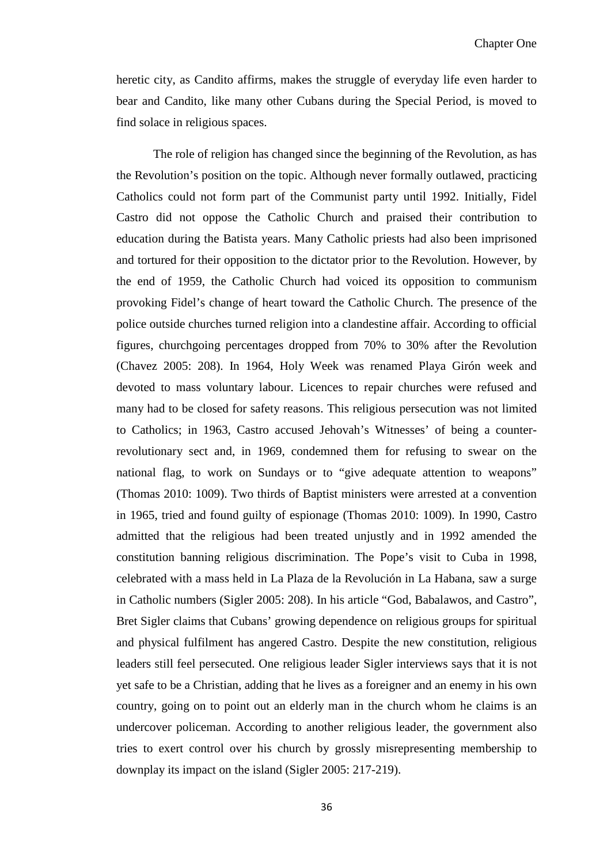heretic city, as Candito affirms, makes the struggle of everyday life even harder to bear and Candito, like many other Cubans during the Special Period, is moved to find solace in religious spaces.

The role of religion has changed since the beginning of the Revolution, as has the Revolution's position on the topic. Although never formally outlawed, practicing Catholics could not form part of the Communist party until 1992. Initially, Fidel Castro did not oppose the Catholic Church and praised their contribution to education during the Batista years. Many Catholic priests had also been imprisoned and tortured for their opposition to the dictator prior to the Revolution. However, by the end of 1959, the Catholic Church had voiced its opposition to communism provoking Fidel's change of heart toward the Catholic Church. The presence of the police outside churches turned religion into a clandestine affair. According to official figures, churchgoing percentages dropped from 70% to 30% after the Revolution (Chavez 2005: 208). In 1964, Holy Week was renamed Playa Girón week and devoted to mass voluntary labour. Licences to repair churches were refused and many had to be closed for safety reasons. This religious persecution was not limited to Catholics; in 1963, Castro accused Jehovah's Witnesses' of being a counterrevolutionary sect and, in 1969, condemned them for refusing to swear on the national flag, to work on Sundays or to "give adequate attention to weapons" (Thomas 2010: 1009). Two thirds of Baptist ministers were arrested at a convention in 1965, tried and found guilty of espionage (Thomas 2010: 1009). In 1990, Castro admitted that the religious had been treated unjustly and in 1992 amended the constitution banning religious discrimination. The Pope's visit to Cuba in 1998, celebrated with a mass held in La Plaza de la Revolución in La Habana, saw a surge in Catholic numbers (Sigler 2005: 208). In his article "God, Babalawos, and Castro", Bret Sigler claims that Cubans' growing dependence on religious groups for spiritual and physical fulfilment has angered Castro. Despite the new constitution, religious leaders still feel persecuted. One religious leader Sigler interviews says that it is not yet safe to be a Christian, adding that he lives as a foreigner and an enemy in his own country, going on to point out an elderly man in the church whom he claims is an undercover policeman. According to another religious leader, the government also tries to exert control over his church by grossly misrepresenting membership to downplay its impact on the island (Sigler 2005: 217-219).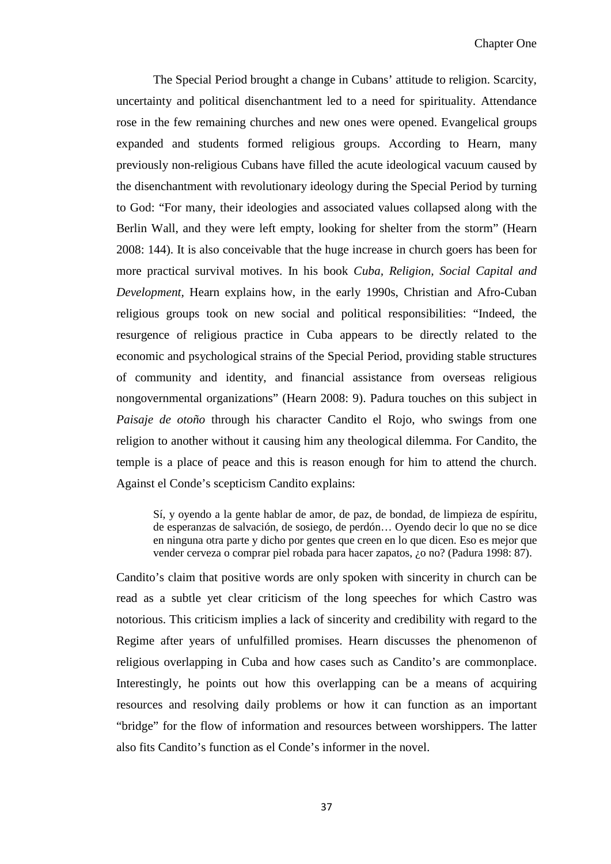The Special Period brought a change in Cubans' attitude to religion. Scarcity, uncertainty and political disenchantment led to a need for spirituality. Attendance rose in the few remaining churches and new ones were opened. Evangelical groups expanded and students formed religious groups. According to Hearn, many previously non-religious Cubans have filled the acute ideological vacuum caused by the disenchantment with revolutionary ideology during the Special Period by turning to God: "For many, their ideologies and associated values collapsed along with the Berlin Wall, and they were left empty, looking for shelter from the storm" (Hearn 2008: 144). It is also conceivable that the huge increase in church goers has been for more practical survival motives. In his book *Cuba, Religion, Social Capital and Development,* Hearn explains how, in the early 1990s, Christian and Afro-Cuban religious groups took on new social and political responsibilities: "Indeed, the resurgence of religious practice in Cuba appears to be directly related to the economic and psychological strains of the Special Period, providing stable structures of community and identity, and financial assistance from overseas religious nongovernmental organizations" (Hearn 2008: 9). Padura touches on this subject in *Paisaje de otoño* through his character Candito el Rojo, who swings from one religion to another without it causing him any theological dilemma. For Candito, the temple is a place of peace and this is reason enough for him to attend the church. Against el Conde's scepticism Candito explains:

Sí, y oyendo a la gente hablar de amor, de paz, de bondad, de limpieza de espíritu, de esperanzas de salvación, de sosiego, de perdón… Oyendo decir lo que no se dice en ninguna otra parte y dicho por gentes que creen en lo que dicen. Eso es mejor que vender cerveza o comprar piel robada para hacer zapatos, ¿o no? (Padura 1998: 87).

Candito's claim that positive words are only spoken with sincerity in church can be read as a subtle yet clear criticism of the long speeches for which Castro was notorious. This criticism implies a lack of sincerity and credibility with regard to the Regime after years of unfulfilled promises. Hearn discusses the phenomenon of religious overlapping in Cuba and how cases such as Candito's are commonplace. Interestingly, he points out how this overlapping can be a means of acquiring resources and resolving daily problems or how it can function as an important "bridge" for the flow of information and resources between worshippers. The latter also fits Candito's function as el Conde's informer in the novel.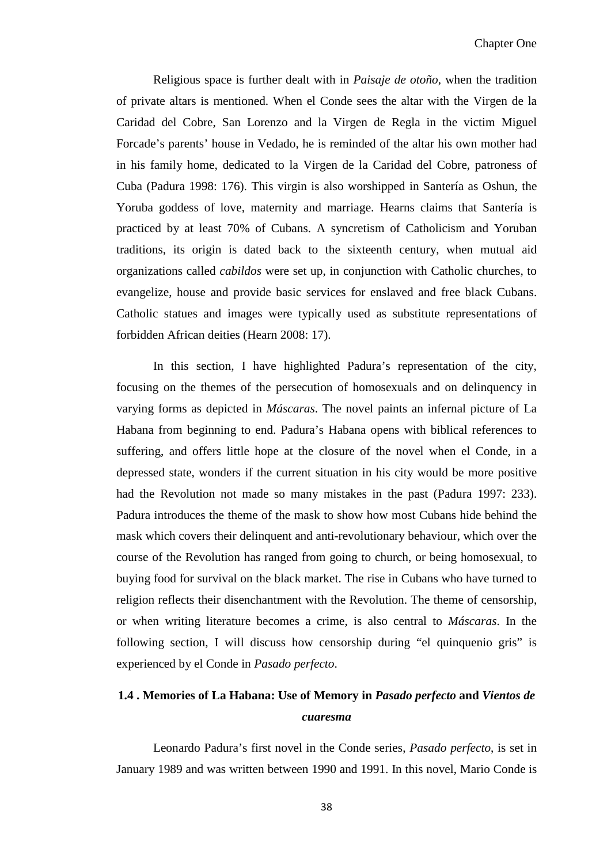Religious space is further dealt with in *Paisaje de otoño,* when the tradition of private altars is mentioned. When el Conde sees the altar with the Virgen de la Caridad del Cobre, San Lorenzo and la Virgen de Regla in the victim Miguel Forcade's parents' house in Vedado, he is reminded of the altar his own mother had in his family home, dedicated to la Virgen de la Caridad del Cobre, patroness of Cuba (Padura 1998: 176). This virgin is also worshipped in Santería as Oshun, the Yoruba goddess of love, maternity and marriage. Hearns claims that Santería is practiced by at least 70% of Cubans. A syncretism of Catholicism and Yoruban traditions, its origin is dated back to the sixteenth century, when mutual aid organizations called *cabildos* were set up, in conjunction with Catholic churches, to evangelize, house and provide basic services for enslaved and free black Cubans. Catholic statues and images were typically used as substitute representations of forbidden African deities (Hearn 2008: 17).

In this section, I have highlighted Padura's representation of the city, focusing on the themes of the persecution of homosexuals and on delinquency in varying forms as depicted in *Máscaras*. The novel paints an infernal picture of La Habana from beginning to end. Padura's Habana opens with biblical references to suffering, and offers little hope at the closure of the novel when el Conde, in a depressed state, wonders if the current situation in his city would be more positive had the Revolution not made so many mistakes in the past (Padura 1997: 233). Padura introduces the theme of the mask to show how most Cubans hide behind the mask which covers their delinquent and anti-revolutionary behaviour, which over the course of the Revolution has ranged from going to church, or being homosexual, to buying food for survival on the black market. The rise in Cubans who have turned to religion reflects their disenchantment with the Revolution. The theme of censorship, or when writing literature becomes a crime, is also central to *Máscaras*. In the following section, I will discuss how censorship during "el quinquenio gris" is experienced by el Conde in *Pasado perfecto*.

# **1.4 . Memories of La Habana: Use of Memory in** *Pasado perfecto* **and** *Vientos de cuaresma*

Leonardo Padura's first novel in the Conde series, *Pasado perfecto*, is set in January 1989 and was written between 1990 and 1991. In this novel, Mario Conde is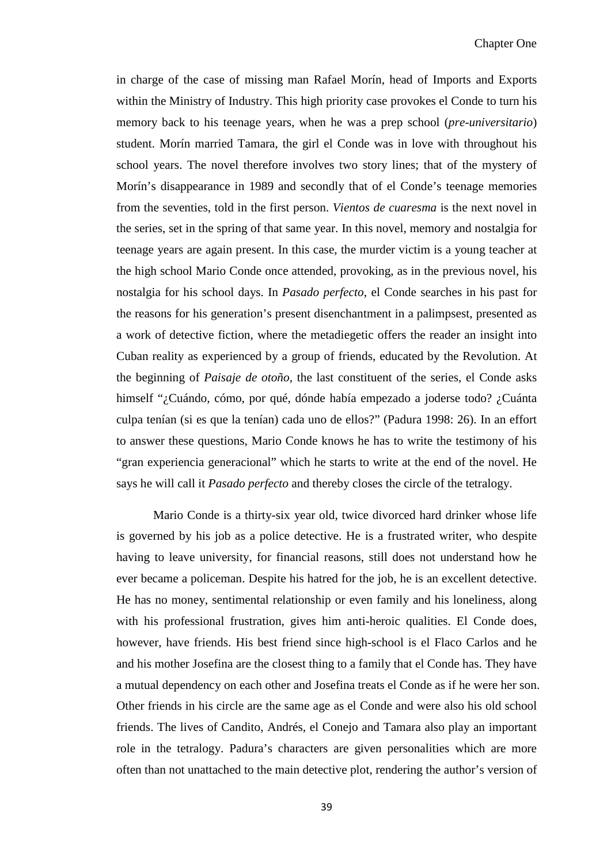in charge of the case of missing man Rafael Morín, head of Imports and Exports within the Ministry of Industry. This high priority case provokes el Conde to turn his memory back to his teenage years, when he was a prep school (*pre-universitario*) student. Morín married Tamara, the girl el Conde was in love with throughout his school years. The novel therefore involves two story lines; that of the mystery of Morín's disappearance in 1989 and secondly that of el Conde's teenage memories from the seventies, told in the first person. *Vientos de cuaresma* is the next novel in the series, set in the spring of that same year. In this novel, memory and nostalgia for teenage years are again present. In this case, the murder victim is a young teacher at the high school Mario Conde once attended, provoking, as in the previous novel, his nostalgia for his school days. In *Pasado perfecto*, el Conde searches in his past for the reasons for his generation's present disenchantment in a palimpsest, presented as a work of detective fiction, where the metadiegetic offers the reader an insight into Cuban reality as experienced by a group of friends, educated by the Revolution. At the beginning of *Paisaje de otoño,* the last constituent of the series, el Conde asks himself "¿Cuándo, cómo, por qué, dónde había empezado a joderse todo? ¿Cuánta culpa tenían (si es que la tenían) cada uno de ellos?" (Padura 1998: 26). In an effort to answer these questions, Mario Conde knows he has to write the testimony of his "gran experiencia generacional" which he starts to write at the end of the novel. He says he will call it *Pasado perfecto* and thereby closes the circle of the tetralogy.

Mario Conde is a thirty-six year old, twice divorced hard drinker whose life is governed by his job as a police detective. He is a frustrated writer, who despite having to leave university, for financial reasons, still does not understand how he ever became a policeman. Despite his hatred for the job, he is an excellent detective. He has no money, sentimental relationship or even family and his loneliness, along with his professional frustration, gives him anti-heroic qualities. El Conde does, however, have friends. His best friend since high-school is el Flaco Carlos and he and his mother Josefina are the closest thing to a family that el Conde has. They have a mutual dependency on each other and Josefina treats el Conde as if he were her son. Other friends in his circle are the same age as el Conde and were also his old school friends. The lives of Candito, Andrés, el Conejo and Tamara also play an important role in the tetralogy. Padura's characters are given personalities which are more often than not unattached to the main detective plot, rendering the author's version of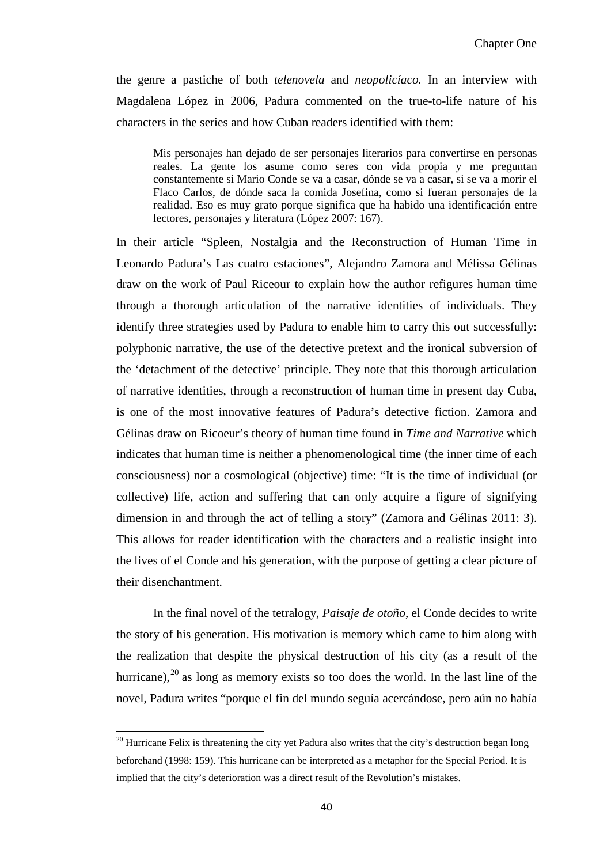the genre a pastiche of both *telenovela* and *neopolicíaco.* In an interview with Magdalena López in 2006, Padura commented on the true-to-life nature of his characters in the series and how Cuban readers identified with them:

Mis personajes han dejado de ser personajes literarios para convertirse en personas reales. La gente los asume como seres con vida propia y me preguntan constantemente si Mario Conde se va a casar, dónde se va a casar, si se va a morir el Flaco Carlos, de dónde saca la comida Josefina, como si fueran personajes de la realidad. Eso es muy grato porque significa que ha habido una identificación entre lectores, personajes y literatura (López 2007: 167).

In their article "Spleen, Nostalgia and the Reconstruction of Human Time in Leonardo Padura's Las cuatro estaciones", Alejandro Zamora and Mélissa Gélinas draw on the work of Paul Riceour to explain how the author refigures human time through a thorough articulation of the narrative identities of individuals. They identify three strategies used by Padura to enable him to carry this out successfully: polyphonic narrative, the use of the detective pretext and the ironical subversion of the 'detachment of the detective' principle. They note that this thorough articulation of narrative identities, through a reconstruction of human time in present day Cuba, is one of the most innovative features of Padura's detective fiction. Zamora and Gélinas draw on Ricoeur's theory of human time found in *Time and Narrative* which indicates that human time is neither a phenomenological time (the inner time of each consciousness) nor a cosmological (objective) time: "It is the time of individual (or collective) life, action and suffering that can only acquire a figure of signifying dimension in and through the act of telling a story" (Zamora and Gélinas 2011: 3). This allows for reader identification with the characters and a realistic insight into the lives of el Conde and his generation, with the purpose of getting a clear picture of their disenchantment.

In the final novel of the tetralogy, *Paisaje de otoño*, el Conde decides to write the story of his generation. His motivation is memory which came to him along with the realization that despite the physical destruction of his city (as a result of the hurricane),  $^{20}$  $^{20}$  $^{20}$  as long as memory exists so too does the world. In the last line of the novel, Padura writes "porque el fin del mundo seguía acercándose, pero aún no había

 $\overline{\phantom{0}}$ 

<span id="page-45-0"></span> $20$  Hurricane Felix is threatening the city yet Padura also writes that the city's destruction began long beforehand (1998: 159). This hurricane can be interpreted as a metaphor for the Special Period. It is implied that the city's deterioration was a direct result of the Revolution's mistakes.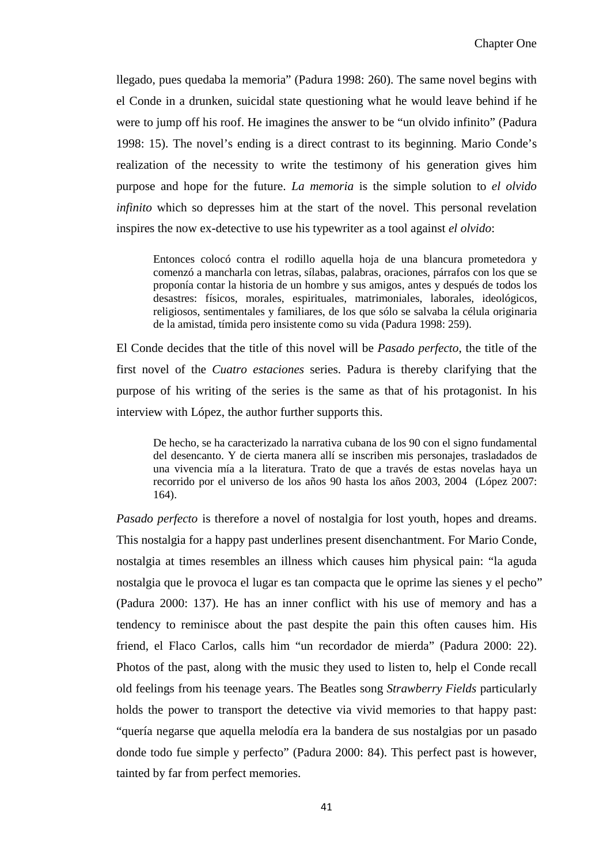llegado, pues quedaba la memoria" (Padura 1998: 260). The same novel begins with el Conde in a drunken, suicidal state questioning what he would leave behind if he were to jump off his roof. He imagines the answer to be "un olvido infinito" (Padura 1998: 15). The novel's ending is a direct contrast to its beginning. Mario Conde's realization of the necessity to write the testimony of his generation gives him purpose and hope for the future. *La memoria* is the simple solution to *el olvido infinito* which so depresses him at the start of the novel. This personal revelation inspires the now ex-detective to use his typewriter as a tool against *el olvido*:

Entonces colocó contra el rodillo aquella hoja de una blancura prometedora y comenzó a mancharla con letras, sílabas, palabras, oraciones, párrafos con los que se proponía contar la historia de un hombre y sus amigos, antes y después de todos los desastres: físicos, morales, espirituales, matrimoniales, laborales, ideológicos, religiosos, sentimentales y familiares, de los que sólo se salvaba la célula originaria de la amistad, tímida pero insistente como su vida (Padura 1998: 259).

El Conde decides that the title of this novel will be *Pasado perfecto*, the title of the first novel of the *Cuatro estaciones* series. Padura is thereby clarifying that the purpose of his writing of the series is the same as that of his protagonist. In his interview with López, the author further supports this.

De hecho, se ha caracterizado la narrativa cubana de los 90 con el signo fundamental del desencanto. Y de cierta manera allí se inscriben mis personajes, trasladados de una vivencia mía a la literatura. Trato de que a través de estas novelas haya un recorrido por el universo de los años 90 hasta los años 2003, 2004 (López 2007: 164).

*Pasado perfecto* is therefore a novel of nostalgia for lost youth, hopes and dreams. This nostalgia for a happy past underlines present disenchantment. For Mario Conde, nostalgia at times resembles an illness which causes him physical pain: "la aguda nostalgia que le provoca el lugar es tan compacta que le oprime las sienes y el pecho" (Padura 2000: 137). He has an inner conflict with his use of memory and has a tendency to reminisce about the past despite the pain this often causes him. His friend, el Flaco Carlos, calls him "un recordador de mierda" (Padura 2000: 22). Photos of the past, along with the music they used to listen to, help el Conde recall old feelings from his teenage years. The Beatles song *Strawberry Fields* particularly holds the power to transport the detective via vivid memories to that happy past: "quería negarse que aquella melodía era la bandera de sus nostalgias por un pasado donde todo fue simple y perfecto" (Padura 2000: 84). This perfect past is however, tainted by far from perfect memories.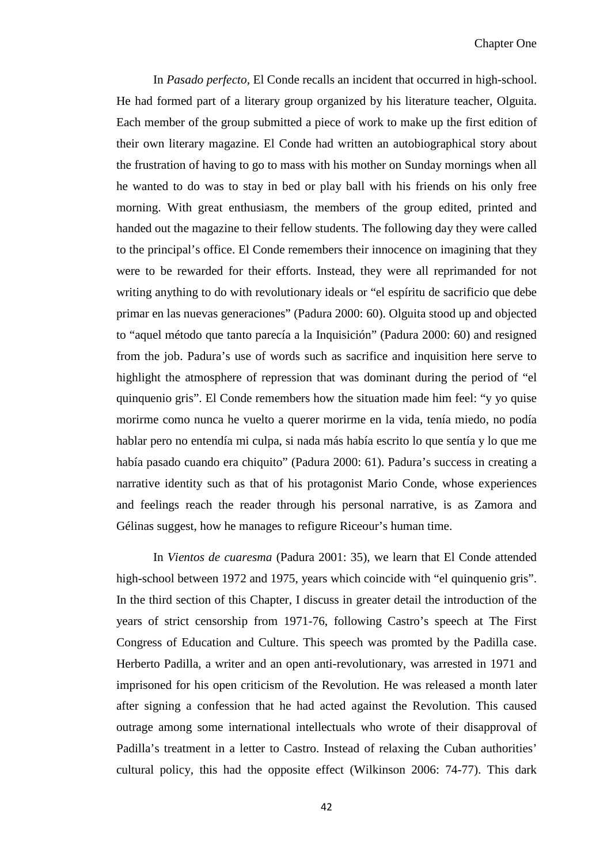In *Pasado perfecto,* El Conde recalls an incident that occurred in high-school. He had formed part of a literary group organized by his literature teacher, Olguita. Each member of the group submitted a piece of work to make up the first edition of their own literary magazine. El Conde had written an autobiographical story about the frustration of having to go to mass with his mother on Sunday mornings when all he wanted to do was to stay in bed or play ball with his friends on his only free morning. With great enthusiasm, the members of the group edited, printed and handed out the magazine to their fellow students. The following day they were called to the principal's office. El Conde remembers their innocence on imagining that they were to be rewarded for their efforts. Instead, they were all reprimanded for not writing anything to do with revolutionary ideals or "el espíritu de sacrificio que debe primar en las nuevas generaciones" (Padura 2000: 60). Olguita stood up and objected to "aquel método que tanto parecía a la Inquisición" (Padura 2000: 60) and resigned from the job. Padura's use of words such as sacrifice and inquisition here serve to highlight the atmosphere of repression that was dominant during the period of "el quinquenio gris". El Conde remembers how the situation made him feel: "y yo quise morirme como nunca he vuelto a querer morirme en la vida, tenía miedo, no podía hablar pero no entendía mi culpa, si nada más había escrito lo que sentía y lo que me había pasado cuando era chiquito" (Padura 2000: 61). Padura's success in creating a narrative identity such as that of his protagonist Mario Conde, whose experiences and feelings reach the reader through his personal narrative, is as Zamora and Gélinas suggest, how he manages to refigure Riceour's human time.

In *Vientos de cuaresma* (Padura 2001: 35), we learn that El Conde attended high-school between 1972 and 1975, years which coincide with "el quinquenio gris". In the third section of this Chapter, I discuss in greater detail the introduction of the years of strict censorship from 1971-76, following Castro's speech at The First Congress of Education and Culture. This speech was promted by the Padilla case. Herberto Padilla, a writer and an open anti-revolutionary, was arrested in 1971 and imprisoned for his open criticism of the Revolution. He was released a month later after signing a confession that he had acted against the Revolution. This caused outrage among some international intellectuals who wrote of their disapproval of Padilla's treatment in a letter to Castro. Instead of relaxing the Cuban authorities' cultural policy, this had the opposite effect (Wilkinson 2006: 74-77). This dark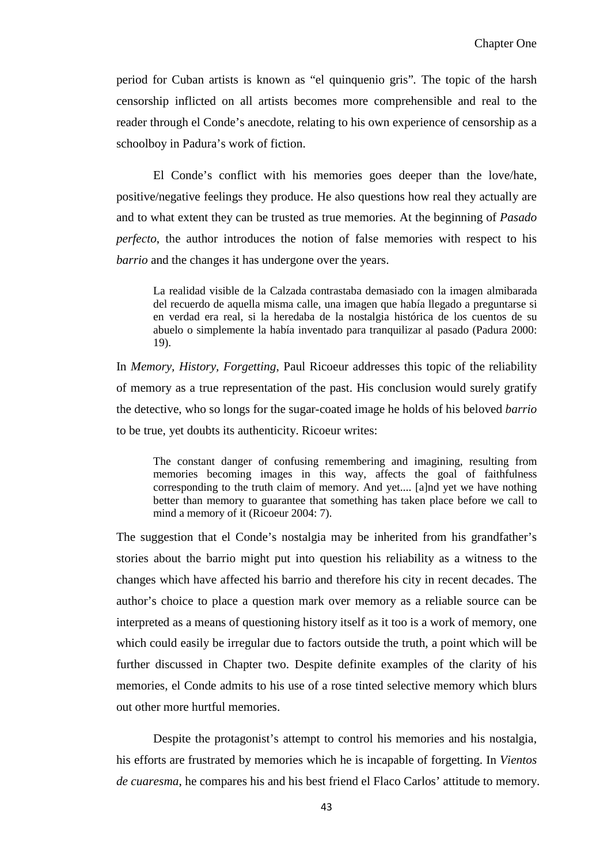period for Cuban artists is known as "el quinquenio gris"*.* The topic of the harsh censorship inflicted on all artists becomes more comprehensible and real to the reader through el Conde's anecdote, relating to his own experience of censorship as a schoolboy in Padura's work of fiction.

El Conde's conflict with his memories goes deeper than the love/hate, positive/negative feelings they produce. He also questions how real they actually are and to what extent they can be trusted as true memories. At the beginning of *Pasado perfecto*, the author introduces the notion of false memories with respect to his *barrio* and the changes it has undergone over the years.

La realidad visible de la Calzada contrastaba demasiado con la imagen almibarada del recuerdo de aquella misma calle, una imagen que había llegado a preguntarse si en verdad era real, si la heredaba de la nostalgia histórica de los cuentos de su abuelo o simplemente la había inventado para tranquilizar al pasado (Padura 2000: 19).

In *Memory, History, Forgetting*, Paul Ricoeur addresses this topic of the reliability of memory as a true representation of the past. His conclusion would surely gratify the detective, who so longs for the sugar-coated image he holds of his beloved *barrio*  to be true, yet doubts its authenticity. Ricoeur writes:

The constant danger of confusing remembering and imagining, resulting from memories becoming images in this way, affects the goal of faithfulness corresponding to the truth claim of memory. And yet.... [a]nd yet we have nothing better than memory to guarantee that something has taken place before we call to mind a memory of it (Ricoeur 2004: 7).

The suggestion that el Conde's nostalgia may be inherited from his grandfather's stories about the barrio might put into question his reliability as a witness to the changes which have affected his barrio and therefore his city in recent decades. The author's choice to place a question mark over memory as a reliable source can be interpreted as a means of questioning history itself as it too is a work of memory, one which could easily be irregular due to factors outside the truth, a point which will be further discussed in Chapter two. Despite definite examples of the clarity of his memories, el Conde admits to his use of a rose tinted selective memory which blurs out other more hurtful memories.

Despite the protagonist's attempt to control his memories and his nostalgia, his efforts are frustrated by memories which he is incapable of forgetting. In *Vientos de cuaresma*, he compares his and his best friend el Flaco Carlos' attitude to memory.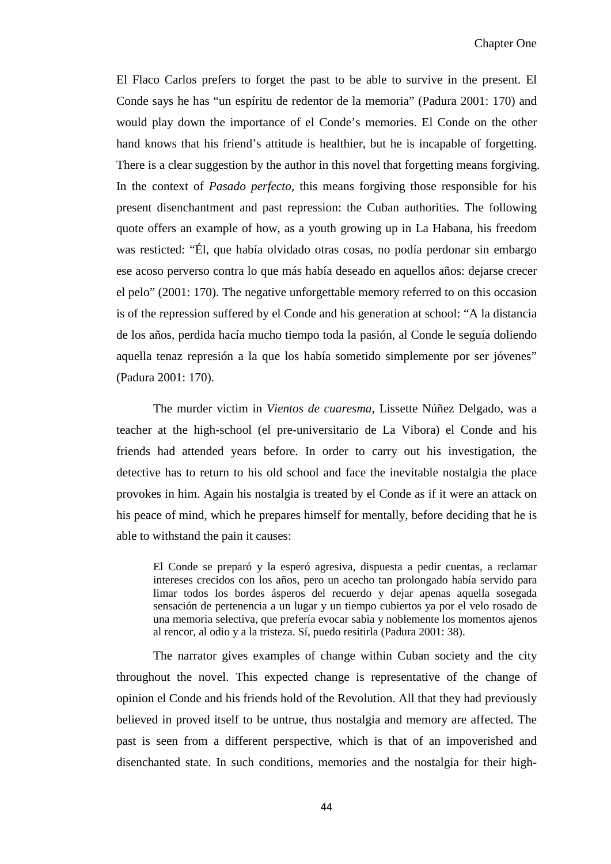El Flaco Carlos prefers to forget the past to be able to survive in the present. El Conde says he has "un espíritu de redentor de la memoria" (Padura 2001: 170) and would play down the importance of el Conde's memories. El Conde on the other hand knows that his friend's attitude is healthier, but he is incapable of forgetting. There is a clear suggestion by the author in this novel that forgetting means forgiving. In the context of *Pasado perfecto*, this means forgiving those responsible for his present disenchantment and past repression: the Cuban authorities. The following quote offers an example of how, as a youth growing up in La Habana, his freedom was resticted: "Él, que había olvidado otras cosas, no podía perdonar sin embargo ese acoso perverso contra lo que más había deseado en aquellos años: dejarse crecer el pelo" (2001: 170). The negative unforgettable memory referred to on this occasion is of the repression suffered by el Conde and his generation at school: "A la distancia de los años, perdida hacía mucho tiempo toda la pasión, al Conde le seguía doliendo aquella tenaz represión a la que los había sometido simplemente por ser jóvenes" (Padura 2001: 170).

The murder victim in *Vientos de cuaresma*, Lissette Núñez Delgado, was a teacher at the high-school (el pre-universitario de La Vibora) el Conde and his friends had attended years before. In order to carry out his investigation, the detective has to return to his old school and face the inevitable nostalgia the place provokes in him. Again his nostalgia is treated by el Conde as if it were an attack on his peace of mind, which he prepares himself for mentally, before deciding that he is able to withstand the pain it causes:

El Conde se preparó y la esperó agresiva, dispuesta a pedir cuentas, a reclamar intereses crecidos con los años, pero un acecho tan prolongado había servido para limar todos los bordes ásperos del recuerdo y dejar apenas aquella sosegada sensación de pertenencia a un lugar y un tiempo cubiertos ya por el velo rosado de una memoria selectiva, que prefería evocar sabia y noblemente los momentos ajenos al rencor, al odio y a la tristeza. Sí, puedo resitirla (Padura 2001: 38).

The narrator gives examples of change within Cuban society and the city throughout the novel. This expected change is representative of the change of opinion el Conde and his friends hold of the Revolution. All that they had previously believed in proved itself to be untrue, thus nostalgia and memory are affected. The past is seen from a different perspective, which is that of an impoverished and disenchanted state. In such conditions, memories and the nostalgia for their high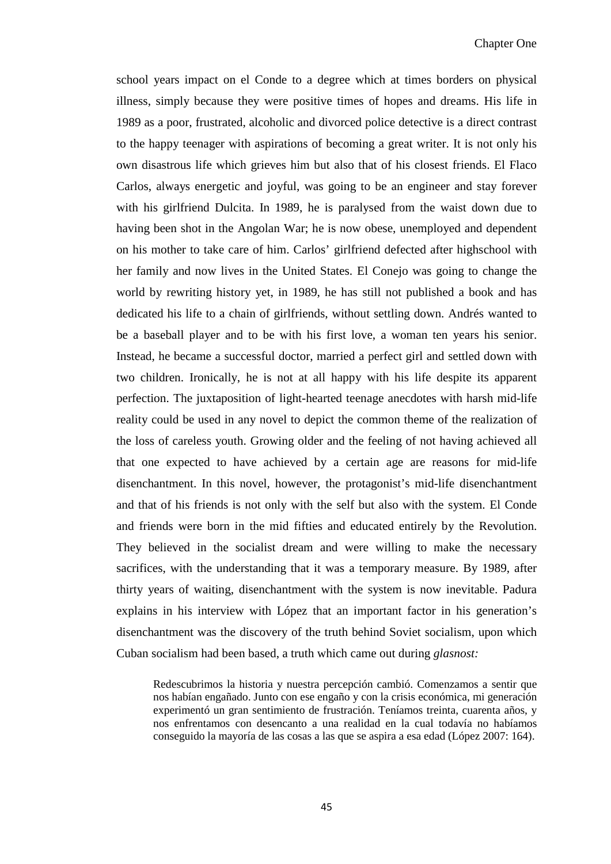school years impact on el Conde to a degree which at times borders on physical illness, simply because they were positive times of hopes and dreams. His life in 1989 as a poor, frustrated, alcoholic and divorced police detective is a direct contrast to the happy teenager with aspirations of becoming a great writer. It is not only his own disastrous life which grieves him but also that of his closest friends. El Flaco Carlos, always energetic and joyful, was going to be an engineer and stay forever with his girlfriend Dulcita. In 1989, he is paralysed from the waist down due to having been shot in the Angolan War; he is now obese, unemployed and dependent on his mother to take care of him. Carlos' girlfriend defected after highschool with her family and now lives in the United States. El Conejo was going to change the world by rewriting history yet, in 1989, he has still not published a book and has dedicated his life to a chain of girlfriends, without settling down. Andrés wanted to be a baseball player and to be with his first love, a woman ten years his senior. Instead, he became a successful doctor, married a perfect girl and settled down with two children. Ironically, he is not at all happy with his life despite its apparent perfection. The juxtaposition of light-hearted teenage anecdotes with harsh mid-life reality could be used in any novel to depict the common theme of the realization of the loss of careless youth. Growing older and the feeling of not having achieved all that one expected to have achieved by a certain age are reasons for mid-life disenchantment. In this novel, however, the protagonist's mid-life disenchantment and that of his friends is not only with the self but also with the system. El Conde and friends were born in the mid fifties and educated entirely by the Revolution. They believed in the socialist dream and were willing to make the necessary sacrifices, with the understanding that it was a temporary measure. By 1989, after thirty years of waiting, disenchantment with the system is now inevitable. Padura explains in his interview with López that an important factor in his generation's disenchantment was the discovery of the truth behind Soviet socialism, upon which Cuban socialism had been based, a truth which came out during *glasnost:*

Redescubrimos la historia y nuestra percepción cambió. Comenzamos a sentir que nos habían engañado. Junto con ese engaño y con la crisis económica, mi generación experimentó un gran sentimiento de frustración. Teníamos treinta, cuarenta años, y nos enfrentamos con desencanto a una realidad en la cual todavía no habíamos conseguido la mayoría de las cosas a las que se aspira a esa edad (López 2007: 164).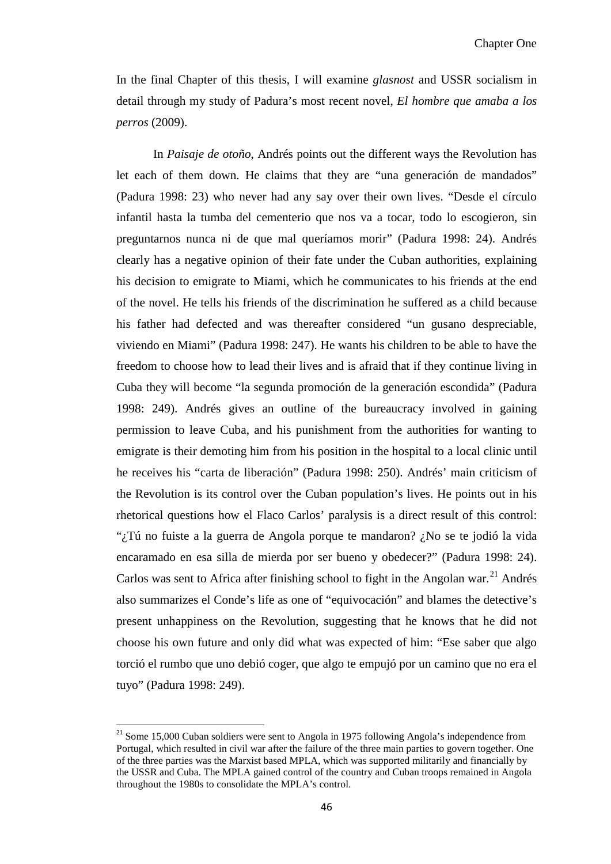In the final Chapter of this thesis, I will examine *glasnost* and USSR socialism in detail through my study of Padura's most recent novel, *El hombre que amaba a los perros* (2009).

In *Paisaje de otoño*, Andrés points out the different ways the Revolution has let each of them down. He claims that they are "una generación de mandados" (Padura 1998: 23) who never had any say over their own lives. "Desde el círculo infantil hasta la tumba del cementerio que nos va a tocar, todo lo escogieron, sin preguntarnos nunca ni de que mal queríamos morir" (Padura 1998: 24). Andrés clearly has a negative opinion of their fate under the Cuban authorities, explaining his decision to emigrate to Miami, which he communicates to his friends at the end of the novel. He tells his friends of the discrimination he suffered as a child because his father had defected and was thereafter considered "un gusano despreciable, viviendo en Miami" (Padura 1998: 247). He wants his children to be able to have the freedom to choose how to lead their lives and is afraid that if they continue living in Cuba they will become "la segunda promoción de la generación escondida" (Padura 1998: 249). Andrés gives an outline of the bureaucracy involved in gaining permission to leave Cuba, and his punishment from the authorities for wanting to emigrate is their demoting him from his position in the hospital to a local clinic until he receives his "carta de liberación" (Padura 1998: 250). Andrés' main criticism of the Revolution is its control over the Cuban population's lives. He points out in his rhetorical questions how el Flaco Carlos' paralysis is a direct result of this control: "¿Tú no fuiste a la guerra de Angola porque te mandaron? ¿No se te jodió la vida encaramado en esa silla de mierda por ser bueno y obedecer?" (Padura 1998: 24). Carlos was sent to Africa after finishing school to fight in the Angolan war.<sup>[21](#page-45-0)</sup> Andrés also summarizes el Conde's life as one of "equivocación" and blames the detective's present unhappiness on the Revolution, suggesting that he knows that he did not choose his own future and only did what was expected of him: "Ese saber que algo torció el rumbo que uno debió coger, que algo te empujó por un camino que no era el tuyo" (Padura 1998: 249).

<span id="page-51-0"></span><sup>&</sup>lt;sup>21</sup> Some 15,000 Cuban soldiers were sent to Angola in 1975 following Angola's independence from Portugal, which resulted in civil war after the failure of the three main parties to govern together. One of the three parties was the Marxist based MPLA, which was supported militarily and financially by the USSR and Cuba. The MPLA gained control of the country and Cuban troops remained in Angola throughout the 1980s to consolidate the MPLA's control.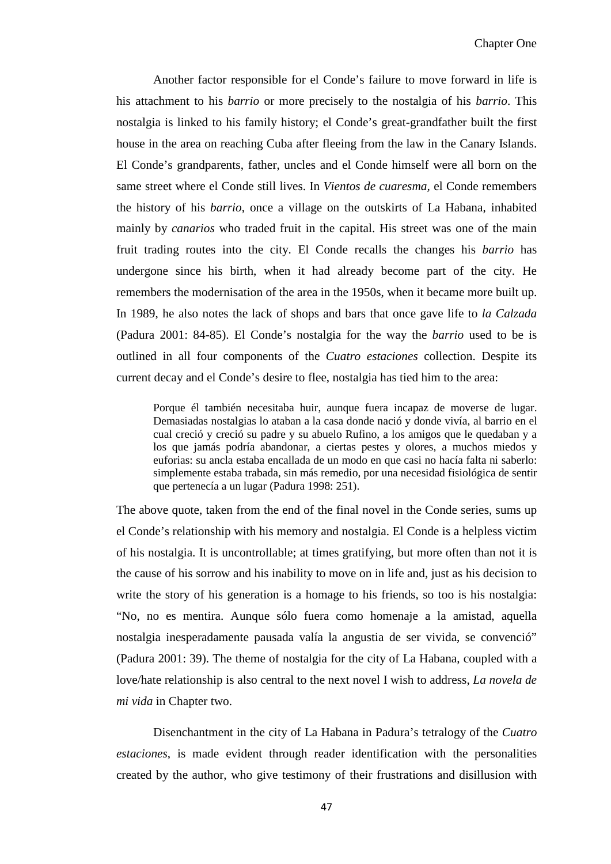Another factor responsible for el Conde's failure to move forward in life is his attachment to his *barrio* or more precisely to the nostalgia of his *barrio*. This nostalgia is linked to his family history; el Conde's great-grandfather built the first house in the area on reaching Cuba after fleeing from the law in the Canary Islands. El Conde's grandparents, father, uncles and el Conde himself were all born on the same street where el Conde still lives. In *Vientos de cuaresma,* el Conde remembers the history of his *barrio*, once a village on the outskirts of La Habana, inhabited mainly by *canarios* who traded fruit in the capital. His street was one of the main fruit trading routes into the city. El Conde recalls the changes his *barrio* has undergone since his birth, when it had already become part of the city. He remembers the modernisation of the area in the 1950s, when it became more built up. In 1989, he also notes the lack of shops and bars that once gave life to *la Calzada* (Padura 2001: 84-85). El Conde's nostalgia for the way the *barrio* used to be is outlined in all four components of the *Cuatro estaciones* collection. Despite its current decay and el Conde's desire to flee, nostalgia has tied him to the area:

Porque él también necesitaba huir, aunque fuera incapaz de moverse de lugar. Demasiadas nostalgias lo ataban a la casa donde nació y donde vivía, al barrio en el cual creció y creció su padre y su abuelo Rufino, a los amigos que le quedaban y a los que jamás podría abandonar, a ciertas pestes y olores, a muchos miedos y euforias: su ancla estaba encallada de un modo en que casi no hacía falta ni saberlo: simplemente estaba trabada, sin más remedio, por una necesidad fisiológica de sentir que pertenecía a un lugar (Padura 1998: 251).

The above quote, taken from the end of the final novel in the Conde series, sums up el Conde's relationship with his memory and nostalgia. El Conde is a helpless victim of his nostalgia. It is uncontrollable; at times gratifying, but more often than not it is the cause of his sorrow and his inability to move on in life and, just as his decision to write the story of his generation is a homage to his friends, so too is his nostalgia: "No, no es mentira. Aunque sólo fuera como homenaje a la amistad, aquella nostalgia inesperadamente pausada valía la angustia de ser vivida, se convenció" (Padura 2001: 39). The theme of nostalgia for the city of La Habana, coupled with a love/hate relationship is also central to the next novel I wish to address, *La novela de mi vida* in Chapter two.

Disenchantment in the city of La Habana in Padura's tetralogy of the *Cuatro estaciones*, is made evident through reader identification with the personalities created by the author, who give testimony of their frustrations and disillusion with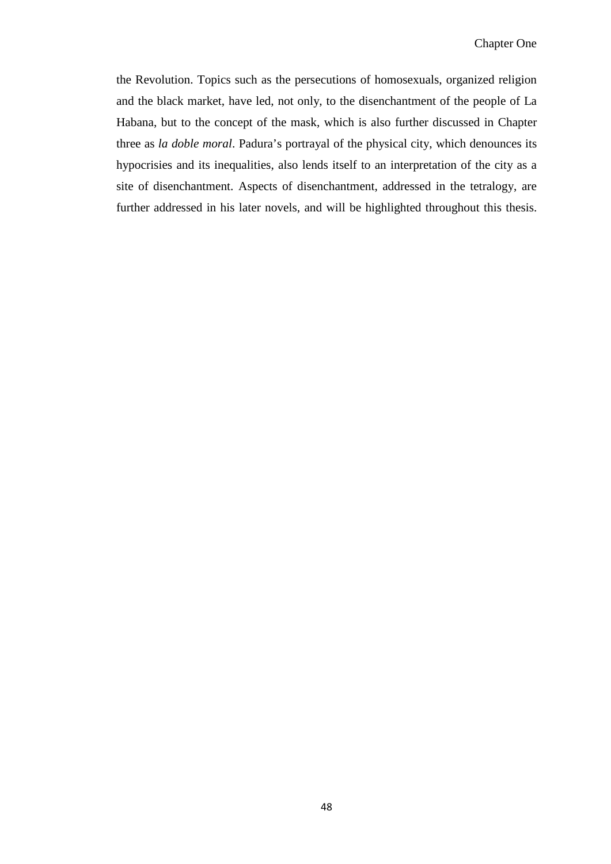the Revolution. Topics such as the persecutions of homosexuals, organized religion and the black market, have led, not only, to the disenchantment of the people of La Habana, but to the concept of the mask, which is also further discussed in Chapter three as *la doble moral*. Padura's portrayal of the physical city, which denounces its hypocrisies and its inequalities, also lends itself to an interpretation of the city as a site of disenchantment. Aspects of disenchantment, addressed in the tetralogy, are further addressed in his later novels, and will be highlighted throughout this thesis.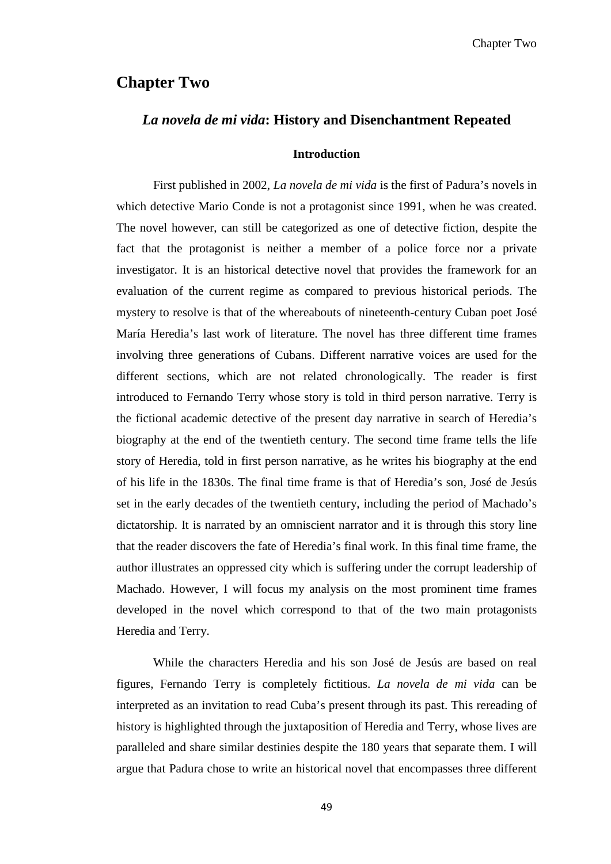# **Chapter Two**

## *La novela de mi vida***: History and Disenchantment Repeated**

#### **Introduction**

First published in 2002, *La novela de mi vida* is the first of Padura's novels in which detective Mario Conde is not a protagonist since 1991, when he was created. The novel however, can still be categorized as one of detective fiction, despite the fact that the protagonist is neither a member of a police force nor a private investigator. It is an historical detective novel that provides the framework for an evaluation of the current regime as compared to previous historical periods. The mystery to resolve is that of the whereabouts of nineteenth-century Cuban poet José María Heredia's last work of literature. The novel has three different time frames involving three generations of Cubans. Different narrative voices are used for the different sections, which are not related chronologically. The reader is first introduced to Fernando Terry whose story is told in third person narrative. Terry is the fictional academic detective of the present day narrative in search of Heredia's biography at the end of the twentieth century. The second time frame tells the life story of Heredia, told in first person narrative, as he writes his biography at the end of his life in the 1830s. The final time frame is that of Heredia's son, José de Jesús set in the early decades of the twentieth century, including the period of Machado's dictatorship. It is narrated by an omniscient narrator and it is through this story line that the reader discovers the fate of Heredia's final work. In this final time frame, the author illustrates an oppressed city which is suffering under the corrupt leadership of Machado. However, I will focus my analysis on the most prominent time frames developed in the novel which correspond to that of the two main protagonists Heredia and Terry.

While the characters Heredia and his son José de Jesús are based on real figures, Fernando Terry is completely fictitious. *La novela de mi vida* can be interpreted as an invitation to read Cuba's present through its past. This rereading of history is highlighted through the juxtaposition of Heredia and Terry, whose lives are paralleled and share similar destinies despite the 180 years that separate them. I will argue that Padura chose to write an historical novel that encompasses three different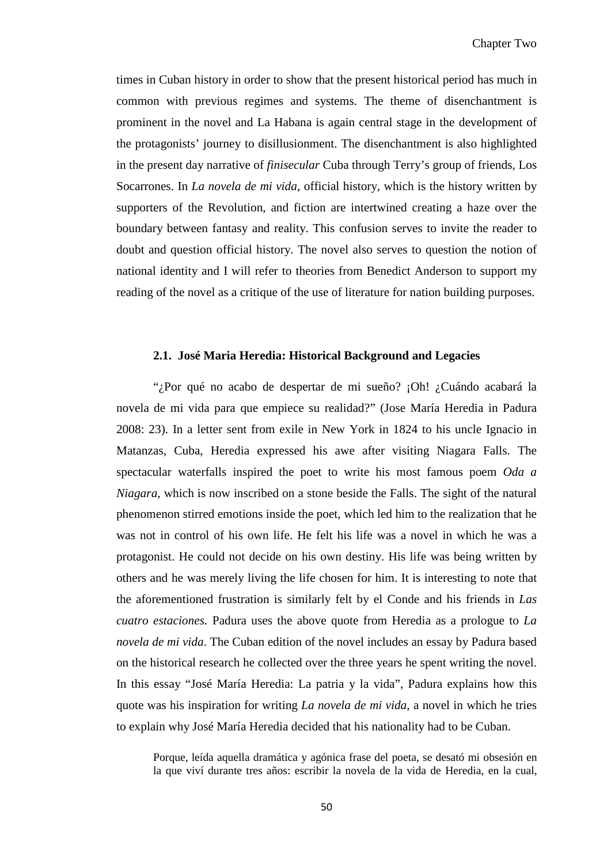times in Cuban history in order to show that the present historical period has much in common with previous regimes and systems. The theme of disenchantment is prominent in the novel and La Habana is again central stage in the development of the protagonists' journey to disillusionment. The disenchantment is also highlighted in the present day narrative of *finisecular* Cuba through Terry's group of friends, Los Socarrones. In *La novela de mi vida*, official history, which is the history written by supporters of the Revolution, and fiction are intertwined creating a haze over the boundary between fantasy and reality. This confusion serves to invite the reader to doubt and question official history. The novel also serves to question the notion of national identity and I will refer to theories from Benedict Anderson to support my reading of the novel as a critique of the use of literature for nation building purposes.

### **2.1. José Maria Heredia: Historical Background and Legacies**

"¿Por qué no acabo de despertar de mi sueño? ¡Oh! ¿Cuándo acabará la novela de mi vida para que empiece su realidad?" (Jose María Heredia in Padura 2008: 23). In a letter sent from exile in New York in 1824 to his uncle Ignacio in Matanzas, Cuba, Heredia expressed his awe after visiting Niagara Falls. The spectacular waterfalls inspired the poet to write his most famous poem *Oda a Niagara*, which is now inscribed on a stone beside the Falls. The sight of the natural phenomenon stirred emotions inside the poet, which led him to the realization that he was not in control of his own life. He felt his life was a novel in which he was a protagonist. He could not decide on his own destiny. His life was being written by others and he was merely living the life chosen for him. It is interesting to note that the aforementioned frustration is similarly felt by el Conde and his friends in *Las cuatro estaciones.* Padura uses the above quote from Heredia as a prologue to *La novela de mi vida*. The Cuban edition of the novel includes an essay by Padura based on the historical research he collected over the three years he spent writing the novel. In this essay "José María Heredia: La patria y la vida", Padura explains how this quote was his inspiration for writing *La novela de mi vida*, a novel in which he tries to explain why José María Heredia decided that his nationality had to be Cuban.

Porque, leída aquella dramática y agónica frase del poeta, se desató mi obsesión en la que viví durante tres años: escribir la novela de la vida de Heredia, en la cual,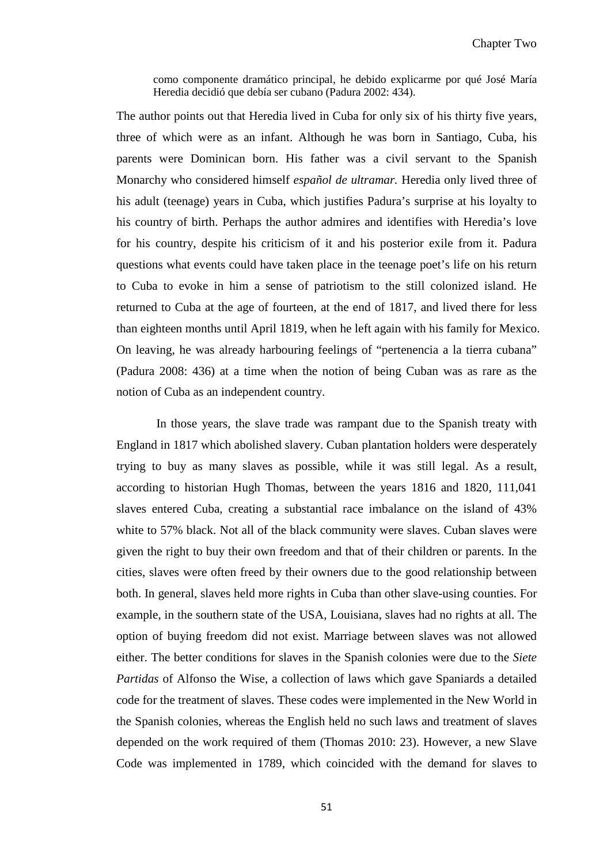como componente dramático principal, he debido explicarme por qué José María Heredia decidió que debía ser cubano (Padura 2002: 434).

The author points out that Heredia lived in Cuba for only six of his thirty five years, three of which were as an infant. Although he was born in Santiago, Cuba, his parents were Dominican born. His father was a civil servant to the Spanish Monarchy who considered himself *español de ultramar.* Heredia only lived three of his adult (teenage) years in Cuba, which justifies Padura's surprise at his loyalty to his country of birth. Perhaps the author admires and identifies with Heredia's love for his country, despite his criticism of it and his posterior exile from it. Padura questions what events could have taken place in the teenage poet's life on his return to Cuba to evoke in him a sense of patriotism to the still colonized island. He returned to Cuba at the age of fourteen, at the end of 1817, and lived there for less than eighteen months until April 1819, when he left again with his family for Mexico. On leaving, he was already harbouring feelings of "pertenencia a la tierra cubana" (Padura 2008: 436) at a time when the notion of being Cuban was as rare as the notion of Cuba as an independent country.

In those years, the slave trade was rampant due to the Spanish treaty with England in 1817 which abolished slavery. Cuban plantation holders were desperately trying to buy as many slaves as possible, while it was still legal. As a result, according to historian Hugh Thomas, between the years 1816 and 1820, 111,041 slaves entered Cuba, creating a substantial race imbalance on the island of 43% white to 57% black. Not all of the black community were slaves. Cuban slaves were given the right to buy their own freedom and that of their children or parents. In the cities, slaves were often freed by their owners due to the good relationship between both. In general, slaves held more rights in Cuba than other slave-using counties. For example, in the southern state of the USA, Louisiana, slaves had no rights at all. The option of buying freedom did not exist. Marriage between slaves was not allowed either. The better conditions for slaves in the Spanish colonies were due to the *Siete Partidas* of Alfonso the Wise*,* a collection of laws which gave Spaniards a detailed code for the treatment of slaves. These codes were implemented in the New World in the Spanish colonies, whereas the English held no such laws and treatment of slaves depended on the work required of them (Thomas 2010: 23). However, a new Slave Code was implemented in 1789, which coincided with the demand for slaves to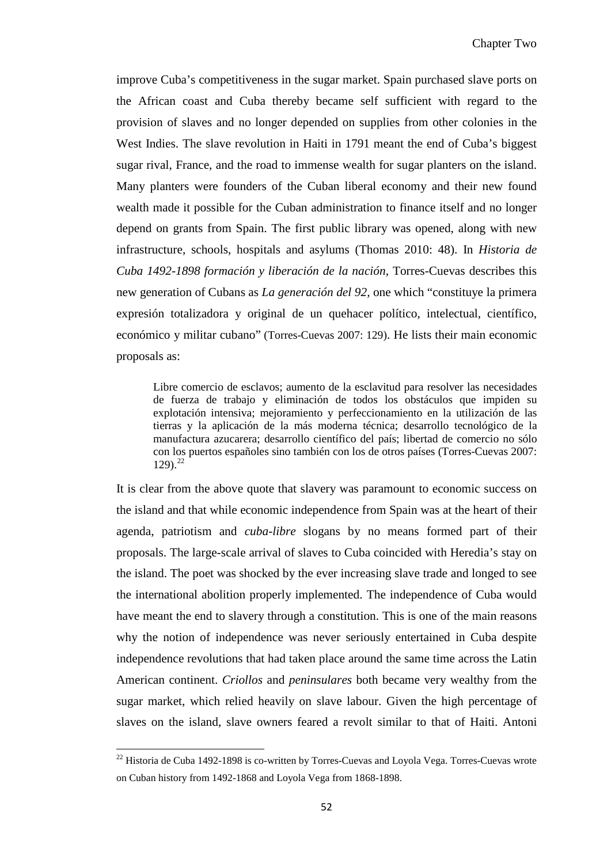improve Cuba's competitiveness in the sugar market. Spain purchased slave ports on the African coast and Cuba thereby became self sufficient with regard to the provision of slaves and no longer depended on supplies from other colonies in the West Indies. The slave revolution in Haiti in 1791 meant the end of Cuba's biggest sugar rival, France, and the road to immense wealth for sugar planters on the island. Many planters were founders of the Cuban liberal economy and their new found wealth made it possible for the Cuban administration to finance itself and no longer depend on grants from Spain. The first public library was opened, along with new infrastructure, schools, hospitals and asylums (Thomas 2010: 48). In *Historia de Cuba 1492-1898 formación y liberación de la nación*, Torres-Cuevas describes this new generation of Cubans as *La generación del 92,* one which "constituye la primera expresión totalizadora y original de un quehacer político, intelectual, científico, económico y militar cubano" (Torres-Cuevas 2007: 129). He lists their main economic proposals as:

Libre comercio de esclavos; aumento de la esclavitud para resolver las necesidades de fuerza de trabajo y eliminación de todos los obstáculos que impiden su explotación intensiva; mejoramiento y perfeccionamiento en la utilización de las tierras y la aplicación de la más moderna técnica; desarrollo tecnológico de la manufactura azucarera; desarrollo científico del país; libertad de comercio no sólo con los puertos españoles sino también con los de otros países (Torres-Cuevas 2007:  $129$ )<sup>[22](#page-51-0)</sup>

It is clear from the above quote that slavery was paramount to economic success on the island and that while economic independence from Spain was at the heart of their agenda, patriotism and *cuba-libre* slogans by no means formed part of their proposals. The large-scale arrival of slaves to Cuba coincided with Heredia's stay on the island. The poet was shocked by the ever increasing slave trade and longed to see the international abolition properly implemented. The independence of Cuba would have meant the end to slavery through a constitution. This is one of the main reasons why the notion of independence was never seriously entertained in Cuba despite independence revolutions that had taken place around the same time across the Latin American continent. *Criollos* and *peninsulares* both became very wealthy from the sugar market, which relied heavily on slave labour. Given the high percentage of slaves on the island, slave owners feared a revolt similar to that of Haiti. Antoni

ı

<span id="page-57-0"></span> $^{22}$  Historia de Cuba 1492-1898 is co-written by Torres-Cuevas and Loyola Vega. Torres-Cuevas wrote on Cuban history from 1492-1868 and Loyola Vega from 1868-1898.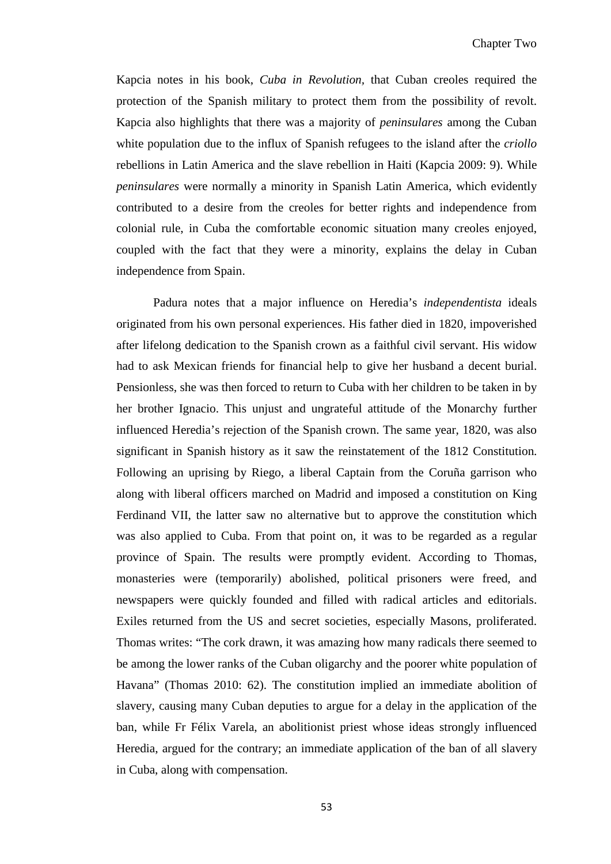Kapcia notes in his book, *Cuba in Revolution,* that Cuban creoles required the protection of the Spanish military to protect them from the possibility of revolt. Kapcia also highlights that there was a majority of *peninsulares* among the Cuban white population due to the influx of Spanish refugees to the island after the *criollo* rebellions in Latin America and the slave rebellion in Haiti (Kapcia 2009: 9). While *peninsulares* were normally a minority in Spanish Latin America, which evidently contributed to a desire from the creoles for better rights and independence from colonial rule, in Cuba the comfortable economic situation many creoles enjoyed, coupled with the fact that they were a minority, explains the delay in Cuban independence from Spain.

Padura notes that a major influence on Heredia's *independentista* ideals originated from his own personal experiences. His father died in 1820, impoverished after lifelong dedication to the Spanish crown as a faithful civil servant. His widow had to ask Mexican friends for financial help to give her husband a decent burial. Pensionless, she was then forced to return to Cuba with her children to be taken in by her brother Ignacio. This unjust and ungrateful attitude of the Monarchy further influenced Heredia's rejection of the Spanish crown. The same year, 1820, was also significant in Spanish history as it saw the reinstatement of the 1812 Constitution. Following an uprising by Riego, a liberal Captain from the Coruña garrison who along with liberal officers marched on Madrid and imposed a constitution on King Ferdinand VII, the latter saw no alternative but to approve the constitution which was also applied to Cuba. From that point on, it was to be regarded as a regular province of Spain. The results were promptly evident. According to Thomas, monasteries were (temporarily) abolished, political prisoners were freed, and newspapers were quickly founded and filled with radical articles and editorials. Exiles returned from the US and secret societies, especially Masons, proliferated. Thomas writes: "The cork drawn, it was amazing how many radicals there seemed to be among the lower ranks of the Cuban oligarchy and the poorer white population of Havana" (Thomas 2010: 62). The constitution implied an immediate abolition of slavery, causing many Cuban deputies to argue for a delay in the application of the ban, while Fr Félix Varela, an abolitionist priest whose ideas strongly influenced Heredia, argued for the contrary; an immediate application of the ban of all slavery in Cuba, along with compensation.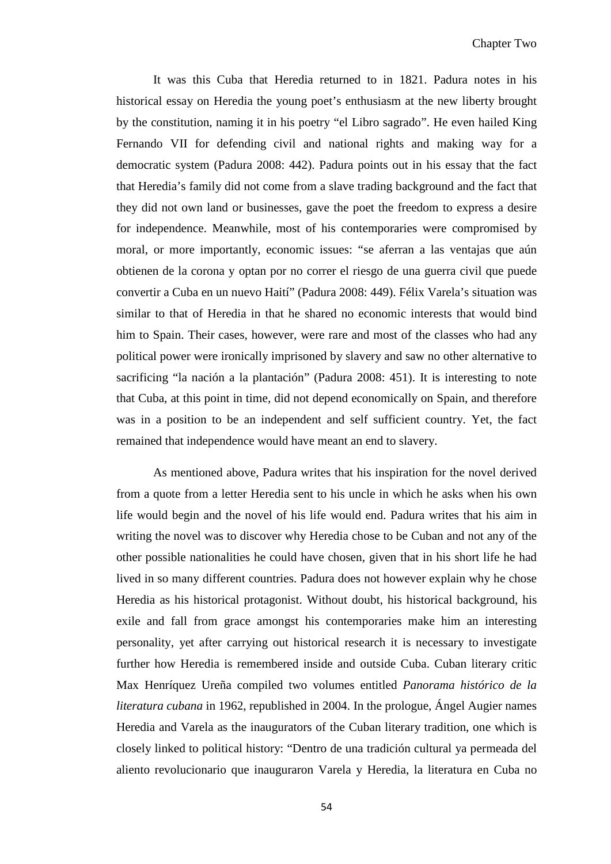It was this Cuba that Heredia returned to in 1821. Padura notes in his historical essay on Heredia the young poet's enthusiasm at the new liberty brought by the constitution, naming it in his poetry "el Libro sagrado". He even hailed King Fernando VII for defending civil and national rights and making way for a democratic system (Padura 2008: 442). Padura points out in his essay that the fact that Heredia's family did not come from a slave trading background and the fact that they did not own land or businesses, gave the poet the freedom to express a desire for independence. Meanwhile, most of his contemporaries were compromised by moral, or more importantly, economic issues: "se aferran a las ventajas que aún obtienen de la corona y optan por no correr el riesgo de una guerra civil que puede convertir a Cuba en un nuevo Haití" (Padura 2008: 449). Félix Varela's situation was similar to that of Heredia in that he shared no economic interests that would bind him to Spain. Their cases, however, were rare and most of the classes who had any political power were ironically imprisoned by slavery and saw no other alternative to sacrificing "la nación a la plantación" (Padura 2008: 451). It is interesting to note that Cuba, at this point in time, did not depend economically on Spain, and therefore was in a position to be an independent and self sufficient country. Yet, the fact remained that independence would have meant an end to slavery.

As mentioned above, Padura writes that his inspiration for the novel derived from a quote from a letter Heredia sent to his uncle in which he asks when his own life would begin and the novel of his life would end. Padura writes that his aim in writing the novel was to discover why Heredia chose to be Cuban and not any of the other possible nationalities he could have chosen, given that in his short life he had lived in so many different countries. Padura does not however explain why he chose Heredia as his historical protagonist. Without doubt, his historical background, his exile and fall from grace amongst his contemporaries make him an interesting personality, yet after carrying out historical research it is necessary to investigate further how Heredia is remembered inside and outside Cuba. Cuban literary critic Max Henríquez Ureña compiled two volumes entitled *Panorama histórico de la literatura cubana* in 1962, republished in 2004. In the prologue, Ángel Augier names Heredia and Varela as the inaugurators of the Cuban literary tradition, one which is closely linked to political history: "Dentro de una tradición cultural ya permeada del aliento revolucionario que inauguraron Varela y Heredia, la literatura en Cuba no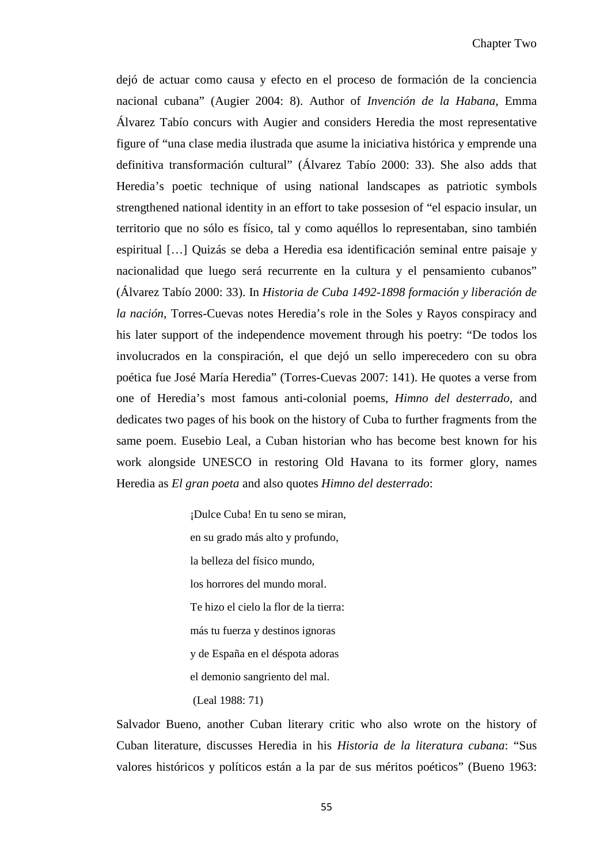dejó de actuar como causa y efecto en el proceso de formación de la conciencia nacional cubana" (Augier 2004: 8). Author of *Invención de la Habana*, Emma Álvarez Tabío concurs with Augier and considers Heredia the most representative figure of "una clase media ilustrada que asume la iniciativa histórica y emprende una definitiva transformación cultural" (Álvarez Tabío 2000: 33). She also adds that Heredia's poetic technique of using national landscapes as patriotic symbols strengthened national identity in an effort to take possesion of "el espacio insular, un territorio que no sólo es físico, tal y como aquéllos lo representaban, sino también espiritual […] Quizás se deba a Heredia esa identificación seminal entre paisaje y nacionalidad que luego será recurrente en la cultura y el pensamiento cubanos" (Álvarez Tabío 2000: 33). In *Historia de Cuba 1492-1898 formación y liberación de la nación*, Torres-Cuevas notes Heredia's role in the Soles y Rayos conspiracy and his later support of the independence movement through his poetry: "De todos los involucrados en la conspiración, el que dejó un sello imperecedero con su obra poética fue José María Heredia" (Torres-Cuevas 2007: 141). He quotes a verse from one of Heredia's most famous anti-colonial poems, *Himno del desterrado*, and dedicates two pages of his book on the history of Cuba to further fragments from the same poem. Eusebio Leal, a Cuban historian who has become best known for his work alongside UNESCO in restoring Old Havana to its former glory, names Heredia as *El gran poeta* and also quotes *Himno del desterrado*:

> ¡Dulce Cuba! En tu seno se miran, en su grado más alto y profundo, la belleza del físico mundo, los horrores del mundo moral. Te hizo el cielo la flor de la tierra: más tu fuerza y destinos ignoras y de España en el déspota adoras el demonio sangriento del mal. (Leal 1988: 71)

Salvador Bueno, another Cuban literary critic who also wrote on the history of Cuban literature, discusses Heredia in his *Historia de la literatura cubana*: "Sus valores históricos y políticos están a la par de sus méritos poéticos" (Bueno 1963: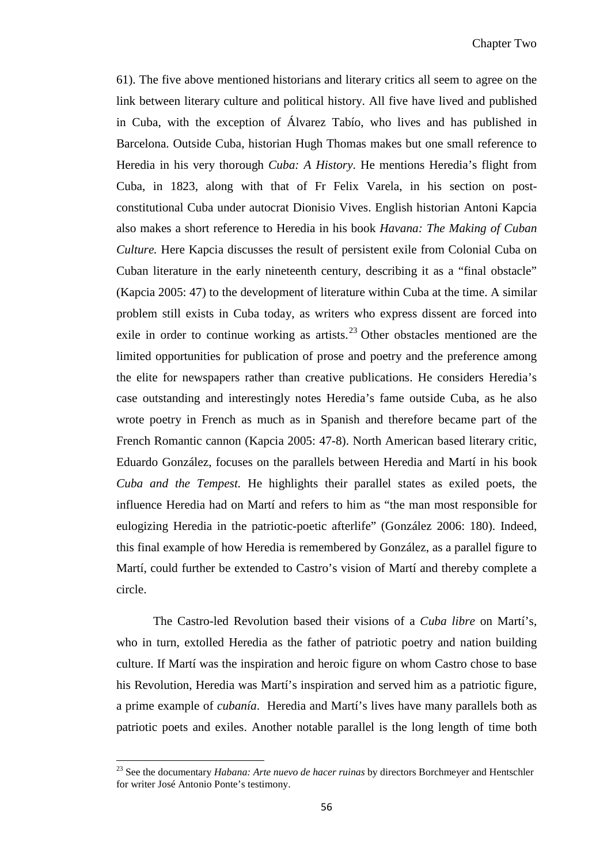61). The five above mentioned historians and literary critics all seem to agree on the link between literary culture and political history. All five have lived and published in Cuba, with the exception of Álvarez Tabío, who lives and has published in Barcelona. Outside Cuba, historian Hugh Thomas makes but one small reference to Heredia in his very thorough *Cuba: A History*. He mentions Heredia's flight from Cuba, in 1823, along with that of Fr Felix Varela, in his section on postconstitutional Cuba under autocrat Dionisio Vives. English historian Antoni Kapcia also makes a short reference to Heredia in his book *Havana: The Making of Cuban Culture.* Here Kapcia discusses the result of persistent exile from Colonial Cuba on Cuban literature in the early nineteenth century, describing it as a "final obstacle" (Kapcia 2005: 47) to the development of literature within Cuba at the time. A similar problem still exists in Cuba today, as writers who express dissent are forced into exile in order to continue working as artists.<sup>[23](#page-57-0)</sup> Other obstacles mentioned are the limited opportunities for publication of prose and poetry and the preference among the elite for newspapers rather than creative publications. He considers Heredia's case outstanding and interestingly notes Heredia's fame outside Cuba, as he also wrote poetry in French as much as in Spanish and therefore became part of the French Romantic cannon (Kapcia 2005: 47-8). North American based literary critic, Eduardo González, focuses on the parallels between Heredia and Martí in his book *Cuba and the Tempest.* He highlights their parallel states as exiled poets, the influence Heredia had on Martí and refers to him as "the man most responsible for eulogizing Heredia in the patriotic-poetic afterlife" (González 2006: 180). Indeed, this final example of how Heredia is remembered by González, as a parallel figure to Martí, could further be extended to Castro's vision of Martí and thereby complete a circle.

The Castro-led Revolution based their visions of a *Cuba libre* on Martí's, who in turn, extolled Heredia as the father of patriotic poetry and nation building culture. If Martí was the inspiration and heroic figure on whom Castro chose to base his Revolution, Heredia was Martí's inspiration and served him as a patriotic figure, a prime example of *cubanía*. Heredia and Martí's lives have many parallels both as patriotic poets and exiles. Another notable parallel is the long length of time both

<span id="page-61-0"></span>ı

<sup>23</sup> See the documentary *Habana: Arte nuevo de hacer ruinas* by directors Borchmeyer and Hentschler for writer José Antonio Ponte's testimony.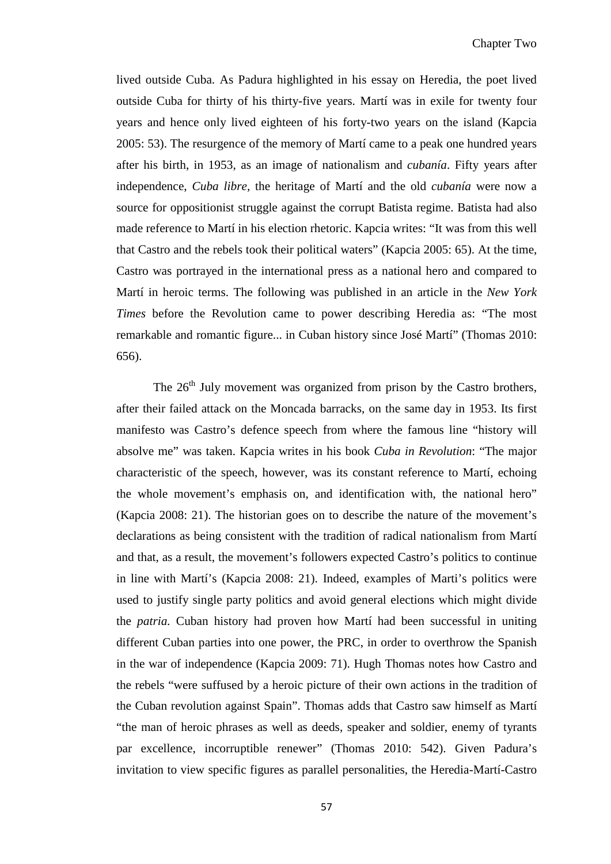lived outside Cuba. As Padura highlighted in his essay on Heredia, the poet lived outside Cuba for thirty of his thirty-five years. Martí was in exile for twenty four years and hence only lived eighteen of his forty-two years on the island (Kapcia 2005: 53). The resurgence of the memory of Martí came to a peak one hundred years after his birth, in 1953, as an image of nationalism and *cubanía*. Fifty years after independence, *Cuba libre,* the heritage of Martí and the old *cubanía* were now a source for oppositionist struggle against the corrupt Batista regime. Batista had also made reference to Martí in his election rhetoric. Kapcia writes: "It was from this well that Castro and the rebels took their political waters" (Kapcia 2005: 65). At the time, Castro was portrayed in the international press as a national hero and compared to Martí in heroic terms. The following was published in an article in the *New York Times* before the Revolution came to power describing Heredia as: "The most remarkable and romantic figure... in Cuban history since José Martí" (Thomas 2010: 656).

The  $26<sup>th</sup>$  July movement was organized from prison by the Castro brothers, after their failed attack on the Moncada barracks, on the same day in 1953. Its first manifesto was Castro's defence speech from where the famous line "history will absolve me" was taken. Kapcia writes in his book *Cuba in Revolution*: "The major characteristic of the speech, however, was its constant reference to Martí, echoing the whole movement's emphasis on, and identification with, the national hero" (Kapcia 2008: 21). The historian goes on to describe the nature of the movement's declarations as being consistent with the tradition of radical nationalism from Martí and that, as a result, the movement's followers expected Castro's politics to continue in line with Martí's (Kapcia 2008: 21). Indeed, examples of Marti's politics were used to justify single party politics and avoid general elections which might divide the *patria.* Cuban history had proven how Martí had been successful in uniting different Cuban parties into one power, the PRC, in order to overthrow the Spanish in the war of independence (Kapcia 2009: 71). Hugh Thomas notes how Castro and the rebels "were suffused by a heroic picture of their own actions in the tradition of the Cuban revolution against Spain". Thomas adds that Castro saw himself as Martí "the man of heroic phrases as well as deeds, speaker and soldier, enemy of tyrants par excellence, incorruptible renewer" (Thomas 2010: 542). Given Padura's invitation to view specific figures as parallel personalities, the Heredia-Martí-Castro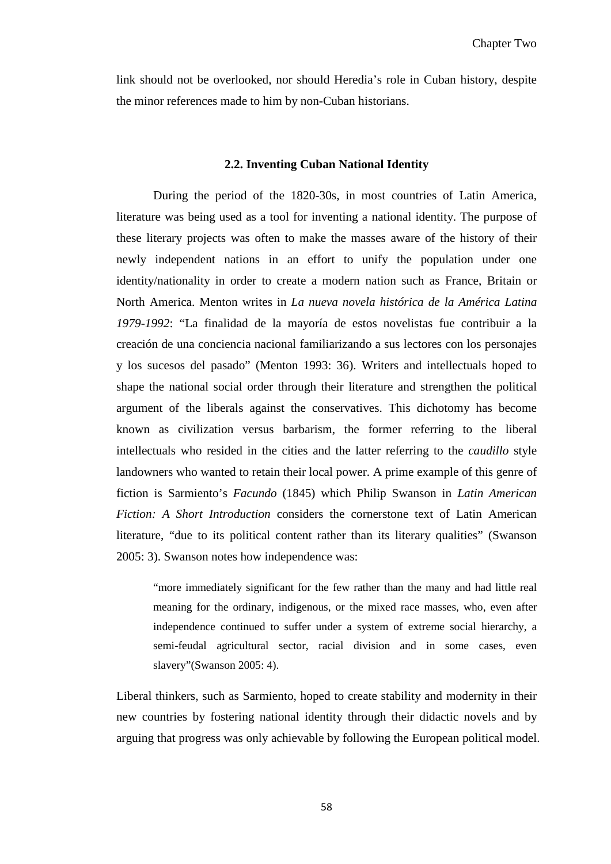link should not be overlooked, nor should Heredia's role in Cuban history, despite the minor references made to him by non-Cuban historians.

#### **2.2. Inventing Cuban National Identity**

During the period of the 1820-30s, in most countries of Latin America, literature was being used as a tool for inventing a national identity. The purpose of these literary projects was often to make the masses aware of the history of their newly independent nations in an effort to unify the population under one identity/nationality in order to create a modern nation such as France, Britain or North America. Menton writes in *La nueva novela histórica de la América Latina 1979-1992*: "La finalidad de la mayoría de estos novelistas fue contribuir a la creación de una conciencia nacional familiarizando a sus lectores con los personajes y los sucesos del pasado" (Menton 1993: 36). Writers and intellectuals hoped to shape the national social order through their literature and strengthen the political argument of the liberals against the conservatives. This dichotomy has become known as civilization versus barbarism, the former referring to the liberal intellectuals who resided in the cities and the latter referring to the *caudillo* style landowners who wanted to retain their local power. A prime example of this genre of fiction is Sarmiento's *Facundo* (1845) which Philip Swanson in *Latin American Fiction: A Short Introduction* considers the cornerstone text of Latin American literature, "due to its political content rather than its literary qualities" (Swanson 2005: 3). Swanson notes how independence was:

"more immediately significant for the few rather than the many and had little real meaning for the ordinary, indigenous, or the mixed race masses, who, even after independence continued to suffer under a system of extreme social hierarchy, a semi-feudal agricultural sector, racial division and in some cases, even slavery"(Swanson 2005: 4).

Liberal thinkers, such as Sarmiento, hoped to create stability and modernity in their new countries by fostering national identity through their didactic novels and by arguing that progress was only achievable by following the European political model.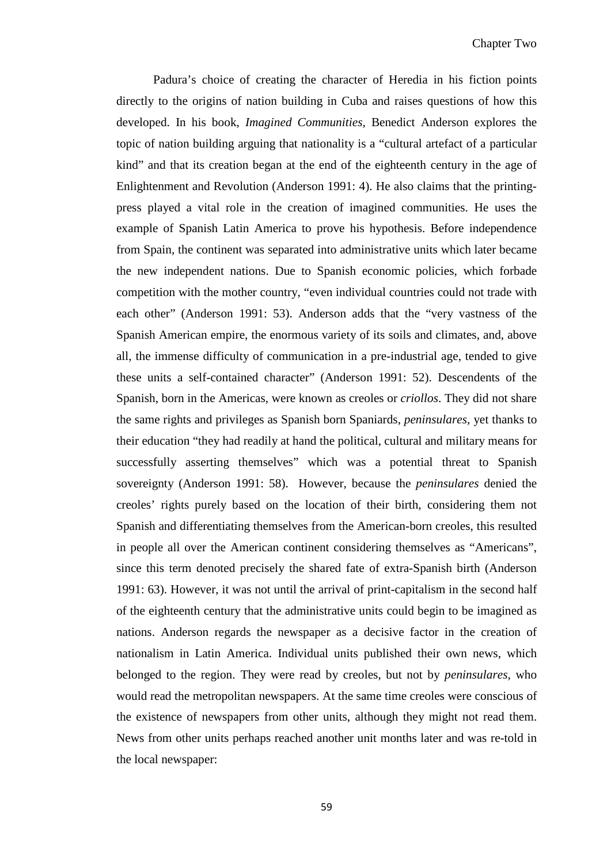Padura's choice of creating the character of Heredia in his fiction points directly to the origins of nation building in Cuba and raises questions of how this developed. In his book, *Imagined Communities,* Benedict Anderson explores the topic of nation building arguing that nationality is a "cultural artefact of a particular kind" and that its creation began at the end of the eighteenth century in the age of Enlightenment and Revolution (Anderson 1991: 4). He also claims that the printingpress played a vital role in the creation of imagined communities. He uses the example of Spanish Latin America to prove his hypothesis. Before independence from Spain, the continent was separated into administrative units which later became the new independent nations. Due to Spanish economic policies, which forbade competition with the mother country, "even individual countries could not trade with each other" (Anderson 1991: 53). Anderson adds that the "very vastness of the Spanish American empire, the enormous variety of its soils and climates, and, above all, the immense difficulty of communication in a pre-industrial age, tended to give these units a self-contained character" (Anderson 1991: 52). Descendents of the Spanish, born in the Americas, were known as creoles or *criollos*. They did not share the same rights and privileges as Spanish born Spaniards, *peninsulares*, yet thanks to their education "they had readily at hand the political, cultural and military means for successfully asserting themselves" which was a potential threat to Spanish sovereignty (Anderson 1991: 58). However, because the *peninsulares* denied the creoles' rights purely based on the location of their birth, considering them not Spanish and differentiating themselves from the American-born creoles, this resulted in people all over the American continent considering themselves as "Americans", since this term denoted precisely the shared fate of extra-Spanish birth (Anderson 1991: 63). However, it was not until the arrival of print-capitalism in the second half of the eighteenth century that the administrative units could begin to be imagined as nations. Anderson regards the newspaper as a decisive factor in the creation of nationalism in Latin America. Individual units published their own news, which belonged to the region. They were read by creoles, but not by *peninsulares,* who would read the metropolitan newspapers. At the same time creoles were conscious of the existence of newspapers from other units, although they might not read them. News from other units perhaps reached another unit months later and was re-told in the local newspaper: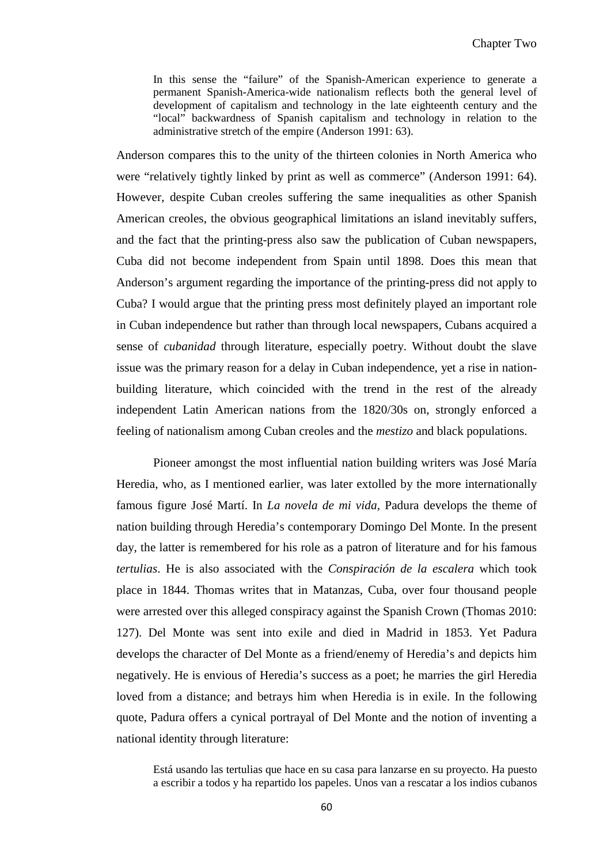In this sense the "failure" of the Spanish-American experience to generate a permanent Spanish-America-wide nationalism reflects both the general level of development of capitalism and technology in the late eighteenth century and the "local" backwardness of Spanish capitalism and technology in relation to the administrative stretch of the empire (Anderson 1991: 63).

Anderson compares this to the unity of the thirteen colonies in North America who were "relatively tightly linked by print as well as commerce" (Anderson 1991: 64). However, despite Cuban creoles suffering the same inequalities as other Spanish American creoles, the obvious geographical limitations an island inevitably suffers, and the fact that the printing-press also saw the publication of Cuban newspapers, Cuba did not become independent from Spain until 1898. Does this mean that Anderson's argument regarding the importance of the printing-press did not apply to Cuba? I would argue that the printing press most definitely played an important role in Cuban independence but rather than through local newspapers, Cubans acquired a sense of *cubanidad* through literature, especially poetry. Without doubt the slave issue was the primary reason for a delay in Cuban independence, yet a rise in nationbuilding literature, which coincided with the trend in the rest of the already independent Latin American nations from the 1820/30s on, strongly enforced a feeling of nationalism among Cuban creoles and the *mestizo* and black populations.

Pioneer amongst the most influential nation building writers was José María Heredia, who, as I mentioned earlier, was later extolled by the more internationally famous figure José Martí. In *La novela de mi vida,* Padura develops the theme of nation building through Heredia's contemporary Domingo Del Monte. In the present day, the latter is remembered for his role as a patron of literature and for his famous *tertulias*. He is also associated with the *Conspiración de la escalera* which took place in 1844. Thomas writes that in Matanzas, Cuba, over four thousand people were arrested over this alleged conspiracy against the Spanish Crown (Thomas 2010: 127). Del Monte was sent into exile and died in Madrid in 1853. Yet Padura develops the character of Del Monte as a friend/enemy of Heredia's and depicts him negatively. He is envious of Heredia's success as a poet; he marries the girl Heredia loved from a distance; and betrays him when Heredia is in exile. In the following quote, Padura offers a cynical portrayal of Del Monte and the notion of inventing a national identity through literature:

Está usando las tertulias que hace en su casa para lanzarse en su proyecto. Ha puesto a escribir a todos y ha repartido los papeles. Unos van a rescatar a los indios cubanos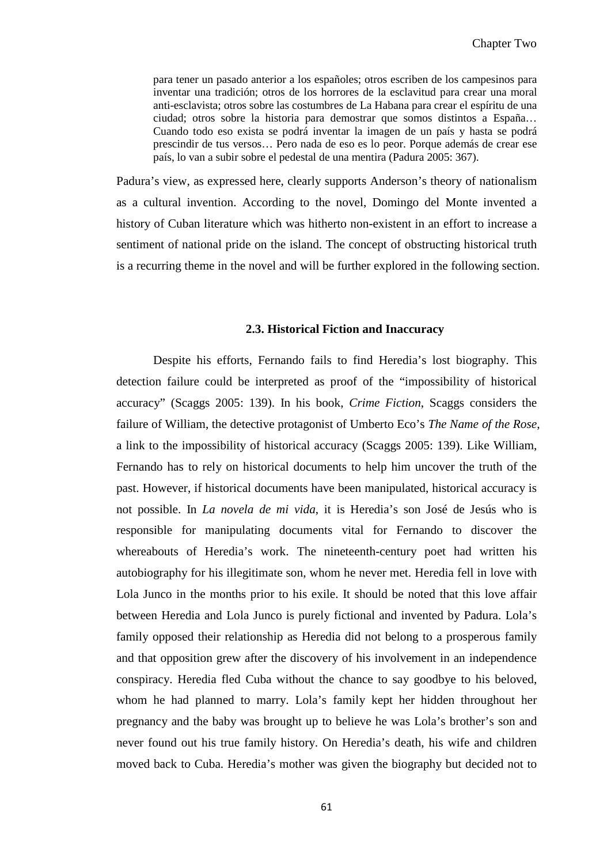para tener un pasado anterior a los españoles; otros escriben de los campesinos para inventar una tradición; otros de los horrores de la esclavitud para crear una moral anti-esclavista; otros sobre las costumbres de La Habana para crear el espíritu de una ciudad; otros sobre la historia para demostrar que somos distintos a España… Cuando todo eso exista se podrá inventar la imagen de un país y hasta se podrá prescindir de tus versos… Pero nada de eso es lo peor. Porque además de crear ese país, lo van a subir sobre el pedestal de una mentira (Padura 2005: 367).

Padura's view, as expressed here, clearly supports Anderson's theory of nationalism as a cultural invention. According to the novel, Domingo del Monte invented a history of Cuban literature which was hitherto non-existent in an effort to increase a sentiment of national pride on the island. The concept of obstructing historical truth is a recurring theme in the novel and will be further explored in the following section.

#### **2.3. Historical Fiction and Inaccuracy**

Despite his efforts, Fernando fails to find Heredia's lost biography. This detection failure could be interpreted as proof of the "impossibility of historical accuracy" (Scaggs 2005: 139). In his book, *Crime Fiction*, Scaggs considers the failure of William, the detective protagonist of Umberto Eco's *The Name of the Rose*, a link to the impossibility of historical accuracy (Scaggs 2005: 139). Like William, Fernando has to rely on historical documents to help him uncover the truth of the past. However, if historical documents have been manipulated, historical accuracy is not possible. In *La novela de mi vida*, it is Heredia's son José de Jesús who is responsible for manipulating documents vital for Fernando to discover the whereabouts of Heredia's work. The nineteenth-century poet had written his autobiography for his illegitimate son, whom he never met. Heredia fell in love with Lola Junco in the months prior to his exile. It should be noted that this love affair between Heredia and Lola Junco is purely fictional and invented by Padura. Lola's family opposed their relationship as Heredia did not belong to a prosperous family and that opposition grew after the discovery of his involvement in an independence conspiracy. Heredia fled Cuba without the chance to say goodbye to his beloved, whom he had planned to marry. Lola's family kept her hidden throughout her pregnancy and the baby was brought up to believe he was Lola's brother's son and never found out his true family history. On Heredia's death, his wife and children moved back to Cuba. Heredia's mother was given the biography but decided not to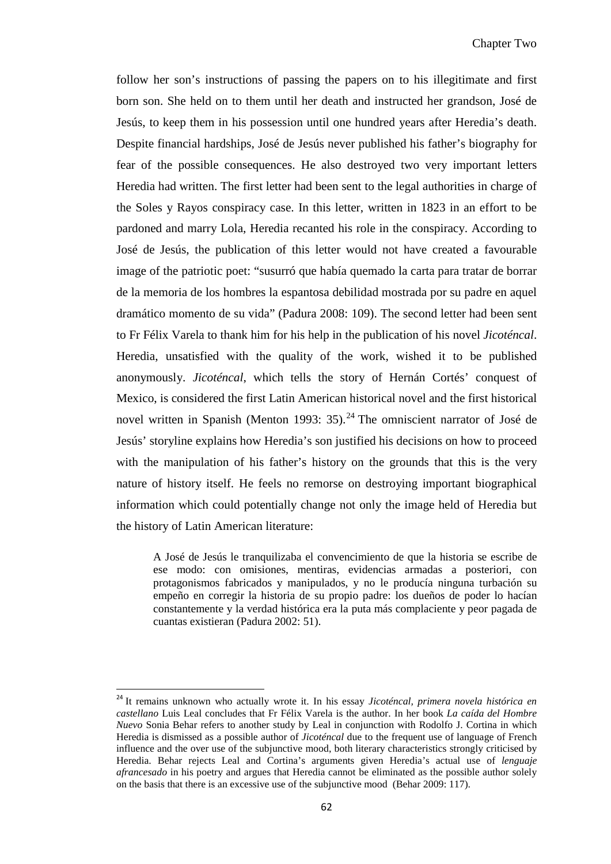follow her son's instructions of passing the papers on to his illegitimate and first born son. She held on to them until her death and instructed her grandson, José de Jesús, to keep them in his possession until one hundred years after Heredia's death. Despite financial hardships, José de Jesús never published his father's biography for fear of the possible consequences. He also destroyed two very important letters Heredia had written. The first letter had been sent to the legal authorities in charge of the Soles y Rayos conspiracy case. In this letter, written in 1823 in an effort to be pardoned and marry Lola, Heredia recanted his role in the conspiracy. According to José de Jesús, the publication of this letter would not have created a favourable image of the patriotic poet: "susurró que había quemado la carta para tratar de borrar de la memoria de los hombres la espantosa debilidad mostrada por su padre en aquel dramático momento de su vida" (Padura 2008: 109). The second letter had been sent to Fr Félix Varela to thank him for his help in the publication of his novel *Jicoténcal*. Heredia, unsatisfied with the quality of the work, wished it to be published anonymously. *Jicoténcal*, which tells the story of Hernán Cortés' conquest of Mexico, is considered the first Latin American historical novel and the first historical novel written in Spanish (Menton 1993: 35).<sup>[24](#page-61-0)</sup> The omniscient narrator of José de Jesús' storyline explains how Heredia's son justified his decisions on how to proceed with the manipulation of his father's history on the grounds that this is the very nature of history itself. He feels no remorse on destroying important biographical information which could potentially change not only the image held of Heredia but the history of Latin American literature:

A José de Jesús le tranquilizaba el convencimiento de que la historia se escribe de ese modo: con omisiones, mentiras, evidencias armadas a posteriori, con protagonismos fabricados y manipulados, y no le producía ninguna turbación su empeño en corregir la historia de su propio padre: los dueños de poder lo hacían constantemente y la verdad histórica era la puta más complaciente y peor pagada de cuantas existieran (Padura 2002: 51).

 <sup>24</sup> It remains unknown who actually wrote it. In his essay *Jicoténcal, primera novela histórica en castellano* Luis Leal concludes that Fr Félix Varela is the author. In her book *La caída del Hombre Nuevo* Sonia Behar refers to another study by Leal in conjunction with Rodolfo J. Cortina in which Heredia is dismissed as a possible author of *Jicoténcal* due to the frequent use of language of French influence and the over use of the subjunctive mood, both literary characteristics strongly criticised by Heredia. Behar rejects Leal and Cortina's arguments given Heredia's actual use of *lenguaje afrancesado* in his poetry and argues that Heredia cannot be eliminated as the possible author solely on the basis that there is an excessive use of the subjunctive mood (Behar 2009: 117).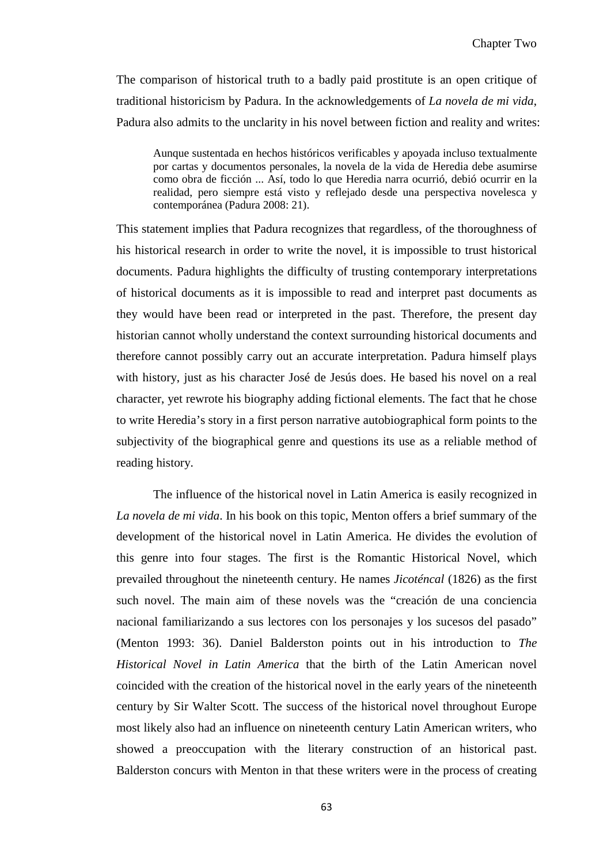The comparison of historical truth to a badly paid prostitute is an open critique of traditional historicism by Padura. In the acknowledgements of *La novela de mi vida*, Padura also admits to the unclarity in his novel between fiction and reality and writes:

Aunque sustentada en hechos históricos verificables y apoyada incluso textualmente por cartas y documentos personales, la novela de la vida de Heredia debe asumirse como obra de ficción ... Así, todo lo que Heredia narra ocurrió, debió ocurrir en la realidad, pero siempre está visto y reflejado desde una perspectiva novelesca y contemporánea (Padura 2008: 21).

This statement implies that Padura recognizes that regardless, of the thoroughness of his historical research in order to write the novel, it is impossible to trust historical documents. Padura highlights the difficulty of trusting contemporary interpretations of historical documents as it is impossible to read and interpret past documents as they would have been read or interpreted in the past. Therefore, the present day historian cannot wholly understand the context surrounding historical documents and therefore cannot possibly carry out an accurate interpretation. Padura himself plays with history, just as his character José de Jesús does. He based his novel on a real character, yet rewrote his biography adding fictional elements. The fact that he chose to write Heredia's story in a first person narrative autobiographical form points to the subjectivity of the biographical genre and questions its use as a reliable method of reading history.

The influence of the historical novel in Latin America is easily recognized in *La novela de mi vida*. In his book on this topic, Menton offers a brief summary of the development of the historical novel in Latin America. He divides the evolution of this genre into four stages. The first is the Romantic Historical Novel, which prevailed throughout the nineteenth century. He names *Jicoténcal* (1826) as the first such novel. The main aim of these novels was the "creación de una conciencia nacional familiarizando a sus lectores con los personajes y los sucesos del pasado" (Menton 1993: 36). Daniel Balderston points out in his introduction to *The Historical Novel in Latin America* that the birth of the Latin American novel coincided with the creation of the historical novel in the early years of the nineteenth century by Sir Walter Scott. The success of the historical novel throughout Europe most likely also had an influence on nineteenth century Latin American writers, who showed a preoccupation with the literary construction of an historical past. Balderston concurs with Menton in that these writers were in the process of creating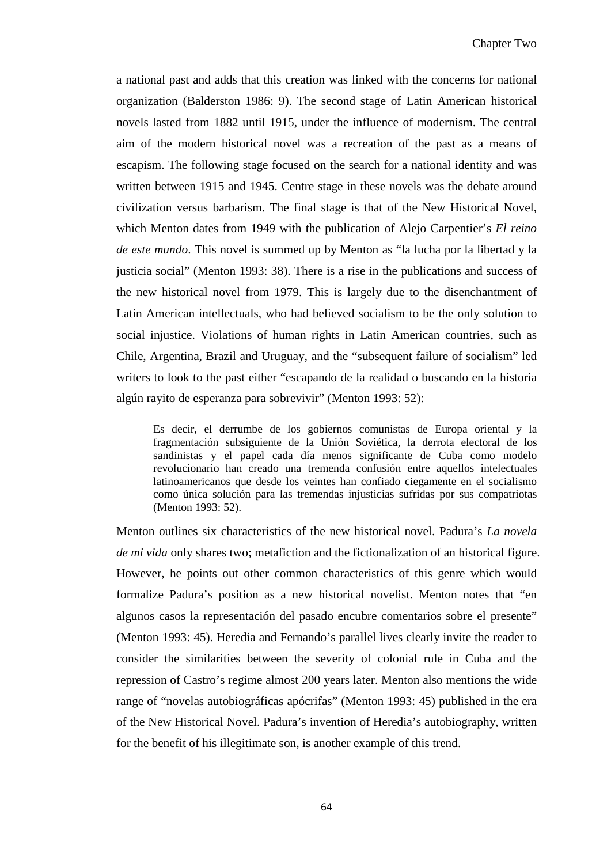a national past and adds that this creation was linked with the concerns for national organization (Balderston 1986: 9). The second stage of Latin American historical novels lasted from 1882 until 1915, under the influence of modernism. The central aim of the modern historical novel was a recreation of the past as a means of escapism. The following stage focused on the search for a national identity and was written between 1915 and 1945. Centre stage in these novels was the debate around civilization versus barbarism. The final stage is that of the New Historical Novel, which Menton dates from 1949 with the publication of Alejo Carpentier's *El reino de este mundo*. This novel is summed up by Menton as "la lucha por la libertad y la justicia social" (Menton 1993: 38). There is a rise in the publications and success of the new historical novel from 1979. This is largely due to the disenchantment of Latin American intellectuals, who had believed socialism to be the only solution to social injustice. Violations of human rights in Latin American countries, such as Chile, Argentina, Brazil and Uruguay, and the "subsequent failure of socialism" led writers to look to the past either "escapando de la realidad o buscando en la historia algún rayito de esperanza para sobrevivir" (Menton 1993: 52):

Es decir, el derrumbe de los gobiernos comunistas de Europa oriental y la fragmentación subsiguiente de la Unión Soviética, la derrota electoral de los sandinistas y el papel cada día menos significante de Cuba como modelo revolucionario han creado una tremenda confusión entre aquellos intelectuales latinoamericanos que desde los veintes han confiado ciegamente en el socialismo como única solución para las tremendas injusticias sufridas por sus compatriotas (Menton 1993: 52).

Menton outlines six characteristics of the new historical novel. Padura's *La novela de mi vida* only shares two; metafiction and the fictionalization of an historical figure. However, he points out other common characteristics of this genre which would formalize Padura's position as a new historical novelist. Menton notes that "en algunos casos la representación del pasado encubre comentarios sobre el presente" (Menton 1993: 45). Heredia and Fernando's parallel lives clearly invite the reader to consider the similarities between the severity of colonial rule in Cuba and the repression of Castro's regime almost 200 years later. Menton also mentions the wide range of "novelas autobiográficas apócrifas" (Menton 1993: 45) published in the era of the New Historical Novel. Padura's invention of Heredia's autobiography, written for the benefit of his illegitimate son, is another example of this trend.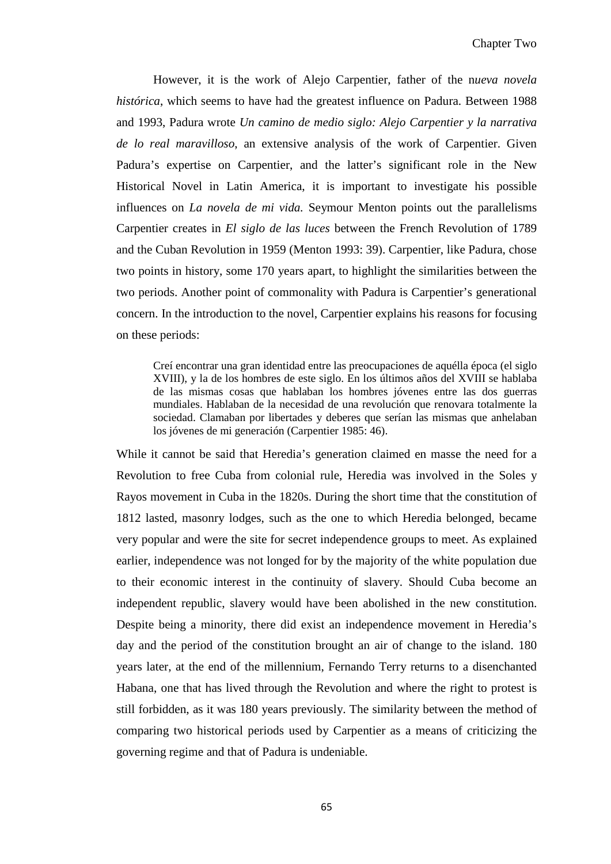However, it is the work of Alejo Carpentier, father of the n*ueva novela histórica*, which seems to have had the greatest influence on Padura. Between 1988 and 1993, Padura wrote *Un camino de medio siglo: Alejo Carpentier y la narrativa de lo real maravilloso*, an extensive analysis of the work of Carpentier. Given Padura's expertise on Carpentier, and the latter's significant role in the New Historical Novel in Latin America, it is important to investigate his possible influences on *La novela de mi vida.* Seymour Menton points out the parallelisms Carpentier creates in *El siglo de las luces* between the French Revolution of 1789 and the Cuban Revolution in 1959 (Menton 1993: 39). Carpentier, like Padura, chose two points in history, some 170 years apart, to highlight the similarities between the two periods. Another point of commonality with Padura is Carpentier's generational concern. In the introduction to the novel, Carpentier explains his reasons for focusing on these periods:

Creí encontrar una gran identidad entre las preocupaciones de aquélla época (el siglo XVIII), y la de los hombres de este siglo. En los últimos años del XVIII se hablaba de las mismas cosas que hablaban los hombres jóvenes entre las dos guerras mundiales. Hablaban de la necesidad de una revolución que renovara totalmente la sociedad. Clamaban por libertades y deberes que serían las mismas que anhelaban los jóvenes de mi generación (Carpentier 1985: 46).

While it cannot be said that Heredia's generation claimed en masse the need for a Revolution to free Cuba from colonial rule, Heredia was involved in the Soles y Rayos movement in Cuba in the 1820s. During the short time that the constitution of 1812 lasted, masonry lodges, such as the one to which Heredia belonged, became very popular and were the site for secret independence groups to meet. As explained earlier, independence was not longed for by the majority of the white population due to their economic interest in the continuity of slavery. Should Cuba become an independent republic, slavery would have been abolished in the new constitution. Despite being a minority, there did exist an independence movement in Heredia's day and the period of the constitution brought an air of change to the island. 180 years later, at the end of the millennium, Fernando Terry returns to a disenchanted Habana, one that has lived through the Revolution and where the right to protest is still forbidden, as it was 180 years previously. The similarity between the method of comparing two historical periods used by Carpentier as a means of criticizing the governing regime and that of Padura is undeniable.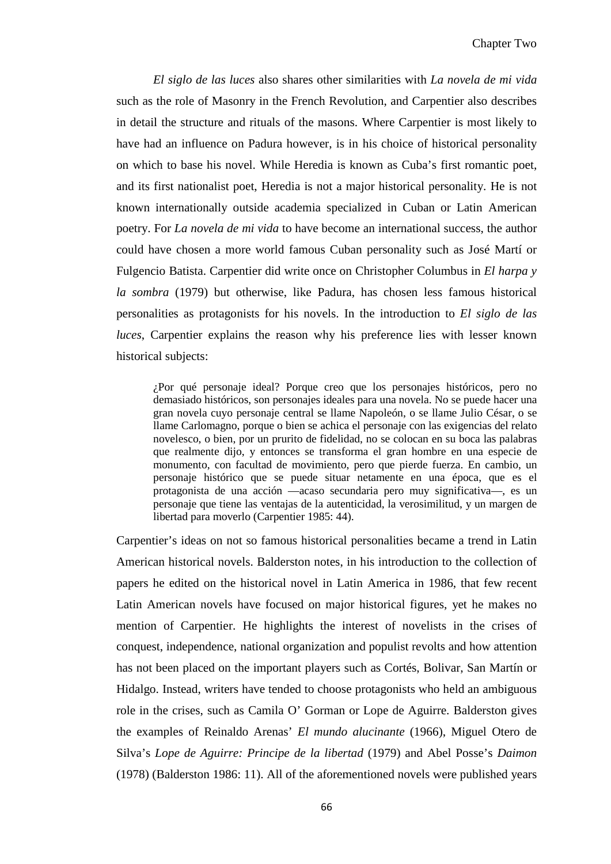*El siglo de las luces* also shares other similarities with *La novela de mi vida* such as the role of Masonry in the French Revolution, and Carpentier also describes in detail the structure and rituals of the masons. Where Carpentier is most likely to have had an influence on Padura however, is in his choice of historical personality on which to base his novel. While Heredia is known as Cuba's first romantic poet, and its first nationalist poet, Heredia is not a major historical personality. He is not known internationally outside academia specialized in Cuban or Latin American poetry. For *La novela de mi vida* to have become an international success, the author could have chosen a more world famous Cuban personality such as José Martí or Fulgencio Batista. Carpentier did write once on Christopher Columbus in *El harpa y la sombra* (1979) but otherwise, like Padura, has chosen less famous historical personalities as protagonists for his novels. In the introduction to *El siglo de las luces*, Carpentier explains the reason why his preference lies with lesser known historical subjects:

¿Por qué personaje ideal? Porque creo que los personajes históricos, pero no demasiado históricos, son personajes ideales para una novela. No se puede hacer una gran novela cuyo personaje central se llame Napoleón, o se llame Julio César, o se llame Carlomagno, porque o bien se achica el personaje con las exigencias del relato novelesco, o bien, por un prurito de fidelidad, no se colocan en su boca las palabras que realmente dijo, y entonces se transforma el gran hombre en una especie de monumento, con facultad de movimiento, pero que pierde fuerza. En cambio, un personaje histórico que se puede situar netamente en una época, que es el protagonista de una acción —acaso secundaria pero muy significativa—, es un personaje que tiene las ventajas de la autenticidad, la verosimilitud, y un margen de libertad para moverlo (Carpentier 1985: 44).

Carpentier's ideas on not so famous historical personalities became a trend in Latin American historical novels. Balderston notes, in his introduction to the collection of papers he edited on the historical novel in Latin America in 1986, that few recent Latin American novels have focused on major historical figures, yet he makes no mention of Carpentier. He highlights the interest of novelists in the crises of conquest, independence, national organization and populist revolts and how attention has not been placed on the important players such as Cortés, Bolivar, San Martín or Hidalgo. Instead, writers have tended to choose protagonists who held an ambiguous role in the crises, such as Camila O' Gorman or Lope de Aguirre. Balderston gives the examples of Reinaldo Arenas' *El mundo alucinante* (1966), Miguel Otero de Silva's *Lope de Aguirre: Principe de la libertad* (1979) and Abel Posse's *Daimon* (1978) (Balderston 1986: 11). All of the aforementioned novels were published years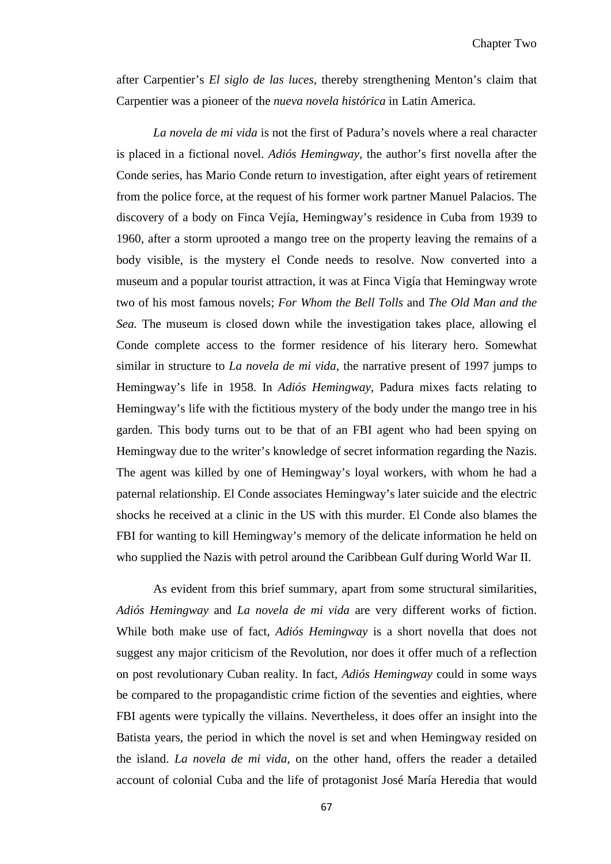after Carpentier's *El siglo de las luces,* thereby strengthening Menton's claim that Carpentier was a pioneer of the *nueva novela histórica* in Latin America.

*La novela de mi vida* is not the first of Padura's novels where a real character is placed in a fictional novel. *Adiós Hemingway*, the author's first novella after the Conde series, has Mario Conde return to investigation, after eight years of retirement from the police force, at the request of his former work partner Manuel Palacios. The discovery of a body on Finca Vejía, Hemingway's residence in Cuba from 1939 to 1960, after a storm uprooted a mango tree on the property leaving the remains of a body visible, is the mystery el Conde needs to resolve. Now converted into a museum and a popular tourist attraction, it was at Finca Vigía that Hemingway wrote two of his most famous novels; *For Whom the Bell Tolls* and *The Old Man and the Sea.* The museum is closed down while the investigation takes place, allowing el Conde complete access to the former residence of his literary hero. Somewhat similar in structure to *La novela de mi vida*, the narrative present of 1997 jumps to Hemingway's life in 1958. In *Adiós Hemingway,* Padura mixes facts relating to Hemingway's life with the fictitious mystery of the body under the mango tree in his garden. This body turns out to be that of an FBI agent who had been spying on Hemingway due to the writer's knowledge of secret information regarding the Nazis. The agent was killed by one of Hemingway's loyal workers, with whom he had a paternal relationship. El Conde associates Hemingway's later suicide and the electric shocks he received at a clinic in the US with this murder. El Conde also blames the FBI for wanting to kill Hemingway's memory of the delicate information he held on who supplied the Nazis with petrol around the Caribbean Gulf during World War II.

As evident from this brief summary, apart from some structural similarities, *Adiós Hemingway* and *La novela de mi vida* are very different works of fiction. While both make use of fact, *Adiós Hemingway* is a short novella that does not suggest any major criticism of the Revolution, nor does it offer much of a reflection on post revolutionary Cuban reality. In fact, *Adiós Hemingway* could in some ways be compared to the propagandistic crime fiction of the seventies and eighties, where FBI agents were typically the villains. Nevertheless, it does offer an insight into the Batista years, the period in which the novel is set and when Hemingway resided on the island. *La novela de mi vida*, on the other hand, offers the reader a detailed account of colonial Cuba and the life of protagonist José María Heredia that would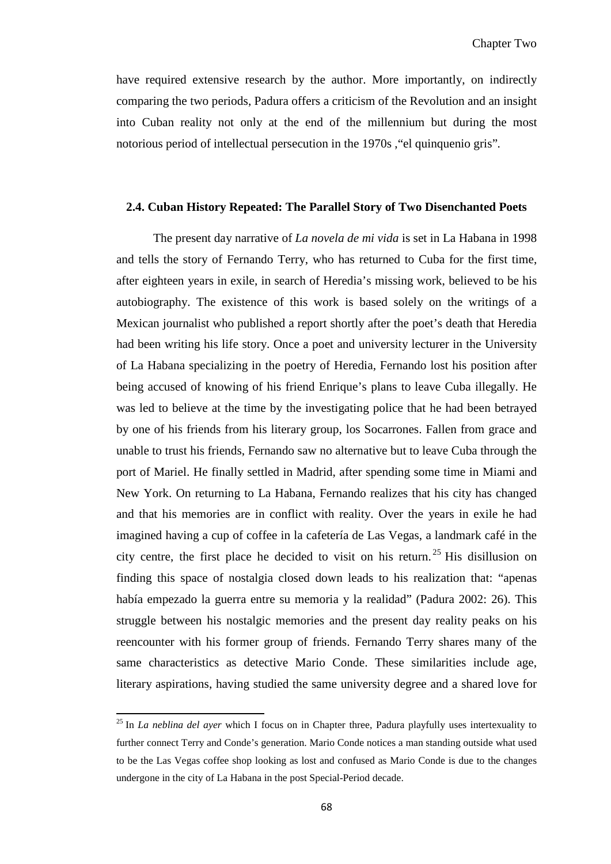have required extensive research by the author. More importantly, on indirectly comparing the two periods, Padura offers a criticism of the Revolution and an insight into Cuban reality not only at the end of the millennium but during the most notorious period of intellectual persecution in the 1970s ,"el quinquenio gris"*.* 

#### **2.4. Cuban History Repeated: The Parallel Story of Two Disenchanted Poets**

The present day narrative of *La novela de mi vida* is set in La Habana in 1998 and tells the story of Fernando Terry, who has returned to Cuba for the first time, after eighteen years in exile, in search of Heredia's missing work, believed to be his autobiography. The existence of this work is based solely on the writings of a Mexican journalist who published a report shortly after the poet's death that Heredia had been writing his life story. Once a poet and university lecturer in the University of La Habana specializing in the poetry of Heredia, Fernando lost his position after being accused of knowing of his friend Enrique's plans to leave Cuba illegally. He was led to believe at the time by the investigating police that he had been betrayed by one of his friends from his literary group, los Socarrones. Fallen from grace and unable to trust his friends, Fernando saw no alternative but to leave Cuba through the port of Mariel. He finally settled in Madrid, after spending some time in Miami and New York. On returning to La Habana, Fernando realizes that his city has changed and that his memories are in conflict with reality. Over the years in exile he had imagined having a cup of coffee in la cafetería de Las Vegas, a landmark café in the city centre, the first place he decided to visit on his return. [25](#page-67-0) His disillusion on finding this space of nostalgia closed down leads to his realization that: "apenas había empezado la guerra entre su memoria y la realidad" (Padura 2002: 26). This struggle between his nostalgic memories and the present day reality peaks on his reencounter with his former group of friends. Fernando Terry shares many of the same characteristics as detective Mario Conde. These similarities include age, literary aspirations, having studied the same university degree and a shared love for

 $\overline{\phantom{0}}$ 

<span id="page-73-0"></span><sup>25</sup> In *La neblina del ayer* which I focus on in Chapter three, Padura playfully uses intertexuality to further connect Terry and Conde's generation. Mario Conde notices a man standing outside what used to be the Las Vegas coffee shop looking as lost and confused as Mario Conde is due to the changes undergone in the city of La Habana in the post Special-Period decade.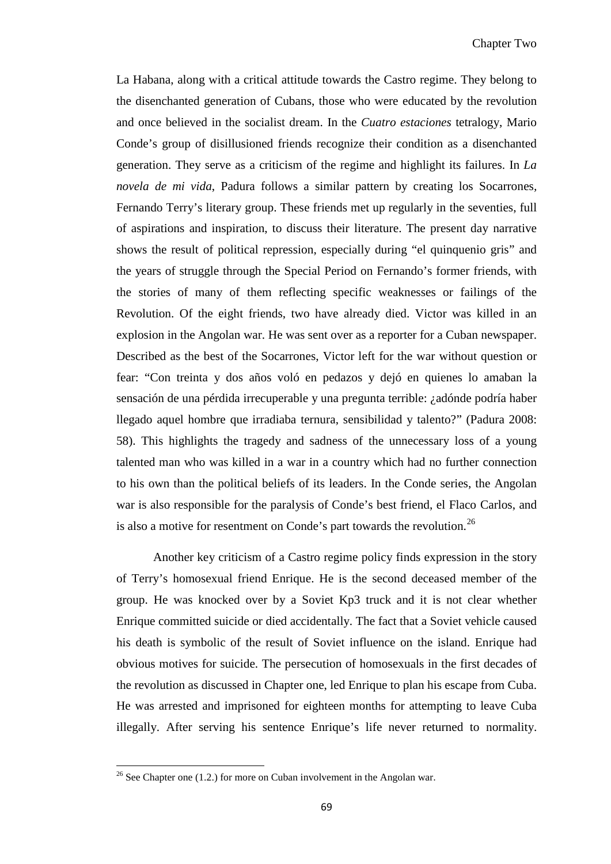La Habana, along with a critical attitude towards the Castro regime. They belong to the disenchanted generation of Cubans, those who were educated by the revolution and once believed in the socialist dream. In the *Cuatro estaciones* tetralogy, Mario Conde's group of disillusioned friends recognize their condition as a disenchanted generation. They serve as a criticism of the regime and highlight its failures. In *La novela de mi vida*, Padura follows a similar pattern by creating los Socarrones*,* Fernando Terry's literary group. These friends met up regularly in the seventies, full of aspirations and inspiration, to discuss their literature. The present day narrative shows the result of political repression, especially during "el quinquenio gris" and the years of struggle through the Special Period on Fernando's former friends, with the stories of many of them reflecting specific weaknesses or failings of the Revolution. Of the eight friends, two have already died. Victor was killed in an explosion in the Angolan war. He was sent over as a reporter for a Cuban newspaper. Described as the best of the Socarrones, Victor left for the war without question or fear: "Con treinta y dos años voló en pedazos y dejó en quienes lo amaban la sensación de una pérdida irrecuperable y una pregunta terrible: ¿adónde podría haber llegado aquel hombre que irradiaba ternura, sensibilidad y talento?" (Padura 2008: 58). This highlights the tragedy and sadness of the unnecessary loss of a young talented man who was killed in a war in a country which had no further connection to his own than the political beliefs of its leaders. In the Conde series, the Angolan war is also responsible for the paralysis of Conde's best friend, el Flaco Carlos, and is also a motive for resentment on Conde's part towards the revolution.<sup>[26](#page-73-0)</sup>

Another key criticism of a Castro regime policy finds expression in the story of Terry's homosexual friend Enrique. He is the second deceased member of the group. He was knocked over by a Soviet Kp3 truck and it is not clear whether Enrique committed suicide or died accidentally. The fact that a Soviet vehicle caused his death is symbolic of the result of Soviet influence on the island. Enrique had obvious motives for suicide. The persecution of homosexuals in the first decades of the revolution as discussed in Chapter one, led Enrique to plan his escape from Cuba. He was arrested and imprisoned for eighteen months for attempting to leave Cuba illegally. After serving his sentence Enrique's life never returned to normality.

<span id="page-74-0"></span> $\overline{\phantom{0}}$ 

<sup>&</sup>lt;sup>26</sup> See Chapter one (1.2.) for more on Cuban involvement in the Angolan war.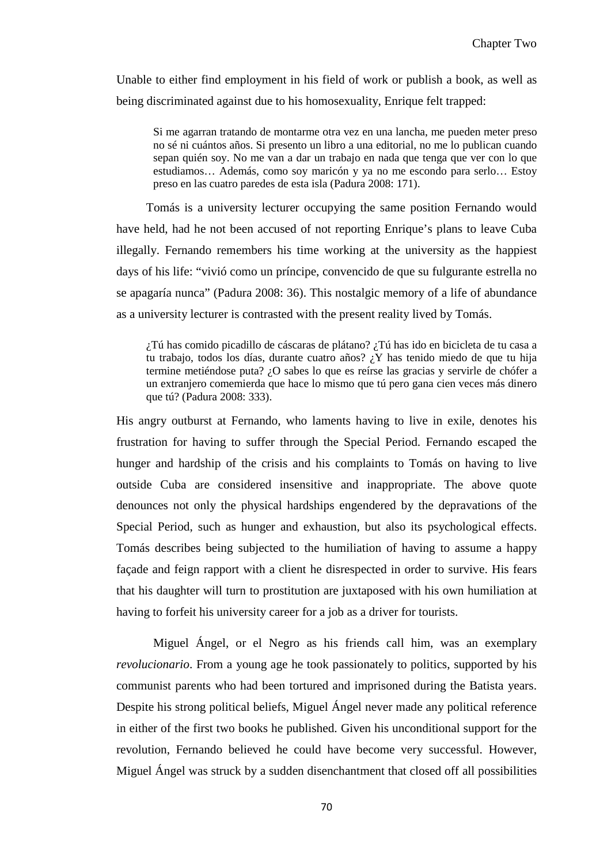Unable to either find employment in his field of work or publish a book, as well as being discriminated against due to his homosexuality, Enrique felt trapped:

Si me agarran tratando de montarme otra vez en una lancha, me pueden meter preso no sé ni cuántos años. Si presento un libro a una editorial, no me lo publican cuando sepan quién soy. No me van a dar un trabajo en nada que tenga que ver con lo que estudiamos… Además, como soy maricón y ya no me escondo para serlo… Estoy preso en las cuatro paredes de esta isla (Padura 2008: 171).

Tomás is a university lecturer occupying the same position Fernando would have held, had he not been accused of not reporting Enrique's plans to leave Cuba illegally. Fernando remembers his time working at the university as the happiest days of his life: "vivió como un príncipe, convencido de que su fulgurante estrella no se apagaría nunca" (Padura 2008: 36). This nostalgic memory of a life of abundance as a university lecturer is contrasted with the present reality lived by Tomás.

¿Tú has comido picadillo de cáscaras de plátano? ¿Tú has ido en bicicleta de tu casa a tu trabajo, todos los días, durante cuatro años? ¿Y has tenido miedo de que tu hija termine metiéndose puta? ¿O sabes lo que es reírse las gracias y servirle de chófer a un extranjero comemierda que hace lo mismo que tú pero gana cien veces más dinero que tú? (Padura 2008: 333).

His angry outburst at Fernando, who laments having to live in exile, denotes his frustration for having to suffer through the Special Period. Fernando escaped the hunger and hardship of the crisis and his complaints to Tomás on having to live outside Cuba are considered insensitive and inappropriate. The above quote denounces not only the physical hardships engendered by the depravations of the Special Period, such as hunger and exhaustion, but also its psychological effects. Tomás describes being subjected to the humiliation of having to assume a happy façade and feign rapport with a client he disrespected in order to survive. His fears that his daughter will turn to prostitution are juxtaposed with his own humiliation at having to forfeit his university career for a job as a driver for tourists.

Miguel Ángel, or el Negro as his friends call him, was an exemplary *revolucionario*. From a young age he took passionately to politics, supported by his communist parents who had been tortured and imprisoned during the Batista years. Despite his strong political beliefs, Miguel Ángel never made any political reference in either of the first two books he published. Given his unconditional support for the revolution, Fernando believed he could have become very successful. However, Miguel Ángel was struck by a sudden disenchantment that closed off all possibilities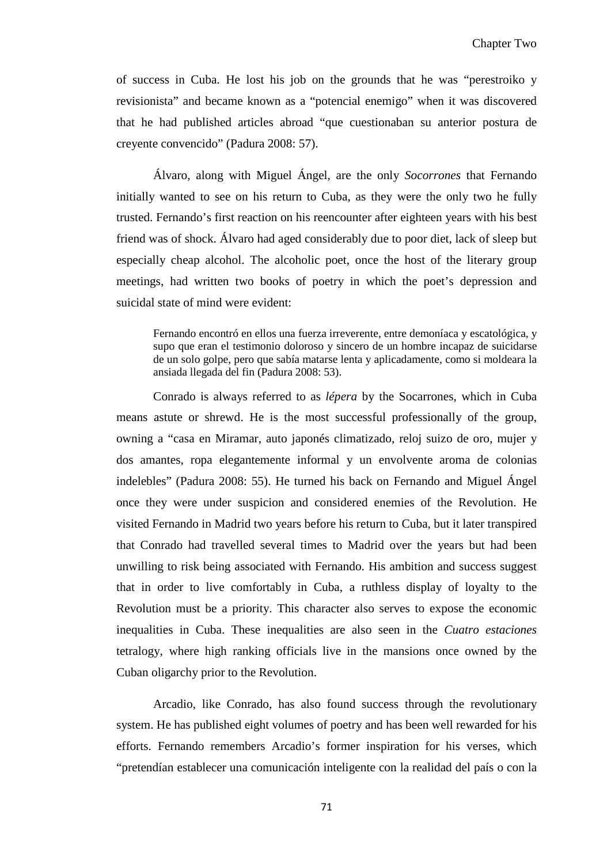of success in Cuba. He lost his job on the grounds that he was "perestroiko y revisionista" and became known as a "potencial enemigo" when it was discovered that he had published articles abroad "que cuestionaban su anterior postura de creyente convencido" (Padura 2008: 57).

Álvaro, along with Miguel Ángel, are the only *Socorrones* that Fernando initially wanted to see on his return to Cuba, as they were the only two he fully trusted. Fernando's first reaction on his reencounter after eighteen years with his best friend was of shock. Álvaro had aged considerably due to poor diet, lack of sleep but especially cheap alcohol. The alcoholic poet, once the host of the literary group meetings, had written two books of poetry in which the poet's depression and suicidal state of mind were evident:

Fernando encontró en ellos una fuerza irreverente, entre demoníaca y escatológica, y supo que eran el testimonio doloroso y sincero de un hombre incapaz de suicidarse de un solo golpe, pero que sabía matarse lenta y aplicadamente, como si moldeara la ansiada llegada del fin (Padura 2008: 53).

Conrado is always referred to as *lépera* by the Socarrones, which in Cuba means astute or shrewd. He is the most successful professionally of the group, owning a "casa en Miramar, auto japonés climatizado, reloj suizo de oro, mujer y dos amantes, ropa elegantemente informal y un envolvente aroma de colonias indelebles" (Padura 2008: 55). He turned his back on Fernando and Miguel Ángel once they were under suspicion and considered enemies of the Revolution. He visited Fernando in Madrid two years before his return to Cuba, but it later transpired that Conrado had travelled several times to Madrid over the years but had been unwilling to risk being associated with Fernando. His ambition and success suggest that in order to live comfortably in Cuba, a ruthless display of loyalty to the Revolution must be a priority. This character also serves to expose the economic inequalities in Cuba. These inequalities are also seen in the *Cuatro estaciones* tetralogy, where high ranking officials live in the mansions once owned by the Cuban oligarchy prior to the Revolution.

Arcadio, like Conrado, has also found success through the revolutionary system. He has published eight volumes of poetry and has been well rewarded for his efforts. Fernando remembers Arcadio's former inspiration for his verses, which "pretendían establecer una comunicación inteligente con la realidad del país o con la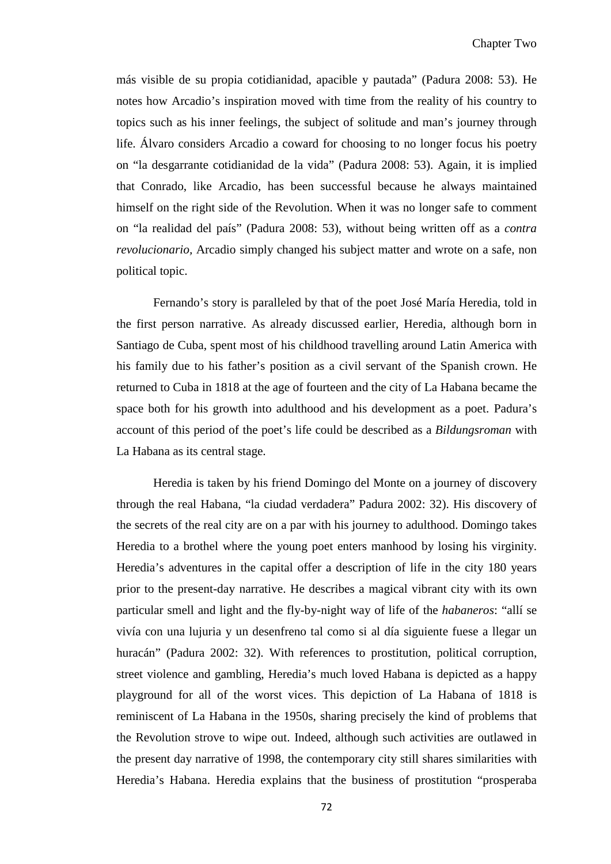más visible de su propia cotidianidad, apacible y pautada" (Padura 2008: 53). He notes how Arcadio's inspiration moved with time from the reality of his country to topics such as his inner feelings, the subject of solitude and man's journey through life. Álvaro considers Arcadio a coward for choosing to no longer focus his poetry on "la desgarrante cotidianidad de la vida" (Padura 2008: 53). Again, it is implied that Conrado, like Arcadio, has been successful because he always maintained himself on the right side of the Revolution. When it was no longer safe to comment on "la realidad del país" (Padura 2008: 53), without being written off as a *contra revolucionario,* Arcadio simply changed his subject matter and wrote on a safe, non political topic.

Fernando's story is paralleled by that of the poet José María Heredia, told in the first person narrative. As already discussed earlier, Heredia, although born in Santiago de Cuba, spent most of his childhood travelling around Latin America with his family due to his father's position as a civil servant of the Spanish crown. He returned to Cuba in 1818 at the age of fourteen and the city of La Habana became the space both for his growth into adulthood and his development as a poet. Padura's account of this period of the poet's life could be described as a *Bildungsroman* with La Habana as its central stage.

Heredia is taken by his friend Domingo del Monte on a journey of discovery through the real Habana, "la ciudad verdadera" Padura 2002: 32). His discovery of the secrets of the real city are on a par with his journey to adulthood. Domingo takes Heredia to a brothel where the young poet enters manhood by losing his virginity. Heredia's adventures in the capital offer a description of life in the city 180 years prior to the present-day narrative. He describes a magical vibrant city with its own particular smell and light and the fly-by-night way of life of the *habaneros*: "allí se vivía con una lujuria y un desenfreno tal como si al día siguiente fuese a llegar un huracán" (Padura 2002: 32). With references to prostitution, political corruption, street violence and gambling, Heredia's much loved Habana is depicted as a happy playground for all of the worst vices. This depiction of La Habana of 1818 is reminiscent of La Habana in the 1950s, sharing precisely the kind of problems that the Revolution strove to wipe out. Indeed, although such activities are outlawed in the present day narrative of 1998, the contemporary city still shares similarities with Heredia's Habana. Heredia explains that the business of prostitution "prosperaba

72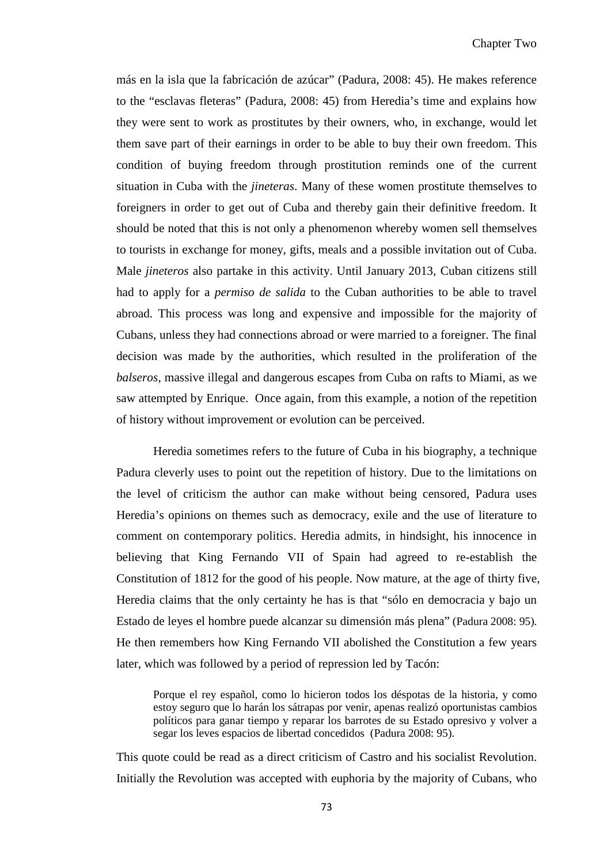más en la isla que la fabricación de azúcar" (Padura, 2008: 45). He makes reference to the "esclavas fleteras" (Padura, 2008: 45) from Heredia's time and explains how they were sent to work as prostitutes by their owners, who, in exchange, would let them save part of their earnings in order to be able to buy their own freedom. This condition of buying freedom through prostitution reminds one of the current situation in Cuba with the *jineteras*. Many of these women prostitute themselves to foreigners in order to get out of Cuba and thereby gain their definitive freedom. It should be noted that this is not only a phenomenon whereby women sell themselves to tourists in exchange for money, gifts, meals and a possible invitation out of Cuba. Male *jineteros* also partake in this activity. Until January 2013, Cuban citizens still had to apply for a *permiso de salida* to the Cuban authorities to be able to travel abroad. This process was long and expensive and impossible for the majority of Cubans, unless they had connections abroad or were married to a foreigner. The final decision was made by the authorities, which resulted in the proliferation of the *balseros*, massive illegal and dangerous escapes from Cuba on rafts to Miami, as we saw attempted by Enrique. Once again, from this example, a notion of the repetition of history without improvement or evolution can be perceived.

Heredia sometimes refers to the future of Cuba in his biography, a technique Padura cleverly uses to point out the repetition of history. Due to the limitations on the level of criticism the author can make without being censored, Padura uses Heredia's opinions on themes such as democracy, exile and the use of literature to comment on contemporary politics. Heredia admits, in hindsight, his innocence in believing that King Fernando VII of Spain had agreed to re-establish the Constitution of 1812 for the good of his people. Now mature, at the age of thirty five, Heredia claims that the only certainty he has is that "sólo en democracia y bajo un Estado de leyes el hombre puede alcanzar su dimensión más plena" (Padura 2008: 95). He then remembers how King Fernando VII abolished the Constitution a few years later, which was followed by a period of repression led by Tacón:

Porque el rey español, como lo hicieron todos los déspotas de la historia, y como estoy seguro que lo harán los sátrapas por venir, apenas realizó oportunistas cambios políticos para ganar tiempo y reparar los barrotes de su Estado opresivo y volver a segar los leves espacios de libertad concedidos (Padura 2008: 95).

This quote could be read as a direct criticism of Castro and his socialist Revolution. Initially the Revolution was accepted with euphoria by the majority of Cubans, who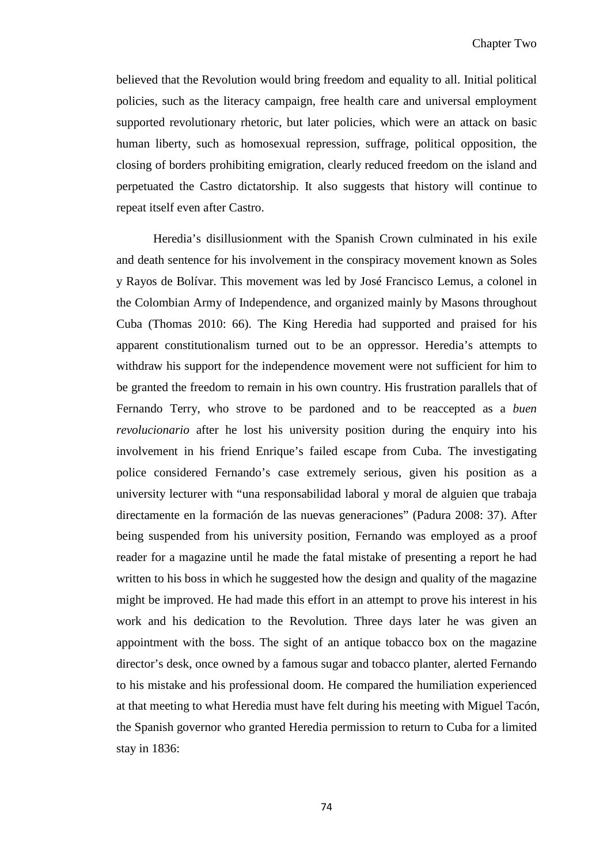believed that the Revolution would bring freedom and equality to all. Initial political policies, such as the literacy campaign, free health care and universal employment supported revolutionary rhetoric, but later policies, which were an attack on basic human liberty, such as homosexual repression, suffrage, political opposition, the closing of borders prohibiting emigration, clearly reduced freedom on the island and perpetuated the Castro dictatorship. It also suggests that history will continue to repeat itself even after Castro.

Heredia's disillusionment with the Spanish Crown culminated in his exile and death sentence for his involvement in the conspiracy movement known as Soles y Rayos de Bolívar. This movement was led by José Francisco Lemus, a colonel in the Colombian Army of Independence, and organized mainly by Masons throughout Cuba (Thomas 2010: 66). The King Heredia had supported and praised for his apparent constitutionalism turned out to be an oppressor. Heredia's attempts to withdraw his support for the independence movement were not sufficient for him to be granted the freedom to remain in his own country. His frustration parallels that of Fernando Terry, who strove to be pardoned and to be reaccepted as a *buen revolucionario* after he lost his university position during the enquiry into his involvement in his friend Enrique's failed escape from Cuba. The investigating police considered Fernando's case extremely serious, given his position as a university lecturer with "una responsabilidad laboral y moral de alguien que trabaja directamente en la formación de las nuevas generaciones" (Padura 2008: 37). After being suspended from his university position, Fernando was employed as a proof reader for a magazine until he made the fatal mistake of presenting a report he had written to his boss in which he suggested how the design and quality of the magazine might be improved. He had made this effort in an attempt to prove his interest in his work and his dedication to the Revolution. Three days later he was given an appointment with the boss. The sight of an antique tobacco box on the magazine director's desk, once owned by a famous sugar and tobacco planter, alerted Fernando to his mistake and his professional doom. He compared the humiliation experienced at that meeting to what Heredia must have felt during his meeting with Miguel Tacón, the Spanish governor who granted Heredia permission to return to Cuba for a limited stay in 1836: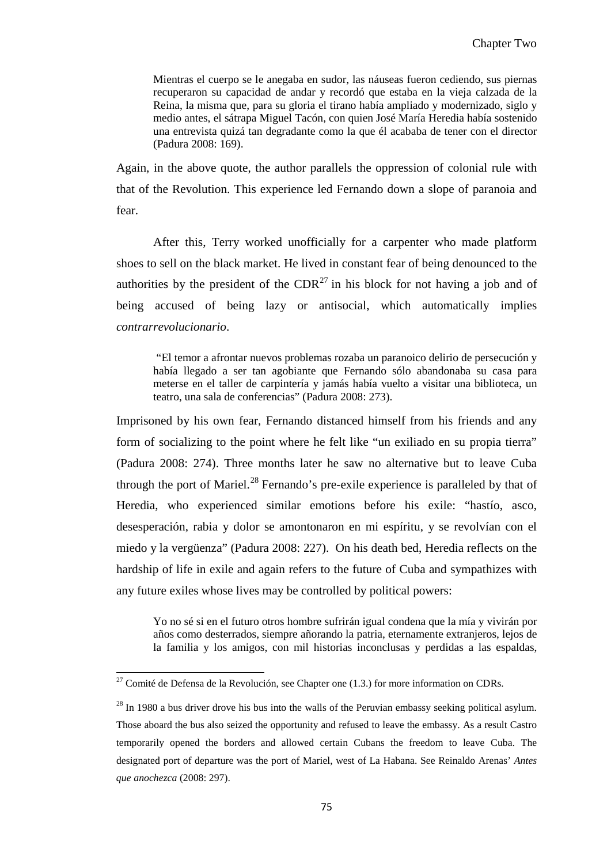Mientras el cuerpo se le anegaba en sudor, las náuseas fueron cediendo, sus piernas recuperaron su capacidad de andar y recordó que estaba en la vieja calzada de la Reina, la misma que, para su gloria el tirano había ampliado y modernizado, siglo y medio antes, el sátrapa Miguel Tacón, con quien José María Heredia había sostenido una entrevista quizá tan degradante como la que él acababa de tener con el director (Padura 2008: 169).

Again, in the above quote, the author parallels the oppression of colonial rule with that of the Revolution. This experience led Fernando down a slope of paranoia and fear.

After this, Terry worked unofficially for a carpenter who made platform shoes to sell on the black market. He lived in constant fear of being denounced to the authorities by the president of the  $CDR<sup>27</sup>$  $CDR<sup>27</sup>$  $CDR<sup>27</sup>$  in his block for not having a job and of being accused of being lazy or antisocial, which automatically implies *contrarrevolucionario*.

"El temor a afrontar nuevos problemas rozaba un paranoico delirio de persecución y había llegado a ser tan agobiante que Fernando sólo abandonaba su casa para meterse en el taller de carpintería y jamás había vuelto a visitar una biblioteca, un teatro, una sala de conferencias" (Padura 2008: 273).

Imprisoned by his own fear, Fernando distanced himself from his friends and any form of socializing to the point where he felt like "un exiliado en su propia tierra" (Padura 2008: 274). Three months later he saw no alternative but to leave Cuba through the port of Mariel.<sup>[28](#page-80-0)</sup> Fernando's pre-exile experience is paralleled by that of Heredia, who experienced similar emotions before his exile: "hastío, asco, desesperación, rabia y dolor se amontonaron en mi espíritu, y se revolvían con el miedo y la vergüenza" (Padura 2008: 227). On his death bed, Heredia reflects on the hardship of life in exile and again refers to the future of Cuba and sympathizes with any future exiles whose lives may be controlled by political powers:

Yo no sé si en el futuro otros hombre sufrirán igual condena que la mía y vivirán por años como desterrados, siempre añorando la patria, eternamente extranjeros, lejos de la familia y los amigos, con mil historias inconclusas y perdidas a las espaldas,

ı

<sup>&</sup>lt;sup>27</sup> Comité de Defensa de la Revolución, see Chapter one  $(1.3.)$  for more information on CDRs.

<span id="page-80-1"></span><span id="page-80-0"></span> $28$  In 1980 a bus driver drove his bus into the walls of the Peruvian embassy seeking political asylum. Those aboard the bus also seized the opportunity and refused to leave the embassy. As a result Castro temporarily opened the borders and allowed certain Cubans the freedom to leave Cuba. The designated port of departure was the port of Mariel, west of La Habana. See Reinaldo Arenas' *Antes que anochezca* (2008: 297).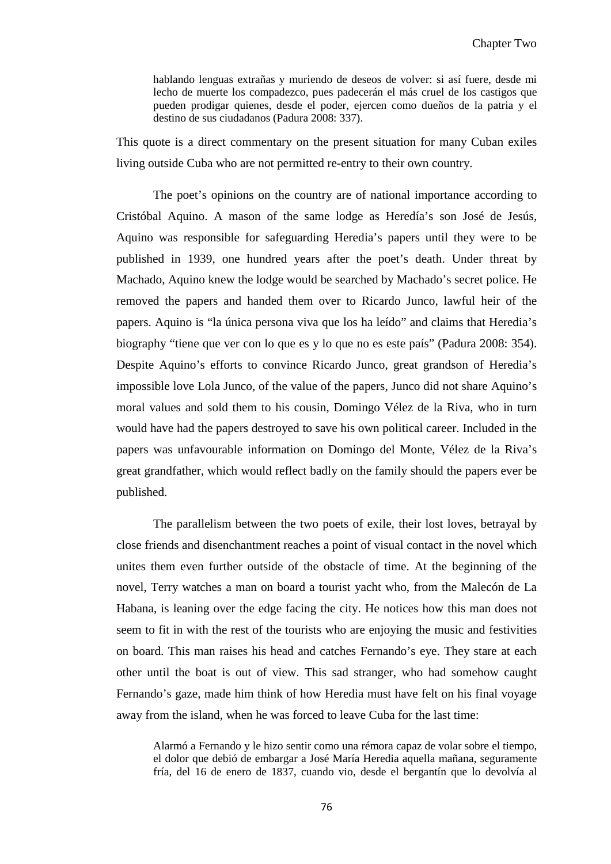hablando lenguas extrañas y muriendo de deseos de volver: si así fuere, desde mi lecho de muerte los compadezco, pues padecerán el más cruel de los castigos que pueden prodigar quienes, desde el poder, ejercen como dueños de la patria y el destino de sus ciudadanos (Padura 2008: 337).

This quote is a direct commentary on the present situation for many Cuban exiles living outside Cuba who are not permitted re-entry to their own country.

The poet's opinions on the country are of national importance according to Cristóbal Aquino. A mason of the same lodge as Heredía's son José de Jesús, Aquino was responsible for safeguarding Heredia's papers until they were to be published in 1939, one hundred years after the poet's death. Under threat by Machado, Aquino knew the lodge would be searched by Machado's secret police. He removed the papers and handed them over to Ricardo Junco, lawful heir of the papers. Aquino is "la única persona viva que los ha leído" and claims that Heredia's biography "tiene que ver con lo que es y lo que no es este país" (Padura 2008: 354). Despite Aquino's efforts to convince Ricardo Junco, great grandson of Heredia's impossible love Lola Junco, of the value of the papers, Junco did not share Aquino's moral values and sold them to his cousin, Domingo Vélez de la Riva, who in turn would have had the papers destroyed to save his own political career. Included in the papers was unfavourable information on Domingo del Monte, Vélez de la Riva's great grandfather, which would reflect badly on the family should the papers ever be published.

The parallelism between the two poets of exile, their lost loves, betrayal by close friends and disenchantment reaches a point of visual contact in the novel which unites them even further outside of the obstacle of time. At the beginning of the novel, Terry watches a man on board a tourist yacht who, from the Malecón de La Habana, is leaning over the edge facing the city. He notices how this man does not seem to fit in with the rest of the tourists who are enjoying the music and festivities on board. This man raises his head and catches Fernando's eye. They stare at each other until the boat is out of view. This sad stranger, who had somehow caught Fernando's gaze, made him think of how Heredia must have felt on his final voyage away from the island, when he was forced to leave Cuba for the last time:

Alarmó a Fernando y le hizo sentir como una rémora capaz de volar sobre el tiempo, el dolor que debió de embargar a José María Heredia aquella mañana, seguramente fría, del 16 de enero de 1837, cuando vio, desde el bergantín que lo devolvía al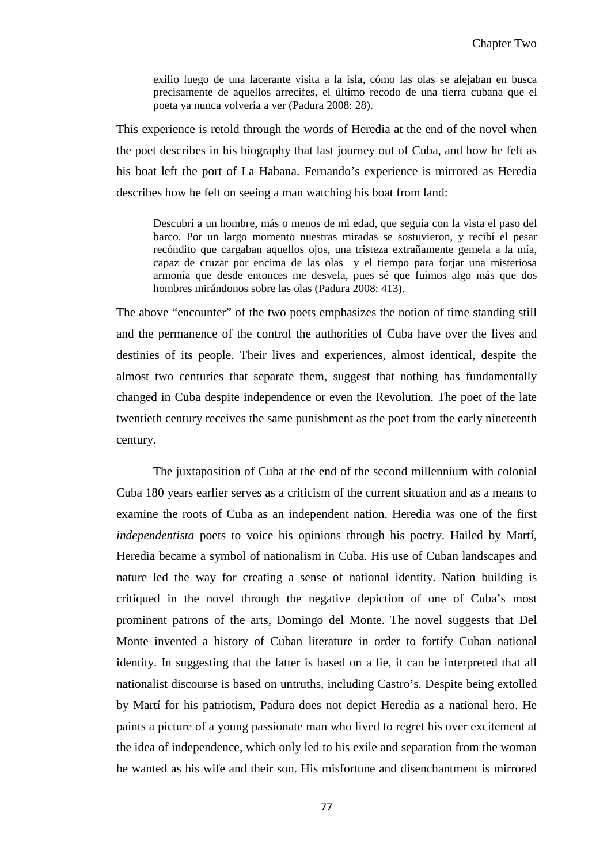exilio luego de una lacerante visita a la isla, cómo las olas se alejaban en busca precisamente de aquellos arrecifes, el último recodo de una tierra cubana que el poeta ya nunca volvería a ver (Padura 2008: 28).

This experience is retold through the words of Heredia at the end of the novel when the poet describes in his biography that last journey out of Cuba, and how he felt as his boat left the port of La Habana. Fernando's experience is mirrored as Heredia describes how he felt on seeing a man watching his boat from land:

Descubrí a un hombre, más o menos de mi edad, que seguía con la vista el paso del barco. Por un largo momento nuestras miradas se sostuvieron, y recibí el pesar recóndito que cargaban aquellos ojos, una tristeza extrañamente gemela a la mía, capaz de cruzar por encima de las olas y el tiempo para forjar una misteriosa armonía que desde entonces me desvela, pues sé que fuimos algo más que dos hombres mirándonos sobre las olas (Padura 2008: 413).

The above "encounter" of the two poets emphasizes the notion of time standing still and the permanence of the control the authorities of Cuba have over the lives and destinies of its people. Their lives and experiences, almost identical, despite the almost two centuries that separate them, suggest that nothing has fundamentally changed in Cuba despite independence or even the Revolution. The poet of the late twentieth century receives the same punishment as the poet from the early nineteenth century.

The juxtaposition of Cuba at the end of the second millennium with colonial Cuba 180 years earlier serves as a criticism of the current situation and as a means to examine the roots of Cuba as an independent nation. Heredia was one of the first *independentista* poets to voice his opinions through his poetry. Hailed by Martí, Heredia became a symbol of nationalism in Cuba. His use of Cuban landscapes and nature led the way for creating a sense of national identity. Nation building is critiqued in the novel through the negative depiction of one of Cuba's most prominent patrons of the arts, Domingo del Monte. The novel suggests that Del Monte invented a history of Cuban literature in order to fortify Cuban national identity. In suggesting that the latter is based on a lie, it can be interpreted that all nationalist discourse is based on untruths, including Castro's. Despite being extolled by Martí for his patriotism, Padura does not depict Heredia as a national hero. He paints a picture of a young passionate man who lived to regret his over excitement at the idea of independence, which only led to his exile and separation from the woman he wanted as his wife and their son. His misfortune and disenchantment is mirrored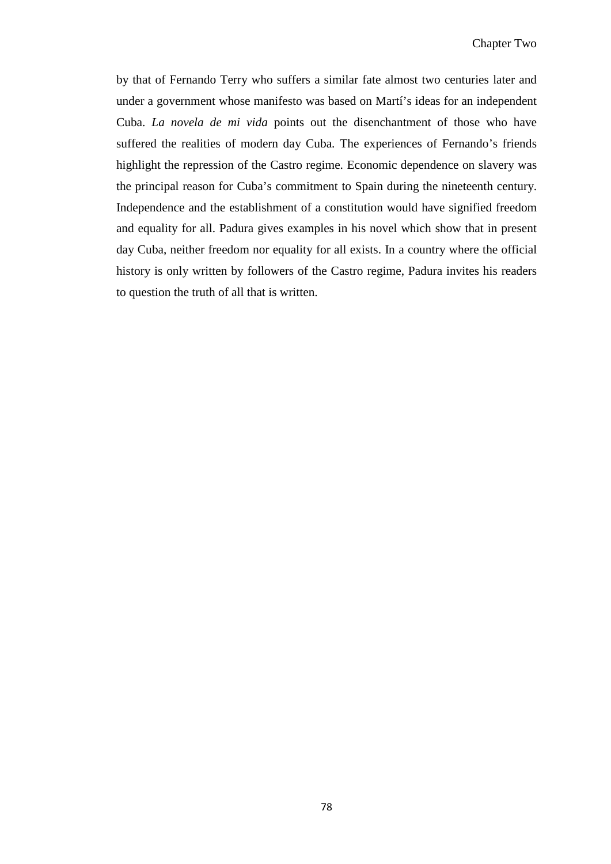by that of Fernando Terry who suffers a similar fate almost two centuries later and under a government whose manifesto was based on Martí's ideas for an independent Cuba. *La novela de mi vida* points out the disenchantment of those who have suffered the realities of modern day Cuba. The experiences of Fernando's friends highlight the repression of the Castro regime. Economic dependence on slavery was the principal reason for Cuba's commitment to Spain during the nineteenth century. Independence and the establishment of a constitution would have signified freedom and equality for all. Padura gives examples in his novel which show that in present day Cuba, neither freedom nor equality for all exists. In a country where the official history is only written by followers of the Castro regime, Padura invites his readers to question the truth of all that is written.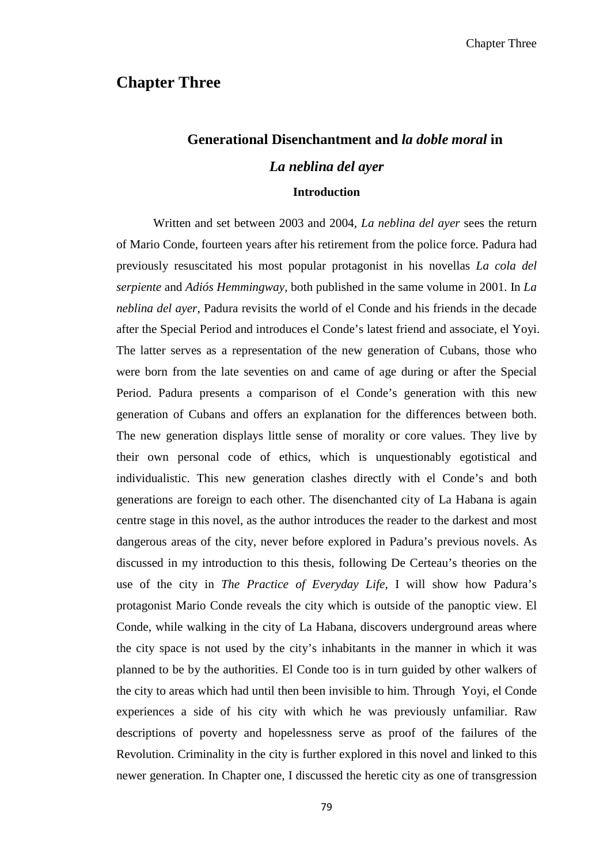## **Chapter Three**

# **Generational Disenchantment and** *la doble moral* **in**  *La neblina del ayer*

## **Introduction**

Written and set between 2003 and 2004, *La neblina del ayer* sees the return of Mario Conde, fourteen years after his retirement from the police force. Padura had previously resuscitated his most popular protagonist in his novellas *La cola del serpiente* and *Adiós Hemmingway*, both published in the same volume in 2001. In *La neblina del ayer*, Padura revisits the world of el Conde and his friends in the decade after the Special Period and introduces el Conde's latest friend and associate, el Yoyi. The latter serves as a representation of the new generation of Cubans, those who were born from the late seventies on and came of age during or after the Special Period. Padura presents a comparison of el Conde's generation with this new generation of Cubans and offers an explanation for the differences between both. The new generation displays little sense of morality or core values. They live by their own personal code of ethics, which is unquestionably egotistical and individualistic. This new generation clashes directly with el Conde's and both generations are foreign to each other. The disenchanted city of La Habana is again centre stage in this novel, as the author introduces the reader to the darkest and most dangerous areas of the city, never before explored in Padura's previous novels. As discussed in my introduction to this thesis, following De Certeau's theories on the use of the city in *The Practice of Everyday Life*, I will show how Padura's protagonist Mario Conde reveals the city which is outside of the panoptic view. El Conde, while walking in the city of La Habana, discovers underground areas where the city space is not used by the city's inhabitants in the manner in which it was planned to be by the authorities. El Conde too is in turn guided by other walkers of the city to areas which had until then been invisible to him. Through Yoyi, el Conde experiences a side of his city with which he was previously unfamiliar. Raw descriptions of poverty and hopelessness serve as proof of the failures of the Revolution. Criminality in the city is further explored in this novel and linked to this newer generation. In Chapter one, I discussed the heretic city as one of transgression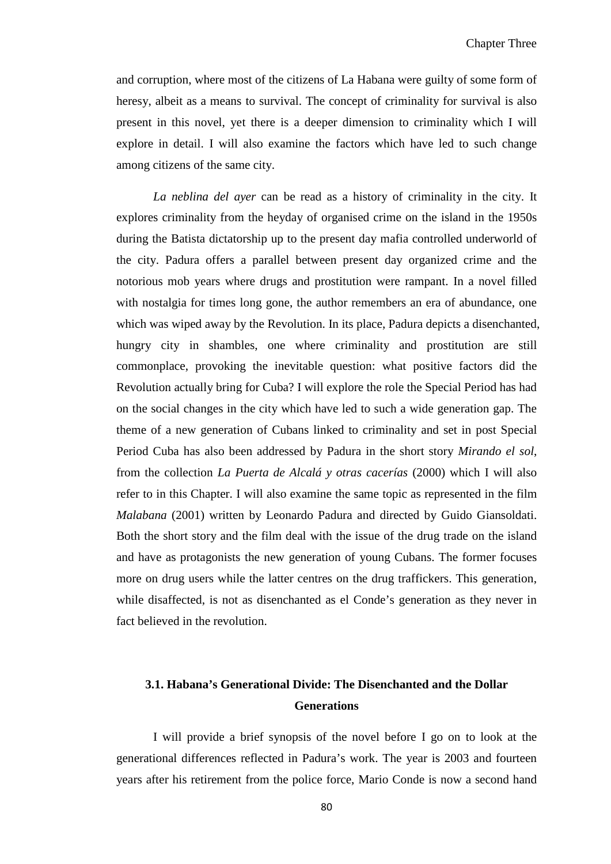and corruption, where most of the citizens of La Habana were guilty of some form of heresy, albeit as a means to survival. The concept of criminality for survival is also present in this novel, yet there is a deeper dimension to criminality which I will explore in detail. I will also examine the factors which have led to such change among citizens of the same city.

*La neblina del ayer* can be read as a history of criminality in the city. It explores criminality from the heyday of organised crime on the island in the 1950s during the Batista dictatorship up to the present day mafia controlled underworld of the city. Padura offers a parallel between present day organized crime and the notorious mob years where drugs and prostitution were rampant. In a novel filled with nostalgia for times long gone, the author remembers an era of abundance, one which was wiped away by the Revolution. In its place, Padura depicts a disenchanted, hungry city in shambles, one where criminality and prostitution are still commonplace, provoking the inevitable question: what positive factors did the Revolution actually bring for Cuba? I will explore the role the Special Period has had on the social changes in the city which have led to such a wide generation gap. The theme of a new generation of Cubans linked to criminality and set in post Special Period Cuba has also been addressed by Padura in the short story *Mirando el sol*, from the collection *La Puerta de Alcalá y otras cacerías* (2000) which I will also refer to in this Chapter. I will also examine the same topic as represented in the film *Malabana* (2001) written by Leonardo Padura and directed by Guido Giansoldati. Both the short story and the film deal with the issue of the drug trade on the island and have as protagonists the new generation of young Cubans. The former focuses more on drug users while the latter centres on the drug traffickers. This generation, while disaffected, is not as disenchanted as el Conde's generation as they never in fact believed in the revolution.

# **3.1. Habana's Generational Divide: The Disenchanted and the Dollar Generations**

I will provide a brief synopsis of the novel before I go on to look at the generational differences reflected in Padura's work. The year is 2003 and fourteen years after his retirement from the police force, Mario Conde is now a second hand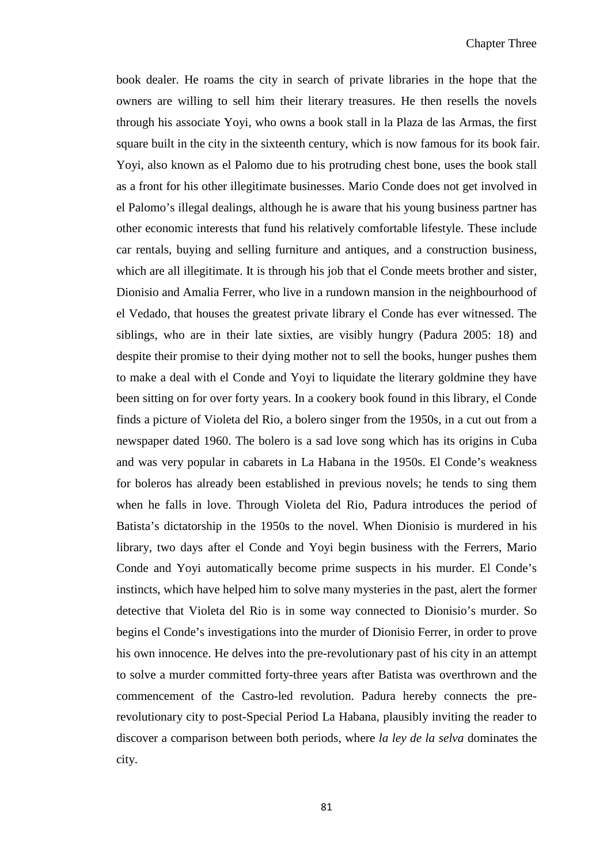book dealer. He roams the city in search of private libraries in the hope that the owners are willing to sell him their literary treasures. He then resells the novels through his associate Yoyi, who owns a book stall in la Plaza de las Armas, the first square built in the city in the sixteenth century, which is now famous for its book fair. Yoyi, also known as el Palomo due to his protruding chest bone, uses the book stall as a front for his other illegitimate businesses. Mario Conde does not get involved in el Palomo's illegal dealings, although he is aware that his young business partner has other economic interests that fund his relatively comfortable lifestyle. These include car rentals, buying and selling furniture and antiques, and a construction business, which are all illegitimate. It is through his job that el Conde meets brother and sister, Dionisio and Amalia Ferrer, who live in a rundown mansion in the neighbourhood of el Vedado, that houses the greatest private library el Conde has ever witnessed. The siblings, who are in their late sixties, are visibly hungry (Padura 2005: 18) and despite their promise to their dying mother not to sell the books, hunger pushes them to make a deal with el Conde and Yoyi to liquidate the literary goldmine they have been sitting on for over forty years. In a cookery book found in this library, el Conde finds a picture of Violeta del Rio, a bolero singer from the 1950s, in a cut out from a newspaper dated 1960. The bolero is a sad love song which has its origins in Cuba and was very popular in cabarets in La Habana in the 1950s. El Conde's weakness for boleros has already been established in previous novels; he tends to sing them when he falls in love. Through Violeta del Rio, Padura introduces the period of Batista's dictatorship in the 1950s to the novel. When Dionisio is murdered in his library, two days after el Conde and Yoyi begin business with the Ferrers, Mario Conde and Yoyi automatically become prime suspects in his murder. El Conde's instincts, which have helped him to solve many mysteries in the past, alert the former detective that Violeta del Rio is in some way connected to Dionisio's murder. So begins el Conde's investigations into the murder of Dionisio Ferrer, in order to prove his own innocence. He delves into the pre-revolutionary past of his city in an attempt to solve a murder committed forty-three years after Batista was overthrown and the commencement of the Castro-led revolution. Padura hereby connects the prerevolutionary city to post-Special Period La Habana, plausibly inviting the reader to discover a comparison between both periods, where *la ley de la selva* dominates the city.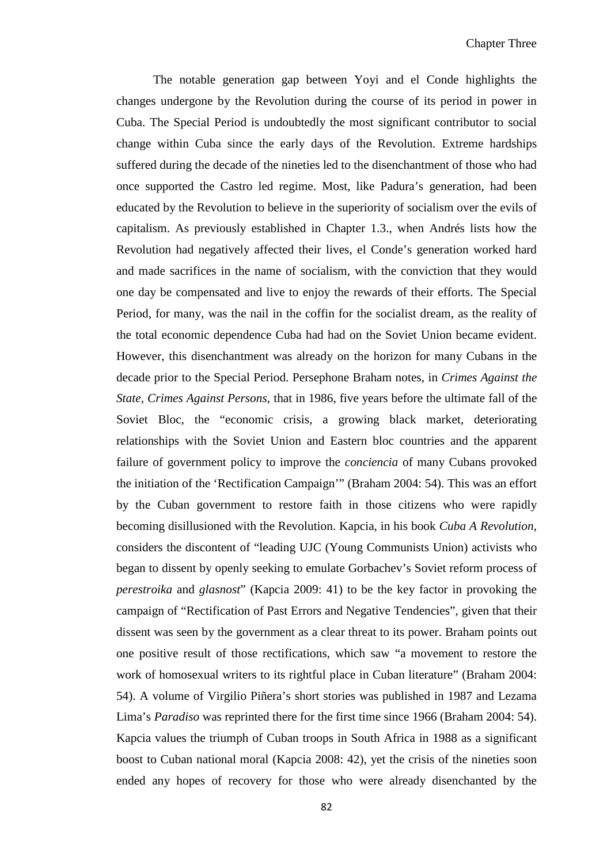The notable generation gap between Yoyi and el Conde highlights the changes undergone by the Revolution during the course of its period in power in Cuba. The Special Period is undoubtedly the most significant contributor to social change within Cuba since the early days of the Revolution. Extreme hardships suffered during the decade of the nineties led to the disenchantment of those who had once supported the Castro led regime. Most, like Padura's generation, had been educated by the Revolution to believe in the superiority of socialism over the evils of capitalism. As previously established in Chapter 1.3., when Andrés lists how the Revolution had negatively affected their lives, el Conde's generation worked hard and made sacrifices in the name of socialism, with the conviction that they would one day be compensated and live to enjoy the rewards of their efforts. The Special Period, for many, was the nail in the coffin for the socialist dream, as the reality of the total economic dependence Cuba had had on the Soviet Union became evident. However, this disenchantment was already on the horizon for many Cubans in the decade prior to the Special Period. Persephone Braham notes, in *Crimes Against the State, Crimes Against Persons*, that in 1986, five years before the ultimate fall of the Soviet Bloc, the "economic crisis, a growing black market, deteriorating relationships with the Soviet Union and Eastern bloc countries and the apparent failure of government policy to improve the *conciencia* of many Cubans provoked the initiation of the 'Rectification Campaign'" (Braham 2004: 54). This was an effort by the Cuban government to restore faith in those citizens who were rapidly becoming disillusioned with the Revolution. Kapcia, in his book *Cuba A Revolution*, considers the discontent of "leading UJC (Young Communists Union) activists who began to dissent by openly seeking to emulate Gorbachev's Soviet reform process of *perestroika* and *glasnost*" (Kapcia 2009: 41) to be the key factor in provoking the campaign of "Rectification of Past Errors and Negative Tendencies", given that their dissent was seen by the government as a clear threat to its power. Braham points out one positive result of those rectifications, which saw "a movement to restore the work of homosexual writers to its rightful place in Cuban literature" (Braham 2004: 54). A volume of Virgilio Piñera's short stories was published in 1987 and Lezama Lima's *Paradiso* was reprinted there for the first time since 1966 (Braham 2004: 54). Kapcia values the triumph of Cuban troops in South Africa in 1988 as a significant boost to Cuban national moral (Kapcia 2008: 42), yet the crisis of the nineties soon ended any hopes of recovery for those who were already disenchanted by the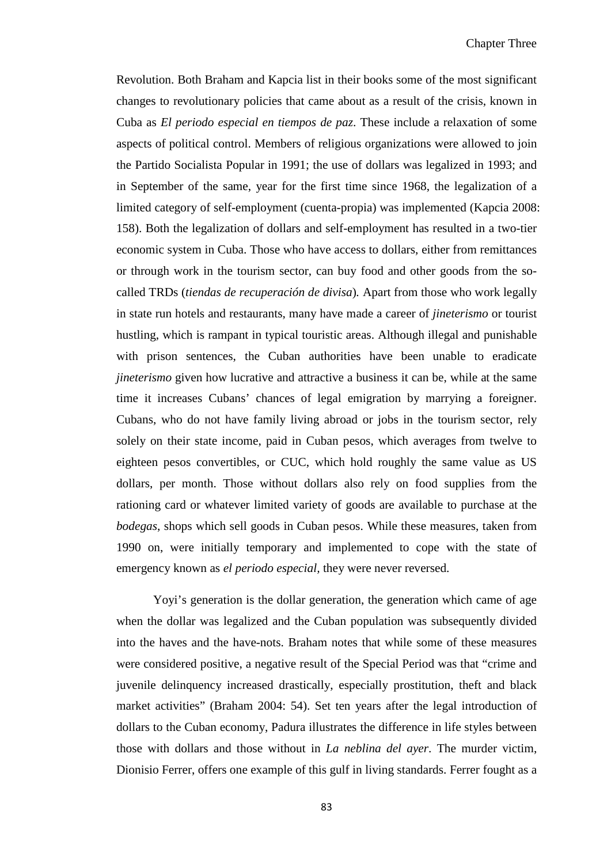Revolution. Both Braham and Kapcia list in their books some of the most significant changes to revolutionary policies that came about as a result of the crisis, known in Cuba as *El periodo especial en tiempos de paz*. These include a relaxation of some aspects of political control. Members of religious organizations were allowed to join the Partido Socialista Popular in 1991; the use of dollars was legalized in 1993; and in September of the same, year for the first time since 1968, the legalization of a limited category of self-employment (cuenta-propia) was implemented (Kapcia 2008: 158). Both the legalization of dollars and self-employment has resulted in a two-tier economic system in Cuba. Those who have access to dollars, either from remittances or through work in the tourism sector, can buy food and other goods from the socalled TRDs (*tiendas de recuperación de divisa*)*.* Apart from those who work legally in state run hotels and restaurants, many have made a career of *jineterismo* or tourist hustling, which is rampant in typical touristic areas. Although illegal and punishable with prison sentences, the Cuban authorities have been unable to eradicate *jineterismo* given how lucrative and attractive a business it can be, while at the same time it increases Cubans' chances of legal emigration by marrying a foreigner. Cubans, who do not have family living abroad or jobs in the tourism sector, rely solely on their state income, paid in Cuban pesos, which averages from twelve to eighteen pesos convertibles, or CUC, which hold roughly the same value as US dollars, per month. Those without dollars also rely on food supplies from the rationing card or whatever limited variety of goods are available to purchase at the *bodegas*, shops which sell goods in Cuban pesos. While these measures, taken from 1990 on, were initially temporary and implemented to cope with the state of emergency known as *el periodo especial,* they were never reversed.

Yoyi's generation is the dollar generation, the generation which came of age when the dollar was legalized and the Cuban population was subsequently divided into the haves and the have-nots. Braham notes that while some of these measures were considered positive, a negative result of the Special Period was that "crime and juvenile delinquency increased drastically, especially prostitution, theft and black market activities" (Braham 2004: 54). Set ten years after the legal introduction of dollars to the Cuban economy, Padura illustrates the difference in life styles between those with dollars and those without in *La neblina del ayer*. The murder victim, Dionisio Ferrer, offers one example of this gulf in living standards. Ferrer fought as a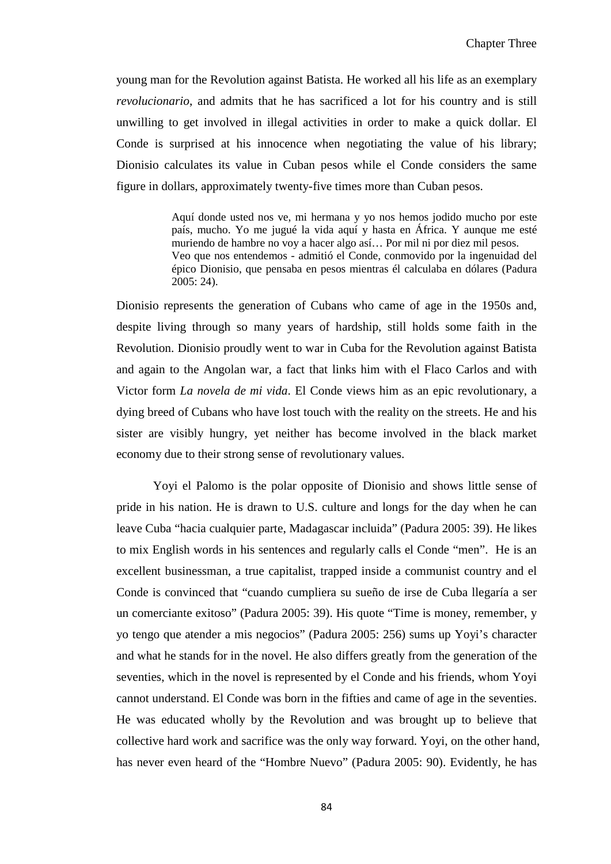young man for the Revolution against Batista. He worked all his life as an exemplary *revolucionario*, and admits that he has sacrificed a lot for his country and is still unwilling to get involved in illegal activities in order to make a quick dollar. El Conde is surprised at his innocence when negotiating the value of his library; Dionisio calculates its value in Cuban pesos while el Conde considers the same figure in dollars, approximately twenty-five times more than Cuban pesos.

> Aquí donde usted nos ve, mi hermana y yo nos hemos jodido mucho por este país, mucho. Yo me jugué la vida aquí y hasta en África. Y aunque me esté muriendo de hambre no voy a hacer algo así… Por mil ni por diez mil pesos. Veo que nos entendemos - admitió el Conde, conmovido por la ingenuidad del épico Dionisio, que pensaba en pesos mientras él calculaba en dólares (Padura 2005: 24).

Dionisio represents the generation of Cubans who came of age in the 1950s and, despite living through so many years of hardship, still holds some faith in the Revolution. Dionisio proudly went to war in Cuba for the Revolution against Batista and again to the Angolan war, a fact that links him with el Flaco Carlos and with Victor form *La novela de mi vida*. El Conde views him as an epic revolutionary, a dying breed of Cubans who have lost touch with the reality on the streets. He and his sister are visibly hungry, yet neither has become involved in the black market economy due to their strong sense of revolutionary values.

Yoyi el Palomo is the polar opposite of Dionisio and shows little sense of pride in his nation. He is drawn to U.S. culture and longs for the day when he can leave Cuba "hacia cualquier parte, Madagascar incluida" (Padura 2005: 39). He likes to mix English words in his sentences and regularly calls el Conde "men". He is an excellent businessman, a true capitalist, trapped inside a communist country and el Conde is convinced that "cuando cumpliera su sueño de irse de Cuba llegaría a ser un comerciante exitoso" (Padura 2005: 39). His quote "Time is money, remember, y yo tengo que atender a mis negocios" (Padura 2005: 256) sums up Yoyi's character and what he stands for in the novel. He also differs greatly from the generation of the seventies, which in the novel is represented by el Conde and his friends, whom Yoyi cannot understand. El Conde was born in the fifties and came of age in the seventies. He was educated wholly by the Revolution and was brought up to believe that collective hard work and sacrifice was the only way forward. Yoyi, on the other hand, has never even heard of the "Hombre Nuevo" (Padura 2005: 90). Evidently, he has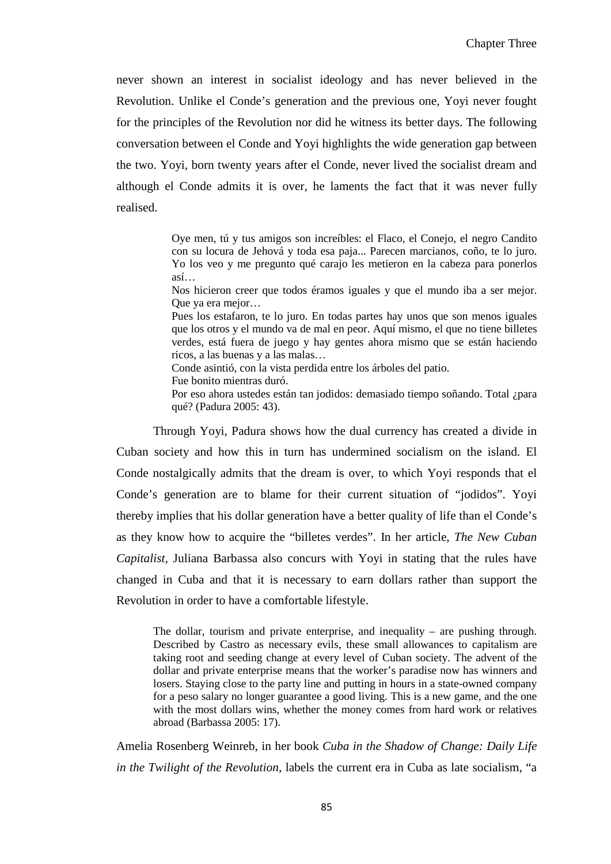never shown an interest in socialist ideology and has never believed in the Revolution. Unlike el Conde's generation and the previous one, Yoyi never fought for the principles of the Revolution nor did he witness its better days. The following conversation between el Conde and Yoyi highlights the wide generation gap between the two. Yoyi, born twenty years after el Conde, never lived the socialist dream and although el Conde admits it is over, he laments the fact that it was never fully realised.

> Oye men, tú y tus amigos son increíbles: el Flaco, el Conejo, el negro Candito con su locura de Jehová y toda esa paja... Parecen marcianos, coño, te lo juro. Yo los veo y me pregunto qué carajo les metieron en la cabeza para ponerlos así…

> Nos hicieron creer que todos éramos iguales y que el mundo iba a ser mejor. Que ya era mejor…

> Pues los estafaron, te lo juro. En todas partes hay unos que son menos iguales que los otros y el mundo va de mal en peor. Aquí mismo, el que no tiene billetes verdes, está fuera de juego y hay gentes ahora mismo que se están haciendo ricos, a las buenas y a las malas…

Conde asintió, con la vista perdida entre los árboles del patio.

Fue bonito mientras duró.

Por eso ahora ustedes están tan jodidos: demasiado tiempo soñando. Total ¿para qué? (Padura 2005: 43).

Through Yoyi, Padura shows how the dual currency has created a divide in Cuban society and how this in turn has undermined socialism on the island. El Conde nostalgically admits that the dream is over, to which Yoyi responds that el Conde's generation are to blame for their current situation of "jodidos". Yoyi thereby implies that his dollar generation have a better quality of life than el Conde's as they know how to acquire the "billetes verdes". In her article, *The New Cuban Capitalist*, Juliana Barbassa also concurs with Yoyi in stating that the rules have changed in Cuba and that it is necessary to earn dollars rather than support the Revolution in order to have a comfortable lifestyle.

The dollar, tourism and private enterprise, and inequality – are pushing through. Described by Castro as necessary evils, these small allowances to capitalism are taking root and seeding change at every level of Cuban society. The advent of the dollar and private enterprise means that the worker's paradise now has winners and losers. Staying close to the party line and putting in hours in a state-owned company for a peso salary no longer guarantee a good living. This is a new game, and the one with the most dollars wins, whether the money comes from hard work or relatives abroad (Barbassa 2005: 17).

Amelia Rosenberg Weinreb, in her book *Cuba in the Shadow of Change: Daily Life in the Twilight of the Revolution,* labels the current era in Cuba as late socialism, "a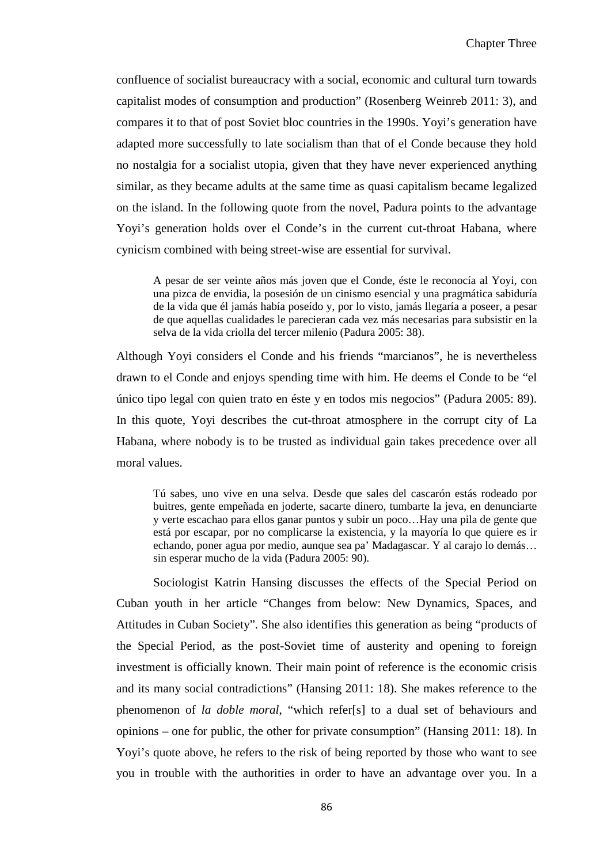confluence of socialist bureaucracy with a social, economic and cultural turn towards capitalist modes of consumption and production" (Rosenberg Weinreb 2011: 3), and compares it to that of post Soviet bloc countries in the 1990s. Yoyi's generation have adapted more successfully to late socialism than that of el Conde because they hold no nostalgia for a socialist utopia, given that they have never experienced anything similar, as they became adults at the same time as quasi capitalism became legalized on the island. In the following quote from the novel, Padura points to the advantage Yoyi's generation holds over el Conde's in the current cut-throat Habana, where cynicism combined with being street-wise are essential for survival.

A pesar de ser veinte años más joven que el Conde, éste le reconocía al Yoyi, con una pizca de envidia, la posesión de un cinismo esencial y una pragmática sabiduría de la vida que él jamás había poseído y, por lo visto, jamás llegaría a poseer, a pesar de que aquellas cualidades le parecieran cada vez más necesarias para subsistir en la selva de la vida criolla del tercer milenio (Padura 2005: 38).

Although Yoyi considers el Conde and his friends "marcianos", he is nevertheless drawn to el Conde and enjoys spending time with him. He deems el Conde to be "el único tipo legal con quien trato en éste y en todos mis negocios" (Padura 2005: 89). In this quote, Yoyi describes the cut-throat atmosphere in the corrupt city of La Habana, where nobody is to be trusted as individual gain takes precedence over all moral values.

Tú sabes, uno vive en una selva. Desde que sales del cascarón estás rodeado por buitres, gente empeñada en joderte, sacarte dinero, tumbarte la jeva, en denunciarte y verte escachao para ellos ganar puntos y subir un poco…Hay una pila de gente que está por escapar, por no complicarse la existencia, y la mayoría lo que quiere es ir echando, poner agua por medio, aunque sea pa' Madagascar. Y al carajo lo demás… sin esperar mucho de la vida (Padura 2005: 90).

Sociologist Katrin Hansing discusses the effects of the Special Period on Cuban youth in her article "Changes from below: New Dynamics, Spaces, and Attitudes in Cuban Society". She also identifies this generation as being "products of the Special Period, as the post-Soviet time of austerity and opening to foreign investment is officially known. Their main point of reference is the economic crisis and its many social contradictions" (Hansing 2011: 18). She makes reference to the phenomenon of *la doble moral*, "which refer[s] to a dual set of behaviours and opinions – one for public, the other for private consumption" (Hansing 2011: 18). In Yoyi's quote above, he refers to the risk of being reported by those who want to see you in trouble with the authorities in order to have an advantage over you. In a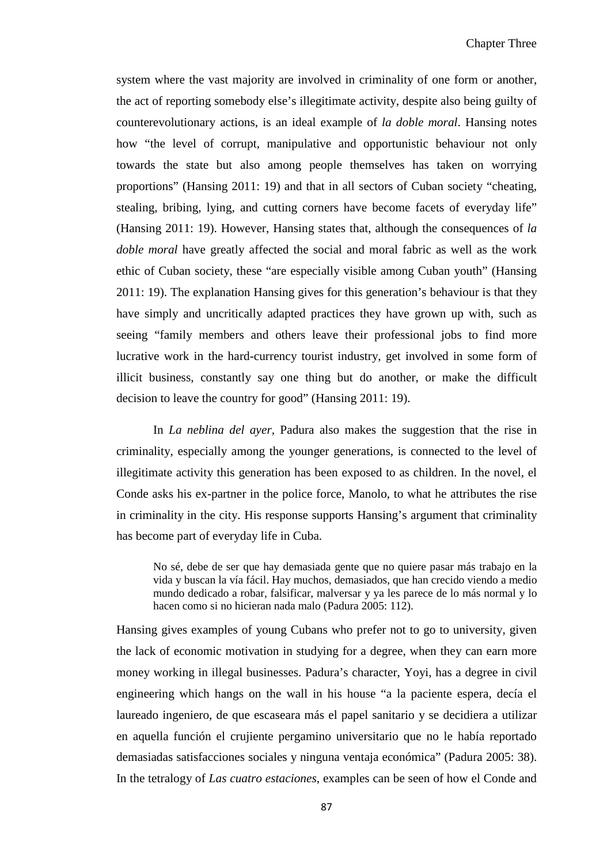system where the vast majority are involved in criminality of one form or another, the act of reporting somebody else's illegitimate activity, despite also being guilty of counterevolutionary actions, is an ideal example of *la doble moral*. Hansing notes how "the level of corrupt, manipulative and opportunistic behaviour not only towards the state but also among people themselves has taken on worrying proportions" (Hansing 2011: 19) and that in all sectors of Cuban society "cheating, stealing, bribing, lying, and cutting corners have become facets of everyday life" (Hansing 2011: 19). However, Hansing states that, although the consequences of *la doble moral* have greatly affected the social and moral fabric as well as the work ethic of Cuban society, these "are especially visible among Cuban youth" (Hansing 2011: 19). The explanation Hansing gives for this generation's behaviour is that they have simply and uncritically adapted practices they have grown up with, such as seeing "family members and others leave their professional jobs to find more lucrative work in the hard-currency tourist industry, get involved in some form of illicit business, constantly say one thing but do another, or make the difficult decision to leave the country for good" (Hansing 2011: 19).

In *La neblina del ayer,* Padura also makes the suggestion that the rise in criminality, especially among the younger generations, is connected to the level of illegitimate activity this generation has been exposed to as children. In the novel, el Conde asks his ex-partner in the police force, Manolo, to what he attributes the rise in criminality in the city. His response supports Hansing's argument that criminality has become part of everyday life in Cuba.

No sé, debe de ser que hay demasiada gente que no quiere pasar más trabajo en la vida y buscan la vía fácil. Hay muchos, demasiados, que han crecido viendo a medio mundo dedicado a robar, falsificar, malversar y ya les parece de lo más normal y lo hacen como si no hicieran nada malo (Padura 2005: 112).

Hansing gives examples of young Cubans who prefer not to go to university, given the lack of economic motivation in studying for a degree, when they can earn more money working in illegal businesses. Padura's character, Yoyi, has a degree in civil engineering which hangs on the wall in his house "a la paciente espera, decía el laureado ingeniero, de que escaseara más el papel sanitario y se decidiera a utilizar en aquella función el crujiente pergamino universitario que no le había reportado demasiadas satisfacciones sociales y ninguna ventaja económica" (Padura 2005: 38). In the tetralogy of *Las cuatro estaciones*, examples can be seen of how el Conde and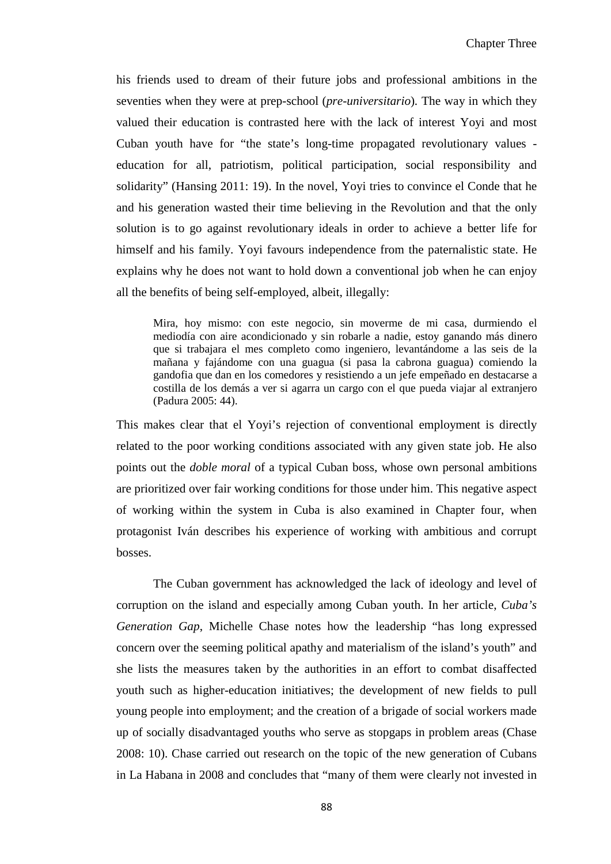his friends used to dream of their future jobs and professional ambitions in the seventies when they were at prep-school (*pre-universitario*)*.* The way in which they valued their education is contrasted here with the lack of interest Yoyi and most Cuban youth have for "the state's long-time propagated revolutionary values education for all, patriotism, political participation, social responsibility and solidarity" (Hansing 2011: 19). In the novel, Yoyi tries to convince el Conde that he and his generation wasted their time believing in the Revolution and that the only solution is to go against revolutionary ideals in order to achieve a better life for himself and his family. Yoyi favours independence from the paternalistic state. He explains why he does not want to hold down a conventional job when he can enjoy all the benefits of being self-employed, albeit, illegally:

Mira, hoy mismo: con este negocio, sin moverme de mi casa, durmiendo el mediodía con aire acondicionado y sin robarle a nadie, estoy ganando más dinero que si trabajara el mes completo como ingeniero, levantándome a las seis de la mañana y fajándome con una guagua (si pasa la cabrona guagua) comiendo la gandofia que dan en los comedores y resistiendo a un jefe empeñado en destacarse a costilla de los demás a ver si agarra un cargo con el que pueda viajar al extranjero (Padura 2005: 44).

This makes clear that el Yoyi's rejection of conventional employment is directly related to the poor working conditions associated with any given state job. He also points out the *doble moral* of a typical Cuban boss, whose own personal ambitions are prioritized over fair working conditions for those under him. This negative aspect of working within the system in Cuba is also examined in Chapter four, when protagonist Iván describes his experience of working with ambitious and corrupt bosses.

The Cuban government has acknowledged the lack of ideology and level of corruption on the island and especially among Cuban youth. In her article, *Cuba's Generation Gap*, Michelle Chase notes how the leadership "has long expressed concern over the seeming political apathy and materialism of the island's youth" and she lists the measures taken by the authorities in an effort to combat disaffected youth such as higher-education initiatives; the development of new fields to pull young people into employment; and the creation of a brigade of social workers made up of socially disadvantaged youths who serve as stopgaps in problem areas (Chase 2008: 10). Chase carried out research on the topic of the new generation of Cubans in La Habana in 2008 and concludes that "many of them were clearly not invested in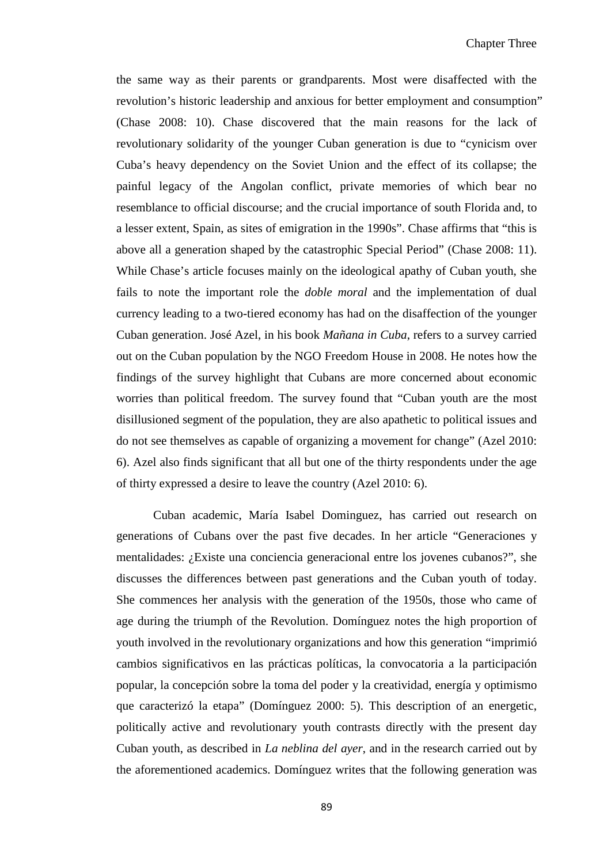the same way as their parents or grandparents. Most were disaffected with the revolution's historic leadership and anxious for better employment and consumption" (Chase 2008: 10). Chase discovered that the main reasons for the lack of revolutionary solidarity of the younger Cuban generation is due to "cynicism over Cuba's heavy dependency on the Soviet Union and the effect of its collapse; the painful legacy of the Angolan conflict, private memories of which bear no resemblance to official discourse; and the crucial importance of south Florida and, to a lesser extent, Spain, as sites of emigration in the 1990s". Chase affirms that "this is above all a generation shaped by the catastrophic Special Period" (Chase 2008: 11). While Chase's article focuses mainly on the ideological apathy of Cuban youth, she fails to note the important role the *doble moral* and the implementation of dual currency leading to a two-tiered economy has had on the disaffection of the younger Cuban generation. José Azel, in his book *Mañana in Cuba*, refers to a survey carried out on the Cuban population by the NGO Freedom House in 2008. He notes how the findings of the survey highlight that Cubans are more concerned about economic worries than political freedom. The survey found that "Cuban youth are the most disillusioned segment of the population, they are also apathetic to political issues and do not see themselves as capable of organizing a movement for change" (Azel 2010: 6). Azel also finds significant that all but one of the thirty respondents under the age of thirty expressed a desire to leave the country (Azel 2010: 6).

Cuban academic, María Isabel Dominguez, has carried out research on generations of Cubans over the past five decades. In her article "Generaciones y mentalidades: ¿Existe una conciencia generacional entre los jovenes cubanos?", she discusses the differences between past generations and the Cuban youth of today. She commences her analysis with the generation of the 1950s, those who came of age during the triumph of the Revolution. Domínguez notes the high proportion of youth involved in the revolutionary organizations and how this generation "imprimió cambios significativos en las prácticas políticas, la convocatoria a la participación popular, la concepción sobre la toma del poder y la creatividad, energía y optimismo que caracterizó la etapa" (Domínguez 2000: 5). This description of an energetic, politically active and revolutionary youth contrasts directly with the present day Cuban youth, as described in *La neblina del ayer*, and in the research carried out by the aforementioned academics. Domínguez writes that the following generation was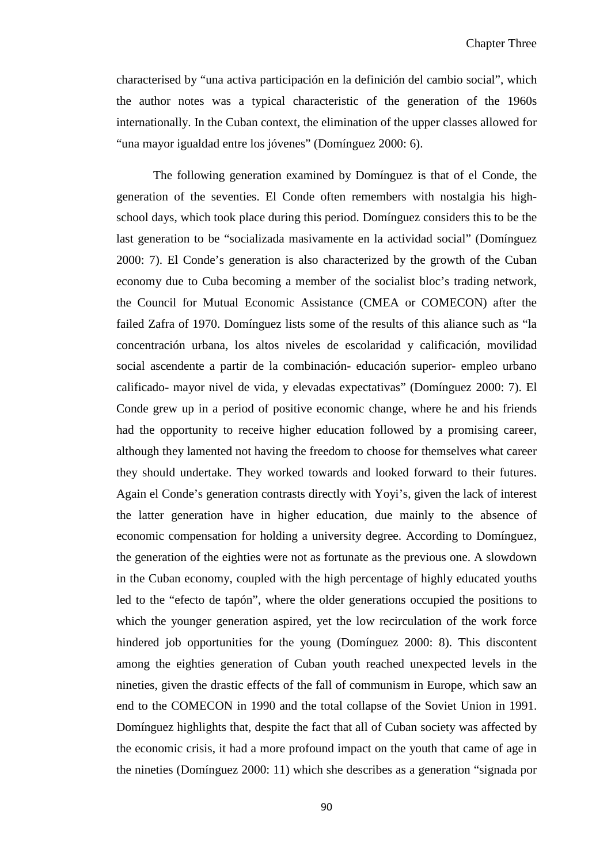characterised by "una activa participación en la definición del cambio social", which the author notes was a typical characteristic of the generation of the 1960s internationally. In the Cuban context, the elimination of the upper classes allowed for "una mayor igualdad entre los jóvenes" (Domínguez 2000: 6).

The following generation examined by Domínguez is that of el Conde, the generation of the seventies. El Conde often remembers with nostalgia his highschool days, which took place during this period. Domínguez considers this to be the last generation to be "socializada masivamente en la actividad social" (Domínguez 2000: 7). El Conde's generation is also characterized by the growth of the Cuban economy due to Cuba becoming a member of the socialist bloc's trading network, the Council for Mutual Economic Assistance (CMEA or COMECON) after the failed Zafra of 1970. Domínguez lists some of the results of this aliance such as "la concentración urbana, los altos niveles de escolaridad y calificación, movilidad social ascendente a partir de la combinación- educación superior- empleo urbano calificado- mayor nivel de vida, y elevadas expectativas" (Domínguez 2000: 7). El Conde grew up in a period of positive economic change, where he and his friends had the opportunity to receive higher education followed by a promising career, although they lamented not having the freedom to choose for themselves what career they should undertake. They worked towards and looked forward to their futures. Again el Conde's generation contrasts directly with Yoyi's, given the lack of interest the latter generation have in higher education, due mainly to the absence of economic compensation for holding a university degree. According to Domínguez, the generation of the eighties were not as fortunate as the previous one. A slowdown in the Cuban economy, coupled with the high percentage of highly educated youths led to the "efecto de tapón", where the older generations occupied the positions to which the younger generation aspired, yet the low recirculation of the work force hindered job opportunities for the young (Domínguez 2000: 8). This discontent among the eighties generation of Cuban youth reached unexpected levels in the nineties, given the drastic effects of the fall of communism in Europe, which saw an end to the COMECON in 1990 and the total collapse of the Soviet Union in 1991. Domínguez highlights that, despite the fact that all of Cuban society was affected by the economic crisis, it had a more profound impact on the youth that came of age in the nineties (Domínguez 2000: 11) which she describes as a generation "signada por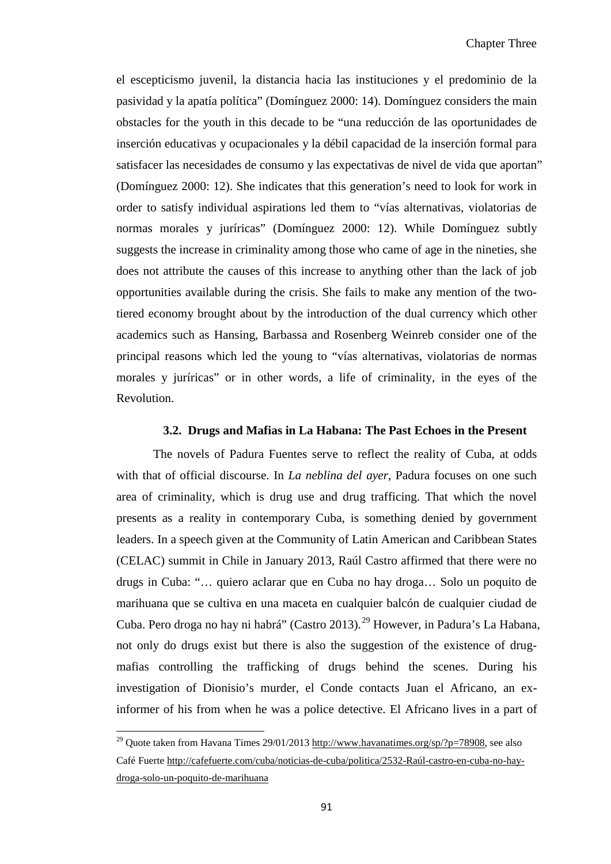el escepticismo juvenil, la distancia hacia las instituciones y el predominio de la pasividad y la apatía política" (Domínguez 2000: 14). Domínguez considers the main obstacles for the youth in this decade to be "una reducción de las oportunidades de inserción educativas y ocupacionales y la débil capacidad de la inserción formal para satisfacer las necesidades de consumo y las expectativas de nivel de vida que aportan" (Domínguez 2000: 12). She indicates that this generation's need to look for work in order to satisfy individual aspirations led them to "vías alternativas, violatorias de normas morales y juríricas" (Domínguez 2000: 12). While Domínguez subtly suggests the increase in criminality among those who came of age in the nineties, she does not attribute the causes of this increase to anything other than the lack of job opportunities available during the crisis. She fails to make any mention of the twotiered economy brought about by the introduction of the dual currency which other academics such as Hansing, Barbassa and Rosenberg Weinreb consider one of the principal reasons which led the young to "vías alternativas, violatorias de normas morales y juríricas" or in other words, a life of criminality, in the eyes of the Revolution.

#### **3.2. Drugs and Mafias in La Habana: The Past Echoes in the Present**

The novels of Padura Fuentes serve to reflect the reality of Cuba, at odds with that of official discourse. In *La neblina del ayer*, Padura focuses on one such area of criminality, which is drug use and drug trafficing. That which the novel presents as a reality in contemporary Cuba, is something denied by government leaders. In a speech given at the Community of Latin American and Caribbean States (CELAC) summit in Chile in January 2013, Raúl Castro affirmed that there were no drugs in Cuba: "… quiero aclarar que en Cuba no hay droga… Solo un poquito de marihuana que se cultiva en una maceta en cualquier balcón de cualquier ciudad de Cuba. Pero droga no hay ni habrá" (Castro 2013). [29](#page-80-1) However, in Padura's La Habana, not only do drugs exist but there is also the suggestion of the existence of drugmafias controlling the trafficking of drugs behind the scenes. During his investigation of Dionisio's murder, el Conde contacts Juan el Africano, an exinformer of his from when he was a police detective. El Africano lives in a part of

 $\overline{\phantom{0}}$ 

<span id="page-96-0"></span><sup>&</sup>lt;sup>29</sup> Quote taken from Havana Times 29/01/2013 [http://www.havanatimes.org/sp/?p=78908,](http://www.havanatimes.org/sp/?p=78908) see also Café Fuerte [http://cafefuerte.com/cuba/noticias-de-cuba/politica/2532-Raúl-castro-en-cuba-no-hay](http://cafefuerte.com/cuba/noticias-de-cuba/politica/2532-raul-castro-en-cuba-no-hay-droga-solo-un-poquito-de-marihuana)[droga-solo-un-poquito-de-marihuana](http://cafefuerte.com/cuba/noticias-de-cuba/politica/2532-raul-castro-en-cuba-no-hay-droga-solo-un-poquito-de-marihuana)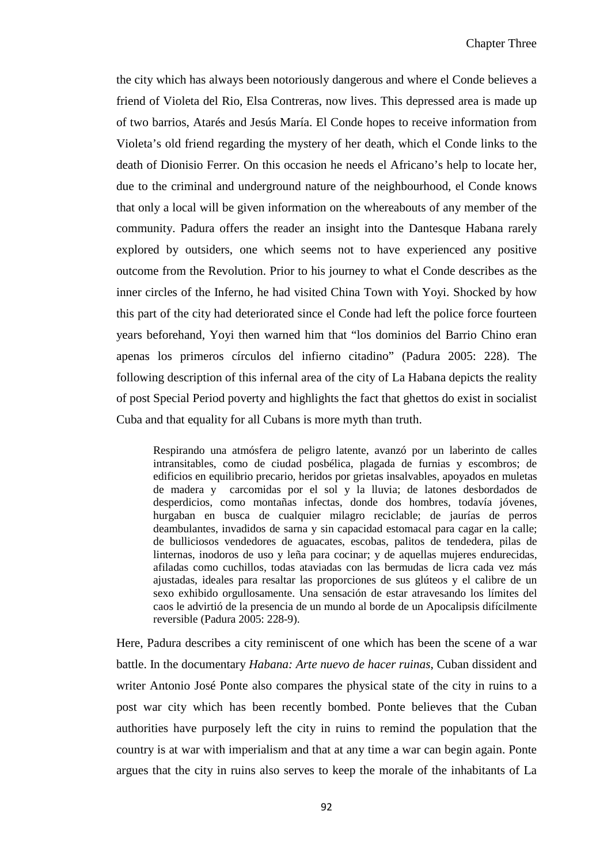the city which has always been notoriously dangerous and where el Conde believes a friend of Violeta del Rio, Elsa Contreras, now lives. This depressed area is made up of two barrios, Atarés and Jesús María. El Conde hopes to receive information from Violeta's old friend regarding the mystery of her death, which el Conde links to the death of Dionisio Ferrer. On this occasion he needs el Africano's help to locate her, due to the criminal and underground nature of the neighbourhood, el Conde knows that only a local will be given information on the whereabouts of any member of the community. Padura offers the reader an insight into the Dantesque Habana rarely explored by outsiders, one which seems not to have experienced any positive outcome from the Revolution. Prior to his journey to what el Conde describes as the inner circles of the Inferno, he had visited China Town with Yoyi. Shocked by how this part of the city had deteriorated since el Conde had left the police force fourteen years beforehand, Yoyi then warned him that "los dominios del Barrio Chino eran apenas los primeros círculos del infierno citadino" (Padura 2005: 228). The following description of this infernal area of the city of La Habana depicts the reality of post Special Period poverty and highlights the fact that ghettos do exist in socialist Cuba and that equality for all Cubans is more myth than truth.

Respirando una atmósfera de peligro latente, avanzó por un laberinto de calles intransitables, como de ciudad posbélica, plagada de furnias y escombros; de edificios en equilibrio precario, heridos por grietas insalvables, apoyados en muletas de madera y carcomidas por el sol y la lluvia; de latones desbordados de desperdicios, como montañas infectas, donde dos hombres, todavía jóvenes, hurgaban en busca de cualquier milagro reciclable; de jaurías de perros deambulantes, invadidos de sarna y sin capacidad estomacal para cagar en la calle; de bulliciosos vendedores de aguacates, escobas, palitos de tendedera, pilas de linternas, inodoros de uso y leña para cocinar; y de aquellas mujeres endurecidas, afiladas como cuchillos, todas ataviadas con las bermudas de licra cada vez más ajustadas, ideales para resaltar las proporciones de sus glúteos y el calibre de un sexo exhibido orgullosamente. Una sensación de estar atravesando los límites del caos le advirtió de la presencia de un mundo al borde de un Apocalipsis difícilmente reversible (Padura 2005: 228-9).

Here, Padura describes a city reminiscent of one which has been the scene of a war battle. In the documentary *Habana: Arte nuevo de hacer ruinas*, Cuban dissident and writer Antonio José Ponte also compares the physical state of the city in ruins to a post war city which has been recently bombed. Ponte believes that the Cuban authorities have purposely left the city in ruins to remind the population that the country is at war with imperialism and that at any time a war can begin again. Ponte argues that the city in ruins also serves to keep the morale of the inhabitants of La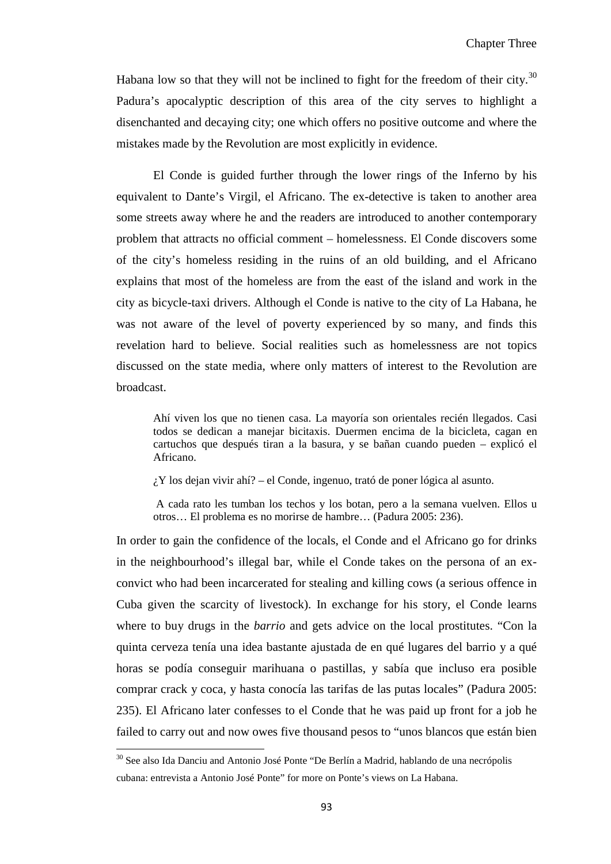Habana low so that they will not be inclined to fight for the freedom of their city.<sup>[30](#page-96-0)</sup> Padura's apocalyptic description of this area of the city serves to highlight a disenchanted and decaying city; one which offers no positive outcome and where the mistakes made by the Revolution are most explicitly in evidence.

El Conde is guided further through the lower rings of the Inferno by his equivalent to Dante's Virgil, el Africano. The ex-detective is taken to another area some streets away where he and the readers are introduced to another contemporary problem that attracts no official comment – homelessness. El Conde discovers some of the city's homeless residing in the ruins of an old building, and el Africano explains that most of the homeless are from the east of the island and work in the city as bicycle-taxi drivers. Although el Conde is native to the city of La Habana, he was not aware of the level of poverty experienced by so many, and finds this revelation hard to believe. Social realities such as homelessness are not topics discussed on the state media, where only matters of interest to the Revolution are broadcast.

Ahí viven los que no tienen casa. La mayoría son orientales recién llegados. Casi todos se dedican a manejar bicitaxis. Duermen encima de la bicicleta, cagan en cartuchos que después tiran a la basura, y se bañan cuando pueden – explicó el Africano.

¿Y los dejan vivir ahí? – el Conde, ingenuo, trató de poner lógica al asunto.

A cada rato les tumban los techos y los botan, pero a la semana vuelven. Ellos u otros… El problema es no morirse de hambre… (Padura 2005: 236).

In order to gain the confidence of the locals, el Conde and el Africano go for drinks in the neighbourhood's illegal bar, while el Conde takes on the persona of an exconvict who had been incarcerated for stealing and killing cows (a serious offence in Cuba given the scarcity of livestock). In exchange for his story, el Conde learns where to buy drugs in the *barrio* and gets advice on the local prostitutes. "Con la quinta cerveza tenía una idea bastante ajustada de en qué lugares del barrio y a qué horas se podía conseguir marihuana o pastillas, y sabía que incluso era posible comprar crack y coca, y hasta conocía las tarifas de las putas locales" (Padura 2005: 235). El Africano later confesses to el Conde that he was paid up front for a job he failed to carry out and now owes five thousand pesos to "unos blancos que están bien

<span id="page-98-0"></span>ı

<sup>30</sup> See also Ida Danciu and Antonio José Ponte "De Berlín a Madrid, hablando de una necrópolis cubana: entrevista a Antonio José Ponte" for more on Ponte's views on La Habana.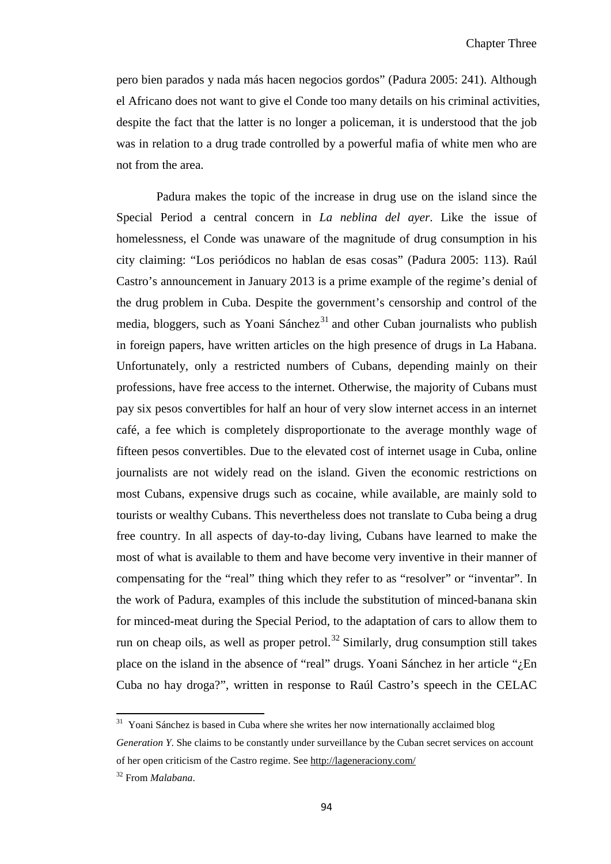pero bien parados y nada más hacen negocios gordos" (Padura 2005: 241). Although el Africano does not want to give el Conde too many details on his criminal activities, despite the fact that the latter is no longer a policeman, it is understood that the job was in relation to a drug trade controlled by a powerful mafia of white men who are not from the area.

Padura makes the topic of the increase in drug use on the island since the Special Period a central concern in *La neblina del ayer*. Like the issue of homelessness, el Conde was unaware of the magnitude of drug consumption in his city claiming: "Los periódicos no hablan de esas cosas" (Padura 2005: 113). Raúl Castro's announcement in January 2013 is a prime example of the regime's denial of the drug problem in Cuba. Despite the government's censorship and control of the media, bloggers, such as Yoani Sánchez $31$  and other Cuban journalists who publish in foreign papers, have written articles on the high presence of drugs in La Habana. Unfortunately, only a restricted numbers of Cubans, depending mainly on their professions, have free access to the internet. Otherwise, the majority of Cubans must pay six pesos convertibles for half an hour of very slow internet access in an internet café, a fee which is completely disproportionate to the average monthly wage of fifteen pesos convertibles. Due to the elevated cost of internet usage in Cuba, online journalists are not widely read on the island. Given the economic restrictions on most Cubans, expensive drugs such as cocaine, while available, are mainly sold to tourists or wealthy Cubans. This nevertheless does not translate to Cuba being a drug free country. In all aspects of day-to-day living, Cubans have learned to make the most of what is available to them and have become very inventive in their manner of compensating for the "real" thing which they refer to as "resolver" or "inventar". In the work of Padura, examples of this include the substitution of minced-banana skin for minced-meat during the Special Period, to the adaptation of cars to allow them to run on cheap oils, as well as proper petrol. $32$  Similarly, drug consumption still takes place on the island in the absence of "real" drugs. Yoani Sánchez in her article "¿En Cuba no hay droga?", written in response to Raúl Castro's speech in the CELAC

 $\overline{\phantom{0}}$ 

<span id="page-99-1"></span><sup>&</sup>lt;sup>31</sup> Yoani Sánchez is based in Cuba where she writes her now internationally acclaimed blog

*Generation Y*. She claims to be constantly under surveillance by the Cuban secret services on account of her open criticism of the Castro regime. See<http://lageneraciony.com/>

<span id="page-99-0"></span><sup>32</sup> From *Malabana*.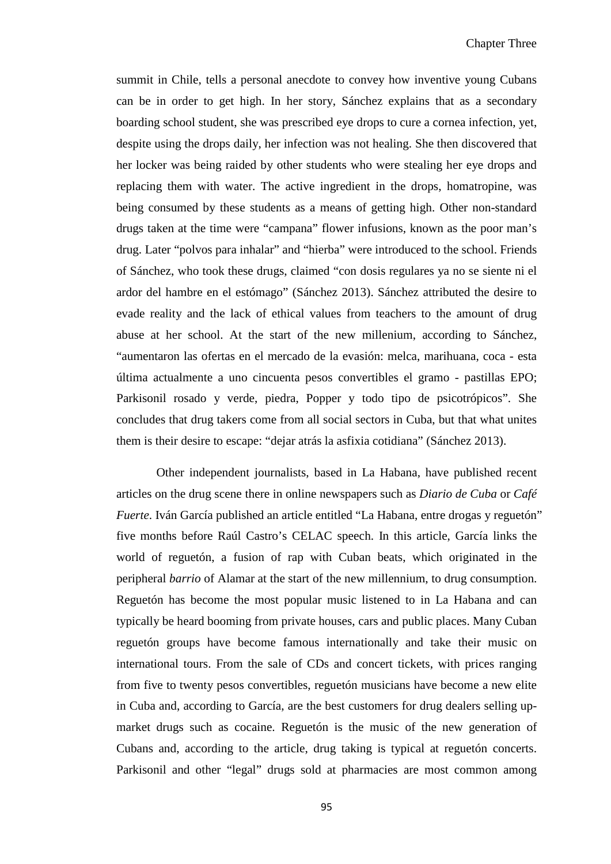summit in Chile, tells a personal anecdote to convey how inventive young Cubans can be in order to get high. In her story, Sánchez explains that as a secondary boarding school student, she was prescribed eye drops to cure a cornea infection, yet, despite using the drops daily, her infection was not healing. She then discovered that her locker was being raided by other students who were stealing her eye drops and replacing them with water. The active ingredient in the drops, homatropine, was being consumed by these students as a means of getting high. Other non-standard drugs taken at the time were "campana" flower infusions, known as the poor man's drug. Later "polvos para inhalar" and "hierba" were introduced to the school. Friends of Sánchez, who took these drugs, claimed "con dosis regulares ya no se siente ni el ardor del hambre en el estómago" (Sánchez 2013). Sánchez attributed the desire to evade reality and the lack of ethical values from teachers to the amount of drug abuse at her school. At the start of the new millenium, according to Sánchez, "aumentaron las ofertas en el mercado de la evasión: melca, marihuana, coca - esta última actualmente a uno cincuenta pesos convertibles el gramo - pastillas EPO; Parkisonil rosado y verde, piedra, Popper y todo tipo de psicotrópicos". She concludes that drug takers come from all social sectors in Cuba, but that what unites them is their desire to escape: "dejar atrás la asfixia cotidiana" (Sánchez 2013).

Other independent journalists, based in La Habana, have published recent articles on the drug scene there in online newspapers such as *Diario de Cuba* or *Café Fuerte*. Iván García published an article entitled "La Habana, entre drogas y reguetón" five months before Raúl Castro's CELAC speech. In this article, García links the world of reguetón, a fusion of rap with Cuban beats, which originated in the peripheral *barrio* of Alamar at the start of the new millennium, to drug consumption. Reguetón has become the most popular music listened to in La Habana and can typically be heard booming from private houses, cars and public places. Many Cuban reguetón groups have become famous internationally and take their music on international tours. From the sale of CDs and concert tickets, with prices ranging from five to twenty pesos convertibles, reguetón musicians have become a new elite in Cuba and, according to García, are the best customers for drug dealers selling upmarket drugs such as cocaine. Reguetón is the music of the new generation of Cubans and, according to the article, drug taking is typical at reguetón concerts. Parkisonil and other "legal" drugs sold at pharmacies are most common among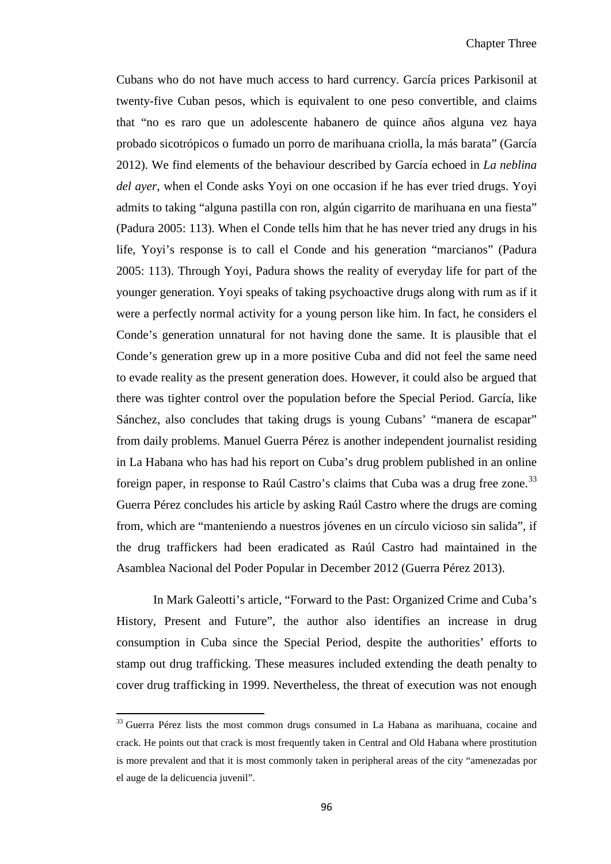Cubans who do not have much access to hard currency. García prices Parkisonil at twenty-five Cuban pesos, which is equivalent to one peso convertible, and claims that "no es raro que un adolescente habanero de quince años alguna vez haya probado sicotrópicos o fumado un porro de marihuana criolla, la más barata" (García 2012). We find elements of the behaviour described by García echoed in *La neblina del ayer*, when el Conde asks Yoyi on one occasion if he has ever tried drugs. Yoyi admits to taking "alguna pastilla con ron, algún cigarrito de marihuana en una fiesta" (Padura 2005: 113). When el Conde tells him that he has never tried any drugs in his life, Yoyi's response is to call el Conde and his generation "marcianos" (Padura 2005: 113). Through Yoyi, Padura shows the reality of everyday life for part of the younger generation. Yoyi speaks of taking psychoactive drugs along with rum as if it were a perfectly normal activity for a young person like him. In fact, he considers el Conde's generation unnatural for not having done the same. It is plausible that el Conde's generation grew up in a more positive Cuba and did not feel the same need to evade reality as the present generation does. However, it could also be argued that there was tighter control over the population before the Special Period. García, like Sánchez, also concludes that taking drugs is young Cubans' "manera de escapar" from daily problems. Manuel Guerra Pérez is another independent journalist residing in La Habana who has had his report on Cuba's drug problem published in an online foreign paper, in response to Raúl Castro's claims that Cuba was a drug free zone.<sup>[33](#page-99-1)</sup> Guerra Pérez concludes his article by asking Raúl Castro where the drugs are coming from, which are "manteniendo a nuestros jóvenes en un círculo vicioso sin salida", if the drug traffickers had been eradicated as Raúl Castro had maintained in the Asamblea Nacional del Poder Popular in December 2012 (Guerra Pérez 2013).

In Mark Galeotti's article, "Forward to the Past: Organized Crime and Cuba's History, Present and Future", the author also identifies an increase in drug consumption in Cuba since the Special Period, despite the authorities' efforts to stamp out drug trafficking. These measures included extending the death penalty to cover drug trafficking in 1999. Nevertheless, the threat of execution was not enough

 $\overline{\phantom{0}}$ 

<span id="page-101-0"></span><sup>&</sup>lt;sup>33</sup> Guerra Pérez lists the most common drugs consumed in La Habana as marihuana, cocaine and crack. He points out that crack is most frequently taken in Central and Old Habana where prostitution is more prevalent and that it is most commonly taken in peripheral areas of the city "amenezadas por el auge de la delicuencia juvenil".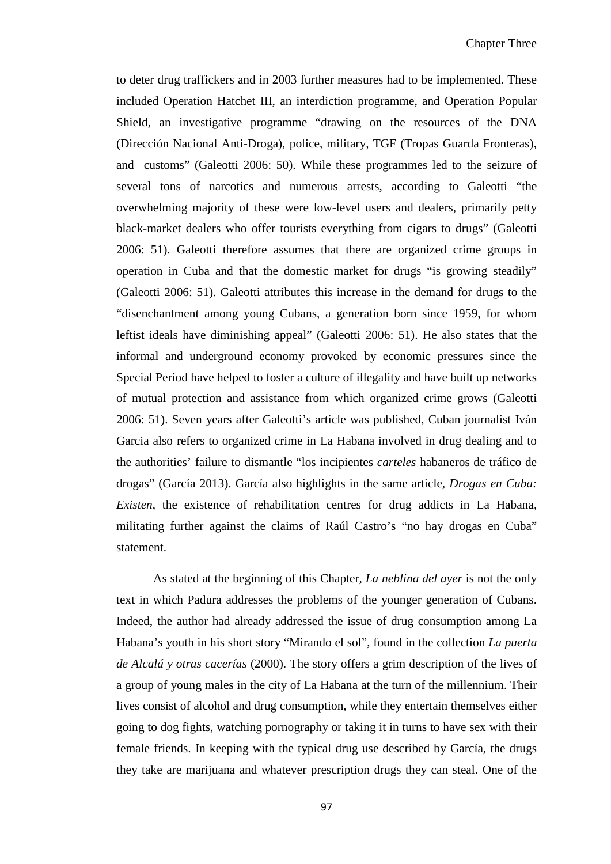to deter drug traffickers and in 2003 further measures had to be implemented. These included Operation Hatchet III, an interdiction programme, and Operation Popular Shield, an investigative programme "drawing on the resources of the DNA (Dirección Nacional Anti-Droga), police, military, TGF (Tropas Guarda Fronteras), and customs" (Galeotti 2006: 50). While these programmes led to the seizure of several tons of narcotics and numerous arrests, according to Galeotti "the overwhelming majority of these were low-level users and dealers, primarily petty black-market dealers who offer tourists everything from cigars to drugs" (Galeotti 2006: 51). Galeotti therefore assumes that there are organized crime groups in operation in Cuba and that the domestic market for drugs "is growing steadily" (Galeotti 2006: 51). Galeotti attributes this increase in the demand for drugs to the "disenchantment among young Cubans, a generation born since 1959, for whom leftist ideals have diminishing appeal" (Galeotti 2006: 51). He also states that the informal and underground economy provoked by economic pressures since the Special Period have helped to foster a culture of illegality and have built up networks of mutual protection and assistance from which organized crime grows (Galeotti 2006: 51). Seven years after Galeotti's article was published, Cuban journalist Iván Garcia also refers to organized crime in La Habana involved in drug dealing and to the authorities' failure to dismantle "los incipientes *carteles* habaneros de tráfico de drogas" (García 2013). García also highlights in the same article, *Drogas en Cuba: Existen*, the existence of rehabilitation centres for drug addicts in La Habana, militating further against the claims of Raúl Castro's "no hay drogas en Cuba" statement.

As stated at the beginning of this Chapter*, La neblina del ayer* is not the only text in which Padura addresses the problems of the younger generation of Cubans. Indeed, the author had already addressed the issue of drug consumption among La Habana's youth in his short story "Mirando el sol", found in the collection *La puerta de Alcalá y otras cacerías* (2000). The story offers a grim description of the lives of a group of young males in the city of La Habana at the turn of the millennium. Their lives consist of alcohol and drug consumption, while they entertain themselves either going to dog fights, watching pornography or taking it in turns to have sex with their female friends. In keeping with the typical drug use described by García, the drugs they take are marijuana and whatever prescription drugs they can steal. One of the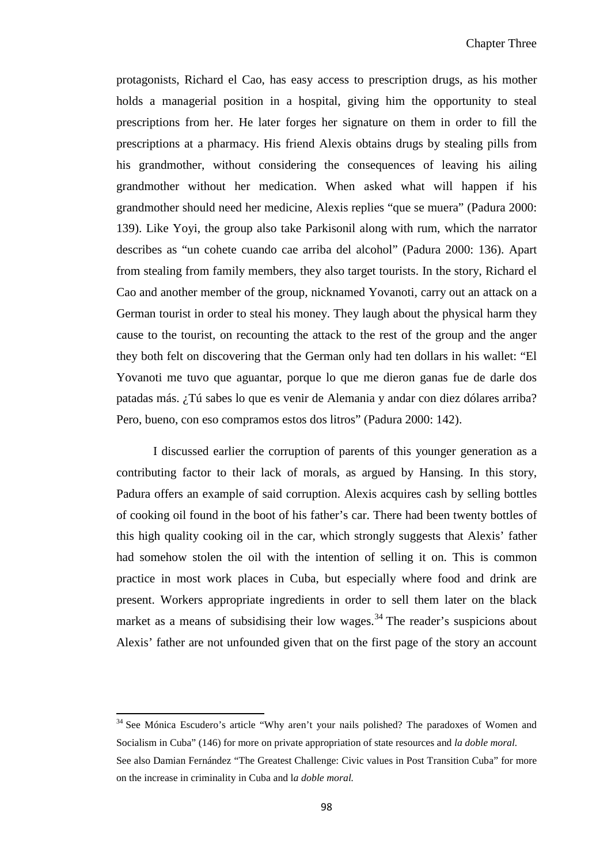protagonists, Richard el Cao, has easy access to prescription drugs, as his mother holds a managerial position in a hospital, giving him the opportunity to steal prescriptions from her. He later forges her signature on them in order to fill the prescriptions at a pharmacy. His friend Alexis obtains drugs by stealing pills from his grandmother, without considering the consequences of leaving his ailing grandmother without her medication. When asked what will happen if his grandmother should need her medicine, Alexis replies "que se muera" (Padura 2000: 139). Like Yoyi, the group also take Parkisonil along with rum, which the narrator describes as "un cohete cuando cae arriba del alcohol" (Padura 2000: 136). Apart from stealing from family members, they also target tourists. In the story, Richard el Cao and another member of the group, nicknamed Yovanoti, carry out an attack on a German tourist in order to steal his money. They laugh about the physical harm they cause to the tourist, on recounting the attack to the rest of the group and the anger they both felt on discovering that the German only had ten dollars in his wallet: "El Yovanoti me tuvo que aguantar, porque lo que me dieron ganas fue de darle dos patadas más. ¿Tú sabes lo que es venir de Alemania y andar con diez dólares arriba? Pero, bueno, con eso compramos estos dos litros" (Padura 2000: 142).

I discussed earlier the corruption of parents of this younger generation as a contributing factor to their lack of morals, as argued by Hansing. In this story, Padura offers an example of said corruption. Alexis acquires cash by selling bottles of cooking oil found in the boot of his father's car. There had been twenty bottles of this high quality cooking oil in the car, which strongly suggests that Alexis' father had somehow stolen the oil with the intention of selling it on. This is common practice in most work places in Cuba, but especially where food and drink are present. Workers appropriate ingredients in order to sell them later on the black market as a means of subsidising their low wages.<sup>[34](#page-101-0)</sup> The reader's suspicions about Alexis' father are not unfounded given that on the first page of the story an account

 $\overline{\phantom{0}}$ 

<span id="page-103-0"></span><sup>&</sup>lt;sup>34</sup> See Mónica Escudero's article "Why aren't your nails polished? The paradoxes of Women and Socialism in Cuba" (146) for more on private appropriation of state resources and *la doble moral.* See also Damian Fernández "The Greatest Challenge: Civic values in Post Transition Cuba" for more on the increase in criminality in Cuba and l*a doble moral.*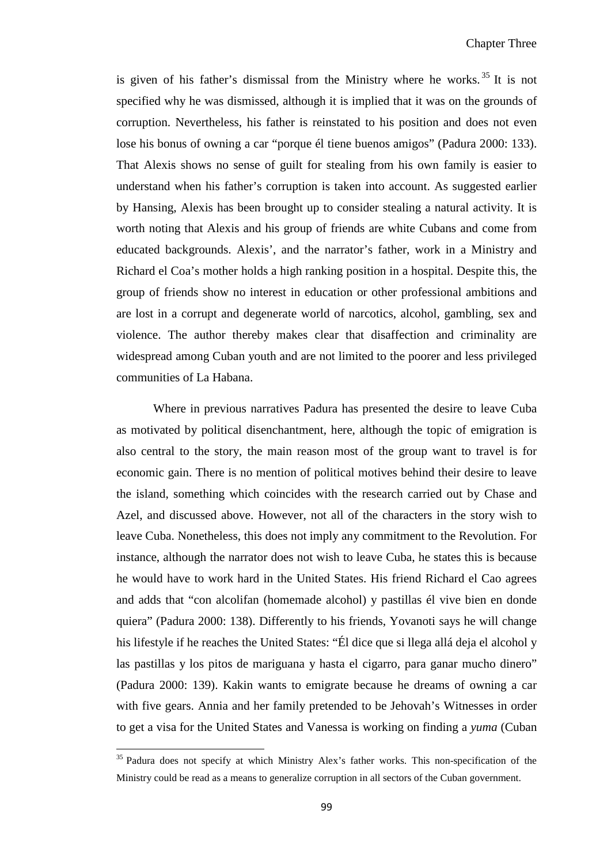is given of his father's dismissal from the Ministry where he works. [35](#page-103-0) It is not specified why he was dismissed, although it is implied that it was on the grounds of corruption. Nevertheless, his father is reinstated to his position and does not even lose his bonus of owning a car "porque él tiene buenos amigos" (Padura 2000: 133). That Alexis shows no sense of guilt for stealing from his own family is easier to understand when his father's corruption is taken into account. As suggested earlier by Hansing, Alexis has been brought up to consider stealing a natural activity. It is worth noting that Alexis and his group of friends are white Cubans and come from educated backgrounds. Alexis', and the narrator's father, work in a Ministry and Richard el Coa's mother holds a high ranking position in a hospital. Despite this, the group of friends show no interest in education or other professional ambitions and are lost in a corrupt and degenerate world of narcotics, alcohol, gambling, sex and violence. The author thereby makes clear that disaffection and criminality are widespread among Cuban youth and are not limited to the poorer and less privileged communities of La Habana.

Where in previous narratives Padura has presented the desire to leave Cuba as motivated by political disenchantment, here, although the topic of emigration is also central to the story, the main reason most of the group want to travel is for economic gain. There is no mention of political motives behind their desire to leave the island, something which coincides with the research carried out by Chase and Azel, and discussed above. However, not all of the characters in the story wish to leave Cuba. Nonetheless, this does not imply any commitment to the Revolution. For instance, although the narrator does not wish to leave Cuba, he states this is because he would have to work hard in the United States. His friend Richard el Cao agrees and adds that "con alcolifan (homemade alcohol) y pastillas él vive bien en donde quiera" (Padura 2000: 138). Differently to his friends, Yovanoti says he will change his lifestyle if he reaches the United States: "Él dice que si llega allá deja el alcohol y las pastillas y los pitos de mariguana y hasta el cigarro, para ganar mucho dinero" (Padura 2000: 139). Kakin wants to emigrate because he dreams of owning a car with five gears. Annia and her family pretended to be Jehovah's Witnesses in order to get a visa for the United States and Vanessa is working on finding a *yuma* (Cuban

ı

<span id="page-104-0"></span><sup>&</sup>lt;sup>35</sup> Padura does not specify at which Ministry Alex's father works. This non-specification of the Ministry could be read as a means to generalize corruption in all sectors of the Cuban government.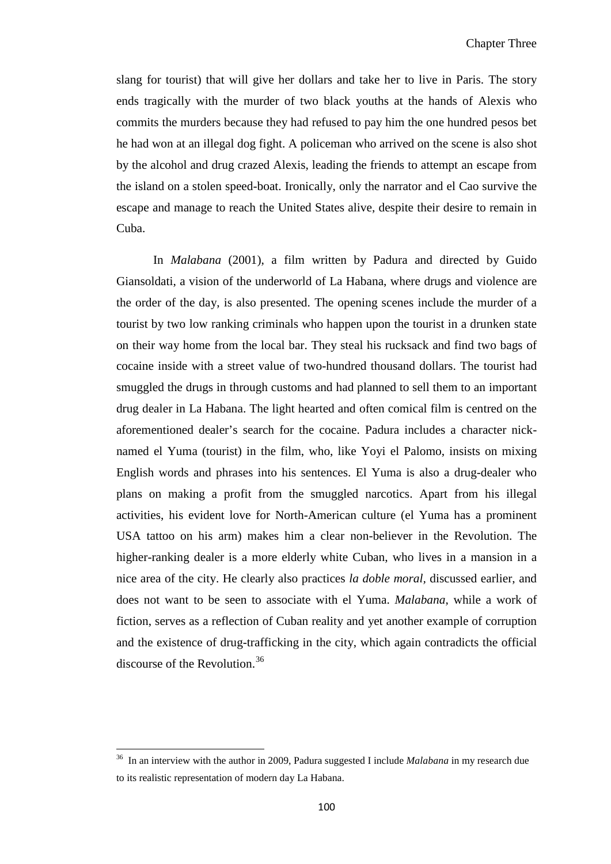slang for tourist) that will give her dollars and take her to live in Paris. The story ends tragically with the murder of two black youths at the hands of Alexis who commits the murders because they had refused to pay him the one hundred pesos bet he had won at an illegal dog fight. A policeman who arrived on the scene is also shot by the alcohol and drug crazed Alexis, leading the friends to attempt an escape from the island on a stolen speed-boat. Ironically, only the narrator and el Cao survive the escape and manage to reach the United States alive, despite their desire to remain in Cuba.

In *Malabana* (2001), a film written by Padura and directed by Guido Giansoldati, a vision of the underworld of La Habana, where drugs and violence are the order of the day, is also presented. The opening scenes include the murder of a tourist by two low ranking criminals who happen upon the tourist in a drunken state on their way home from the local bar. They steal his rucksack and find two bags of cocaine inside with a street value of two-hundred thousand dollars. The tourist had smuggled the drugs in through customs and had planned to sell them to an important drug dealer in La Habana. The light hearted and often comical film is centred on the aforementioned dealer's search for the cocaine. Padura includes a character nicknamed el Yuma (tourist) in the film, who, like Yoyi el Palomo, insists on mixing English words and phrases into his sentences. El Yuma is also a drug-dealer who plans on making a profit from the smuggled narcotics. Apart from his illegal activities, his evident love for North-American culture (el Yuma has a prominent USA tattoo on his arm) makes him a clear non-believer in the Revolution. The higher-ranking dealer is a more elderly white Cuban, who lives in a mansion in a nice area of the city. He clearly also practices *la doble moral,* discussed earlier, and does not want to be seen to associate with el Yuma. *Malabana*, while a work of fiction, serves as a reflection of Cuban reality and yet another example of corruption and the existence of drug-trafficking in the city, which again contradicts the official discourse of the Revolution.<sup>[36](#page-104-0)</sup>

ı

<sup>36</sup> In an interview with the author in 2009, Padura suggested I include *Malabana* in my research due to its realistic representation of modern day La Habana.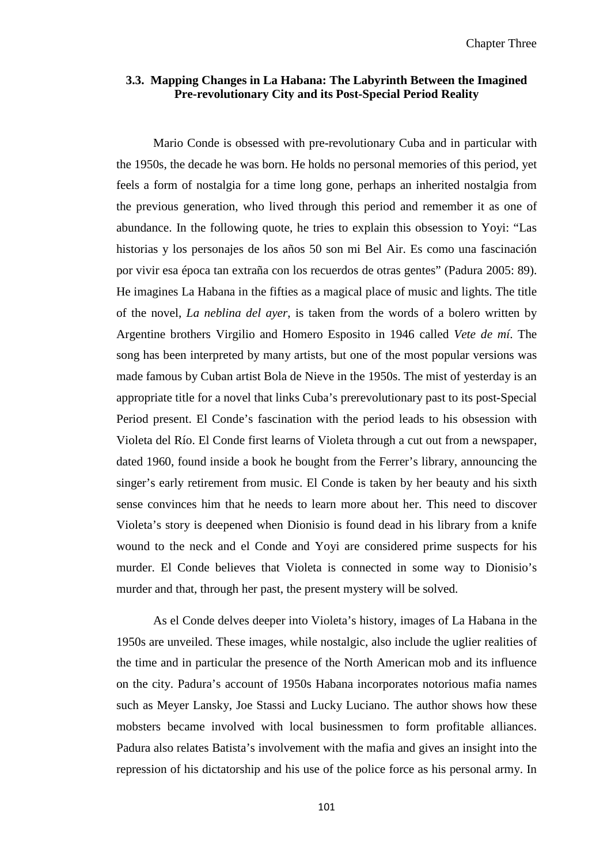### **3.3. Mapping Changes in La Habana: The Labyrinth Between the Imagined Pre-revolutionary City and its Post-Special Period Reality**

Mario Conde is obsessed with pre-revolutionary Cuba and in particular with the 1950s, the decade he was born. He holds no personal memories of this period, yet feels a form of nostalgia for a time long gone, perhaps an inherited nostalgia from the previous generation, who lived through this period and remember it as one of abundance. In the following quote, he tries to explain this obsession to Yoyi: "Las historias y los personajes de los años 50 son mi Bel Air. Es como una fascinación por vivir esa época tan extraña con los recuerdos de otras gentes" (Padura 2005: 89). He imagines La Habana in the fifties as a magical place of music and lights. The title of the novel, *La neblina del ayer*, is taken from the words of a bolero written by Argentine brothers Virgilio and Homero Esposito in 1946 called *Vete de mí*. The song has been interpreted by many artists, but one of the most popular versions was made famous by Cuban artist Bola de Nieve in the 1950s. The mist of yesterday is an appropriate title for a novel that links Cuba's prerevolutionary past to its post-Special Period present. El Conde's fascination with the period leads to his obsession with Violeta del Río. El Conde first learns of Violeta through a cut out from a newspaper, dated 1960, found inside a book he bought from the Ferrer's library, announcing the singer's early retirement from music. El Conde is taken by her beauty and his sixth sense convinces him that he needs to learn more about her. This need to discover Violeta's story is deepened when Dionisio is found dead in his library from a knife wound to the neck and el Conde and Yoyi are considered prime suspects for his murder. El Conde believes that Violeta is connected in some way to Dionisio's murder and that, through her past, the present mystery will be solved.

As el Conde delves deeper into Violeta's history, images of La Habana in the 1950s are unveiled. These images, while nostalgic, also include the uglier realities of the time and in particular the presence of the North American mob and its influence on the city. Padura's account of 1950s Habana incorporates notorious mafia names such as Meyer Lansky, Joe Stassi and Lucky Luciano. The author shows how these mobsters became involved with local businessmen to form profitable alliances. Padura also relates Batista's involvement with the mafia and gives an insight into the repression of his dictatorship and his use of the police force as his personal army. In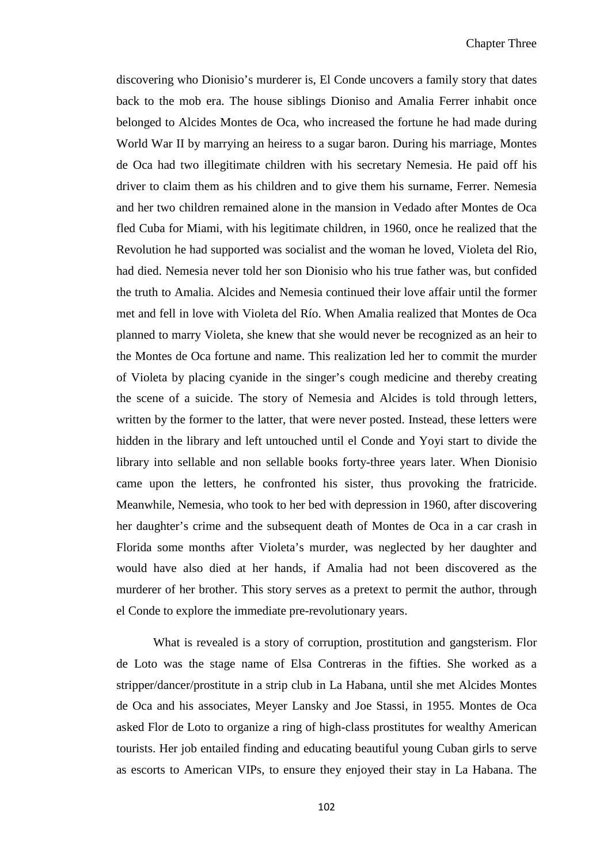discovering who Dionisio's murderer is, El Conde uncovers a family story that dates back to the mob era. The house siblings Dioniso and Amalia Ferrer inhabit once belonged to Alcides Montes de Oca, who increased the fortune he had made during World War II by marrying an heiress to a sugar baron. During his marriage, Montes de Oca had two illegitimate children with his secretary Nemesia. He paid off his driver to claim them as his children and to give them his surname, Ferrer. Nemesia and her two children remained alone in the mansion in Vedado after Montes de Oca fled Cuba for Miami, with his legitimate children, in 1960, once he realized that the Revolution he had supported was socialist and the woman he loved, Violeta del Rio, had died. Nemesia never told her son Dionisio who his true father was, but confided the truth to Amalia. Alcides and Nemesia continued their love affair until the former met and fell in love with Violeta del Río. When Amalia realized that Montes de Oca planned to marry Violeta, she knew that she would never be recognized as an heir to the Montes de Oca fortune and name. This realization led her to commit the murder of Violeta by placing cyanide in the singer's cough medicine and thereby creating the scene of a suicide. The story of Nemesia and Alcides is told through letters, written by the former to the latter, that were never posted. Instead, these letters were hidden in the library and left untouched until el Conde and Yoyi start to divide the library into sellable and non sellable books forty-three years later. When Dionisio came upon the letters, he confronted his sister, thus provoking the fratricide. Meanwhile, Nemesia, who took to her bed with depression in 1960, after discovering her daughter's crime and the subsequent death of Montes de Oca in a car crash in Florida some months after Violeta's murder, was neglected by her daughter and would have also died at her hands, if Amalia had not been discovered as the murderer of her brother. This story serves as a pretext to permit the author, through el Conde to explore the immediate pre-revolutionary years.

What is revealed is a story of corruption, prostitution and gangsterism. Flor de Loto was the stage name of Elsa Contreras in the fifties. She worked as a stripper/dancer/prostitute in a strip club in La Habana, until she met Alcides Montes de Oca and his associates, Meyer Lansky and Joe Stassi, in 1955. Montes de Oca asked Flor de Loto to organize a ring of high-class prostitutes for wealthy American tourists. Her job entailed finding and educating beautiful young Cuban girls to serve as escorts to American VIPs, to ensure they enjoyed their stay in La Habana. The

102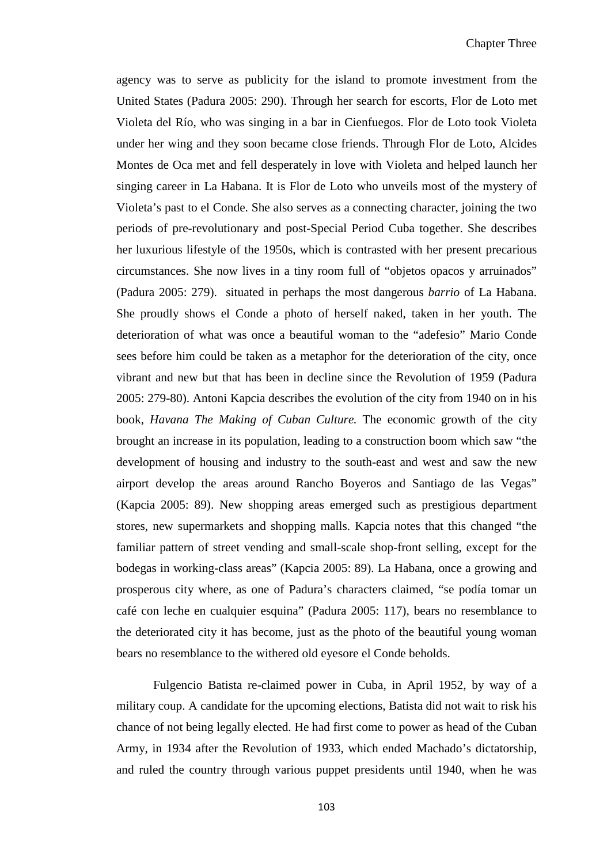agency was to serve as publicity for the island to promote investment from the United States (Padura 2005: 290). Through her search for escorts, Flor de Loto met Violeta del Río, who was singing in a bar in Cienfuegos. Flor de Loto took Violeta under her wing and they soon became close friends. Through Flor de Loto, Alcides Montes de Oca met and fell desperately in love with Violeta and helped launch her singing career in La Habana. It is Flor de Loto who unveils most of the mystery of Violeta's past to el Conde. She also serves as a connecting character, joining the two periods of pre-revolutionary and post-Special Period Cuba together. She describes her luxurious lifestyle of the 1950s, which is contrasted with her present precarious circumstances. She now lives in a tiny room full of "objetos opacos y arruinados" (Padura 2005: 279). situated in perhaps the most dangerous *barrio* of La Habana. She proudly shows el Conde a photo of herself naked, taken in her youth. The deterioration of what was once a beautiful woman to the "adefesio" Mario Conde sees before him could be taken as a metaphor for the deterioration of the city, once vibrant and new but that has been in decline since the Revolution of 1959 (Padura 2005: 279-80). Antoni Kapcia describes the evolution of the city from 1940 on in his book, *Havana The Making of Cuban Culture.* The economic growth of the city brought an increase in its population, leading to a construction boom which saw "the development of housing and industry to the south-east and west and saw the new airport develop the areas around Rancho Boyeros and Santiago de las Vegas" (Kapcia 2005: 89). New shopping areas emerged such as prestigious department stores, new supermarkets and shopping malls. Kapcia notes that this changed "the familiar pattern of street vending and small-scale shop-front selling, except for the bodegas in working-class areas" (Kapcia 2005: 89). La Habana, once a growing and prosperous city where, as one of Padura's characters claimed, "se podía tomar un café con leche en cualquier esquina" (Padura 2005: 117), bears no resemblance to the deteriorated city it has become, just as the photo of the beautiful young woman bears no resemblance to the withered old eyesore el Conde beholds.

Fulgencio Batista re-claimed power in Cuba, in April 1952, by way of a military coup. A candidate for the upcoming elections, Batista did not wait to risk his chance of not being legally elected. He had first come to power as head of the Cuban Army, in 1934 after the Revolution of 1933, which ended Machado's dictatorship, and ruled the country through various puppet presidents until 1940, when he was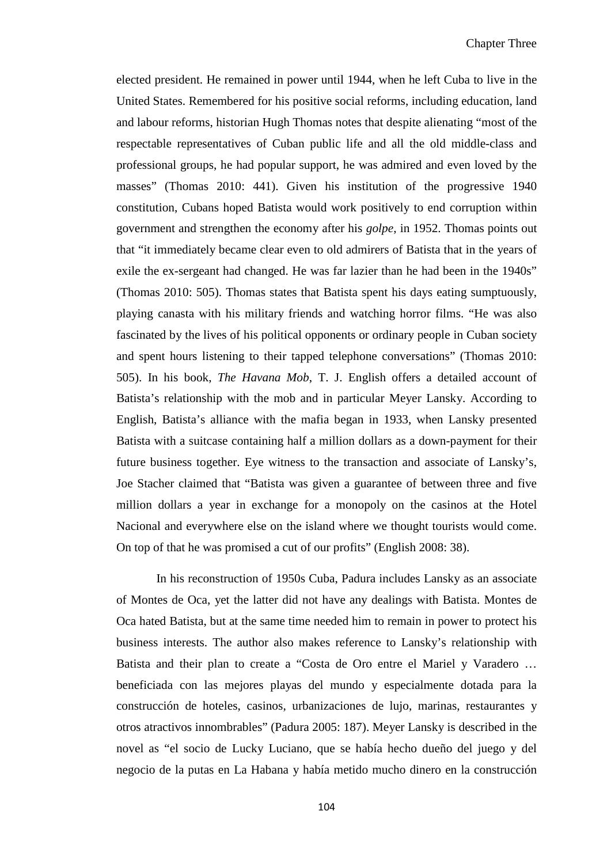elected president. He remained in power until 1944, when he left Cuba to live in the United States. Remembered for his positive social reforms, including education, land and labour reforms, historian Hugh Thomas notes that despite alienating "most of the respectable representatives of Cuban public life and all the old middle-class and professional groups, he had popular support, he was admired and even loved by the masses" (Thomas 2010: 441). Given his institution of the progressive 1940 constitution, Cubans hoped Batista would work positively to end corruption within government and strengthen the economy after his *golpe*, in 1952. Thomas points out that "it immediately became clear even to old admirers of Batista that in the years of exile the ex-sergeant had changed. He was far lazier than he had been in the 1940s" (Thomas 2010: 505). Thomas states that Batista spent his days eating sumptuously, playing canasta with his military friends and watching horror films. "He was also fascinated by the lives of his political opponents or ordinary people in Cuban society and spent hours listening to their tapped telephone conversations" (Thomas 2010: 505). In his book, *The Havana Mob*, T. J. English offers a detailed account of Batista's relationship with the mob and in particular Meyer Lansky. According to English, Batista's alliance with the mafia began in 1933, when Lansky presented Batista with a suitcase containing half a million dollars as a down-payment for their future business together. Eye witness to the transaction and associate of Lansky's, Joe Stacher claimed that "Batista was given a guarantee of between three and five million dollars a year in exchange for a monopoly on the casinos at the Hotel Nacional and everywhere else on the island where we thought tourists would come. On top of that he was promised a cut of our profits" (English 2008: 38).

In his reconstruction of 1950s Cuba, Padura includes Lansky as an associate of Montes de Oca, yet the latter did not have any dealings with Batista. Montes de Oca hated Batista, but at the same time needed him to remain in power to protect his business interests. The author also makes reference to Lansky's relationship with Batista and their plan to create a "Costa de Oro entre el Mariel y Varadero … beneficiada con las mejores playas del mundo y especialmente dotada para la construcción de hoteles, casinos, urbanizaciones de lujo, marinas, restaurantes y otros atractivos innombrables" (Padura 2005: 187). Meyer Lansky is described in the novel as "el socio de Lucky Luciano, que se había hecho dueño del juego y del negocio de la putas en La Habana y había metido mucho dinero en la construcción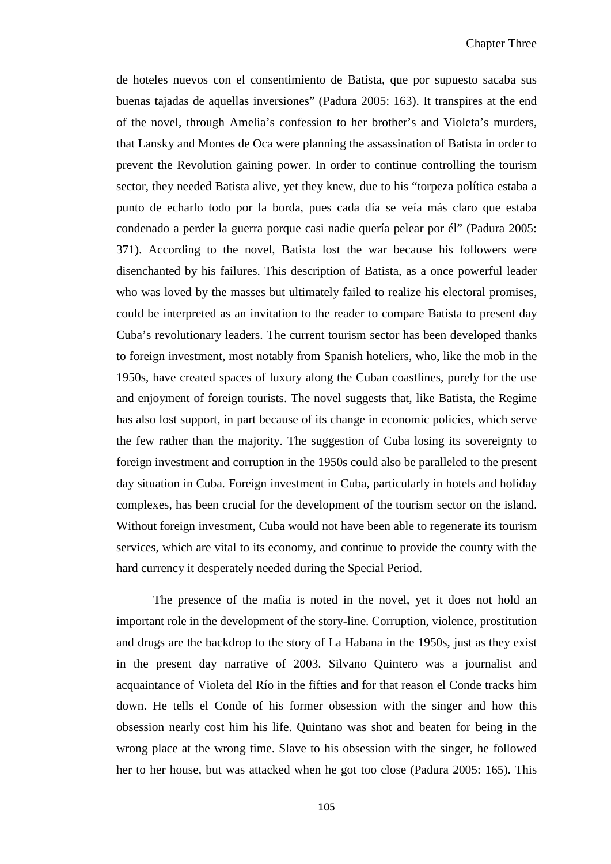de hoteles nuevos con el consentimiento de Batista, que por supuesto sacaba sus buenas tajadas de aquellas inversiones" (Padura 2005: 163). It transpires at the end of the novel, through Amelia's confession to her brother's and Violeta's murders, that Lansky and Montes de Oca were planning the assassination of Batista in order to prevent the Revolution gaining power. In order to continue controlling the tourism sector, they needed Batista alive, yet they knew, due to his "torpeza política estaba a punto de echarlo todo por la borda, pues cada día se veía más claro que estaba condenado a perder la guerra porque casi nadie quería pelear por él" (Padura 2005: 371). According to the novel, Batista lost the war because his followers were disenchanted by his failures. This description of Batista, as a once powerful leader who was loved by the masses but ultimately failed to realize his electoral promises, could be interpreted as an invitation to the reader to compare Batista to present day Cuba's revolutionary leaders. The current tourism sector has been developed thanks to foreign investment, most notably from Spanish hoteliers, who, like the mob in the 1950s, have created spaces of luxury along the Cuban coastlines, purely for the use and enjoyment of foreign tourists. The novel suggests that, like Batista, the Regime has also lost support, in part because of its change in economic policies, which serve the few rather than the majority. The suggestion of Cuba losing its sovereignty to foreign investment and corruption in the 1950s could also be paralleled to the present day situation in Cuba. Foreign investment in Cuba, particularly in hotels and holiday complexes, has been crucial for the development of the tourism sector on the island. Without foreign investment, Cuba would not have been able to regenerate its tourism services, which are vital to its economy, and continue to provide the county with the hard currency it desperately needed during the Special Period.

The presence of the mafia is noted in the novel, yet it does not hold an important role in the development of the story-line. Corruption, violence, prostitution and drugs are the backdrop to the story of La Habana in the 1950s, just as they exist in the present day narrative of 2003. Silvano Quintero was a journalist and acquaintance of Violeta del Río in the fifties and for that reason el Conde tracks him down. He tells el Conde of his former obsession with the singer and how this obsession nearly cost him his life. Quintano was shot and beaten for being in the wrong place at the wrong time. Slave to his obsession with the singer, he followed her to her house, but was attacked when he got too close (Padura 2005: 165). This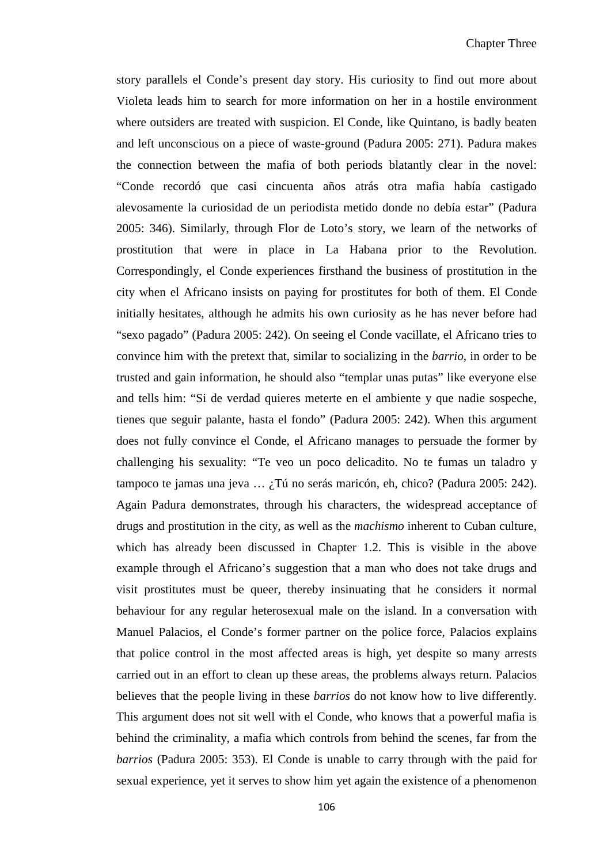story parallels el Conde's present day story. His curiosity to find out more about Violeta leads him to search for more information on her in a hostile environment where outsiders are treated with suspicion. El Conde, like Quintano, is badly beaten and left unconscious on a piece of waste-ground (Padura 2005: 271). Padura makes the connection between the mafia of both periods blatantly clear in the novel: "Conde recordó que casi cincuenta años atrás otra mafia había castigado alevosamente la curiosidad de un periodista metido donde no debía estar" (Padura 2005: 346). Similarly, through Flor de Loto's story, we learn of the networks of prostitution that were in place in La Habana prior to the Revolution. Correspondingly, el Conde experiences firsthand the business of prostitution in the city when el Africano insists on paying for prostitutes for both of them. El Conde initially hesitates, although he admits his own curiosity as he has never before had "sexo pagado" (Padura 2005: 242). On seeing el Conde vacillate, el Africano tries to convince him with the pretext that, similar to socializing in the *barrio*, in order to be trusted and gain information, he should also "templar unas putas" like everyone else and tells him: "Si de verdad quieres meterte en el ambiente y que nadie sospeche, tienes que seguir palante, hasta el fondo" (Padura 2005: 242). When this argument does not fully convince el Conde, el Africano manages to persuade the former by challenging his sexuality: "Te veo un poco delicadito. No te fumas un taladro y tampoco te jamas una jeva … ¿Tú no serás maricón, eh, chico? (Padura 2005: 242). Again Padura demonstrates, through his characters, the widespread acceptance of drugs and prostitution in the city, as well as the *machismo* inherent to Cuban culture, which has already been discussed in Chapter 1.2. This is visible in the above example through el Africano's suggestion that a man who does not take drugs and visit prostitutes must be queer, thereby insinuating that he considers it normal behaviour for any regular heterosexual male on the island. In a conversation with Manuel Palacios, el Conde's former partner on the police force, Palacios explains that police control in the most affected areas is high, yet despite so many arrests carried out in an effort to clean up these areas, the problems always return. Palacios believes that the people living in these *barrios* do not know how to live differently. This argument does not sit well with el Conde, who knows that a powerful mafia is behind the criminality, a mafia which controls from behind the scenes, far from the *barrios* (Padura 2005: 353). El Conde is unable to carry through with the paid for sexual experience, yet it serves to show him yet again the existence of a phenomenon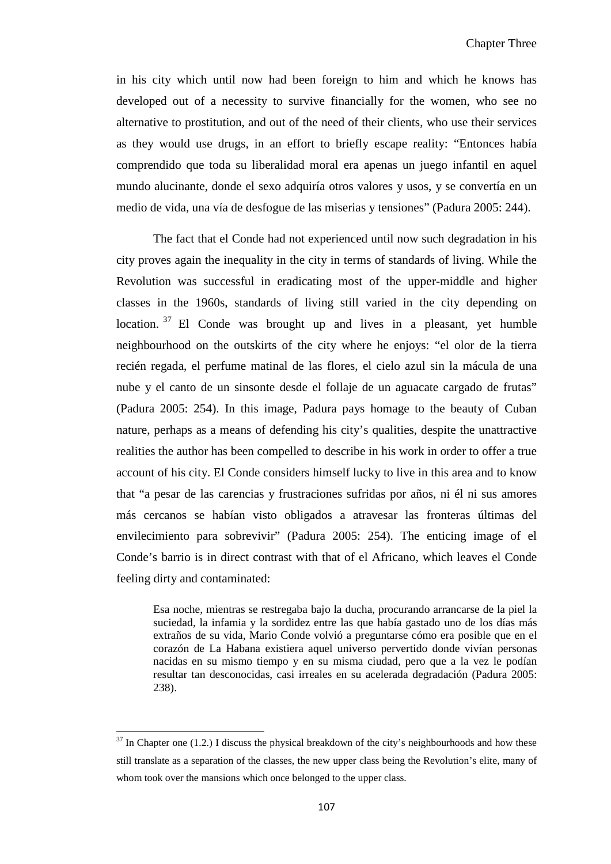in his city which until now had been foreign to him and which he knows has developed out of a necessity to survive financially for the women, who see no alternative to prostitution, and out of the need of their clients, who use their services as they would use drugs, in an effort to briefly escape reality: "Entonces había comprendido que toda su liberalidad moral era apenas un juego infantil en aquel mundo alucinante, donde el sexo adquiría otros valores y usos, y se convertía en un medio de vida, una vía de desfogue de las miserias y tensiones" (Padura 2005: 244).

The fact that el Conde had not experienced until now such degradation in his city proves again the inequality in the city in terms of standards of living. While the Revolution was successful in eradicating most of the upper-middle and higher classes in the 1960s, standards of living still varied in the city depending on location.<sup>[37](#page-105-0)</sup> El Conde was brought up and lives in a pleasant, yet humble neighbourhood on the outskirts of the city where he enjoys: "el olor de la tierra recién regada, el perfume matinal de las flores, el cielo azul sin la mácula de una nube y el canto de un sinsonte desde el follaje de un aguacate cargado de frutas" (Padura 2005: 254). In this image, Padura pays homage to the beauty of Cuban nature, perhaps as a means of defending his city's qualities, despite the unattractive realities the author has been compelled to describe in his work in order to offer a true account of his city. El Conde considers himself lucky to live in this area and to know that "a pesar de las carencias y frustraciones sufridas por años, ni él ni sus amores más cercanos se habían visto obligados a atravesar las fronteras últimas del envilecimiento para sobrevivir" (Padura 2005: 254). The enticing image of el Conde's barrio is in direct contrast with that of el Africano, which leaves el Conde feeling dirty and contaminated:

Esa noche, mientras se restregaba bajo la ducha, procurando arrancarse de la piel la suciedad, la infamia y la sordidez entre las que había gastado uno de los días más extraños de su vida, Mario Conde volvió a preguntarse cómo era posible que en el corazón de La Habana existiera aquel universo pervertido donde vivían personas nacidas en su mismo tiempo y en su misma ciudad, pero que a la vez le podían resultar tan desconocidas, casi irreales en su acelerada degradación (Padura 2005: 238).

 $\overline{\phantom{0}}$ 

<span id="page-112-0"></span> $37$  In Chapter one (1.2.) I discuss the physical breakdown of the city's neighbourhoods and how these still translate as a separation of the classes, the new upper class being the Revolution's elite, many of whom took over the mansions which once belonged to the upper class.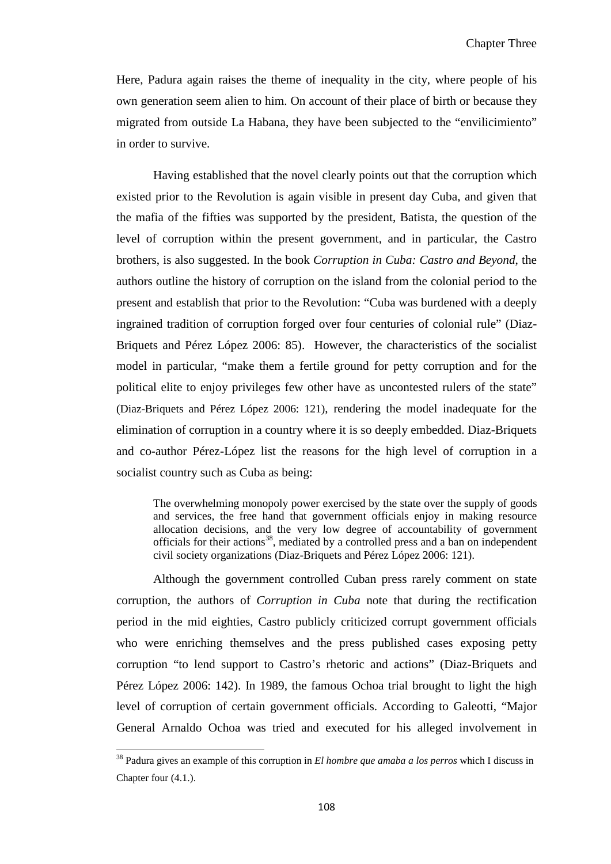Here, Padura again raises the theme of inequality in the city, where people of his own generation seem alien to him. On account of their place of birth or because they migrated from outside La Habana, they have been subjected to the "envilicimiento" in order to survive.

Having established that the novel clearly points out that the corruption which existed prior to the Revolution is again visible in present day Cuba, and given that the mafia of the fifties was supported by the president, Batista, the question of the level of corruption within the present government, and in particular, the Castro brothers, is also suggested. In the book *Corruption in Cuba: Castro and Beyond*, the authors outline the history of corruption on the island from the colonial period to the present and establish that prior to the Revolution: "Cuba was burdened with a deeply ingrained tradition of corruption forged over four centuries of colonial rule" (Diaz-Briquets and Pérez López 2006: 85). However, the characteristics of the socialist model in particular, "make them a fertile ground for petty corruption and for the political elite to enjoy privileges few other have as uncontested rulers of the state" (Diaz-Briquets and Pérez López 2006: 121), rendering the model inadequate for the elimination of corruption in a country where it is so deeply embedded. Diaz-Briquets and co-author Pérez-López list the reasons for the high level of corruption in a socialist country such as Cuba as being:

The overwhelming monopoly power exercised by the state over the supply of goods and services, the free hand that government officials enjoy in making resource allocation decisions, and the very low degree of accountability of government officials for their actions<sup>38</sup>, mediated by a controlled press and a ban on independent civil society organizations (Diaz-Briquets and Pérez López 2006: 121).

Although the government controlled Cuban press rarely comment on state corruption, the authors of *Corruption in Cuba* note that during the rectification period in the mid eighties, Castro publicly criticized corrupt government officials who were enriching themselves and the press published cases exposing petty corruption "to lend support to Castro's rhetoric and actions" (Diaz-Briquets and Pérez López 2006: 142). In 1989, the famous Ochoa trial brought to light the high level of corruption of certain government officials. According to Galeotti, "Major General Arnaldo Ochoa was tried and executed for his alleged involvement in

ı

<span id="page-113-0"></span><sup>38</sup> Padura gives an example of this corruption in *El hombre que amaba a los perros* which I discuss in Chapter four (4.1.).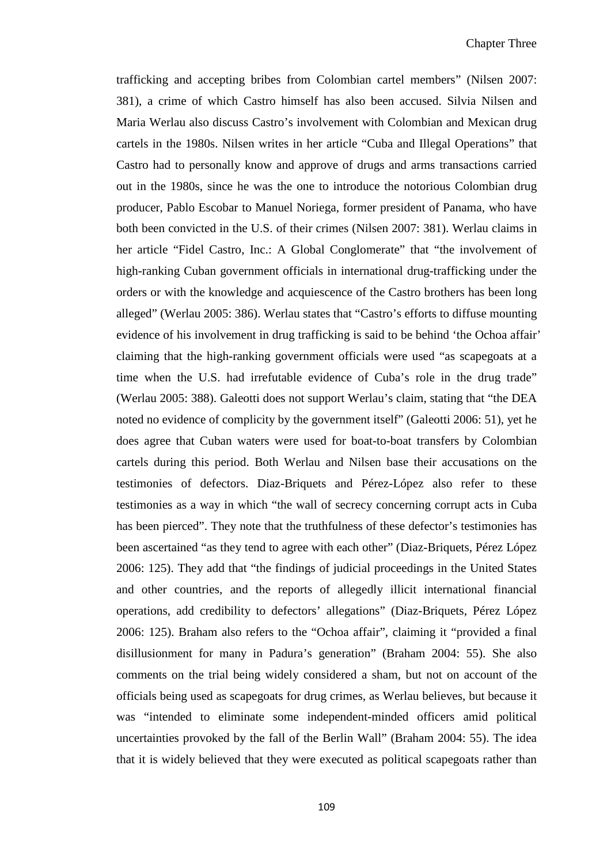trafficking and accepting bribes from Colombian cartel members" (Nilsen 2007: 381), a crime of which Castro himself has also been accused. Silvia Nilsen and Maria Werlau also discuss Castro's involvement with Colombian and Mexican drug cartels in the 1980s. Nilsen writes in her article "Cuba and Illegal Operations" that Castro had to personally know and approve of drugs and arms transactions carried out in the 1980s, since he was the one to introduce the notorious Colombian drug producer, Pablo Escobar to Manuel Noriega, former president of Panama, who have both been convicted in the U.S. of their crimes (Nilsen 2007: 381). Werlau claims in her article "Fidel Castro, Inc.: A Global Conglomerate" that "the involvement of high-ranking Cuban government officials in international drug-trafficking under the orders or with the knowledge and acquiescence of the Castro brothers has been long alleged" (Werlau 2005: 386). Werlau states that "Castro's efforts to diffuse mounting evidence of his involvement in drug trafficking is said to be behind 'the Ochoa affair' claiming that the high-ranking government officials were used "as scapegoats at a time when the U.S. had irrefutable evidence of Cuba's role in the drug trade" (Werlau 2005: 388). Galeotti does not support Werlau's claim, stating that "the DEA noted no evidence of complicity by the government itself" (Galeotti 2006: 51), yet he does agree that Cuban waters were used for boat-to-boat transfers by Colombian cartels during this period. Both Werlau and Nilsen base their accusations on the testimonies of defectors. Diaz-Briquets and Pérez-López also refer to these testimonies as a way in which "the wall of secrecy concerning corrupt acts in Cuba has been pierced". They note that the truthfulness of these defector's testimonies has been ascertained "as they tend to agree with each other" (Diaz-Briquets, Pérez López 2006: 125). They add that "the findings of judicial proceedings in the United States and other countries, and the reports of allegedly illicit international financial operations, add credibility to defectors' allegations" (Diaz-Briquets, Pérez López 2006: 125). Braham also refers to the "Ochoa affair", claiming it "provided a final disillusionment for many in Padura's generation" (Braham 2004: 55). She also comments on the trial being widely considered a sham, but not on account of the officials being used as scapegoats for drug crimes, as Werlau believes, but because it was "intended to eliminate some independent-minded officers amid political uncertainties provoked by the fall of the Berlin Wall" (Braham 2004: 55). The idea that it is widely believed that they were executed as political scapegoats rather than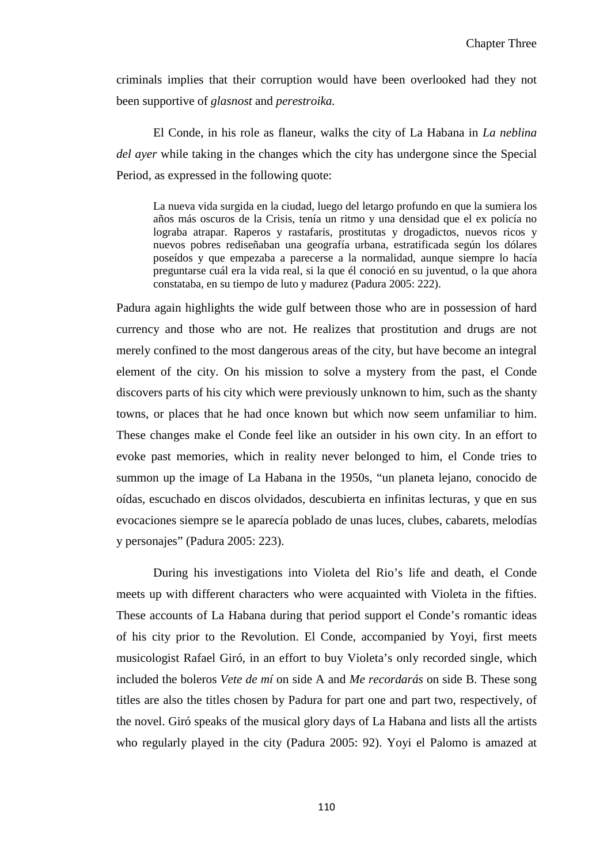criminals implies that their corruption would have been overlooked had they not been supportive of *glasnost* and *perestroika.*

El Conde, in his role as flaneur*,* walks the city of La Habana in *La neblina del ayer* while taking in the changes which the city has undergone since the Special Period, as expressed in the following quote:

La nueva vida surgida en la ciudad, luego del letargo profundo en que la sumiera los años más oscuros de la Crisis, tenía un ritmo y una densidad que el ex policía no lograba atrapar. Raperos y rastafaris, prostitutas y drogadictos, nuevos ricos y nuevos pobres rediseñaban una geografía urbana, estratificada según los dólares poseídos y que empezaba a parecerse a la normalidad, aunque siempre lo hacía preguntarse cuál era la vida real, si la que él conoció en su juventud, o la que ahora constataba, en su tiempo de luto y madurez (Padura 2005: 222).

Padura again highlights the wide gulf between those who are in possession of hard currency and those who are not. He realizes that prostitution and drugs are not merely confined to the most dangerous areas of the city, but have become an integral element of the city. On his mission to solve a mystery from the past, el Conde discovers parts of his city which were previously unknown to him, such as the shanty towns, or places that he had once known but which now seem unfamiliar to him. These changes make el Conde feel like an outsider in his own city. In an effort to evoke past memories, which in reality never belonged to him, el Conde tries to summon up the image of La Habana in the 1950s, "un planeta lejano, conocido de oídas, escuchado en discos olvidados, descubierta en infinitas lecturas, y que en sus evocaciones siempre se le aparecía poblado de unas luces, clubes, cabarets, melodías y personajes" (Padura 2005: 223).

During his investigations into Violeta del Rio's life and death, el Conde meets up with different characters who were acquainted with Violeta in the fifties. These accounts of La Habana during that period support el Conde's romantic ideas of his city prior to the Revolution. El Conde, accompanied by Yoyi, first meets musicologist Rafael Giró, in an effort to buy Violeta's only recorded single, which included the boleros *Vete de mí* on side A and *Me recordarás* on side B. These song titles are also the titles chosen by Padura for part one and part two, respectively, of the novel. Giró speaks of the musical glory days of La Habana and lists all the artists who regularly played in the city (Padura 2005: 92). Yoyi el Palomo is amazed at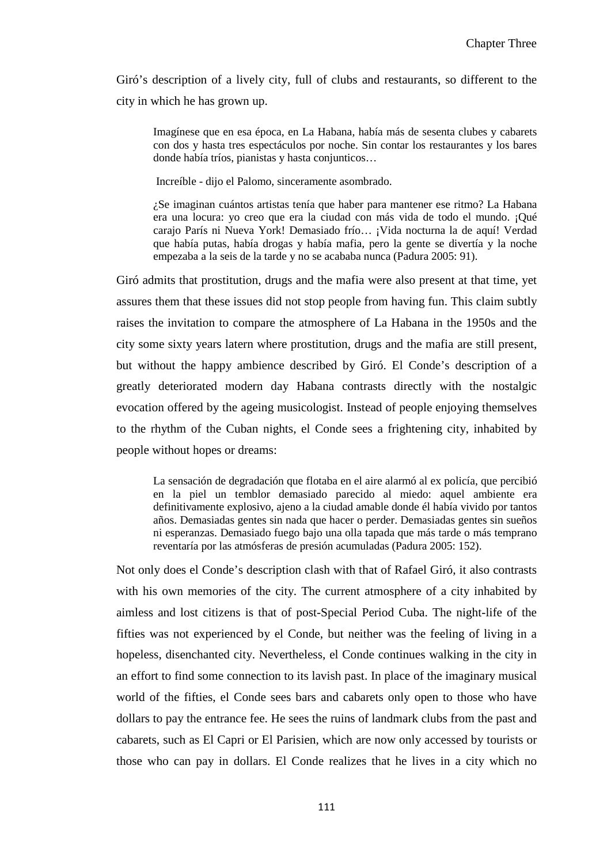Giró's description of a lively city, full of clubs and restaurants, so different to the city in which he has grown up.

Imagínese que en esa época, en La Habana, había más de sesenta clubes y cabarets con dos y hasta tres espectáculos por noche. Sin contar los restaurantes y los bares donde había tríos, pianistas y hasta conjunticos…

Increíble - dijo el Palomo, sinceramente asombrado.

¿Se imaginan cuántos artistas tenía que haber para mantener ese ritmo? La Habana era una locura: yo creo que era la ciudad con más vida de todo el mundo. ¡Qué carajo París ni Nueva York! Demasiado frío… ¡Vida nocturna la de aquí! Verdad que había putas, había drogas y había mafia, pero la gente se divertía y la noche empezaba a la seis de la tarde y no se acababa nunca (Padura 2005: 91).

Giró admits that prostitution, drugs and the mafia were also present at that time, yet assures them that these issues did not stop people from having fun. This claim subtly raises the invitation to compare the atmosphere of La Habana in the 1950s and the city some sixty years latern where prostitution, drugs and the mafia are still present, but without the happy ambience described by Giró. El Conde's description of a greatly deteriorated modern day Habana contrasts directly with the nostalgic evocation offered by the ageing musicologist. Instead of people enjoying themselves to the rhythm of the Cuban nights, el Conde sees a frightening city, inhabited by people without hopes or dreams:

La sensación de degradación que flotaba en el aire alarmó al ex policía, que percibió en la piel un temblor demasiado parecido al miedo: aquel ambiente era definitivamente explosivo, ajeno a la ciudad amable donde él había vivido por tantos años. Demasiadas gentes sin nada que hacer o perder. Demasiadas gentes sin sueños ni esperanzas. Demasiado fuego bajo una olla tapada que más tarde o más temprano reventaría por las atmósferas de presión acumuladas (Padura 2005: 152).

Not only does el Conde's description clash with that of Rafael Giró, it also contrasts with his own memories of the city. The current atmosphere of a city inhabited by aimless and lost citizens is that of post-Special Period Cuba. The night-life of the fifties was not experienced by el Conde, but neither was the feeling of living in a hopeless, disenchanted city. Nevertheless, el Conde continues walking in the city in an effort to find some connection to its lavish past. In place of the imaginary musical world of the fifties, el Conde sees bars and cabarets only open to those who have dollars to pay the entrance fee. He sees the ruins of landmark clubs from the past and cabarets, such as El Capri or El Parisien, which are now only accessed by tourists or those who can pay in dollars. El Conde realizes that he lives in a city which no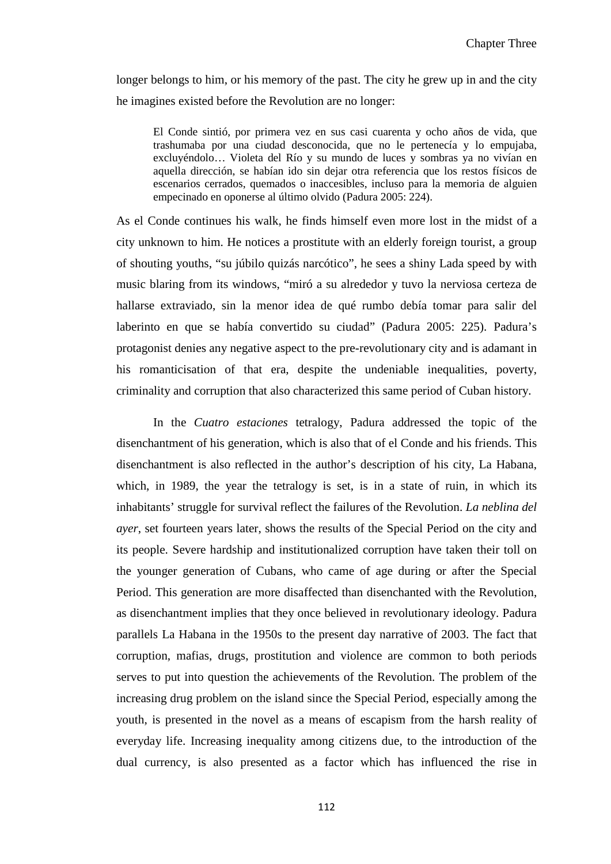longer belongs to him, or his memory of the past. The city he grew up in and the city he imagines existed before the Revolution are no longer:

El Conde sintió, por primera vez en sus casi cuarenta y ocho años de vida, que trashumaba por una ciudad desconocida, que no le pertenecía y lo empujaba, excluyéndolo… Violeta del Río y su mundo de luces y sombras ya no vivían en aquella dirección, se habían ido sin dejar otra referencia que los restos físicos de escenarios cerrados, quemados o inaccesibles, incluso para la memoria de alguien empecinado en oponerse al último olvido (Padura 2005: 224).

As el Conde continues his walk, he finds himself even more lost in the midst of a city unknown to him. He notices a prostitute with an elderly foreign tourist, a group of shouting youths, "su júbilo quizás narcótico", he sees a shiny Lada speed by with music blaring from its windows, "miró a su alrededor y tuvo la nerviosa certeza de hallarse extraviado, sin la menor idea de qué rumbo debía tomar para salir del laberinto en que se había convertido su ciudad" (Padura 2005: 225). Padura's protagonist denies any negative aspect to the pre-revolutionary city and is adamant in his romanticisation of that era, despite the undeniable inequalities, poverty, criminality and corruption that also characterized this same period of Cuban history.

In the *Cuatro estaciones* tetralogy, Padura addressed the topic of the disenchantment of his generation, which is also that of el Conde and his friends. This disenchantment is also reflected in the author's description of his city, La Habana, which, in 1989, the year the tetralogy is set, is in a state of ruin, in which its inhabitants' struggle for survival reflect the failures of the Revolution. *La neblina del ayer*, set fourteen years later, shows the results of the Special Period on the city and its people. Severe hardship and institutionalized corruption have taken their toll on the younger generation of Cubans, who came of age during or after the Special Period. This generation are more disaffected than disenchanted with the Revolution, as disenchantment implies that they once believed in revolutionary ideology. Padura parallels La Habana in the 1950s to the present day narrative of 2003. The fact that corruption, mafias, drugs, prostitution and violence are common to both periods serves to put into question the achievements of the Revolution. The problem of the increasing drug problem on the island since the Special Period, especially among the youth, is presented in the novel as a means of escapism from the harsh reality of everyday life. Increasing inequality among citizens due, to the introduction of the dual currency, is also presented as a factor which has influenced the rise in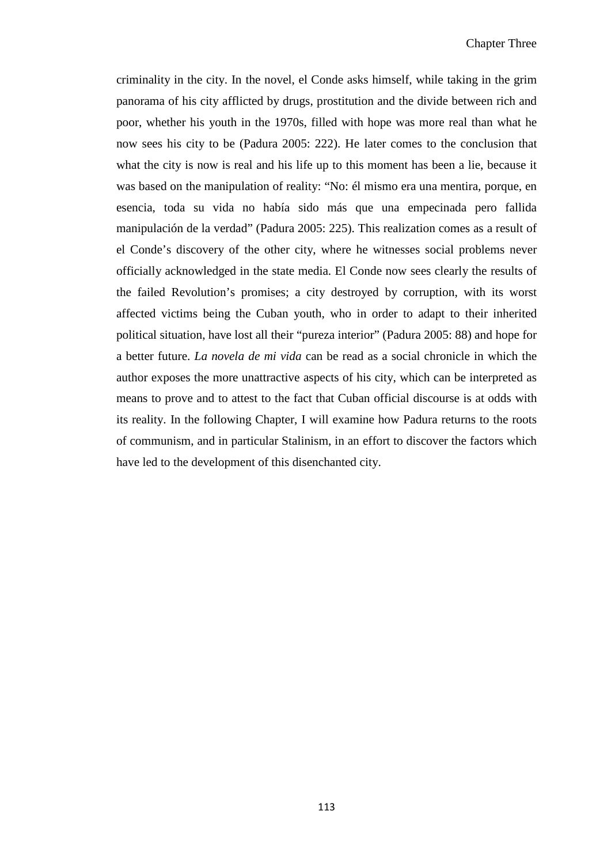criminality in the city. In the novel, el Conde asks himself, while taking in the grim panorama of his city afflicted by drugs, prostitution and the divide between rich and poor, whether his youth in the 1970s, filled with hope was more real than what he now sees his city to be (Padura 2005: 222). He later comes to the conclusion that what the city is now is real and his life up to this moment has been a lie, because it was based on the manipulation of reality: "No: él mismo era una mentira, porque, en esencia, toda su vida no había sido más que una empecinada pero fallida manipulación de la verdad" (Padura 2005: 225). This realization comes as a result of el Conde's discovery of the other city, where he witnesses social problems never officially acknowledged in the state media. El Conde now sees clearly the results of the failed Revolution's promises; a city destroyed by corruption, with its worst affected victims being the Cuban youth, who in order to adapt to their inherited political situation, have lost all their "pureza interior" (Padura 2005: 88) and hope for a better future. *La novela de mi vida* can be read as a social chronicle in which the author exposes the more unattractive aspects of his city, which can be interpreted as means to prove and to attest to the fact that Cuban official discourse is at odds with its reality. In the following Chapter, I will examine how Padura returns to the roots of communism, and in particular Stalinism, in an effort to discover the factors which have led to the development of this disenchanted city.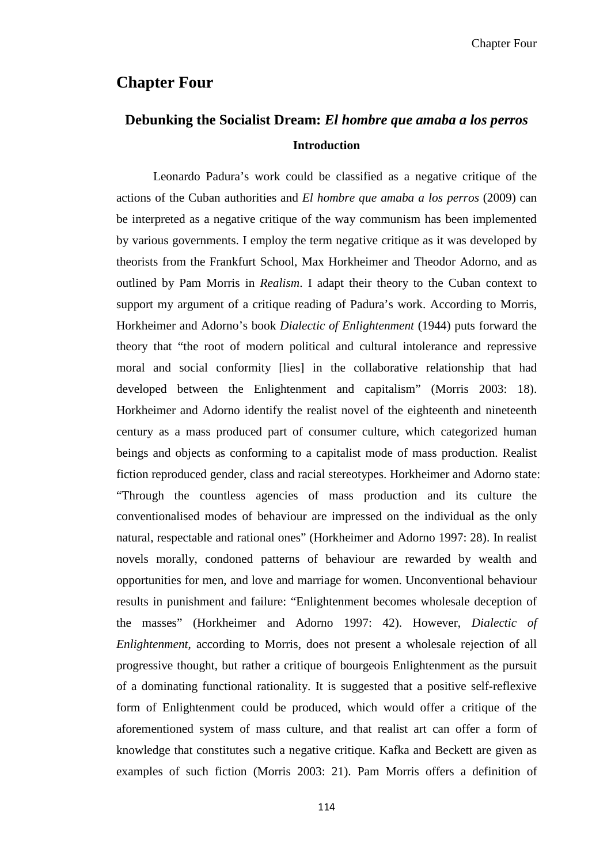## **Chapter Four**

# **Debunking the Socialist Dream:** *El hombre que amaba a los perros* **Introduction**

Leonardo Padura's work could be classified as a negative critique of the actions of the Cuban authorities and *El hombre que amaba a los perros* (2009) can be interpreted as a negative critique of the way communism has been implemented by various governments. I employ the term negative critique as it was developed by theorists from the Frankfurt School, Max Horkheimer and Theodor Adorno, and as outlined by Pam Morris in *Realism*. I adapt their theory to the Cuban context to support my argument of a critique reading of Padura's work. According to Morris, Horkheimer and Adorno's book *Dialectic of Enlightenment* (1944) puts forward the theory that "the root of modern political and cultural intolerance and repressive moral and social conformity [lies] in the collaborative relationship that had developed between the Enlightenment and capitalism" (Morris 2003: 18). Horkheimer and Adorno identify the realist novel of the eighteenth and nineteenth century as a mass produced part of consumer culture, which categorized human beings and objects as conforming to a capitalist mode of mass production. Realist fiction reproduced gender, class and racial stereotypes. Horkheimer and Adorno state: "Through the countless agencies of mass production and its culture the conventionalised modes of behaviour are impressed on the individual as the only natural, respectable and rational ones" (Horkheimer and Adorno 1997: 28). In realist novels morally, condoned patterns of behaviour are rewarded by wealth and opportunities for men, and love and marriage for women. Unconventional behaviour results in punishment and failure: "Enlightenment becomes wholesale deception of the masses" (Horkheimer and Adorno 1997: 42). However, *Dialectic of Enlightenment*, according to Morris, does not present a wholesale rejection of all progressive thought, but rather a critique of bourgeois Enlightenment as the pursuit of a dominating functional rationality. It is suggested that a positive self-reflexive form of Enlightenment could be produced, which would offer a critique of the aforementioned system of mass culture, and that realist art can offer a form of knowledge that constitutes such a negative critique. Kafka and Beckett are given as examples of such fiction (Morris 2003: 21). Pam Morris offers a definition of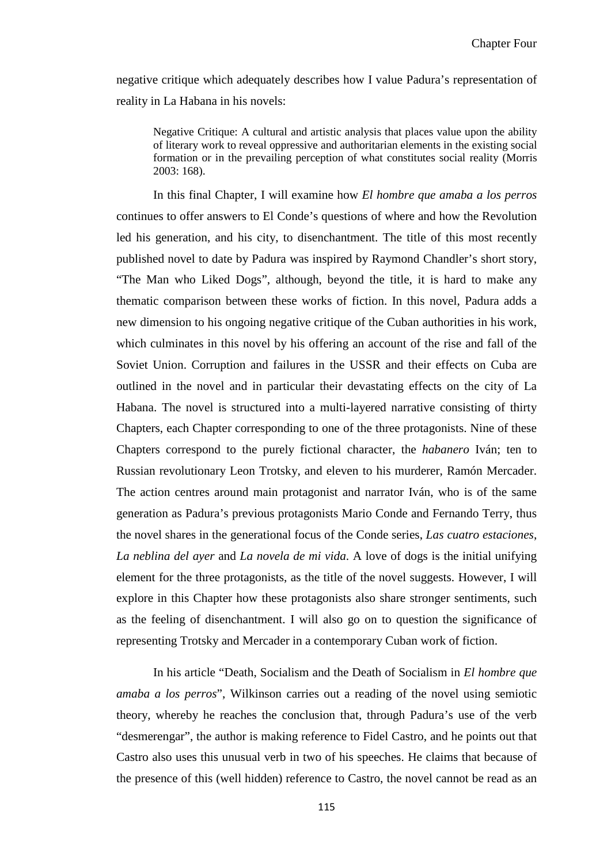negative critique which adequately describes how I value Padura's representation of reality in La Habana in his novels:

Negative Critique: A cultural and artistic analysis that places value upon the ability of literary work to reveal oppressive and authoritarian elements in the existing social formation or in the prevailing perception of what constitutes social reality (Morris 2003: 168).

In this final Chapter, I will examine how *El hombre que amaba a los perros* continues to offer answers to El Conde's questions of where and how the Revolution led his generation, and his city, to disenchantment. The title of this most recently published novel to date by Padura was inspired by Raymond Chandler's short story, "The Man who Liked Dogs", although, beyond the title, it is hard to make any thematic comparison between these works of fiction. In this novel, Padura adds a new dimension to his ongoing negative critique of the Cuban authorities in his work, which culminates in this novel by his offering an account of the rise and fall of the Soviet Union. Corruption and failures in the USSR and their effects on Cuba are outlined in the novel and in particular their devastating effects on the city of La Habana. The novel is structured into a multi-layered narrative consisting of thirty Chapters, each Chapter corresponding to one of the three protagonists. Nine of these Chapters correspond to the purely fictional character, the *habanero* Iván; ten to Russian revolutionary Leon Trotsky, and eleven to his murderer, Ramón Mercader. The action centres around main protagonist and narrator Iván, who is of the same generation as Padura's previous protagonists Mario Conde and Fernando Terry, thus the novel shares in the generational focus of the Conde series, *Las cuatro estaciones*, *La neblina del ayer* and *La novela de mi vida*. A love of dogs is the initial unifying element for the three protagonists, as the title of the novel suggests. However, I will explore in this Chapter how these protagonists also share stronger sentiments, such as the feeling of disenchantment. I will also go on to question the significance of representing Trotsky and Mercader in a contemporary Cuban work of fiction.

In his article "Death, Socialism and the Death of Socialism in *El hombre que amaba a los perros*", Wilkinson carries out a reading of the novel using semiotic theory, whereby he reaches the conclusion that, through Padura's use of the verb "desmerengar", the author is making reference to Fidel Castro, and he points out that Castro also uses this unusual verb in two of his speeches. He claims that because of the presence of this (well hidden) reference to Castro, the novel cannot be read as an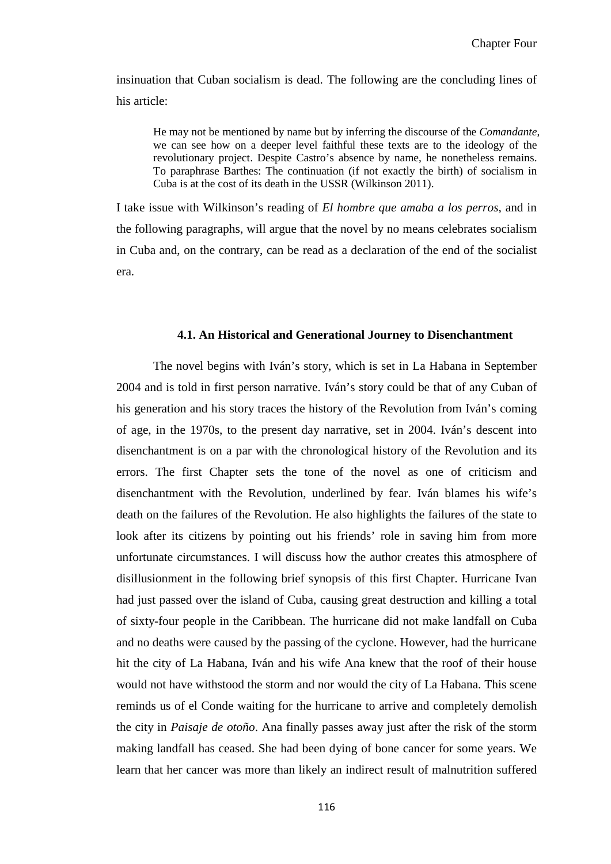insinuation that Cuban socialism is dead. The following are the concluding lines of his article:

He may not be mentioned by name but by inferring the discourse of the *Comandante*, we can see how on a deeper level faithful these texts are to the ideology of the revolutionary project. Despite Castro's absence by name, he nonetheless remains. To paraphrase Barthes: The continuation (if not exactly the birth) of socialism in Cuba is at the cost of its death in the USSR (Wilkinson 2011).

I take issue with Wilkinson's reading of *El hombre que amaba a los perros*, and in the following paragraphs, will argue that the novel by no means celebrates socialism in Cuba and, on the contrary, can be read as a declaration of the end of the socialist era.

#### **4.1. An Historical and Generational Journey to Disenchantment**

The novel begins with Iván's story, which is set in La Habana in September 2004 and is told in first person narrative. Iván's story could be that of any Cuban of his generation and his story traces the history of the Revolution from Iván's coming of age, in the 1970s, to the present day narrative, set in 2004. Iván's descent into disenchantment is on a par with the chronological history of the Revolution and its errors. The first Chapter sets the tone of the novel as one of criticism and disenchantment with the Revolution, underlined by fear. Iván blames his wife's death on the failures of the Revolution. He also highlights the failures of the state to look after its citizens by pointing out his friends' role in saving him from more unfortunate circumstances. I will discuss how the author creates this atmosphere of disillusionment in the following brief synopsis of this first Chapter. Hurricane Ivan had just passed over the island of Cuba, causing great destruction and killing a total of sixty-four people in the Caribbean. The hurricane did not make landfall on Cuba and no deaths were caused by the passing of the cyclone. However, had the hurricane hit the city of La Habana, Iván and his wife Ana knew that the roof of their house would not have withstood the storm and nor would the city of La Habana. This scene reminds us of el Conde waiting for the hurricane to arrive and completely demolish the city in *Paisaje de otoño*. Ana finally passes away just after the risk of the storm making landfall has ceased. She had been dying of bone cancer for some years. We learn that her cancer was more than likely an indirect result of malnutrition suffered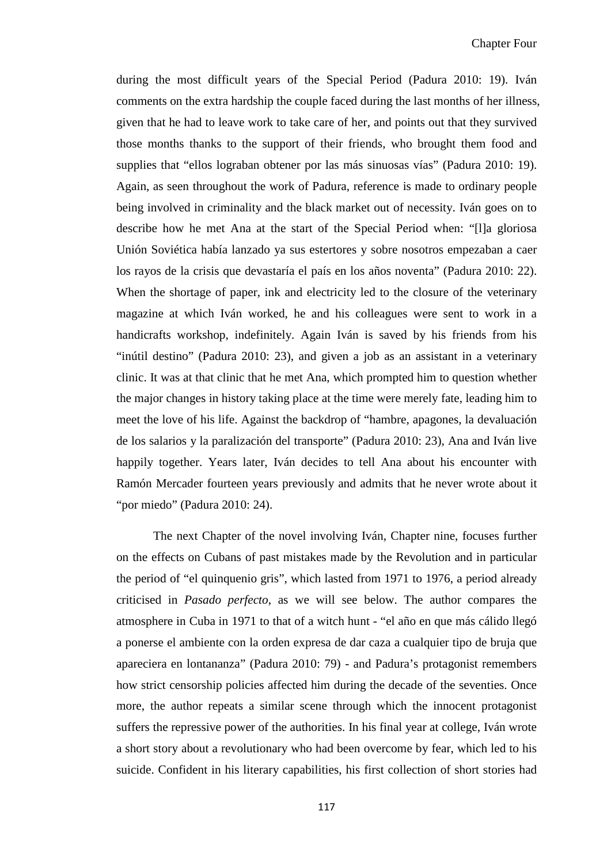during the most difficult years of the Special Period (Padura 2010: 19). Iván comments on the extra hardship the couple faced during the last months of her illness, given that he had to leave work to take care of her, and points out that they survived those months thanks to the support of their friends, who brought them food and supplies that "ellos lograban obtener por las más sinuosas vías" (Padura 2010: 19). Again, as seen throughout the work of Padura, reference is made to ordinary people being involved in criminality and the black market out of necessity. Iván goes on to describe how he met Ana at the start of the Special Period when: "[l]a gloriosa Unión Soviética había lanzado ya sus estertores y sobre nosotros empezaban a caer los rayos de la crisis que devastaría el país en los años noventa" (Padura 2010: 22). When the shortage of paper, ink and electricity led to the closure of the veterinary magazine at which Iván worked, he and his colleagues were sent to work in a handicrafts workshop, indefinitely. Again Iván is saved by his friends from his "inútil destino" (Padura 2010: 23), and given a job as an assistant in a veterinary clinic. It was at that clinic that he met Ana, which prompted him to question whether the major changes in history taking place at the time were merely fate, leading him to meet the love of his life. Against the backdrop of "hambre, apagones, la devaluación de los salarios y la paralización del transporte" (Padura 2010: 23), Ana and Iván live happily together. Years later, Iván decides to tell Ana about his encounter with Ramón Mercader fourteen years previously and admits that he never wrote about it "por miedo" (Padura 2010: 24).

The next Chapter of the novel involving Iván, Chapter nine, focuses further on the effects on Cubans of past mistakes made by the Revolution and in particular the period of "el quinquenio gris", which lasted from 1971 to 1976, a period already criticised in *Pasado perfecto*, as we will see below. The author compares the atmosphere in Cuba in 1971 to that of a witch hunt - "el año en que más cálido llegó a ponerse el ambiente con la orden expresa de dar caza a cualquier tipo de bruja que apareciera en lontananza" (Padura 2010: 79) - and Padura's protagonist remembers how strict censorship policies affected him during the decade of the seventies. Once more, the author repeats a similar scene through which the innocent protagonist suffers the repressive power of the authorities. In his final year at college, Iván wrote a short story about a revolutionary who had been overcome by fear, which led to his suicide. Confident in his literary capabilities, his first collection of short stories had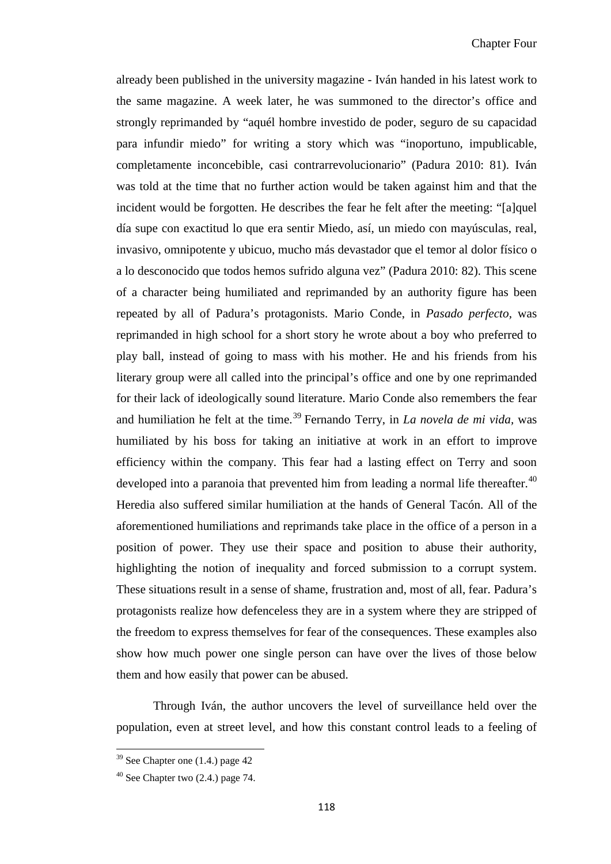already been published in the university magazine - Iván handed in his latest work to the same magazine. A week later, he was summoned to the director's office and strongly reprimanded by "aquél hombre investido de poder, seguro de su capacidad para infundir miedo" for writing a story which was "inoportuno, impublicable, completamente inconcebible, casi contrarrevolucionario" (Padura 2010: 81). Iván was told at the time that no further action would be taken against him and that the incident would be forgotten. He describes the fear he felt after the meeting: "[a]quel día supe con exactitud lo que era sentir Miedo, así, un miedo con mayúsculas, real, invasivo, omnipotente y ubicuo, mucho más devastador que el temor al dolor físico o a lo desconocido que todos hemos sufrido alguna vez" (Padura 2010: 82). This scene of a character being humiliated and reprimanded by an authority figure has been repeated by all of Padura's protagonists. Mario Conde, in *Pasado perfecto,* was reprimanded in high school for a short story he wrote about a boy who preferred to play ball, instead of going to mass with his mother. He and his friends from his literary group were all called into the principal's office and one by one reprimanded for their lack of ideologically sound literature. Mario Conde also remembers the fear and humiliation he felt at the time. [39](#page-113-0) Fernando Terry, in *La novela de mi vida,* was humiliated by his boss for taking an initiative at work in an effort to improve efficiency within the company. This fear had a lasting effect on Terry and soon developed into a paranoia that prevented him from leading a normal life thereafter.<sup>[40](#page-123-0)</sup> Heredia also suffered similar humiliation at the hands of General Tacón. All of the aforementioned humiliations and reprimands take place in the office of a person in a position of power. They use their space and position to abuse their authority, highlighting the notion of inequality and forced submission to a corrupt system. These situations result in a sense of shame, frustration and, most of all, fear. Padura's protagonists realize how defenceless they are in a system where they are stripped of the freedom to express themselves for fear of the consequences. These examples also show how much power one single person can have over the lives of those below them and how easily that power can be abused.

Through Iván, the author uncovers the level of surveillance held over the population, even at street level, and how this constant control leads to a feeling of

ı

<span id="page-123-1"></span> $39$  See Chapter one  $(1.4)$  page 42

<span id="page-123-0"></span> $40$  See Chapter two  $(2.4)$  page 74.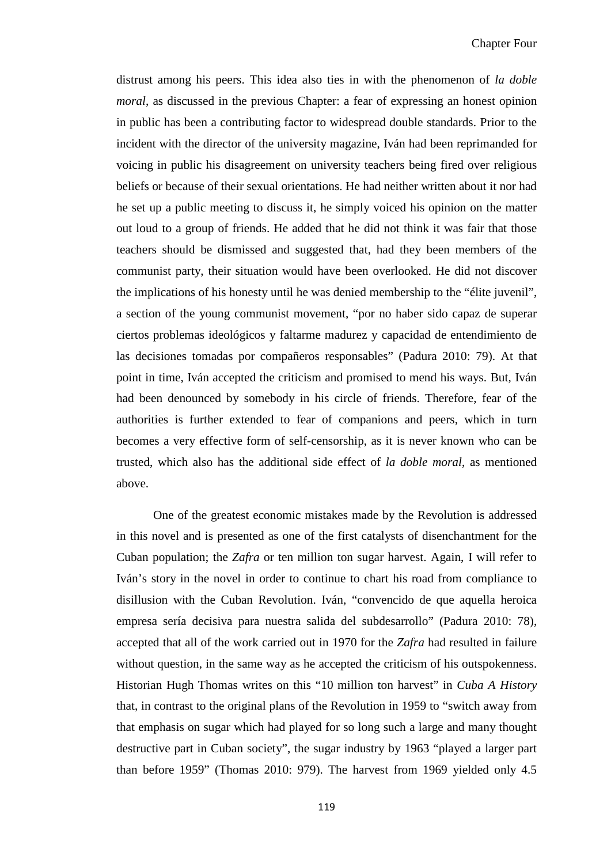distrust among his peers. This idea also ties in with the phenomenon of *la doble moral*, as discussed in the previous Chapter: a fear of expressing an honest opinion in public has been a contributing factor to widespread double standards. Prior to the incident with the director of the university magazine, Iván had been reprimanded for voicing in public his disagreement on university teachers being fired over religious beliefs or because of their sexual orientations. He had neither written about it nor had he set up a public meeting to discuss it, he simply voiced his opinion on the matter out loud to a group of friends. He added that he did not think it was fair that those teachers should be dismissed and suggested that, had they been members of the communist party, their situation would have been overlooked. He did not discover the implications of his honesty until he was denied membership to the "élite juvenil", a section of the young communist movement, "por no haber sido capaz de superar ciertos problemas ideológicos y faltarme madurez y capacidad de entendimiento de las decisiones tomadas por compañeros responsables" (Padura 2010: 79). At that point in time, Iván accepted the criticism and promised to mend his ways. But, Iván had been denounced by somebody in his circle of friends. Therefore, fear of the authorities is further extended to fear of companions and peers, which in turn becomes a very effective form of self-censorship, as it is never known who can be trusted, which also has the additional side effect of *la doble moral*, as mentioned above.

One of the greatest economic mistakes made by the Revolution is addressed in this novel and is presented as one of the first catalysts of disenchantment for the Cuban population; the *Zafra* or ten million ton sugar harvest. Again, I will refer to Iván's story in the novel in order to continue to chart his road from compliance to disillusion with the Cuban Revolution. Iván, "convencido de que aquella heroica empresa sería decisiva para nuestra salida del subdesarrollo" (Padura 2010: 78), accepted that all of the work carried out in 1970 for the *Zafra* had resulted in failure without question, in the same way as he accepted the criticism of his outspokenness. Historian Hugh Thomas writes on this "10 million ton harvest" in *Cuba A History* that, in contrast to the original plans of the Revolution in 1959 to "switch away from that emphasis on sugar which had played for so long such a large and many thought destructive part in Cuban society", the sugar industry by 1963 "played a larger part than before 1959" (Thomas 2010: 979). The harvest from 1969 yielded only 4.5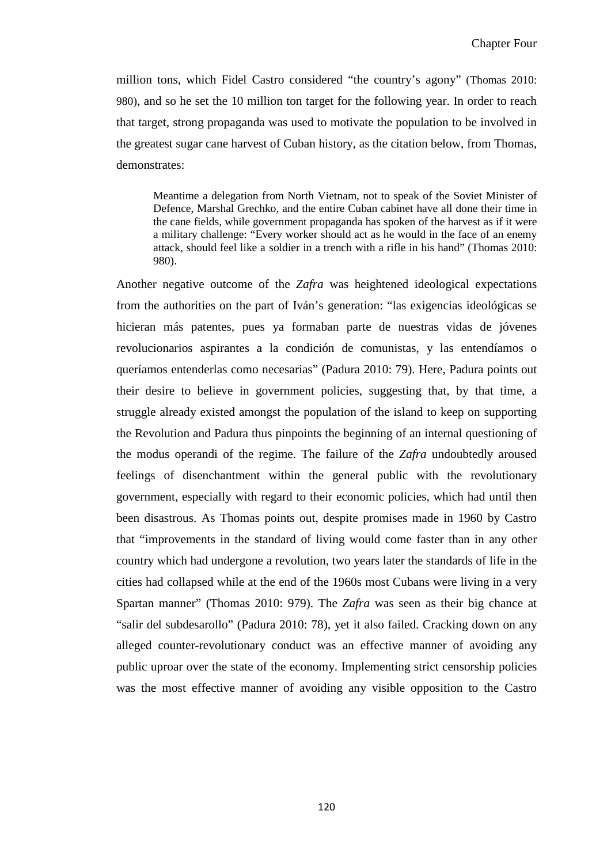million tons, which Fidel Castro considered "the country's agony" (Thomas 2010: 980), and so he set the 10 million ton target for the following year. In order to reach that target, strong propaganda was used to motivate the population to be involved in the greatest sugar cane harvest of Cuban history, as the citation below, from Thomas, demonstrates:

Meantime a delegation from North Vietnam, not to speak of the Soviet Minister of Defence, Marshal Grechko, and the entire Cuban cabinet have all done their time in the cane fields, while government propaganda has spoken of the harvest as if it were a military challenge: "Every worker should act as he would in the face of an enemy attack, should feel like a soldier in a trench with a rifle in his hand" (Thomas 2010: 980).

Another negative outcome of the *Zafra* was heightened ideological expectations from the authorities on the part of Iván's generation: "las exigencias ideológicas se hicieran más patentes, pues ya formaban parte de nuestras vidas de jóvenes revolucionarios aspirantes a la condición de comunistas, y las entendíamos o queríamos entenderlas como necesarias" (Padura 2010: 79). Here, Padura points out their desire to believe in government policies, suggesting that, by that time, a struggle already existed amongst the population of the island to keep on supporting the Revolution and Padura thus pinpoints the beginning of an internal questioning of the modus operandi of the regime. The failure of the *Zafra* undoubtedly aroused feelings of disenchantment within the general public with the revolutionary government, especially with regard to their economic policies, which had until then been disastrous. As Thomas points out, despite promises made in 1960 by Castro that "improvements in the standard of living would come faster than in any other country which had undergone a revolution, two years later the standards of life in the cities had collapsed while at the end of the 1960s most Cubans were living in a very Spartan manner" (Thomas 2010: 979). The *Zafra* was seen as their big chance at "salir del subdesarollo" (Padura 2010: 78), yet it also failed. Cracking down on any alleged counter-revolutionary conduct was an effective manner of avoiding any public uproar over the state of the economy. Implementing strict censorship policies was the most effective manner of avoiding any visible opposition to the Castro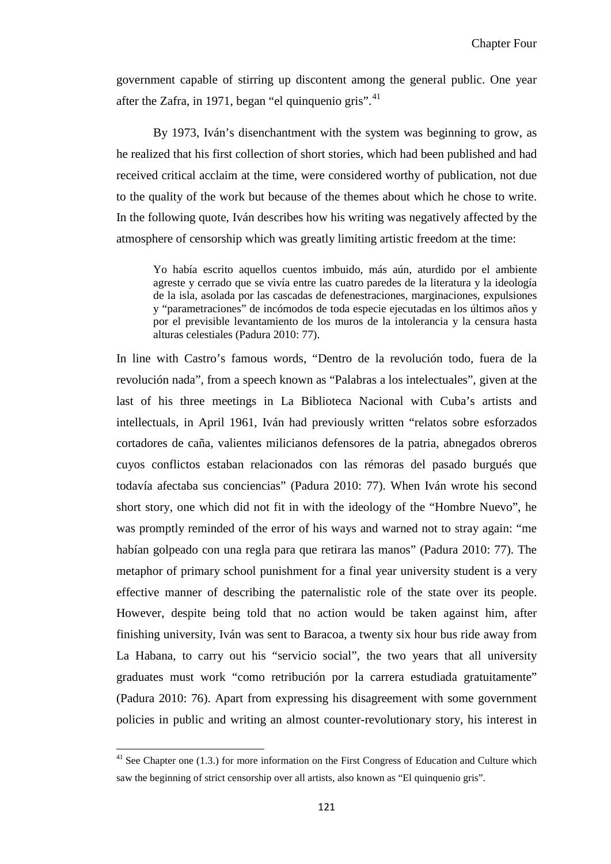government capable of stirring up discontent among the general public. One year after the Zafra, in 1971, began "el quinquenio gris". $41$ 

By 1973, Iván's disenchantment with the system was beginning to grow, as he realized that his first collection of short stories, which had been published and had received critical acclaim at the time, were considered worthy of publication, not due to the quality of the work but because of the themes about which he chose to write. In the following quote, Iván describes how his writing was negatively affected by the atmosphere of censorship which was greatly limiting artistic freedom at the time:

Yo había escrito aquellos cuentos imbuido, más aún, aturdido por el ambiente agreste y cerrado que se vivía entre las cuatro paredes de la literatura y la ideología de la isla, asolada por las cascadas de defenestraciones, marginaciones, expulsiones y "parametraciones" de incómodos de toda especie ejecutadas en los últimos años y por el previsible levantamiento de los muros de la intolerancia y la censura hasta alturas celestiales (Padura 2010: 77).

In line with Castro's famous words, "Dentro de la revolución todo, fuera de la revolución nada", from a speech known as "Palabras a los intelectuales", given at the last of his three meetings in La Biblioteca Nacional with Cuba's artists and intellectuals, in April 1961, Iván had previously written "relatos sobre esforzados cortadores de caña, valientes milicianos defensores de la patria, abnegados obreros cuyos conflictos estaban relacionados con las rémoras del pasado burgués que todavía afectaba sus conciencias" (Padura 2010: 77). When Iván wrote his second short story, one which did not fit in with the ideology of the "Hombre Nuevo", he was promptly reminded of the error of his ways and warned not to stray again: "me habían golpeado con una regla para que retirara las manos" (Padura 2010: 77). The metaphor of primary school punishment for a final year university student is a very effective manner of describing the paternalistic role of the state over its people. However, despite being told that no action would be taken against him, after finishing university, Iván was sent to Baracoa, a twenty six hour bus ride away from La Habana, to carry out his "servicio social", the two years that all university graduates must work "como retribución por la carrera estudiada gratuitamente" (Padura 2010: 76). Apart from expressing his disagreement with some government policies in public and writing an almost counter-revolutionary story, his interest in

<span id="page-126-0"></span>ı

 $41$  See Chapter one (1.3.) for more information on the First Congress of Education and Culture which saw the beginning of strict censorship over all artists, also known as "El quinquenio gris".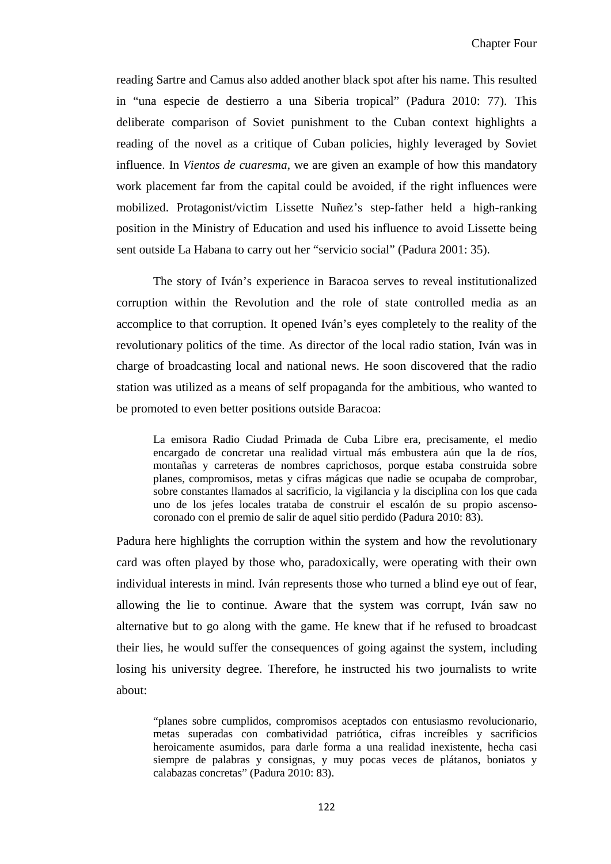reading Sartre and Camus also added another black spot after his name. This resulted in "una especie de destierro a una Siberia tropical" (Padura 2010: 77). This deliberate comparison of Soviet punishment to the Cuban context highlights a reading of the novel as a critique of Cuban policies, highly leveraged by Soviet influence. In *Vientos de cuaresma*, we are given an example of how this mandatory work placement far from the capital could be avoided, if the right influences were mobilized. Protagonist/victim Lissette Nuñez's step-father held a high-ranking position in the Ministry of Education and used his influence to avoid Lissette being sent outside La Habana to carry out her "servicio social" (Padura 2001: 35).

The story of Iván's experience in Baracoa serves to reveal institutionalized corruption within the Revolution and the role of state controlled media as an accomplice to that corruption. It opened Iván's eyes completely to the reality of the revolutionary politics of the time. As director of the local radio station, Iván was in charge of broadcasting local and national news. He soon discovered that the radio station was utilized as a means of self propaganda for the ambitious, who wanted to be promoted to even better positions outside Baracoa:

La emisora Radio Ciudad Primada de Cuba Libre era, precisamente, el medio encargado de concretar una realidad virtual más embustera aún que la de ríos, montañas y carreteras de nombres caprichosos, porque estaba construida sobre planes, compromisos, metas y cifras mágicas que nadie se ocupaba de comprobar, sobre constantes llamados al sacrificio, la vigilancia y la disciplina con los que cada uno de los jefes locales trataba de construir el escalón de su propio ascensocoronado con el premio de salir de aquel sitio perdido (Padura 2010: 83).

Padura here highlights the corruption within the system and how the revolutionary card was often played by those who, paradoxically, were operating with their own individual interests in mind. Iván represents those who turned a blind eye out of fear, allowing the lie to continue. Aware that the system was corrupt, Iván saw no alternative but to go along with the game. He knew that if he refused to broadcast their lies, he would suffer the consequences of going against the system, including losing his university degree. Therefore, he instructed his two journalists to write about:

"planes sobre cumplidos, compromisos aceptados con entusiasmo revolucionario, metas superadas con combatividad patriótica, cifras increíbles y sacrificios heroicamente asumidos, para darle forma a una realidad inexistente, hecha casi siempre de palabras y consignas, y muy pocas veces de plátanos, boniatos y calabazas concretas" (Padura 2010: 83).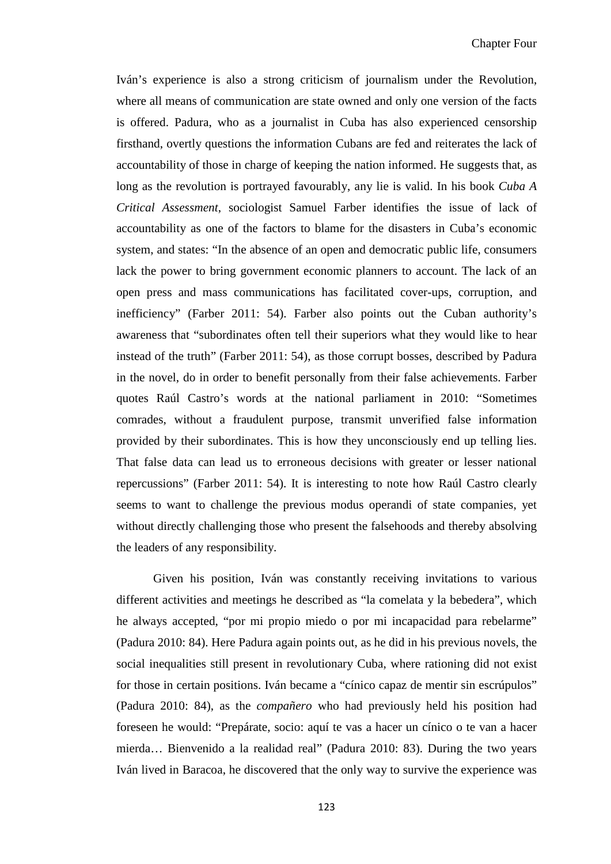Iván's experience is also a strong criticism of journalism under the Revolution, where all means of communication are state owned and only one version of the facts is offered. Padura, who as a journalist in Cuba has also experienced censorship firsthand, overtly questions the information Cubans are fed and reiterates the lack of accountability of those in charge of keeping the nation informed. He suggests that, as long as the revolution is portrayed favourably, any lie is valid. In his book *Cuba A Critical Assessment*, sociologist Samuel Farber identifies the issue of lack of accountability as one of the factors to blame for the disasters in Cuba's economic system, and states: "In the absence of an open and democratic public life, consumers lack the power to bring government economic planners to account. The lack of an open press and mass communications has facilitated cover-ups, corruption, and inefficiency" (Farber 2011: 54). Farber also points out the Cuban authority's awareness that "subordinates often tell their superiors what they would like to hear instead of the truth" (Farber 2011: 54), as those corrupt bosses, described by Padura in the novel, do in order to benefit personally from their false achievements. Farber quotes Raúl Castro's words at the national parliament in 2010: "Sometimes comrades, without a fraudulent purpose, transmit unverified false information provided by their subordinates. This is how they unconsciously end up telling lies. That false data can lead us to erroneous decisions with greater or lesser national repercussions" (Farber 2011: 54). It is interesting to note how Raúl Castro clearly seems to want to challenge the previous modus operandi of state companies, yet without directly challenging those who present the falsehoods and thereby absolving the leaders of any responsibility.

Given his position, Iván was constantly receiving invitations to various different activities and meetings he described as "la comelata y la bebedera", which he always accepted, "por mi propio miedo o por mi incapacidad para rebelarme" (Padura 2010: 84). Here Padura again points out, as he did in his previous novels, the social inequalities still present in revolutionary Cuba, where rationing did not exist for those in certain positions. Iván became a "cínico capaz de mentir sin escrúpulos" (Padura 2010: 84), as the *compañero* who had previously held his position had foreseen he would: "Prepárate, socio: aquí te vas a hacer un cínico o te van a hacer mierda… Bienvenido a la realidad real" (Padura 2010: 83). During the two years Iván lived in Baracoa, he discovered that the only way to survive the experience was

123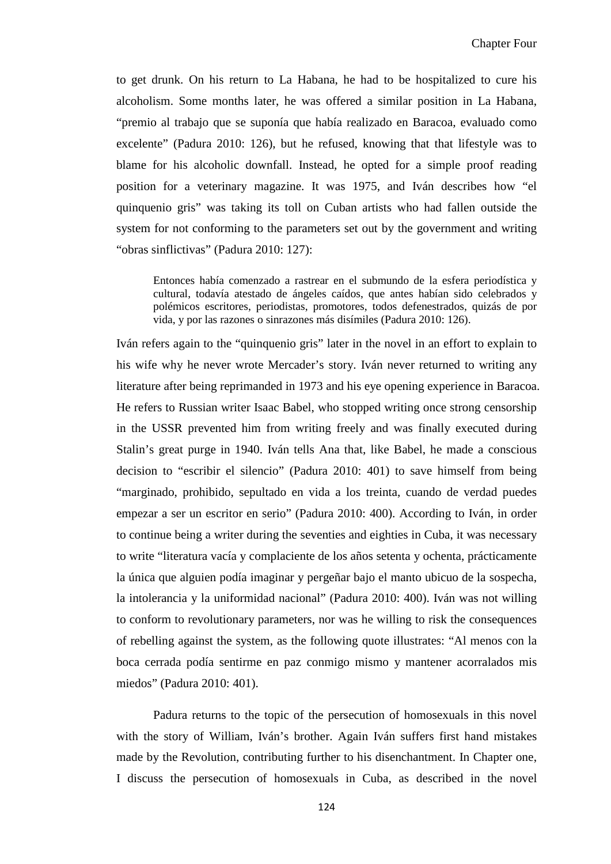to get drunk. On his return to La Habana, he had to be hospitalized to cure his alcoholism. Some months later, he was offered a similar position in La Habana, "premio al trabajo que se suponía que había realizado en Baracoa, evaluado como excelente" (Padura 2010: 126), but he refused, knowing that that lifestyle was to blame for his alcoholic downfall. Instead, he opted for a simple proof reading position for a veterinary magazine. It was 1975, and Iván describes how "el quinquenio gris" was taking its toll on Cuban artists who had fallen outside the system for not conforming to the parameters set out by the government and writing "obras sinflictivas" (Padura 2010: 127):

Entonces había comenzado a rastrear en el submundo de la esfera periodística y cultural, todavía atestado de ángeles caídos, que antes habían sido celebrados y polémicos escritores, periodistas, promotores, todos defenestrados, quizás de por vida, y por las razones o sinrazones más disímiles (Padura 2010: 126).

Iván refers again to the "quinquenio gris" later in the novel in an effort to explain to his wife why he never wrote Mercader's story. Iván never returned to writing any literature after being reprimanded in 1973 and his eye opening experience in Baracoa. He refers to Russian writer Isaac Babel, who stopped writing once strong censorship in the USSR prevented him from writing freely and was finally executed during Stalin's great purge in 1940. Iván tells Ana that, like Babel, he made a conscious decision to "escribir el silencio" (Padura 2010: 401) to save himself from being "marginado, prohibido, sepultado en vida a los treinta, cuando de verdad puedes empezar a ser un escritor en serio" (Padura 2010: 400). According to Iván, in order to continue being a writer during the seventies and eighties in Cuba, it was necessary to write "literatura vacía y complaciente de los años setenta y ochenta, prácticamente la única que alguien podía imaginar y pergeñar bajo el manto ubicuo de la sospecha, la intolerancia y la uniformidad nacional" (Padura 2010: 400). Iván was not willing to conform to revolutionary parameters, nor was he willing to risk the consequences of rebelling against the system, as the following quote illustrates: "Al menos con la boca cerrada podía sentirme en paz conmigo mismo y mantener acorralados mis miedos" (Padura 2010: 401).

Padura returns to the topic of the persecution of homosexuals in this novel with the story of William, Iván's brother. Again Iván suffers first hand mistakes made by the Revolution, contributing further to his disenchantment. In Chapter one, I discuss the persecution of homosexuals in Cuba, as described in the novel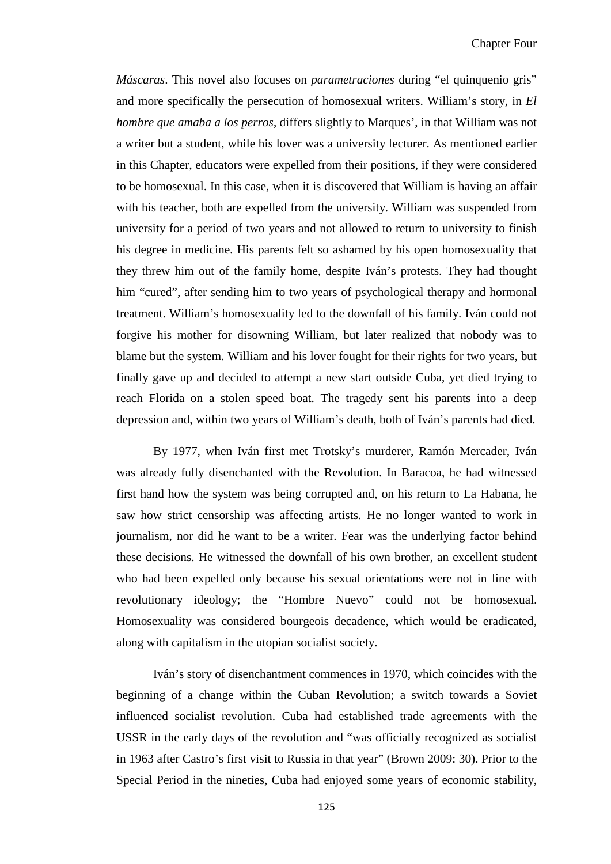*Máscaras*. This novel also focuses on *parametraciones* during "el quinquenio gris" and more specifically the persecution of homosexual writers. William's story, in *El hombre que amaba a los perros*, differs slightly to Marques', in that William was not a writer but a student, while his lover was a university lecturer. As mentioned earlier in this Chapter, educators were expelled from their positions, if they were considered to be homosexual. In this case, when it is discovered that William is having an affair with his teacher, both are expelled from the university. William was suspended from university for a period of two years and not allowed to return to university to finish his degree in medicine. His parents felt so ashamed by his open homosexuality that they threw him out of the family home, despite Iván's protests. They had thought him "cured", after sending him to two years of psychological therapy and hormonal treatment. William's homosexuality led to the downfall of his family. Iván could not forgive his mother for disowning William, but later realized that nobody was to blame but the system. William and his lover fought for their rights for two years, but finally gave up and decided to attempt a new start outside Cuba, yet died trying to reach Florida on a stolen speed boat. The tragedy sent his parents into a deep depression and, within two years of William's death, both of Iván's parents had died.

By 1977, when Iván first met Trotsky's murderer, Ramón Mercader, Iván was already fully disenchanted with the Revolution. In Baracoa, he had witnessed first hand how the system was being corrupted and, on his return to La Habana, he saw how strict censorship was affecting artists. He no longer wanted to work in journalism, nor did he want to be a writer. Fear was the underlying factor behind these decisions. He witnessed the downfall of his own brother, an excellent student who had been expelled only because his sexual orientations were not in line with revolutionary ideology; the "Hombre Nuevo" could not be homosexual. Homosexuality was considered bourgeois decadence, which would be eradicated, along with capitalism in the utopian socialist society.

Iván's story of disenchantment commences in 1970, which coincides with the beginning of a change within the Cuban Revolution; a switch towards a Soviet influenced socialist revolution. Cuba had established trade agreements with the USSR in the early days of the revolution and "was officially recognized as socialist in 1963 after Castro's first visit to Russia in that year" (Brown 2009: 30). Prior to the Special Period in the nineties, Cuba had enjoyed some years of economic stability,

125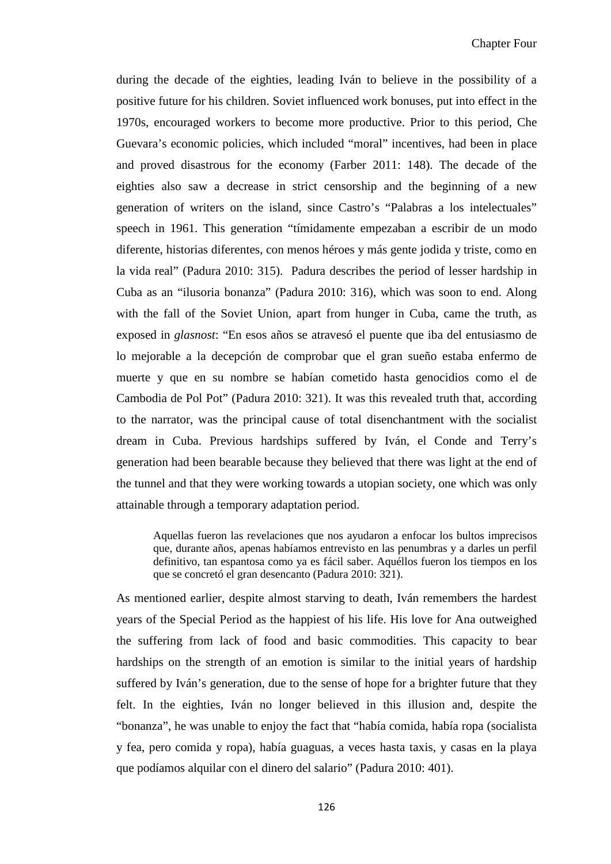during the decade of the eighties, leading Iván to believe in the possibility of a positive future for his children. Soviet influenced work bonuses, put into effect in the 1970s, encouraged workers to become more productive. Prior to this period, Che Guevara's economic policies, which included "moral" incentives, had been in place and proved disastrous for the economy (Farber 2011: 148). The decade of the eighties also saw a decrease in strict censorship and the beginning of a new generation of writers on the island, since Castro's "Palabras a los intelectuales" speech in 1961. This generation "tímidamente empezaban a escribir de un modo diferente, historias diferentes, con menos héroes y más gente jodida y triste, como en la vida real" (Padura 2010: 315). Padura describes the period of lesser hardship in Cuba as an "ilusoria bonanza" (Padura 2010: 316), which was soon to end. Along with the fall of the Soviet Union, apart from hunger in Cuba, came the truth, as exposed in *glasnost*: "En esos años se atravesó el puente que iba del entusiasmo de lo mejorable a la decepción de comprobar que el gran sueño estaba enfermo de muerte y que en su nombre se habían cometido hasta genocidios como el de Cambodia de Pol Pot" (Padura 2010: 321). It was this revealed truth that, according to the narrator, was the principal cause of total disenchantment with the socialist dream in Cuba. Previous hardships suffered by Iván, el Conde and Terry's generation had been bearable because they believed that there was light at the end of the tunnel and that they were working towards a utopian society, one which was only attainable through a temporary adaptation period.

Aquellas fueron las revelaciones que nos ayudaron a enfocar los bultos imprecisos que, durante años, apenas habíamos entrevisto en las penumbras y a darles un perfil definitivo, tan espantosa como ya es fácil saber. Aquéllos fueron los tiempos en los que se concretó el gran desencanto (Padura 2010: 321).

As mentioned earlier, despite almost starving to death, Iván remembers the hardest years of the Special Period as the happiest of his life. His love for Ana outweighed the suffering from lack of food and basic commodities. This capacity to bear hardships on the strength of an emotion is similar to the initial years of hardship suffered by Iván's generation, due to the sense of hope for a brighter future that they felt. In the eighties, Iván no longer believed in this illusion and, despite the "bonanza", he was unable to enjoy the fact that "había comida, había ropa (socialista y fea, pero comida y ropa), había guaguas, a veces hasta taxis, y casas en la playa que podíamos alquilar con el dinero del salario" (Padura 2010: 401).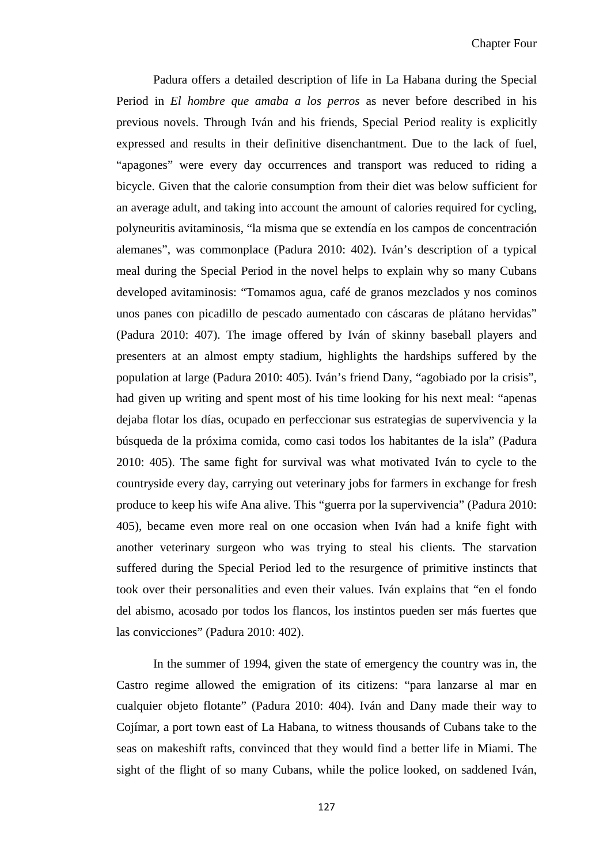Padura offers a detailed description of life in La Habana during the Special Period in *El hombre que amaba a los perros* as never before described in his previous novels. Through Iván and his friends, Special Period reality is explicitly expressed and results in their definitive disenchantment. Due to the lack of fuel, "apagones" were every day occurrences and transport was reduced to riding a bicycle. Given that the calorie consumption from their diet was below sufficient for an average adult, and taking into account the amount of calories required for cycling, polyneuritis avitaminosis, "la misma que se extendía en los campos de concentración alemanes", was commonplace (Padura 2010: 402). Iván's description of a typical meal during the Special Period in the novel helps to explain why so many Cubans developed avitaminosis: "Tomamos agua, café de granos mezclados y nos cominos unos panes con picadillo de pescado aumentado con cáscaras de plátano hervidas" (Padura 2010: 407). The image offered by Iván of skinny baseball players and presenters at an almost empty stadium, highlights the hardships suffered by the population at large (Padura 2010: 405). Iván's friend Dany, "agobiado por la crisis", had given up writing and spent most of his time looking for his next meal: "apenas dejaba flotar los días, ocupado en perfeccionar sus estrategias de supervivencia y la búsqueda de la próxima comida, como casi todos los habitantes de la isla" (Padura 2010: 405). The same fight for survival was what motivated Iván to cycle to the countryside every day, carrying out veterinary jobs for farmers in exchange for fresh produce to keep his wife Ana alive. This "guerra por la supervivencia" (Padura 2010: 405), became even more real on one occasion when Iván had a knife fight with another veterinary surgeon who was trying to steal his clients. The starvation suffered during the Special Period led to the resurgence of primitive instincts that took over their personalities and even their values. Iván explains that "en el fondo del abismo, acosado por todos los flancos, los instintos pueden ser más fuertes que las convicciones" (Padura 2010: 402).

In the summer of 1994, given the state of emergency the country was in, the Castro regime allowed the emigration of its citizens: "para lanzarse al mar en cualquier objeto flotante" (Padura 2010: 404). Iván and Dany made their way to Cojímar, a port town east of La Habana, to witness thousands of Cubans take to the seas on makeshift rafts, convinced that they would find a better life in Miami. The sight of the flight of so many Cubans, while the police looked, on saddened Iván,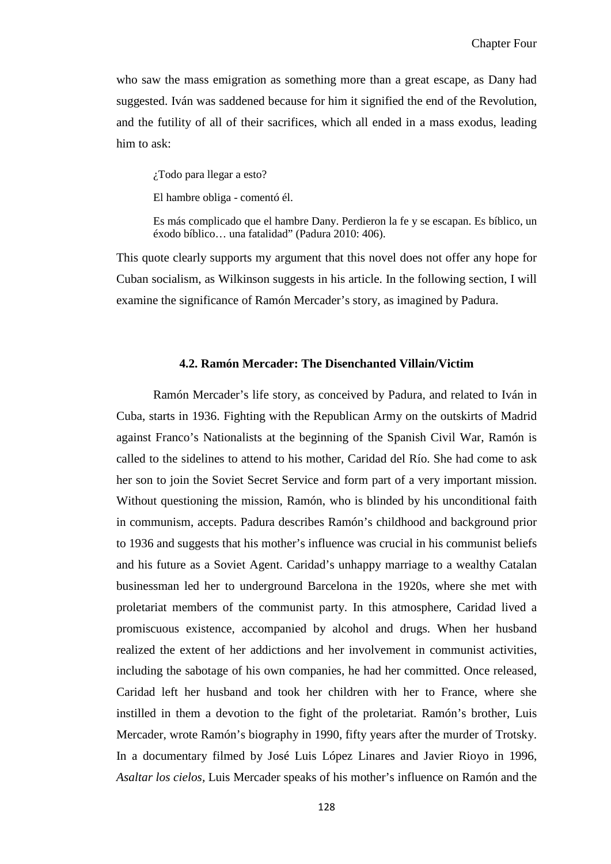who saw the mass emigration as something more than a great escape, as Dany had suggested. Iván was saddened because for him it signified the end of the Revolution, and the futility of all of their sacrifices, which all ended in a mass exodus, leading him to ask:

¿Todo para llegar a esto?

El hambre obliga - comentó él.

Es más complicado que el hambre Dany. Perdieron la fe y se escapan. Es bíblico, un éxodo bíblico… una fatalidad" (Padura 2010: 406).

This quote clearly supports my argument that this novel does not offer any hope for Cuban socialism, as Wilkinson suggests in his article. In the following section, I will examine the significance of Ramón Mercader's story, as imagined by Padura.

#### **4.2. Ramón Mercader: The Disenchanted Villain/Victim**

Ramón Mercader's life story, as conceived by Padura, and related to Iván in Cuba, starts in 1936. Fighting with the Republican Army on the outskirts of Madrid against Franco's Nationalists at the beginning of the Spanish Civil War, Ramón is called to the sidelines to attend to his mother, Caridad del Río. She had come to ask her son to join the Soviet Secret Service and form part of a very important mission. Without questioning the mission, Ramón, who is blinded by his unconditional faith in communism, accepts. Padura describes Ramón's childhood and background prior to 1936 and suggests that his mother's influence was crucial in his communist beliefs and his future as a Soviet Agent. Caridad's unhappy marriage to a wealthy Catalan businessman led her to underground Barcelona in the 1920s, where she met with proletariat members of the communist party. In this atmosphere, Caridad lived a promiscuous existence, accompanied by alcohol and drugs. When her husband realized the extent of her addictions and her involvement in communist activities, including the sabotage of his own companies, he had her committed. Once released, Caridad left her husband and took her children with her to France, where she instilled in them a devotion to the fight of the proletariat. Ramón's brother, Luis Mercader, wrote Ramón's biography in 1990, fifty years after the murder of Trotsky. In a documentary filmed by José Luis López Linares and Javier Rioyo in 1996, *Asaltar los cielos,* Luis Mercader speaks of his mother's influence on Ramón and the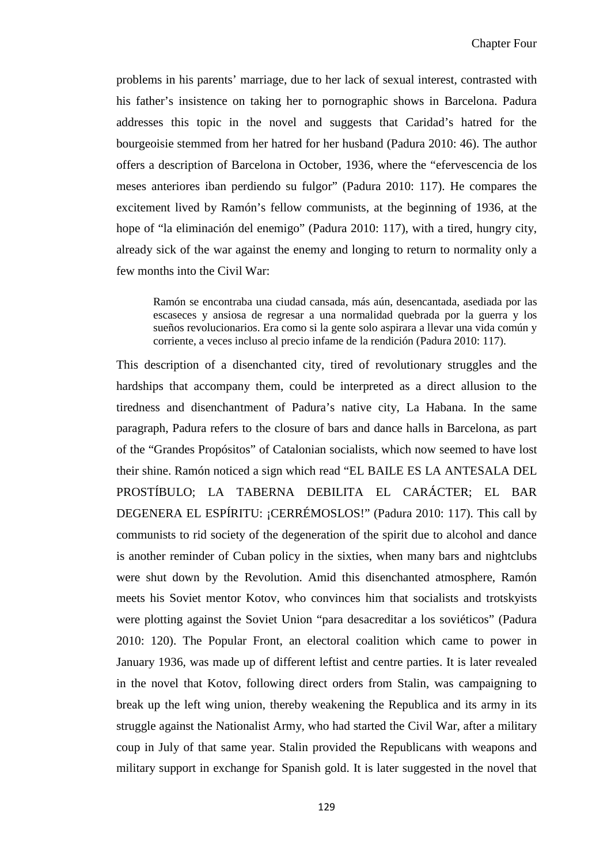problems in his parents' marriage, due to her lack of sexual interest, contrasted with his father's insistence on taking her to pornographic shows in Barcelona. Padura addresses this topic in the novel and suggests that Caridad's hatred for the bourgeoisie stemmed from her hatred for her husband (Padura 2010: 46). The author offers a description of Barcelona in October, 1936, where the "efervescencia de los meses anteriores iban perdiendo su fulgor" (Padura 2010: 117). He compares the excitement lived by Ramón's fellow communists, at the beginning of 1936, at the hope of "la eliminación del enemigo" (Padura 2010: 117), with a tired, hungry city, already sick of the war against the enemy and longing to return to normality only a few months into the Civil War:

Ramón se encontraba una ciudad cansada, más aún, desencantada, asediada por las escaseces y ansiosa de regresar a una normalidad quebrada por la guerra y los sueños revolucionarios. Era como si la gente solo aspirara a llevar una vida común y corriente, a veces incluso al precio infame de la rendición (Padura 2010: 117).

This description of a disenchanted city, tired of revolutionary struggles and the hardships that accompany them, could be interpreted as a direct allusion to the tiredness and disenchantment of Padura's native city, La Habana. In the same paragraph, Padura refers to the closure of bars and dance halls in Barcelona, as part of the "Grandes Propósitos" of Catalonian socialists, which now seemed to have lost their shine. Ramón noticed a sign which read "EL BAILE ES LA ANTESALA DEL PROSTÍBULO; LA TABERNA DEBILITA EL CARÁCTER; EL BAR DEGENERA EL ESPÍRITU: ¡CERRÉMOSLOS!" (Padura 2010: 117). This call by communists to rid society of the degeneration of the spirit due to alcohol and dance is another reminder of Cuban policy in the sixties, when many bars and nightclubs were shut down by the Revolution. Amid this disenchanted atmosphere, Ramón meets his Soviet mentor Kotov, who convinces him that socialists and trotskyists were plotting against the Soviet Union "para desacreditar a los soviéticos" (Padura 2010: 120). The Popular Front, an electoral coalition which came to power in January 1936, was made up of different leftist and centre parties. It is later revealed in the novel that Kotov, following direct orders from Stalin, was campaigning to break up the left wing union, thereby weakening the Republica and its army in its struggle against the Nationalist Army, who had started the Civil War, after a military coup in July of that same year. Stalin provided the Republicans with weapons and military support in exchange for Spanish gold. It is later suggested in the novel that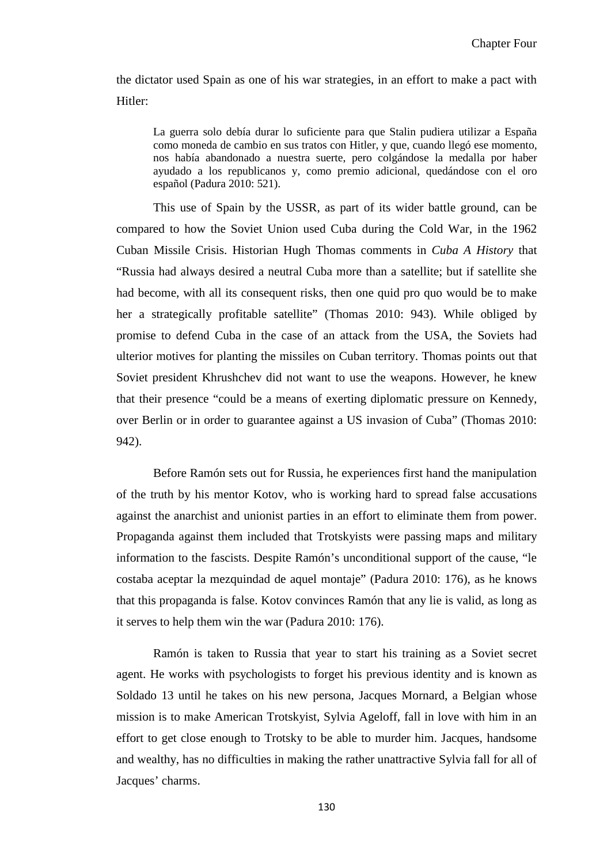the dictator used Spain as one of his war strategies, in an effort to make a pact with Hitler:

La guerra solo debía durar lo suficiente para que Stalin pudiera utilizar a España como moneda de cambio en sus tratos con Hitler, y que, cuando llegó ese momento, nos había abandonado a nuestra suerte, pero colgándose la medalla por haber ayudado a los republicanos y, como premio adicional, quedándose con el oro español (Padura 2010: 521).

This use of Spain by the USSR, as part of its wider battle ground, can be compared to how the Soviet Union used Cuba during the Cold War, in the 1962 Cuban Missile Crisis. Historian Hugh Thomas comments in *Cuba A History* that "Russia had always desired a neutral Cuba more than a satellite; but if satellite she had become, with all its consequent risks, then one quid pro quo would be to make her a strategically profitable satellite" (Thomas 2010: 943). While obliged by promise to defend Cuba in the case of an attack from the USA, the Soviets had ulterior motives for planting the missiles on Cuban territory. Thomas points out that Soviet president Khrushchev did not want to use the weapons. However, he knew that their presence "could be a means of exerting diplomatic pressure on Kennedy, over Berlin or in order to guarantee against a US invasion of Cuba" (Thomas 2010: 942).

Before Ramón sets out for Russia, he experiences first hand the manipulation of the truth by his mentor Kotov, who is working hard to spread false accusations against the anarchist and unionist parties in an effort to eliminate them from power. Propaganda against them included that Trotskyists were passing maps and military information to the fascists. Despite Ramón's unconditional support of the cause, "le costaba aceptar la mezquindad de aquel montaje" (Padura 2010: 176), as he knows that this propaganda is false. Kotov convinces Ramón that any lie is valid, as long as it serves to help them win the war (Padura 2010: 176).

Ramón is taken to Russia that year to start his training as a Soviet secret agent. He works with psychologists to forget his previous identity and is known as Soldado 13 until he takes on his new persona, Jacques Mornard, a Belgian whose mission is to make American Trotskyist, Sylvia Ageloff, fall in love with him in an effort to get close enough to Trotsky to be able to murder him. Jacques, handsome and wealthy, has no difficulties in making the rather unattractive Sylvia fall for all of Jacques' charms.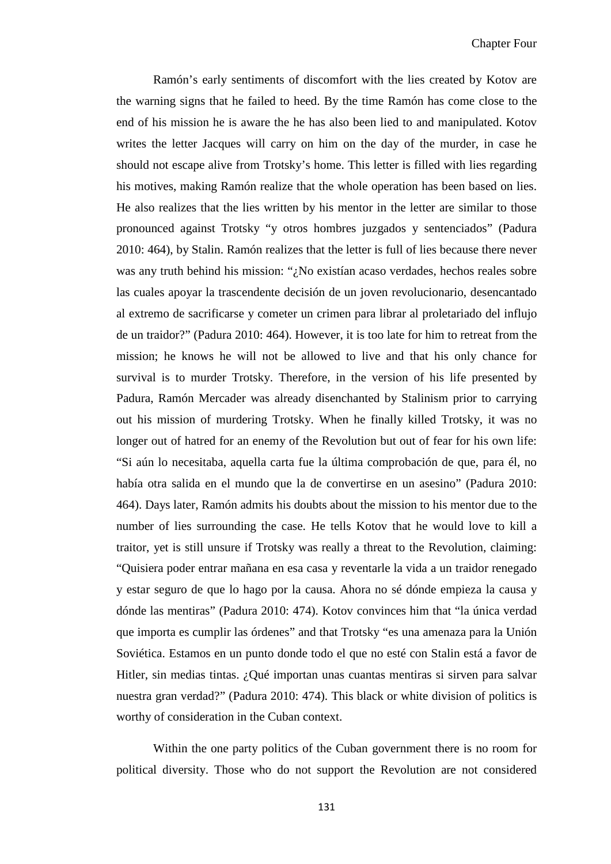Ramón's early sentiments of discomfort with the lies created by Kotov are the warning signs that he failed to heed. By the time Ramón has come close to the end of his mission he is aware the he has also been lied to and manipulated. Kotov writes the letter Jacques will carry on him on the day of the murder, in case he should not escape alive from Trotsky's home. This letter is filled with lies regarding his motives, making Ramón realize that the whole operation has been based on lies. He also realizes that the lies written by his mentor in the letter are similar to those pronounced against Trotsky "y otros hombres juzgados y sentenciados" (Padura 2010: 464), by Stalin. Ramón realizes that the letter is full of lies because there never was any truth behind his mission: "¿No existían acaso verdades, hechos reales sobre las cuales apoyar la trascendente decisión de un joven revolucionario, desencantado al extremo de sacrificarse y cometer un crimen para librar al proletariado del influjo de un traidor?" (Padura 2010: 464). However, it is too late for him to retreat from the mission; he knows he will not be allowed to live and that his only chance for survival is to murder Trotsky. Therefore, in the version of his life presented by Padura, Ramón Mercader was already disenchanted by Stalinism prior to carrying out his mission of murdering Trotsky. When he finally killed Trotsky, it was no longer out of hatred for an enemy of the Revolution but out of fear for his own life: "Si aún lo necesitaba, aquella carta fue la última comprobación de que, para él, no había otra salida en el mundo que la de convertirse en un asesino" (Padura 2010: 464). Days later, Ramón admits his doubts about the mission to his mentor due to the number of lies surrounding the case. He tells Kotov that he would love to kill a traitor, yet is still unsure if Trotsky was really a threat to the Revolution, claiming: "Quisiera poder entrar mañana en esa casa y reventarle la vida a un traidor renegado y estar seguro de que lo hago por la causa. Ahora no sé dónde empieza la causa y dónde las mentiras" (Padura 2010: 474). Kotov convinces him that "la única verdad que importa es cumplir las órdenes" and that Trotsky "es una amenaza para la Unión Soviética. Estamos en un punto donde todo el que no esté con Stalin está a favor de Hitler, sin medias tintas. ¿Qué importan unas cuantas mentiras si sirven para salvar nuestra gran verdad?" (Padura 2010: 474). This black or white division of politics is worthy of consideration in the Cuban context.

Within the one party politics of the Cuban government there is no room for political diversity. Those who do not support the Revolution are not considered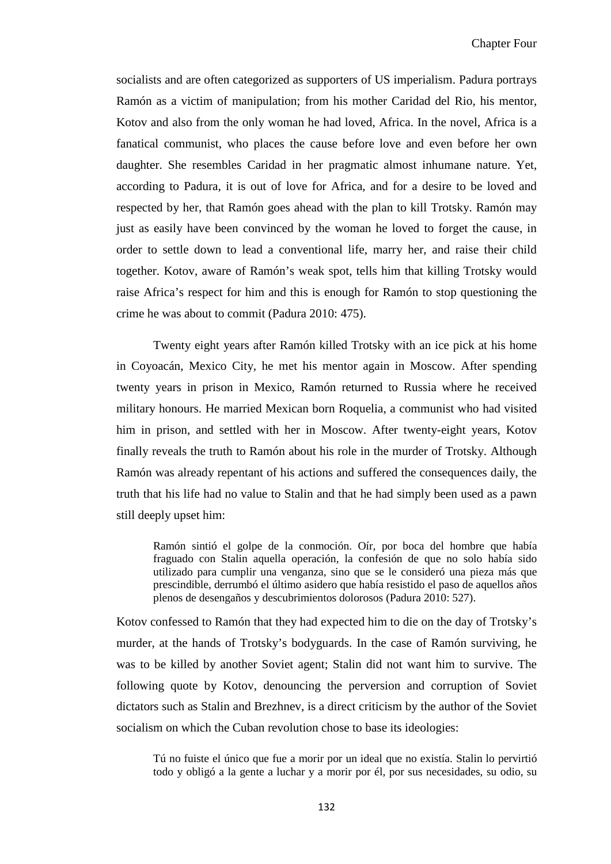socialists and are often categorized as supporters of US imperialism. Padura portrays Ramón as a victim of manipulation; from his mother Caridad del Rio, his mentor, Kotov and also from the only woman he had loved, Africa. In the novel, Africa is a fanatical communist, who places the cause before love and even before her own daughter. She resembles Caridad in her pragmatic almost inhumane nature. Yet, according to Padura, it is out of love for Africa, and for a desire to be loved and respected by her, that Ramón goes ahead with the plan to kill Trotsky. Ramón may just as easily have been convinced by the woman he loved to forget the cause, in order to settle down to lead a conventional life, marry her, and raise their child together. Kotov, aware of Ramón's weak spot, tells him that killing Trotsky would raise Africa's respect for him and this is enough for Ramón to stop questioning the crime he was about to commit (Padura 2010: 475).

Twenty eight years after Ramón killed Trotsky with an ice pick at his home in Coyoacán, Mexico City, he met his mentor again in Moscow. After spending twenty years in prison in Mexico, Ramón returned to Russia where he received military honours. He married Mexican born Roquelia, a communist who had visited him in prison, and settled with her in Moscow. After twenty-eight years, Kotov finally reveals the truth to Ramón about his role in the murder of Trotsky. Although Ramón was already repentant of his actions and suffered the consequences daily, the truth that his life had no value to Stalin and that he had simply been used as a pawn still deeply upset him:

Ramón sintió el golpe de la conmoción. Oír, por boca del hombre que había fraguado con Stalin aquella operación, la confesión de que no solo había sido utilizado para cumplir una venganza, sino que se le consideró una pieza más que prescindible, derrumbó el último asidero que había resistido el paso de aquellos años plenos de desengaños y descubrimientos dolorosos (Padura 2010: 527).

Kotov confessed to Ramón that they had expected him to die on the day of Trotsky's murder, at the hands of Trotsky's bodyguards. In the case of Ramón surviving, he was to be killed by another Soviet agent; Stalin did not want him to survive. The following quote by Kotov, denouncing the perversion and corruption of Soviet dictators such as Stalin and Brezhnev, is a direct criticism by the author of the Soviet socialism on which the Cuban revolution chose to base its ideologies:

Tú no fuiste el único que fue a morir por un ideal que no existía. Stalin lo pervirtió todo y obligó a la gente a luchar y a morir por él, por sus necesidades, su odio, su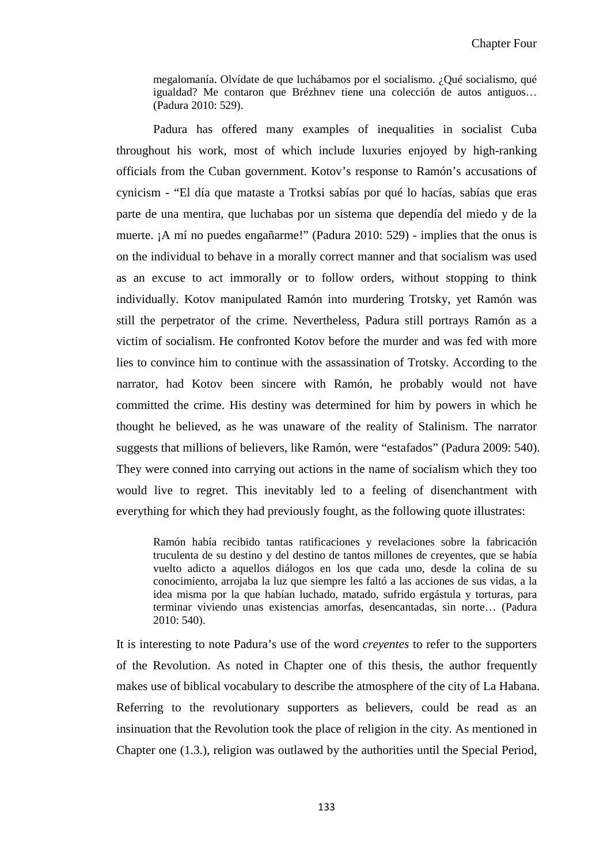megalomanía. Olvídate de que luchábamos por el socialismo. ¿Qué socialismo, qué igualdad? Me contaron que Brézhnev tiene una colección de autos antiguos… (Padura 2010: 529).

Padura has offered many examples of inequalities in socialist Cuba throughout his work, most of which include luxuries enjoyed by high-ranking officials from the Cuban government. Kotov's response to Ramón's accusations of cynicism - "El día que mataste a Trotksi sabías por qué lo hacías, sabías que eras parte de una mentira, que luchabas por un sistema que dependía del miedo y de la muerte. ¡A mí no puedes engañarme!" (Padura 2010: 529) - implies that the onus is on the individual to behave in a morally correct manner and that socialism was used as an excuse to act immorally or to follow orders, without stopping to think individually. Kotov manipulated Ramón into murdering Trotsky, yet Ramón was still the perpetrator of the crime. Nevertheless, Padura still portrays Ramón as a victim of socialism. He confronted Kotov before the murder and was fed with more lies to convince him to continue with the assassination of Trotsky. According to the narrator, had Kotov been sincere with Ramón, he probably would not have committed the crime. His destiny was determined for him by powers in which he thought he believed, as he was unaware of the reality of Stalinism. The narrator suggests that millions of believers, like Ramón, were "estafados" (Padura 2009: 540). They were conned into carrying out actions in the name of socialism which they too would live to regret. This inevitably led to a feeling of disenchantment with everything for which they had previously fought, as the following quote illustrates:

Ramón había recibido tantas ratificaciones y revelaciones sobre la fabricación truculenta de su destino y del destino de tantos millones de creyentes, que se había vuelto adicto a aquellos diálogos en los que cada uno, desde la colina de su conocimiento, arrojaba la luz que siempre les faltó a las acciones de sus vidas, a la idea misma por la que habían luchado, matado, sufrido ergástula y torturas, para terminar viviendo unas existencias amorfas, desencantadas, sin norte… (Padura 2010: 540).

It is interesting to note Padura's use of the word *creyentes* to refer to the supporters of the Revolution. As noted in Chapter one of this thesis, the author frequently makes use of biblical vocabulary to describe the atmosphere of the city of La Habana. Referring to the revolutionary supporters as believers, could be read as an insinuation that the Revolution took the place of religion in the city. As mentioned in Chapter one (1.3.), religion was outlawed by the authorities until the Special Period,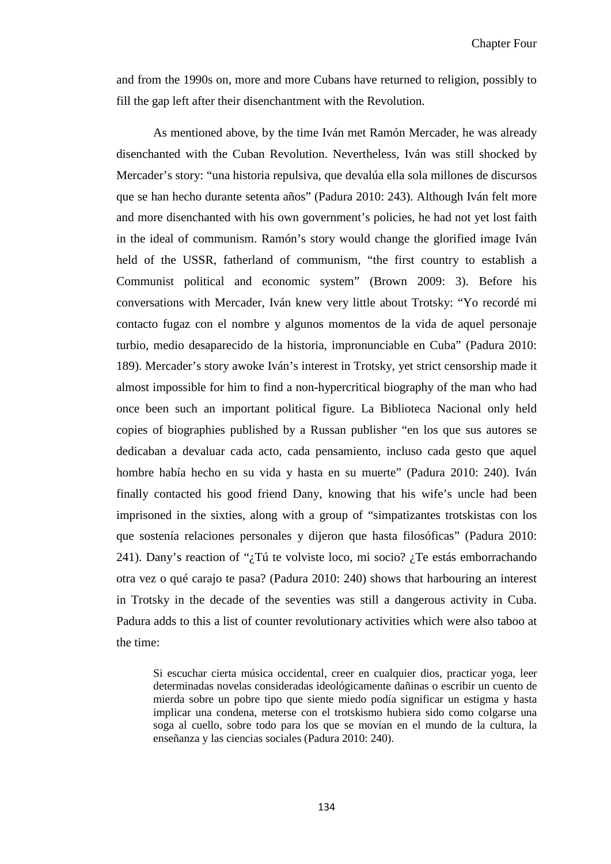and from the 1990s on, more and more Cubans have returned to religion, possibly to fill the gap left after their disenchantment with the Revolution.

As mentioned above, by the time Iván met Ramón Mercader, he was already disenchanted with the Cuban Revolution. Nevertheless, Iván was still shocked by Mercader's story: "una historia repulsiva, que devalúa ella sola millones de discursos que se han hecho durante setenta años" (Padura 2010: 243). Although Iván felt more and more disenchanted with his own government's policies, he had not yet lost faith in the ideal of communism. Ramón's story would change the glorified image Iván held of the USSR, fatherland of communism, "the first country to establish a Communist political and economic system" (Brown 2009: 3). Before his conversations with Mercader, Iván knew very little about Trotsky: "Yo recordé mi contacto fugaz con el nombre y algunos momentos de la vida de aquel personaje turbio, medio desaparecido de la historia, impronunciable en Cuba" (Padura 2010: 189). Mercader's story awoke Iván's interest in Trotsky, yet strict censorship made it almost impossible for him to find a non-hypercritical biography of the man who had once been such an important political figure. La Biblioteca Nacional only held copies of biographies published by a Russan publisher "en los que sus autores se dedicaban a devaluar cada acto, cada pensamiento, incluso cada gesto que aquel hombre había hecho en su vida y hasta en su muerte" (Padura 2010: 240). Iván finally contacted his good friend Dany, knowing that his wife's uncle had been imprisoned in the sixties, along with a group of "simpatizantes trotskistas con los que sostenía relaciones personales y dijeron que hasta filosóficas" (Padura 2010: 241). Dany's reaction of "¿Tú te volviste loco, mi socio? ¿Te estás emborrachando otra vez o qué carajo te pasa? (Padura 2010: 240) shows that harbouring an interest in Trotsky in the decade of the seventies was still a dangerous activity in Cuba. Padura adds to this a list of counter revolutionary activities which were also taboo at the time:

Si escuchar cierta música occidental, creer en cualquier dios, practicar yoga, leer determinadas novelas consideradas ideológicamente dañinas o escribir un cuento de mierda sobre un pobre tipo que siente miedo podía significar un estigma y hasta implicar una condena, meterse con el trotskismo hubiera sido como colgarse una soga al cuello, sobre todo para los que se movían en el mundo de la cultura, la enseñanza y las ciencias sociales (Padura 2010: 240).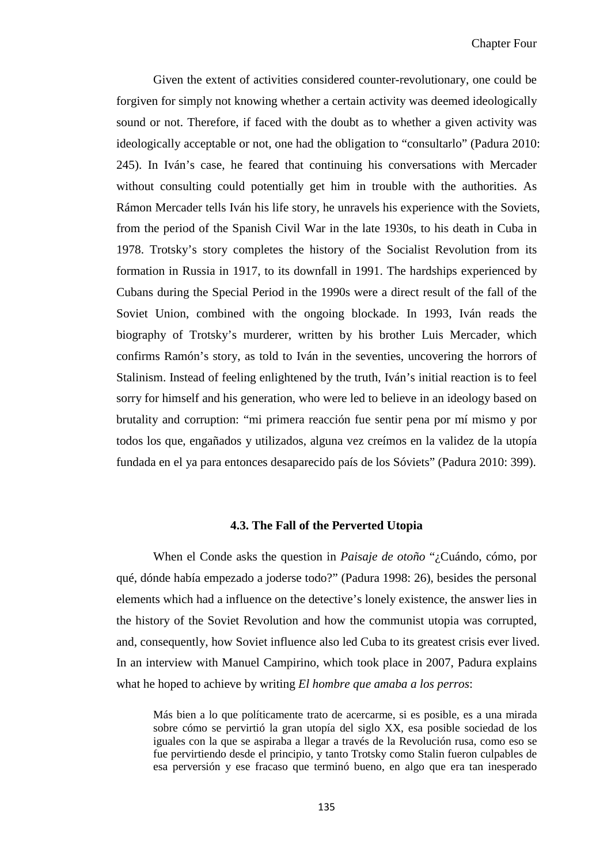Given the extent of activities considered counter-revolutionary, one could be forgiven for simply not knowing whether a certain activity was deemed ideologically sound or not. Therefore, if faced with the doubt as to whether a given activity was ideologically acceptable or not, one had the obligation to "consultarlo" (Padura 2010: 245). In Iván's case, he feared that continuing his conversations with Mercader without consulting could potentially get him in trouble with the authorities. As Rámon Mercader tells Iván his life story, he unravels his experience with the Soviets, from the period of the Spanish Civil War in the late 1930s, to his death in Cuba in 1978. Trotsky's story completes the history of the Socialist Revolution from its formation in Russia in 1917, to its downfall in 1991. The hardships experienced by Cubans during the Special Period in the 1990s were a direct result of the fall of the Soviet Union, combined with the ongoing blockade. In 1993, Iván reads the biography of Trotsky's murderer, written by his brother Luis Mercader, which confirms Ramón's story, as told to Iván in the seventies, uncovering the horrors of Stalinism. Instead of feeling enlightened by the truth, Iván's initial reaction is to feel sorry for himself and his generation, who were led to believe in an ideology based on brutality and corruption: "mi primera reacción fue sentir pena por mí mismo y por todos los que, engañados y utilizados, alguna vez creímos en la validez de la utopía fundada en el ya para entonces desaparecido país de los Sóviets" (Padura 2010: 399).

### **4.3. The Fall of the Perverted Utopia**

When el Conde asks the question in *Paisaje de otoño* "¿Cuándo, cómo, por qué, dónde había empezado a joderse todo?" (Padura 1998: 26), besides the personal elements which had a influence on the detective's lonely existence, the answer lies in the history of the Soviet Revolution and how the communist utopia was corrupted, and, consequently, how Soviet influence also led Cuba to its greatest crisis ever lived. In an interview with Manuel Campirino, which took place in 2007, Padura explains what he hoped to achieve by writing *El hombre que amaba a los perros*:

Más bien a lo que políticamente trato de acercarme, si es posible, es a una mirada sobre cómo se pervirtió la gran utopía del siglo XX, esa posible sociedad de los iguales con la que se aspiraba a llegar a través de la Revolución rusa, como eso se fue pervirtiendo desde el principio, y tanto Trotsky como Stalin fueron culpables de esa perversión y ese fracaso que terminó bueno, en algo que era tan inesperado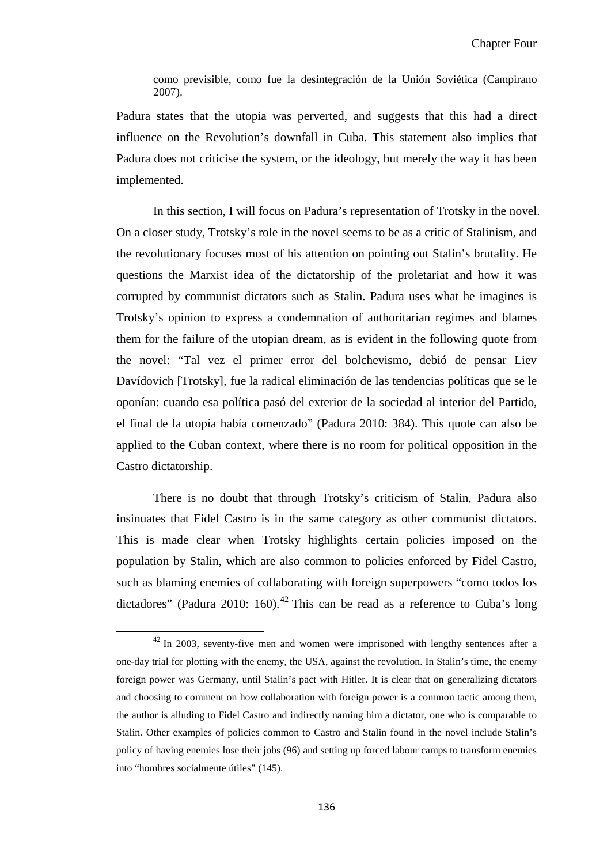como previsible, como fue la desintegración de la Unión Soviética (Campirano 2007).

Padura states that the utopia was perverted, and suggests that this had a direct influence on the Revolution's downfall in Cuba. This statement also implies that Padura does not criticise the system, or the ideology, but merely the way it has been implemented.

In this section, I will focus on Padura's representation of Trotsky in the novel. On a closer study, Trotsky's role in the novel seems to be as a critic of Stalinism, and the revolutionary focuses most of his attention on pointing out Stalin's brutality. He questions the Marxist idea of the dictatorship of the proletariat and how it was corrupted by communist dictators such as Stalin. Padura uses what he imagines is Trotsky's opinion to express a condemnation of authoritarian regimes and blames them for the failure of the utopian dream, as is evident in the following quote from the novel: "Tal vez el primer error del bolchevismo, debió de pensar Liev Davídovich [Trotsky], fue la radical eliminación de las tendencias políticas que se le oponían: cuando esa política pasó del exterior de la sociedad al interior del Partido, el final de la utopía había comenzado" (Padura 2010: 384). This quote can also be applied to the Cuban context, where there is no room for political opposition in the Castro dictatorship.

There is no doubt that through Trotsky's criticism of Stalin, Padura also insinuates that Fidel Castro is in the same category as other communist dictators. This is made clear when Trotsky highlights certain policies imposed on the population by Stalin, which are also common to policies enforced by Fidel Castro, such as blaming enemies of collaborating with foreign superpowers "como todos los dictadores" (Padura 2010: 160).<sup>[42](#page-126-0)</sup> This can be read as a reference to Cuba's long

 $\overline{\phantom{0}}$ 

 $42$  In 2003, seventy-five men and women were imprisoned with lengthy sentences after a one-day trial for plotting with the enemy, the USA, against the revolution. In Stalin's time, the enemy foreign power was Germany, until Stalin's pact with Hitler. It is clear that on generalizing dictators and choosing to comment on how collaboration with foreign power is a common tactic among them, the author is alluding to Fidel Castro and indirectly naming him a dictator, one who is comparable to Stalin. Other examples of policies common to Castro and Stalin found in the novel include Stalin's policy of having enemies lose their jobs (96) and setting up forced labour camps to transform enemies into "hombres socialmente útiles" (145).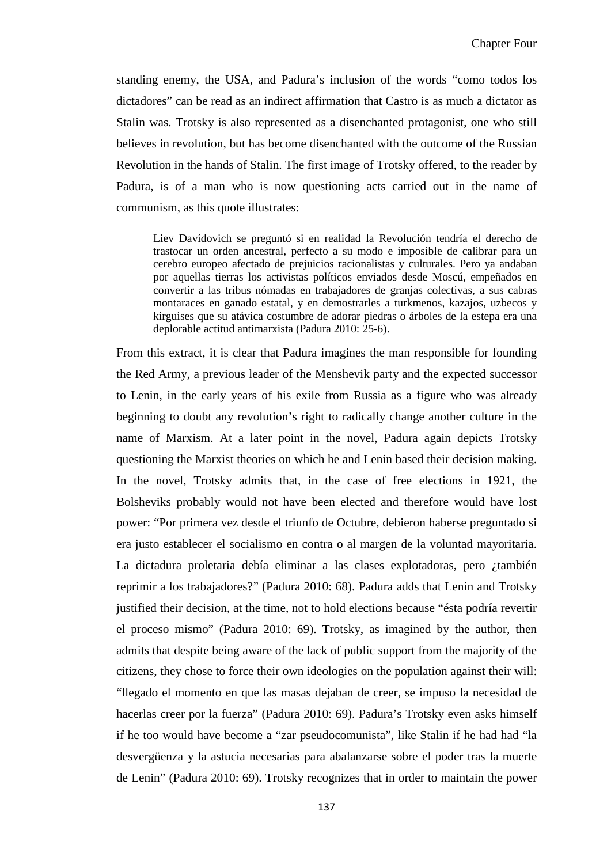standing enemy, the USA, and Padura's inclusion of the words "como todos los dictadores" can be read as an indirect affirmation that Castro is as much a dictator as Stalin was. Trotsky is also represented as a disenchanted protagonist, one who still believes in revolution, but has become disenchanted with the outcome of the Russian Revolution in the hands of Stalin. The first image of Trotsky offered, to the reader by Padura, is of a man who is now questioning acts carried out in the name of communism, as this quote illustrates:

Liev Davídovich se preguntó si en realidad la Revolución tendría el derecho de trastocar un orden ancestral, perfecto a su modo e imposible de calibrar para un cerebro europeo afectado de prejuicios racionalistas y culturales. Pero ya andaban por aquellas tierras los activistas políticos enviados desde Moscú, empeñados en convertir a las tribus nómadas en trabajadores de granjas colectivas, a sus cabras montaraces en ganado estatal, y en demostrarles a turkmenos, kazajos, uzbecos y kirguises que su atávica costumbre de adorar piedras o árboles de la estepa era una deplorable actitud antimarxista (Padura 2010: 25-6).

From this extract, it is clear that Padura imagines the man responsible for founding the Red Army, a previous leader of the Menshevik party and the expected successor to Lenin, in the early years of his exile from Russia as a figure who was already beginning to doubt any revolution's right to radically change another culture in the name of Marxism. At a later point in the novel, Padura again depicts Trotsky questioning the Marxist theories on which he and Lenin based their decision making. In the novel, Trotsky admits that, in the case of free elections in 1921, the Bolsheviks probably would not have been elected and therefore would have lost power: "Por primera vez desde el triunfo de Octubre, debieron haberse preguntado si era justo establecer el socialismo en contra o al margen de la voluntad mayoritaria. La dictadura proletaria debía eliminar a las clases explotadoras, pero ¿también reprimir a los trabajadores?" (Padura 2010: 68). Padura adds that Lenin and Trotsky justified their decision, at the time, not to hold elections because "ésta podría revertir el proceso mismo" (Padura 2010: 69). Trotsky, as imagined by the author, then admits that despite being aware of the lack of public support from the majority of the citizens, they chose to force their own ideologies on the population against their will: "llegado el momento en que las masas dejaban de creer, se impuso la necesidad de hacerlas creer por la fuerza" (Padura 2010: 69). Padura's Trotsky even asks himself if he too would have become a "zar pseudocomunista", like Stalin if he had had "la desvergüenza y la astucia necesarias para abalanzarse sobre el poder tras la muerte de Lenin" (Padura 2010: 69). Trotsky recognizes that in order to maintain the power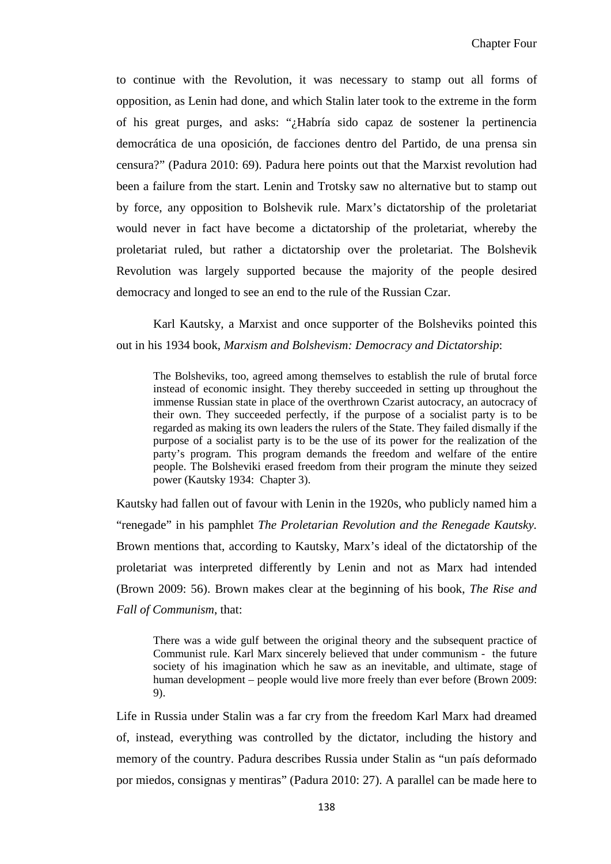to continue with the Revolution, it was necessary to stamp out all forms of opposition, as Lenin had done, and which Stalin later took to the extreme in the form of his great purges, and asks: "¿Habría sido capaz de sostener la pertinencia democrática de una oposición, de facciones dentro del Partido, de una prensa sin censura?" (Padura 2010: 69). Padura here points out that the Marxist revolution had been a failure from the start. Lenin and Trotsky saw no alternative but to stamp out by force, any opposition to Bolshevik rule. Marx's dictatorship of the proletariat would never in fact have become a dictatorship of the proletariat, whereby the proletariat ruled, but rather a dictatorship over the proletariat. The Bolshevik Revolution was largely supported because the majority of the people desired democracy and longed to see an end to the rule of the Russian Czar.

Karl Kautsky, a Marxist and once supporter of the Bolsheviks pointed this out in his 1934 book, *Marxism and Bolshevism: Democracy and Dictatorship*:

The Bolsheviks, too, agreed among themselves to establish the rule of brutal force instead of economic insight. They thereby succeeded in setting up throughout the immense Russian state in place of the overthrown Czarist autocracy, an autocracy of their own. They succeeded perfectly, if the purpose of a socialist party is to be regarded as making its own leaders the rulers of the State. They failed dismally if the purpose of a socialist party is to be the use of its power for the realization of the party's program. This program demands the freedom and welfare of the entire people. The Bolsheviki erased freedom from their program the minute they seized power (Kautsky 1934: Chapter 3).

Kautsky had fallen out of favour with Lenin in the 1920s, who publicly named him a "renegade" in his pamphlet *The Proletarian Revolution and the Renegade Kautsky.* Brown mentions that, according to Kautsky, Marx's ideal of the dictatorship of the proletariat was interpreted differently by Lenin and not as Marx had intended (Brown 2009: 56). Brown makes clear at the beginning of his book, *The Rise and Fall of Communism*, that:

There was a wide gulf between the original theory and the subsequent practice of Communist rule. Karl Marx sincerely believed that under communism - the future society of his imagination which he saw as an inevitable, and ultimate, stage of human development – people would live more freely than ever before (Brown 2009: 9).

Life in Russia under Stalin was a far cry from the freedom Karl Marx had dreamed of, instead, everything was controlled by the dictator, including the history and memory of the country. Padura describes Russia under Stalin as "un país deformado por miedos, consignas y mentiras" (Padura 2010: 27). A parallel can be made here to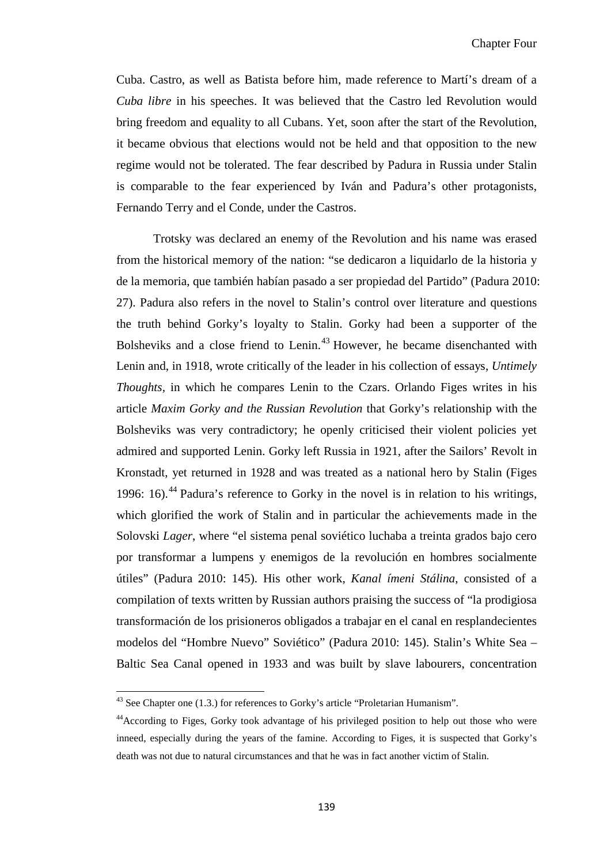Cuba. Castro, as well as Batista before him, made reference to Martí's dream of a *Cuba libre* in his speeches. It was believed that the Castro led Revolution would bring freedom and equality to all Cubans. Yet, soon after the start of the Revolution, it became obvious that elections would not be held and that opposition to the new regime would not be tolerated. The fear described by Padura in Russia under Stalin is comparable to the fear experienced by Iván and Padura's other protagonists, Fernando Terry and el Conde, under the Castros.

Trotsky was declared an enemy of the Revolution and his name was erased from the historical memory of the nation: "se dedicaron a liquidarlo de la historia y de la memoria, que también habían pasado a ser propiedad del Partido" (Padura 2010: 27). Padura also refers in the novel to Stalin's control over literature and questions the truth behind Gorky's loyalty to Stalin. Gorky had been a supporter of the Bolsheviks and a close friend to Lenin. [43](#page-141-0) However, he became disenchanted with Lenin and, in 1918, wrote critically of the leader in his collection of essays, *Untimely Thoughts,* in which he compares Lenin to the Czars. Orlando Figes writes in his article *Maxim Gorky and the Russian Revolution* that Gorky's relationship with the Bolsheviks was very contradictory; he openly criticised their violent policies yet admired and supported Lenin. Gorky left Russia in 1921, after the Sailors' Revolt in Kronstadt, yet returned in 1928 and was treated as a national hero by Stalin (Figes 1996: 16). [44](#page-144-0) Padura's reference to Gorky in the novel is in relation to his writings, which glorified the work of Stalin and in particular the achievements made in the Solovski *Lager*, where "el sistema penal soviético luchaba a treinta grados bajo cero por transformar a lumpens y enemigos de la revolución en hombres socialmente útiles" (Padura 2010: 145). His other work, *Kanal ímeni Stálina*, consisted of a compilation of texts written by Russian authors praising the success of "la prodigiosa transformación de los prisioneros obligados a trabajar en el canal en resplandecientes modelos del "Hombre Nuevo" Soviético" (Padura 2010: 145). Stalin's White Sea – Baltic Sea Canal opened in 1933 and was built by slave labourers, concentration

<span id="page-144-1"></span>ı

 $43$  See Chapter one (1.3.) for references to Gorky's article "Proletarian Humanism".

<span id="page-144-0"></span><sup>&</sup>lt;sup>44</sup> According to Figes, Gorky took advantage of his privileged position to help out those who were inneed, especially during the years of the famine. According to Figes, it is suspected that Gorky's death was not due to natural circumstances and that he was in fact another victim of Stalin.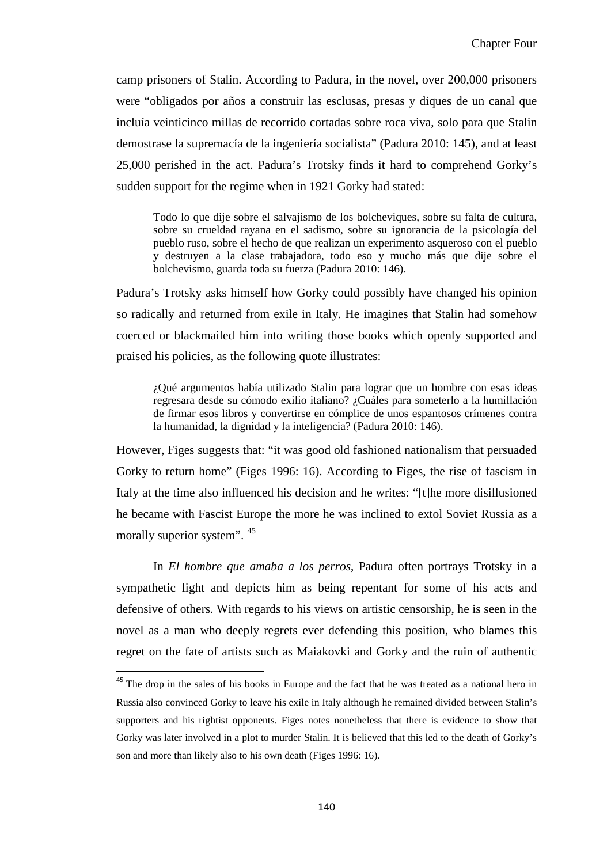camp prisoners of Stalin. According to Padura, in the novel, over 200,000 prisoners were "obligados por años a construir las esclusas, presas y diques de un canal que incluía veinticinco millas de recorrido cortadas sobre roca viva, solo para que Stalin demostrase la supremacía de la ingeniería socialista" (Padura 2010: 145), and at least 25,000 perished in the act. Padura's Trotsky finds it hard to comprehend Gorky's sudden support for the regime when in 1921 Gorky had stated:

Todo lo que dije sobre el salvajismo de los bolcheviques, sobre su falta de cultura, sobre su crueldad rayana en el sadismo, sobre su ignorancia de la psicología del pueblo ruso, sobre el hecho de que realizan un experimento asqueroso con el pueblo y destruyen a la clase trabajadora, todo eso y mucho más que dije sobre el bolchevismo, guarda toda su fuerza (Padura 2010: 146).

Padura's Trotsky asks himself how Gorky could possibly have changed his opinion so radically and returned from exile in Italy. He imagines that Stalin had somehow coerced or blackmailed him into writing those books which openly supported and praised his policies, as the following quote illustrates:

¿Qué argumentos había utilizado Stalin para lograr que un hombre con esas ideas regresara desde su cómodo exilio italiano? ¿Cuáles para someterlo a la humillación de firmar esos libros y convertirse en cómplice de unos espantosos crímenes contra la humanidad, la dignidad y la inteligencia? (Padura 2010: 146).

However, Figes suggests that: "it was good old fashioned nationalism that persuaded Gorky to return home" (Figes 1996: 16). According to Figes, the rise of fascism in Italy at the time also influenced his decision and he writes: "[t]he more disillusioned he became with Fascist Europe the more he was inclined to extol Soviet Russia as a morally superior system". [45](#page-144-1)

In *El hombre que amaba a los perros*, Padura often portrays Trotsky in a sympathetic light and depicts him as being repentant for some of his acts and defensive of others. With regards to his views on artistic censorship, he is seen in the novel as a man who deeply regrets ever defending this position, who blames this regret on the fate of artists such as Maiakovki and Gorky and the ruin of authentic

<sup>&</sup>lt;sup>45</sup> The drop in the sales of his books in Europe and the fact that he was treated as a national hero in Russia also convinced Gorky to leave his exile in Italy although he remained divided between Stalin's supporters and his rightist opponents. Figes notes nonetheless that there is evidence to show that Gorky was later involved in a plot to murder Stalin. It is believed that this led to the death of Gorky's son and more than likely also to his own death (Figes 1996: 16).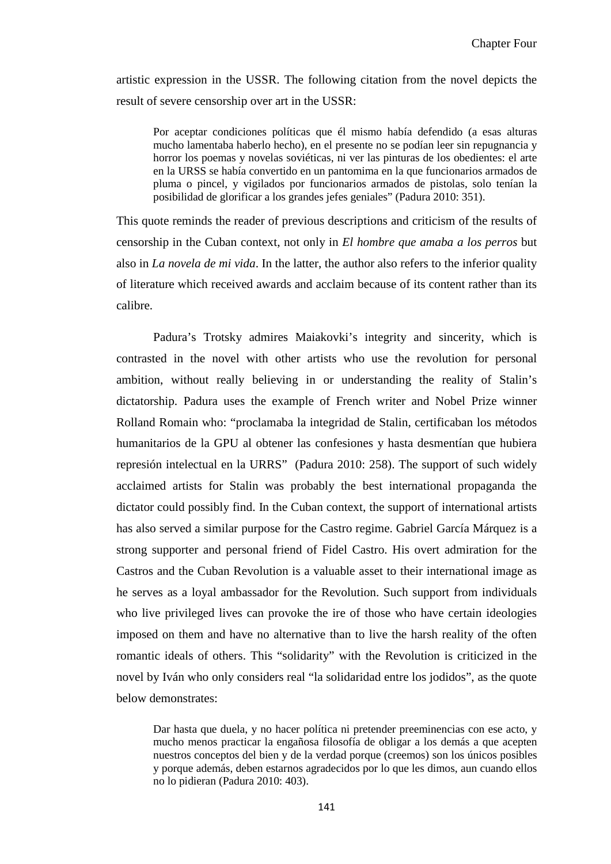artistic expression in the USSR. The following citation from the novel depicts the result of severe censorship over art in the USSR:

Por aceptar condiciones políticas que él mismo había defendido (a esas alturas mucho lamentaba haberlo hecho), en el presente no se podían leer sin repugnancia y horror los poemas y novelas soviéticas, ni ver las pinturas de los obedientes: el arte en la URSS se había convertido en un pantomima en la que funcionarios armados de pluma o pincel, y vigilados por funcionarios armados de pistolas, solo tenían la posibilidad de glorificar a los grandes jefes geniales" (Padura 2010: 351).

This quote reminds the reader of previous descriptions and criticism of the results of censorship in the Cuban context, not only in *El hombre que amaba a los perros* but also in *La novela de mi vida*. In the latter, the author also refers to the inferior quality of literature which received awards and acclaim because of its content rather than its calibre.

Padura's Trotsky admires Maiakovki's integrity and sincerity, which is contrasted in the novel with other artists who use the revolution for personal ambition, without really believing in or understanding the reality of Stalin's dictatorship. Padura uses the example of French writer and Nobel Prize winner Rolland Romain who: "proclamaba la integridad de Stalin, certificaban los métodos humanitarios de la GPU al obtener las confesiones y hasta desmentían que hubiera represión intelectual en la URRS" (Padura 2010: 258). The support of such widely acclaimed artists for Stalin was probably the best international propaganda the dictator could possibly find. In the Cuban context, the support of international artists has also served a similar purpose for the Castro regime. Gabriel García Márquez is a strong supporter and personal friend of Fidel Castro. His overt admiration for the Castros and the Cuban Revolution is a valuable asset to their international image as he serves as a loyal ambassador for the Revolution. Such support from individuals who live privileged lives can provoke the ire of those who have certain ideologies imposed on them and have no alternative than to live the harsh reality of the often romantic ideals of others. This "solidarity" with the Revolution is criticized in the novel by Iván who only considers real "la solidaridad entre los jodidos", as the quote below demonstrates:

Dar hasta que duela, y no hacer política ni pretender preeminencias con ese acto, y mucho menos practicar la engañosa filosofía de obligar a los demás a que acepten nuestros conceptos del bien y de la verdad porque (creemos) son los únicos posibles y porque además, deben estarnos agradecidos por lo que les dimos, aun cuando ellos no lo pidieran (Padura 2010: 403).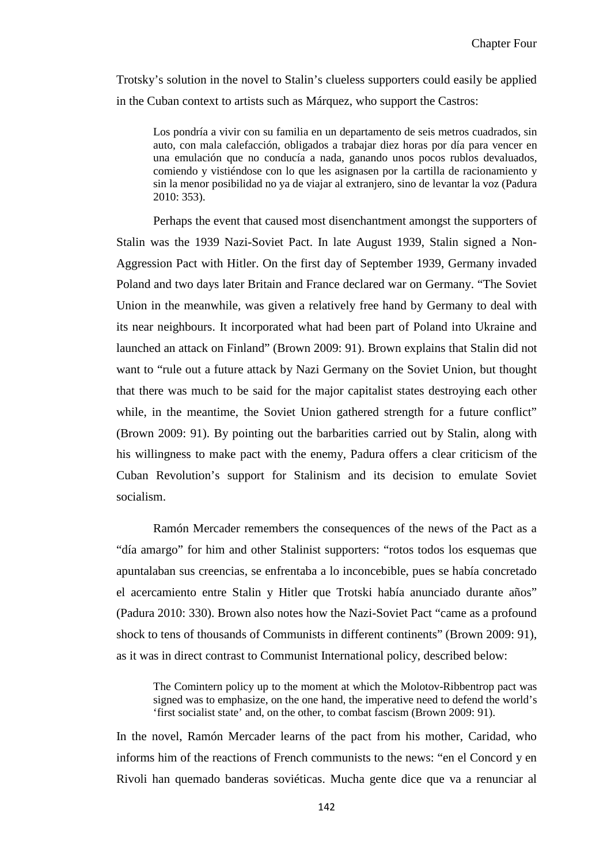Trotsky's solution in the novel to Stalin's clueless supporters could easily be applied in the Cuban context to artists such as Márquez, who support the Castros:

Los pondría a vivir con su familia en un departamento de seis metros cuadrados, sin auto, con mala calefacción, obligados a trabajar diez horas por día para vencer en una emulación que no conducía a nada, ganando unos pocos rublos devaluados, comiendo y vistiéndose con lo que les asignasen por la cartilla de racionamiento y sin la menor posibilidad no ya de viajar al extranjero, sino de levantar la voz (Padura 2010: 353).

Perhaps the event that caused most disenchantment amongst the supporters of Stalin was the 1939 Nazi-Soviet Pact. In late August 1939, Stalin signed a Non-Aggression Pact with Hitler. On the first day of September 1939, Germany invaded Poland and two days later Britain and France declared war on Germany. "The Soviet Union in the meanwhile, was given a relatively free hand by Germany to deal with its near neighbours. It incorporated what had been part of Poland into Ukraine and launched an attack on Finland" (Brown 2009: 91). Brown explains that Stalin did not want to "rule out a future attack by Nazi Germany on the Soviet Union, but thought that there was much to be said for the major capitalist states destroying each other while, in the meantime, the Soviet Union gathered strength for a future conflict" (Brown 2009: 91). By pointing out the barbarities carried out by Stalin, along with his willingness to make pact with the enemy, Padura offers a clear criticism of the Cuban Revolution's support for Stalinism and its decision to emulate Soviet socialism.

Ramón Mercader remembers the consequences of the news of the Pact as a "día amargo" for him and other Stalinist supporters: "rotos todos los esquemas que apuntalaban sus creencias, se enfrentaba a lo inconcebible, pues se había concretado el acercamiento entre Stalin y Hitler que Trotski había anunciado durante años" (Padura 2010: 330). Brown also notes how the Nazi-Soviet Pact "came as a profound shock to tens of thousands of Communists in different continents" (Brown 2009: 91), as it was in direct contrast to Communist International policy, described below:

The Comintern policy up to the moment at which the Molotov-Ribbentrop pact was signed was to emphasize, on the one hand, the imperative need to defend the world's 'first socialist state' and, on the other, to combat fascism (Brown 2009: 91).

In the novel, Ramón Mercader learns of the pact from his mother, Caridad, who informs him of the reactions of French communists to the news: "en el Concord y en Rivoli han quemado banderas soviéticas. Mucha gente dice que va a renunciar al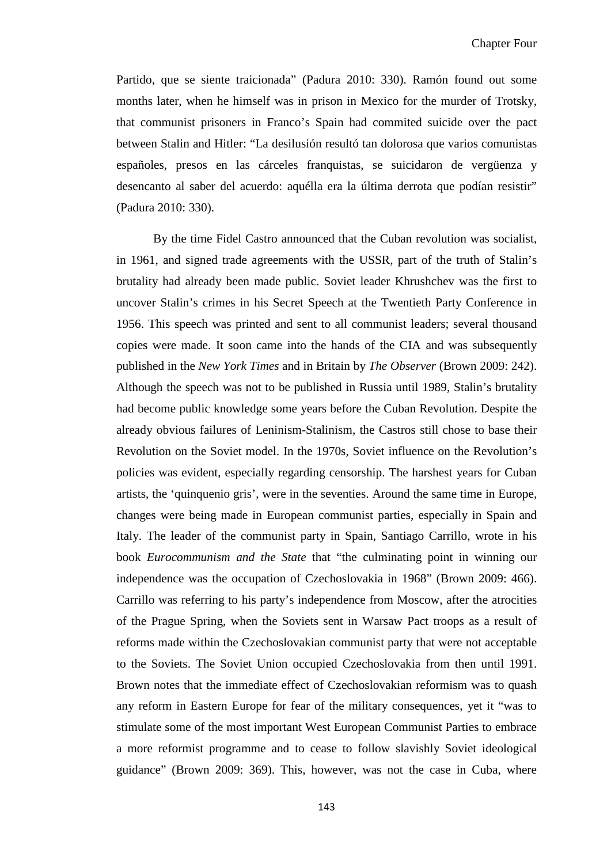Partido, que se siente traicionada" (Padura 2010: 330). Ramón found out some months later, when he himself was in prison in Mexico for the murder of Trotsky, that communist prisoners in Franco's Spain had commited suicide over the pact between Stalin and Hitler: "La desilusión resultó tan dolorosa que varios comunistas españoles, presos en las cárceles franquistas, se suicidaron de vergüenza y desencanto al saber del acuerdo: aquélla era la última derrota que podían resistir" (Padura 2010: 330).

By the time Fidel Castro announced that the Cuban revolution was socialist, in 1961, and signed trade agreements with the USSR, part of the truth of Stalin's brutality had already been made public. Soviet leader Khrushchev was the first to uncover Stalin's crimes in his Secret Speech at the Twentieth Party Conference in 1956. This speech was printed and sent to all communist leaders; several thousand copies were made. It soon came into the hands of the CIA and was subsequently published in the *New York Times* and in Britain by *The Observer* (Brown 2009: 242). Although the speech was not to be published in Russia until 1989, Stalin's brutality had become public knowledge some years before the Cuban Revolution. Despite the already obvious failures of Leninism-Stalinism, the Castros still chose to base their Revolution on the Soviet model. In the 1970s, Soviet influence on the Revolution's policies was evident, especially regarding censorship. The harshest years for Cuban artists, the 'quinquenio gris', were in the seventies. Around the same time in Europe, changes were being made in European communist parties, especially in Spain and Italy. The leader of the communist party in Spain, Santiago Carrillo, wrote in his book *Eurocommunism and the State* that "the culminating point in winning our independence was the occupation of Czechoslovakia in 1968" (Brown 2009: 466). Carrillo was referring to his party's independence from Moscow, after the atrocities of the Prague Spring, when the Soviets sent in Warsaw Pact troops as a result of reforms made within the Czechoslovakian communist party that were not acceptable to the Soviets. The Soviet Union occupied Czechoslovakia from then until 1991. Brown notes that the immediate effect of Czechoslovakian reformism was to quash any reform in Eastern Europe for fear of the military consequences, yet it "was to stimulate some of the most important West European Communist Parties to embrace a more reformist programme and to cease to follow slavishly Soviet ideological guidance" (Brown 2009: 369). This, however, was not the case in Cuba, where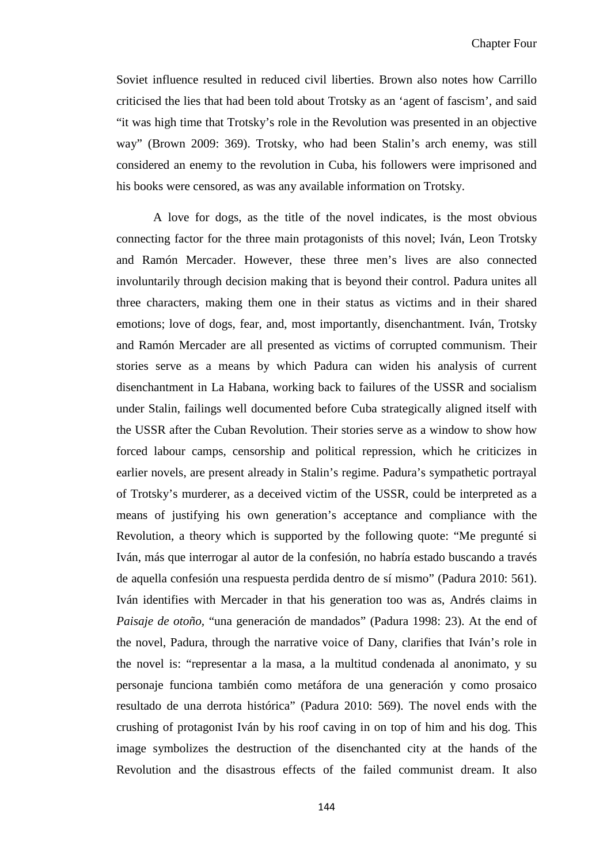Soviet influence resulted in reduced civil liberties. Brown also notes how Carrillo criticised the lies that had been told about Trotsky as an 'agent of fascism', and said "it was high time that Trotsky's role in the Revolution was presented in an objective way" (Brown 2009: 369). Trotsky, who had been Stalin's arch enemy, was still considered an enemy to the revolution in Cuba, his followers were imprisoned and his books were censored, as was any available information on Trotsky.

A love for dogs, as the title of the novel indicates, is the most obvious connecting factor for the three main protagonists of this novel; Iván, Leon Trotsky and Ramón Mercader. However, these three men's lives are also connected involuntarily through decision making that is beyond their control. Padura unites all three characters, making them one in their status as victims and in their shared emotions; love of dogs, fear, and, most importantly, disenchantment. Iván, Trotsky and Ramón Mercader are all presented as victims of corrupted communism. Their stories serve as a means by which Padura can widen his analysis of current disenchantment in La Habana, working back to failures of the USSR and socialism under Stalin, failings well documented before Cuba strategically aligned itself with the USSR after the Cuban Revolution. Their stories serve as a window to show how forced labour camps, censorship and political repression, which he criticizes in earlier novels, are present already in Stalin's regime. Padura's sympathetic portrayal of Trotsky's murderer, as a deceived victim of the USSR, could be interpreted as a means of justifying his own generation's acceptance and compliance with the Revolution, a theory which is supported by the following quote: "Me pregunté si Iván, más que interrogar al autor de la confesión, no habría estado buscando a través de aquella confesión una respuesta perdida dentro de sí mismo" (Padura 2010: 561). Iván identifies with Mercader in that his generation too was as, Andrés claims in *Paisaje de otoño,* "una generación de mandados" (Padura 1998: 23). At the end of the novel, Padura, through the narrative voice of Dany, clarifies that Iván's role in the novel is: "representar a la masa, a la multitud condenada al anonimato, y su personaje funciona también como metáfora de una generación y como prosaico resultado de una derrota histórica" (Padura 2010: 569). The novel ends with the crushing of protagonist Iván by his roof caving in on top of him and his dog. This image symbolizes the destruction of the disenchanted city at the hands of the Revolution and the disastrous effects of the failed communist dream. It also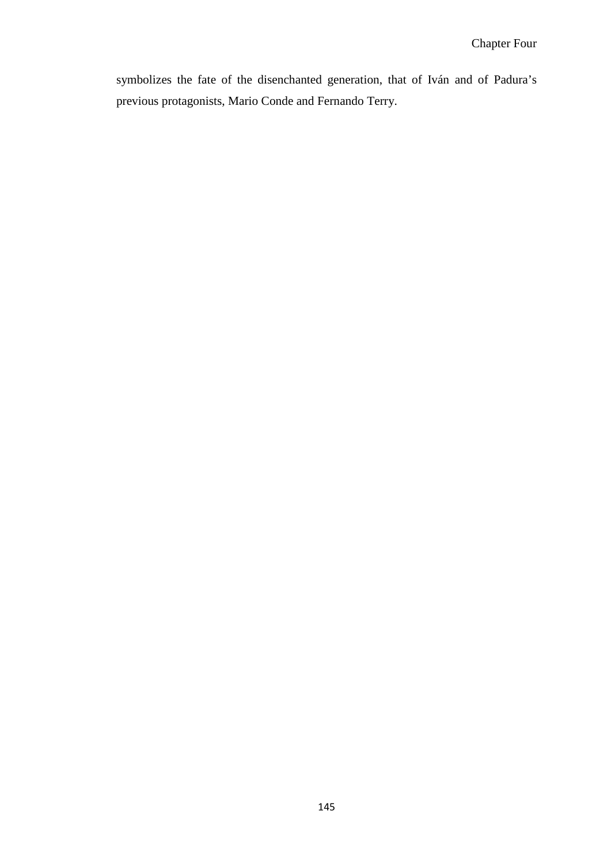symbolizes the fate of the disenchanted generation, that of Iván and of Padura's previous protagonists, Mario Conde and Fernando Terry.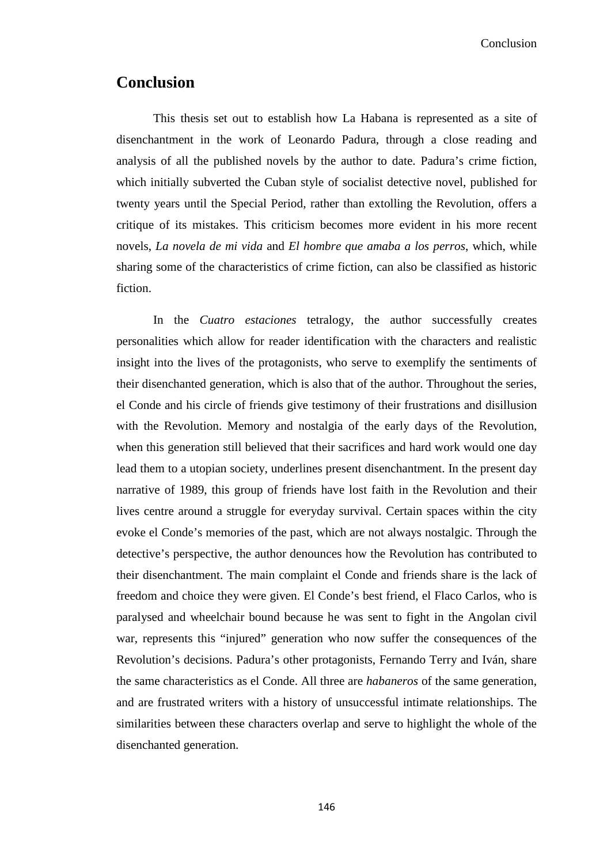Conclusion

## **Conclusion**

This thesis set out to establish how La Habana is represented as a site of disenchantment in the work of Leonardo Padura, through a close reading and analysis of all the published novels by the author to date. Padura's crime fiction, which initially subverted the Cuban style of socialist detective novel, published for twenty years until the Special Period, rather than extolling the Revolution, offers a critique of its mistakes. This criticism becomes more evident in his more recent novels, *La novela de mi vida* and *El hombre que amaba a los perros*, which, while sharing some of the characteristics of crime fiction, can also be classified as historic fiction.

In the *Cuatro estaciones* tetralogy, the author successfully creates personalities which allow for reader identification with the characters and realistic insight into the lives of the protagonists, who serve to exemplify the sentiments of their disenchanted generation, which is also that of the author. Throughout the series, el Conde and his circle of friends give testimony of their frustrations and disillusion with the Revolution. Memory and nostalgia of the early days of the Revolution, when this generation still believed that their sacrifices and hard work would one day lead them to a utopian society, underlines present disenchantment. In the present day narrative of 1989, this group of friends have lost faith in the Revolution and their lives centre around a struggle for everyday survival. Certain spaces within the city evoke el Conde's memories of the past, which are not always nostalgic. Through the detective's perspective, the author denounces how the Revolution has contributed to their disenchantment. The main complaint el Conde and friends share is the lack of freedom and choice they were given. El Conde's best friend, el Flaco Carlos, who is paralysed and wheelchair bound because he was sent to fight in the Angolan civil war, represents this "injured" generation who now suffer the consequences of the Revolution's decisions. Padura's other protagonists, Fernando Terry and Iván, share the same characteristics as el Conde. All three are *habaneros* of the same generation, and are frustrated writers with a history of unsuccessful intimate relationships. The similarities between these characters overlap and serve to highlight the whole of the disenchanted generation.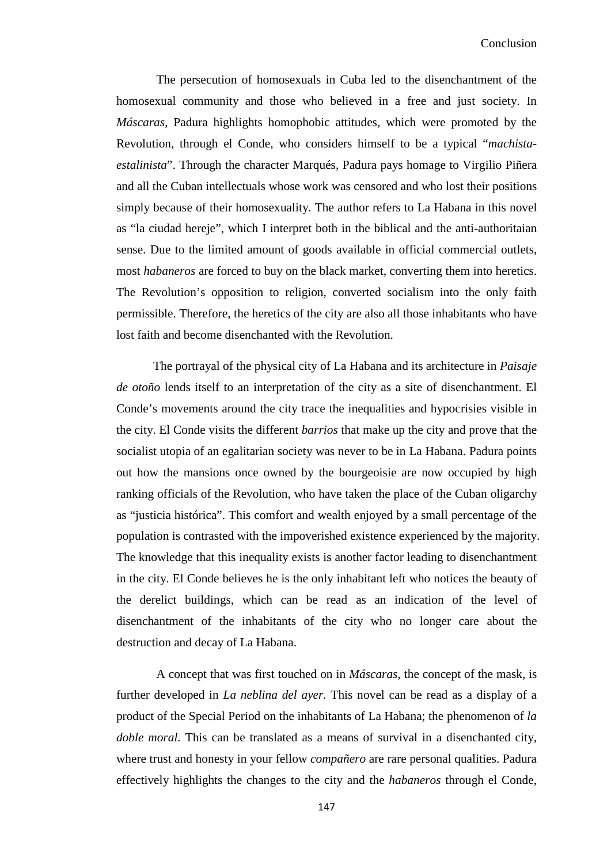The persecution of homosexuals in Cuba led to the disenchantment of the homosexual community and those who believed in a free and just society. In *Máscaras*, Padura highlights homophobic attitudes, which were promoted by the Revolution, through el Conde, who considers himself to be a typical "*machistaestalinista*". Through the character Marqués, Padura pays homage to Virgilio Piñera and all the Cuban intellectuals whose work was censored and who lost their positions simply because of their homosexuality. The author refers to La Habana in this novel as "la ciudad hereje", which I interpret both in the biblical and the anti-authoritaian sense. Due to the limited amount of goods available in official commercial outlets, most *habaneros* are forced to buy on the black market, converting them into heretics. The Revolution's opposition to religion, converted socialism into the only faith permissible. Therefore, the heretics of the city are also all those inhabitants who have lost faith and become disenchanted with the Revolution.

The portrayal of the physical city of La Habana and its architecture in *Paisaje de otoño* lends itself to an interpretation of the city as a site of disenchantment. El Conde's movements around the city trace the inequalities and hypocrisies visible in the city. El Conde visits the different *barrios* that make up the city and prove that the socialist utopia of an egalitarian society was never to be in La Habana. Padura points out how the mansions once owned by the bourgeoisie are now occupied by high ranking officials of the Revolution, who have taken the place of the Cuban oligarchy as "justicia histórica". This comfort and wealth enjoyed by a small percentage of the population is contrasted with the impoverished existence experienced by the majority. The knowledge that this inequality exists is another factor leading to disenchantment in the city. El Conde believes he is the only inhabitant left who notices the beauty of the derelict buildings, which can be read as an indication of the level of disenchantment of the inhabitants of the city who no longer care about the destruction and decay of La Habana.

A concept that was first touched on in *Máscaras*, the concept of the mask, is further developed in *La neblina del ayer.* This novel can be read as a display of a product of the Special Period on the inhabitants of La Habana; the phenomenon of *la doble moral.* This can be translated as a means of survival in a disenchanted city, where trust and honesty in your fellow *compañero* are rare personal qualities. Padura effectively highlights the changes to the city and the *habaneros* through el Conde,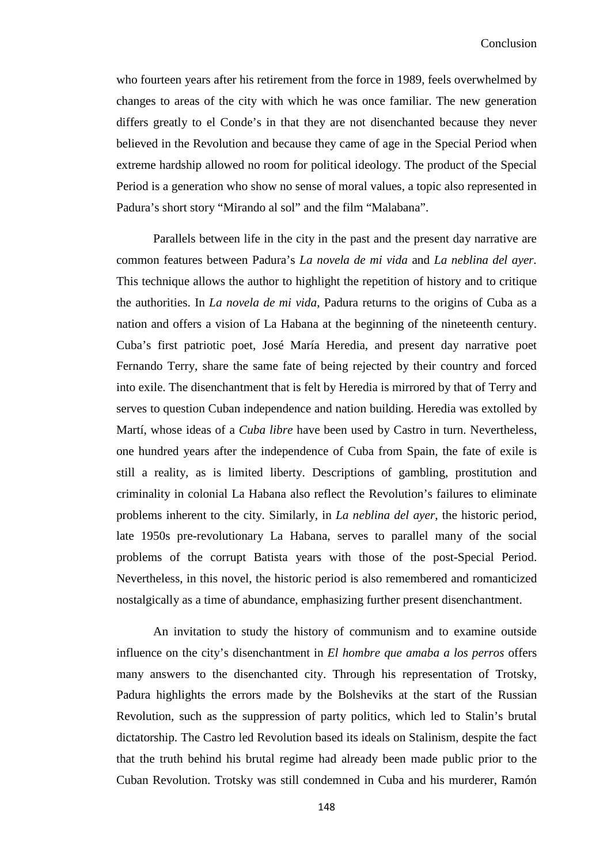who fourteen years after his retirement from the force in 1989, feels overwhelmed by changes to areas of the city with which he was once familiar. The new generation differs greatly to el Conde's in that they are not disenchanted because they never believed in the Revolution and because they came of age in the Special Period when extreme hardship allowed no room for political ideology. The product of the Special Period is a generation who show no sense of moral values, a topic also represented in Padura's short story "Mirando al sol" and the film "Malabana".

Parallels between life in the city in the past and the present day narrative are common features between Padura's *La novela de mi vida* and *La neblina del ayer.* This technique allows the author to highlight the repetition of history and to critique the authorities. In *La novela de mi vida*, Padura returns to the origins of Cuba as a nation and offers a vision of La Habana at the beginning of the nineteenth century. Cuba's first patriotic poet, José María Heredia, and present day narrative poet Fernando Terry, share the same fate of being rejected by their country and forced into exile. The disenchantment that is felt by Heredia is mirrored by that of Terry and serves to question Cuban independence and nation building. Heredia was extolled by Martí, whose ideas of a *Cuba libre* have been used by Castro in turn. Nevertheless, one hundred years after the independence of Cuba from Spain, the fate of exile is still a reality, as is limited liberty. Descriptions of gambling, prostitution and criminality in colonial La Habana also reflect the Revolution's failures to eliminate problems inherent to the city. Similarly, in *La neblina del ayer*, the historic period, late 1950s pre-revolutionary La Habana, serves to parallel many of the social problems of the corrupt Batista years with those of the post-Special Period. Nevertheless, in this novel, the historic period is also remembered and romanticized nostalgically as a time of abundance, emphasizing further present disenchantment.

An invitation to study the history of communism and to examine outside influence on the city's disenchantment in *El hombre que amaba a los perros* offers many answers to the disenchanted city. Through his representation of Trotsky, Padura highlights the errors made by the Bolsheviks at the start of the Russian Revolution, such as the suppression of party politics, which led to Stalin's brutal dictatorship. The Castro led Revolution based its ideals on Stalinism, despite the fact that the truth behind his brutal regime had already been made public prior to the Cuban Revolution. Trotsky was still condemned in Cuba and his murderer, Ramón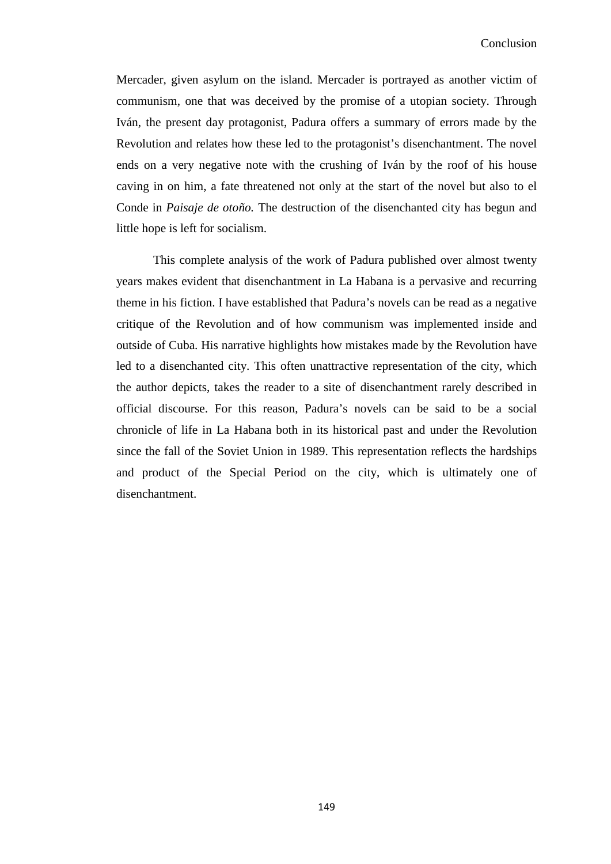Mercader, given asylum on the island. Mercader is portrayed as another victim of communism, one that was deceived by the promise of a utopian society. Through Iván, the present day protagonist, Padura offers a summary of errors made by the Revolution and relates how these led to the protagonist's disenchantment. The novel ends on a very negative note with the crushing of Iván by the roof of his house caving in on him, a fate threatened not only at the start of the novel but also to el Conde in *Paisaje de otoño.* The destruction of the disenchanted city has begun and little hope is left for socialism.

This complete analysis of the work of Padura published over almost twenty years makes evident that disenchantment in La Habana is a pervasive and recurring theme in his fiction. I have established that Padura's novels can be read as a negative critique of the Revolution and of how communism was implemented inside and outside of Cuba. His narrative highlights how mistakes made by the Revolution have led to a disenchanted city. This often unattractive representation of the city, which the author depicts, takes the reader to a site of disenchantment rarely described in official discourse. For this reason, Padura's novels can be said to be a social chronicle of life in La Habana both in its historical past and under the Revolution since the fall of the Soviet Union in 1989. This representation reflects the hardships and product of the Special Period on the city, which is ultimately one of disenchantment.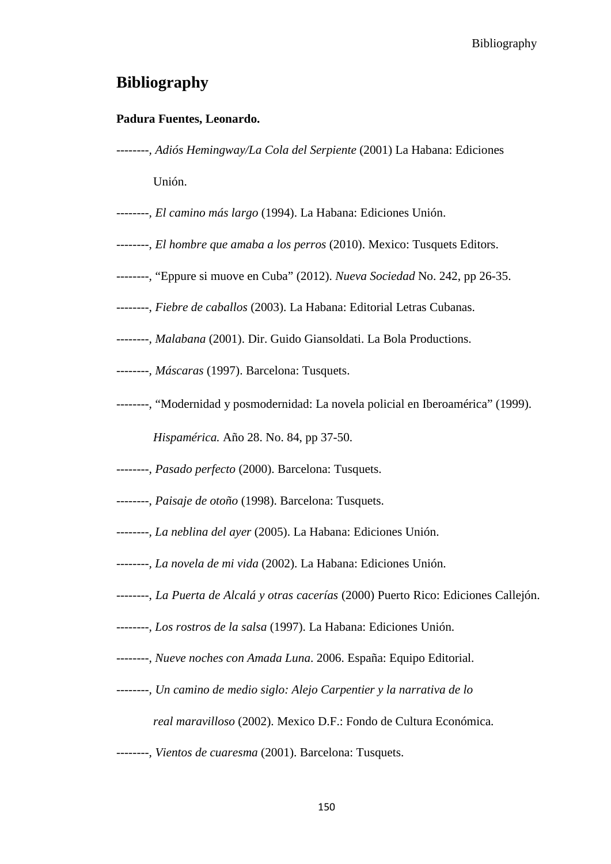Bibliography

## **Bibliography**

## **Padura Fuentes, Leonardo.**

- *--------, Adiós Hemingway/La Cola del Serpiente* (2001) La Habana: Ediciones Unión.
- *--------, El camino más largo* (1994). La Habana: Ediciones Unión.
- *--------, El hombre que amaba a los perros* (2010). Mexico: Tusquets Editors.
- *--------,* "Eppure si muove en Cuba" (2012). *Nueva Sociedad* No. 242, pp 26-35.
- *--------, Fiebre de caballos* (2003). La Habana: Editorial Letras Cubanas.
- *--------, Malabana* (2001). Dir. Guido Giansoldati. La Bola Productions.
- *--------, Máscaras* (1997). Barcelona: Tusquets.
- *--------,* "Modernidad y posmodernidad: La novela policial en Iberoamérica" (1999).

*Hispamérica.* Año 28. No. 84, pp 37-50.

- *--------, Pasado perfecto* (2000). Barcelona: Tusquets.
- --------, *Paisaje de otoño* (1998). Barcelona: Tusquets.
- *--------, La neblina del ayer* (2005). La Habana: Ediciones Unión.
- *--------, La novela de mi vida* (2002). La Habana: Ediciones Unión.
- *--------, La Puerta de Alcalá y otras cacerías* (2000) Puerto Rico: Ediciones Callejón.
- *--------, Los rostros de la salsa* (1997). La Habana: Ediciones Unión.
- *--------, Nueve noches con Amada Luna*. 2006. España: Equipo Editorial.
- *--------, Un camino de medio siglo: Alejo Carpentier y la narrativa de lo* 
	- *real maravilloso* (2002). Mexico D.F.: Fondo de Cultura Económica.
- *--------, Vientos de cuaresma* (2001). Barcelona: Tusquets.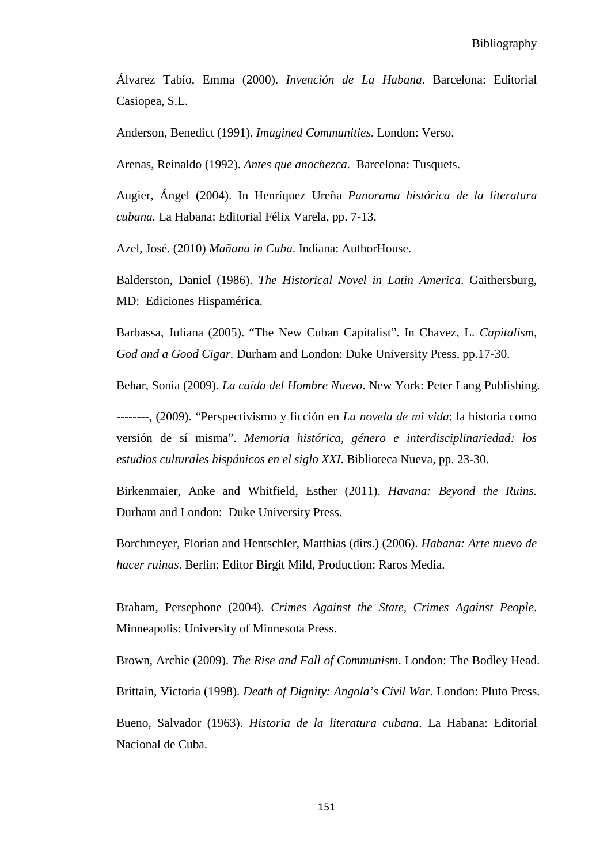Álvarez Tabío, Emma (2000). *Invención de La Habana*. Barcelona: Editorial Casiopea, S.L.

Anderson, Benedict (1991). *Imagined Communities*. London: Verso.

Arenas, Reinaldo (1992). *Antes que anochezca*. Barcelona: Tusquets.

Augier, Ángel (2004). In Henríquez Ureña *Panorama histórica de la literatura cubana.* La Habana: Editorial Félix Varela, pp. 7-13.

Azel, José. (2010) *Mañana in Cuba*. Indiana: AuthorHouse.

Balderston, Daniel (1986). *The Historical Novel in Latin America*. Gaithersburg, MD: Ediciones Hispamérica.

Barbassa, Juliana (2005). "The New Cuban Capitalist". In Chavez, L. *Capitalism, God and a Good Cigar.* Durham and London: Duke University Press, pp.17-30.

Behar, Sonia (2009). *La caída del Hombre Nuevo*. New York: Peter Lang Publishing.

--------, (2009). "Perspectivismo y ficción en *La novela de mi vida*: la historia como versión de sí misma". *Memoria histórica, género e interdisciplinariedad: los estudios culturales hispánicos en el siglo XXI*. Biblioteca Nueva, pp. 23-30.

Birkenmaier, Anke and Whitfield, Esther (2011). *Havana: Beyond the Ruins.* Durham and London: Duke University Press.

Borchmeyer, Florian and Hentschler, Matthias (dirs.) (2006). *Habana: Arte nuevo de hacer ruinas*. Berlin: Editor Birgit Mild, Production: Raros Media.

Braham, Persephone (2004). *Crimes Against the State, Crimes Against People*. Minneapolis: University of Minnesota Press.

Brown, Archie (2009). *The Rise and Fall of Communism*. London: The Bodley Head. Brittain, Victoria (1998). *Death of Dignity: Angola's Civil War.* London: Pluto Press.

Bueno, Salvador (1963). *Historia de la literatura cubana*. La Habana: Editorial Nacional de Cuba.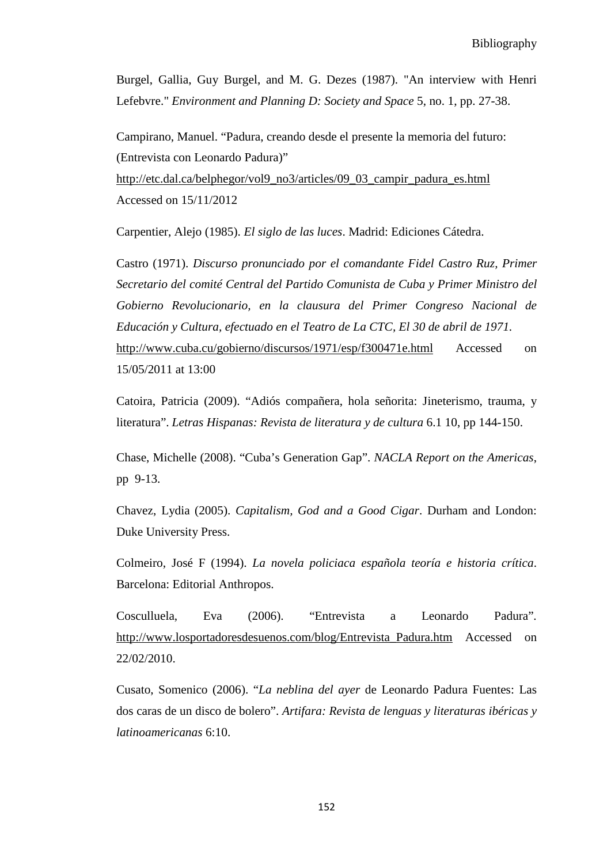Burgel, Gallia, Guy Burgel, and M. G. Dezes (1987). "An interview with Henri Lefebvre." *Environment and Planning D: Society and Space* 5, no. 1, pp. 27-38.

Campirano, Manuel. "Padura, creando desde el presente la memoria del futuro: (Entrevista con Leonardo Padura)"

[http://etc.dal.ca/belphegor/vol9\\_no3/articles/09\\_03\\_campir\\_padura\\_es.html](http://etc.dal.ca/belphegor/vol9_no3/articles/09_03_campir_padura_es.html) Accessed on 15/11/2012

Carpentier, Alejo (1985). *El siglo de las luces*. Madrid: Ediciones Cátedra.

Castro (1971). *Discurso pronunciado por el comandante Fidel Castro Ruz, Primer Secretario del comité Central del Partido Comunista de Cuba y Primer Ministro del Gobierno Revolucionario, en la clausura del Primer Congreso Nacional de Educación y Cultura, efectuado en el Teatro de La CTC, El 30 de abril de 1971.* <http://www.cuba.cu/gobierno/discursos/1971/esp/f300471e.html> Accessed on 15/05/2011 at 13:00

Catoira, Patricia (2009). "Adiós compañera, hola señorita: Jineterismo, trauma, y literatura". *Letras Hispanas: Revista de literatura y de cultura* 6.1 10, pp 144-150.

Chase, Michelle (2008). "Cuba's Generation Gap". *NACLA Report on the Americas*, pp 9-13.

Chavez, Lydia (2005). *Capitalism, God and a Good Cigar*. Durham and London: Duke University Press.

Colmeiro, José F (1994). *La novela policiaca española teoría e historia crítica*. Barcelona: Editorial Anthropos.

Cosculluela, Eva (2006). "Entrevista a Leonardo Padura"*.* [http://www.losportadoresdesuenos.com/blog/Entrevista\\_Padura.htm](http://www.losportadoresdesuenos.com/blog/Entrevista_Padura.htm) Accessed on 22/02/2010.

Cusato, Somenico (2006). "*La neblina del ayer* de Leonardo Padura Fuentes: Las dos caras de un disco de bolero". *Artifara: Revista de lenguas y literaturas ibéricas y latinoamericanas* 6:10.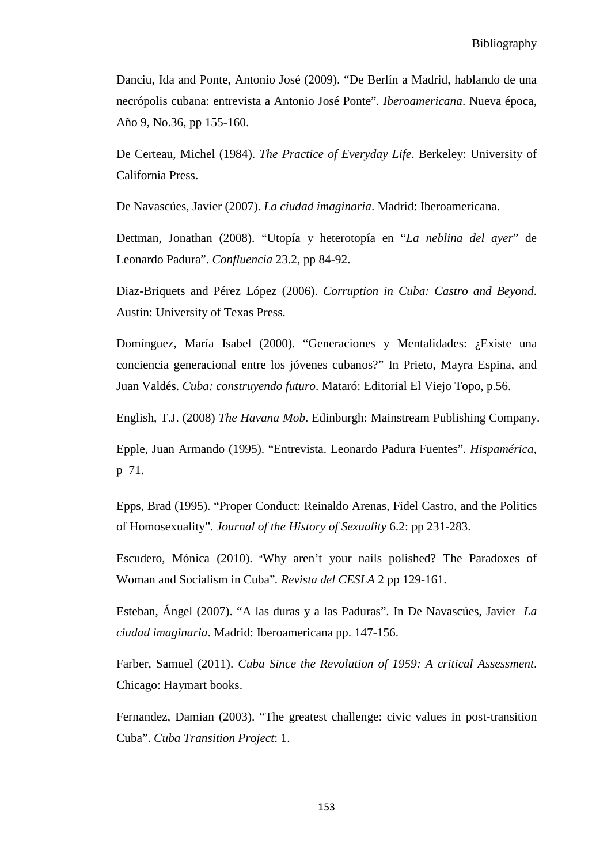Danciu, Ida and Ponte, Antonio José (2009). "De Berlín a Madrid, hablando de una necrópolis cubana: entrevista a Antonio José Ponte"*. Iberoamericana*. Nueva época, Año 9, No.36, pp 155-160.

De Certeau, Michel (1984). *The Practice of Everyday Life*. Berkeley: University of California Press.

De Navascúes, Javier (2007). *La ciudad imaginaria*. Madrid: Iberoamericana.

Dettman, Jonathan (2008). "Utopía y heterotopía en "*La neblina del ayer*" de Leonardo Padura". *Confluencia* 23.2, pp 84-92.

Diaz-Briquets and Pérez López (2006). *Corruption in Cuba: Castro and Beyond*. Austin: University of Texas Press.

Domínguez, María Isabel (2000). "Generaciones y Mentalidades: ¿Existe una conciencia generacional entre los jóvenes cubanos?" In Prieto, Mayra Espina, and Juan Valdés. *Cuba: construyendo futuro*. Mataró: Editorial El Viejo Topo, p.56.

English, T.J. (2008) *The Havana Mob*. Edinburgh: Mainstream Publishing Company.

Epple, Juan Armando (1995). "Entrevista. Leonardo Padura Fuentes"*. Hispamérica*, p 71.

Epps, Brad (1995). "Proper Conduct: Reinaldo Arenas, Fidel Castro, and the Politics of Homosexuality". *Journal of the History of Sexuality* 6.2: pp 231-283.

Escudero, Mónica (2010). "Why aren't your nails polished? The Paradoxes of Woman and Socialism in Cuba"*. Revista del CESLA* 2 pp 129-161.

Esteban, Ángel (2007). "A las duras y a las Paduras". In De Navascúes, Javier *La ciudad imaginaria*. Madrid: Iberoamericana pp. 147-156.

Farber, Samuel (2011). *Cuba Since the Revolution of 1959: A critical Assessment*. Chicago: Haymart books.

Fernandez, Damian (2003). "The greatest challenge: civic values in post-transition Cuba". *Cuba Transition Project*: 1.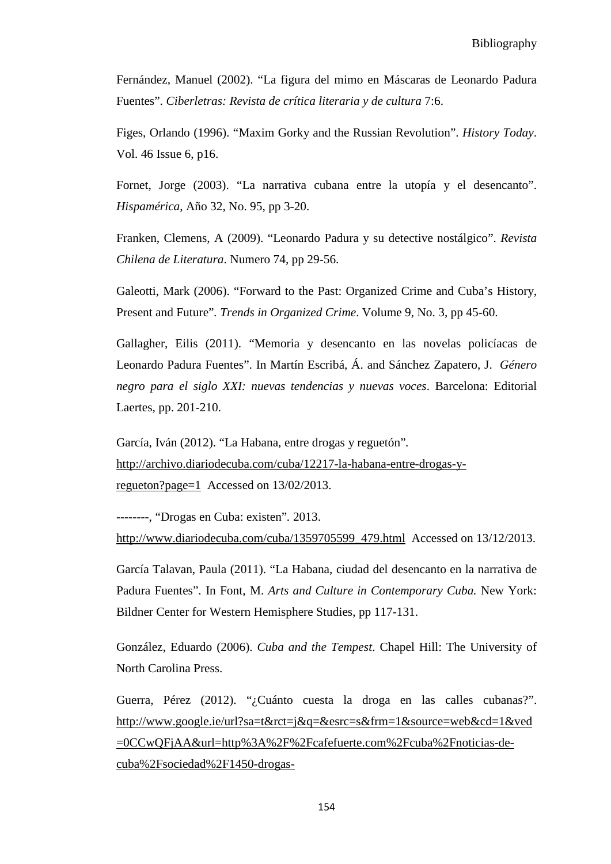Fernández, Manuel (2002). "La figura del mimo en Máscaras de Leonardo Padura Fuentes". *Ciberletras: Revista de crítica literaria y de cultura* 7:6.

Figes, Orlando (1996). "Maxim Gorky and the Russian Revolution". *History Today*. Vol. 46 Issue 6, p16.

Fornet, Jorge (2003). "La narrativa cubana entre la utopía y el desencanto". *Hispamérica*, Año 32, No. 95, pp 3-20.

Franken, Clemens, A (2009). "Leonardo Padura y su detective nostálgico". *Revista Chilena de Literatura*. Numero 74, pp 29-56.

Galeotti, Mark (2006). "Forward to the Past: Organized Crime and Cuba's History, Present and Future"*. Trends in Organized Crime*. Volume 9, No. 3, pp 45-60.

Gallagher, Eilis (2011). "Memoria y desencanto en las novelas policíacas de Leonardo Padura Fuentes". In Martín Escribá, Á. and Sánchez Zapatero, J. *Género negro para el siglo XXI: nuevas tendencias y nuevas voces*. Barcelona: Editorial Laertes, pp. 201-210.

García, Iván (2012). "La Habana, entre drogas y reguetón"*.*  [http://archivo.diariodecuba.com/cuba/12217-la-habana-entre-drogas-y](http://archivo.diariodecuba.com/cuba/12217-la-habana-entre-drogas-y-regueton?page=1)[regueton?page=1](http://archivo.diariodecuba.com/cuba/12217-la-habana-entre-drogas-y-regueton?page=1) Accessed on 13/02/2013.

--------, "Drogas en Cuba: existen"*.* 2013. [http://www.diariodecuba.com/cuba/1359705599\\_479.html](http://www.diariodecuba.com/cuba/1359705599_479.html) Accessed on 13/12/2013.

García Talavan, Paula (2011). "La Habana, ciudad del desencanto en la narrativa de Padura Fuentes". In Font, M. *Arts and Culture in Contemporary Cuba.* New York: Bildner Center for Western Hemisphere Studies, pp 117-131.

González, Eduardo (2006). *Cuba and the Tempest*. Chapel Hill: The University of North Carolina Press.

Guerra, Pérez (2012). "¿Cuánto cuesta la droga en las calles cubanas?". [http://www.google.ie/url?sa=t&rct=j&q=&esrc=s&frm=1&source=web&cd=1&ved](http://www.google.ie/url?sa=t&rct=j&q=&esrc=s&frm=1&source=web&cd=1&ved=0CCwQFjAA&url=http%3A%2F%2Fcafefuerte.com%2Fcuba%2Fnoticias-de-cuba%2Fsociedad%2F1450-drogas-cuba&ei=ezZSUYWPO8KKhQfJtoGwDA&usg=AFQjCNHZS_HNm540Dv_LHZjiSg5VQID15A&bvm=bv.44342787,d.ZG4) [=0CCwQFjAA&url=http%3A%2F%2Fcafefuerte.com%2Fcuba%2Fnoticias-de](http://www.google.ie/url?sa=t&rct=j&q=&esrc=s&frm=1&source=web&cd=1&ved=0CCwQFjAA&url=http%3A%2F%2Fcafefuerte.com%2Fcuba%2Fnoticias-de-cuba%2Fsociedad%2F1450-drogas-cuba&ei=ezZSUYWPO8KKhQfJtoGwDA&usg=AFQjCNHZS_HNm540Dv_LHZjiSg5VQID15A&bvm=bv.44342787,d.ZG4)[cuba%2Fsociedad%2F1450-drogas-](http://www.google.ie/url?sa=t&rct=j&q=&esrc=s&frm=1&source=web&cd=1&ved=0CCwQFjAA&url=http%3A%2F%2Fcafefuerte.com%2Fcuba%2Fnoticias-de-cuba%2Fsociedad%2F1450-drogas-cuba&ei=ezZSUYWPO8KKhQfJtoGwDA&usg=AFQjCNHZS_HNm540Dv_LHZjiSg5VQID15A&bvm=bv.44342787,d.ZG4)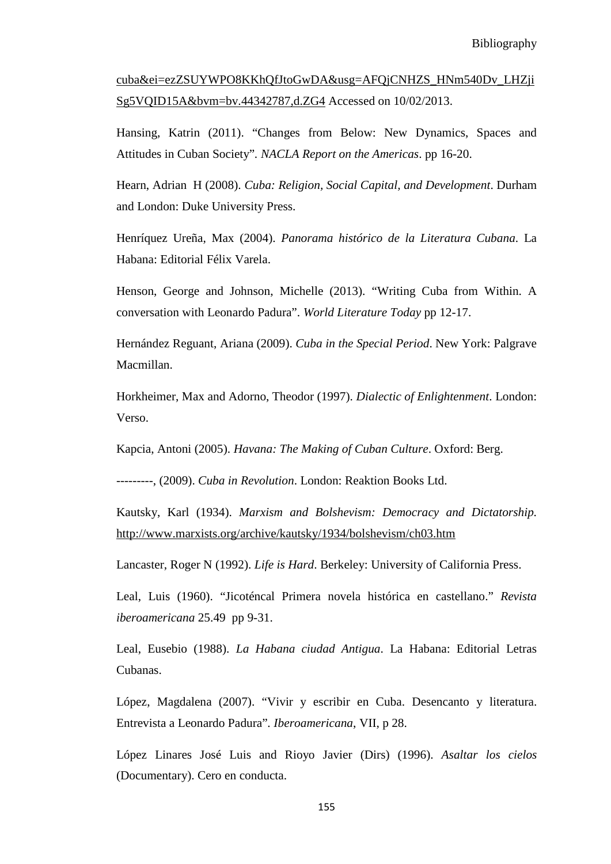cuba&ei=ezZSUYWPO8KKhQfJtoGwDA&usg=AFQjCNHZS\_HNm540Dv\_LHZji Sg5VQID15A&bvm=bv.44342787,d.ZG4 Accessed on 10/02/2013.

Hansing, Katrin (2011). "Changes from Below: New Dynamics, Spaces and Attitudes in Cuban Society"*. NACLA Report on the Americas*. pp 16-20.

Hearn, Adrian H (2008). *Cuba: Religion, Social Capital, and Development*. Durham and London: Duke University Press.

Henríquez Ureña, Max (2004). *Panorama histórico de la Literatura Cubana*. La Habana: Editorial Félix Varela.

Henson, George and Johnson, Michelle (2013). "Writing Cuba from Within. A conversation with Leonardo Padura". *World Literature Today* pp 12-17.

Hernández Reguant, Ariana (2009). *Cuba in the Special Period*. New York: Palgrave Macmillan.

Horkheimer, Max and Adorno, Theodor (1997). *Dialectic of Enlightenment*. London: Verso.

Kapcia, Antoni (2005). *Havana: The Making of Cuban Culture*. Oxford: Berg.

---------, (2009). *Cuba in Revolution*. London: Reaktion Books Ltd.

Kautsky, Karl (1934). *Marxism and Bolshevism: Democracy and Dictatorship.*  <http://www.marxists.org/archive/kautsky/1934/bolshevism/ch03.htm>

Lancaster, Roger N (1992). *Life is Hard*. Berkeley: University of California Press.

Leal, Luis (1960). "Jicoténcal Primera novela histórica en castellano." *Revista iberoamericana* 25.49 pp 9-31.

Leal, Eusebio (1988). *La Habana ciudad Antigua*. La Habana: Editorial Letras Cubanas.

López, Magdalena (2007). "Vivir y escribir en Cuba. Desencanto y literatura. Entrevista a Leonardo Padura"*. Iberoamericana*, VII, p 28.

López Linares José Luis and Rioyo Javier (Dirs) (1996). *Asaltar los cielos* (Documentary). Cero en conducta.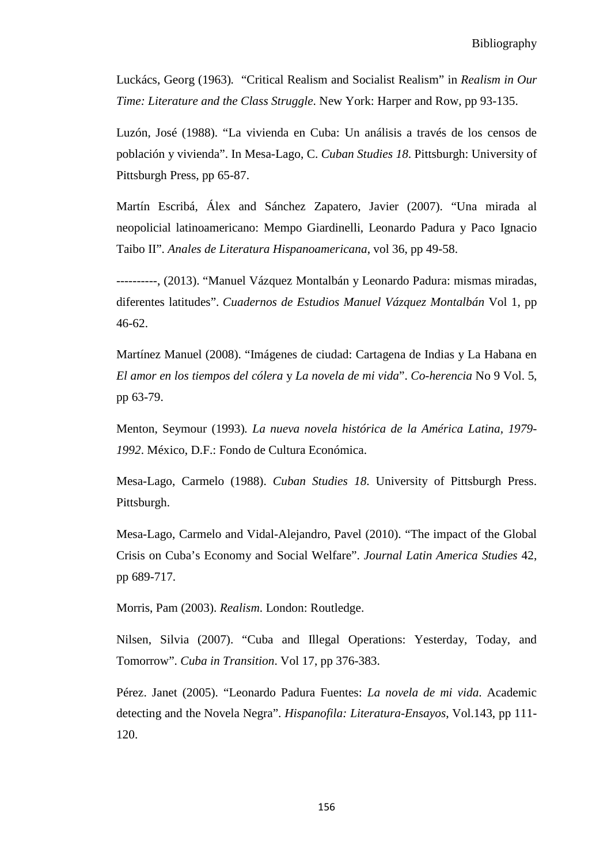Luckács, Georg (1963)*.* "Critical Realism and Socialist Realism" in *Realism in Our Time: Literature and the Class Struggle*. New York: Harper and Row, pp 93-135.

Luzón, José (1988). "La vivienda en Cuba: Un análisis a través de los censos de población y vivienda". In Mesa-Lago, C. *Cuban Studies 18*. Pittsburgh: University of Pittsburgh Press, pp 65-87.

Martín Escribá, Álex and Sánchez Zapatero, Javier (2007). "Una mirada al neopolicial latinoamericano: Mempo Giardinelli, Leonardo Padura y Paco Ignacio Taibo II". *Anales de Literatura Hispanoamericana*, vol 36, pp 49-58.

----------, (2013). "Manuel Vázquez Montalbán y Leonardo Padura: mismas miradas, diferentes latitudes". *Cuadernos de Estudios Manuel Vázquez Montalbán* Vol 1, pp 46-62.

Martínez Manuel (2008). "Imágenes de ciudad: Cartagena de Indias y La Habana en *El amor en los tiempos del cólera* y *La novela de mi vida*". *Co-herencia* No 9 Vol. 5, pp 63-79.

Menton, Seymour (1993)*. La nueva novela histórica de la América Latina, 1979- 1992*. México, D.F.: Fondo de Cultura Económica.

Mesa-Lago, Carmelo (1988). *Cuban Studies 18*. University of Pittsburgh Press. Pittsburgh.

Mesa-Lago, Carmelo and Vidal-Alejandro, Pavel (2010). "The impact of the Global Crisis on Cuba's Economy and Social Welfare". *Journal Latin America Studies* 42, pp 689-717.

Morris, Pam (2003). *Realism*. London: Routledge.

Nilsen, Silvia (2007). "Cuba and Illegal Operations: Yesterday, Today, and Tomorrow". *Cuba in Transition*. Vol 17, pp 376-383.

Pérez. Janet (2005). "Leonardo Padura Fuentes: *La novela de mi vida*. Academic detecting and the Novela Negra". *Hispanofila: Literatura-Ensayos*, Vol.143, pp 111- 120.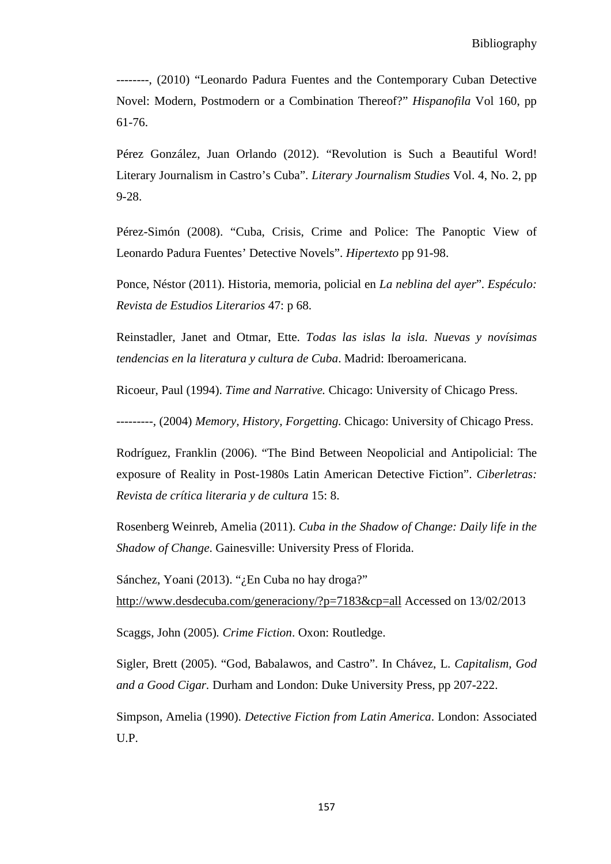--------, (2010) "Leonardo Padura Fuentes and the Contemporary Cuban Detective Novel: Modern, Postmodern or a Combination Thereof?" *Hispanofila* Vol 160, pp 61-76.

Pérez González, Juan Orlando (2012). "Revolution is Such a Beautiful Word! Literary Journalism in Castro's Cuba". *Literary Journalism Studies* Vol. 4, No. 2, pp 9-28.

Pérez-Simón (2008). "Cuba, Crisis, Crime and Police: The Panoptic View of Leonardo Padura Fuentes' Detective Novels". *Hipertexto* pp 91-98.

Ponce, Néstor (2011). Historia, memoria, policial en *La neblina del ayer*"*. Espéculo: Revista de Estudios Literarios* 47: p 68.

Reinstadler, Janet and Otmar, Ette. *Todas las islas la isla. Nuevas y novísimas tendencias en la literatura y cultura de Cuba*. Madrid: Iberoamericana.

Ricoeur, Paul (1994). *Time and Narrative.* Chicago: University of Chicago Press.

*---------,* (2004) *Memory, History, Forgetting.* Chicago: University of Chicago Press.

Rodríguez, Franklin (2006). "The Bind Between Neopolicial and Antipolicial: The exposure of Reality in Post-1980s Latin American Detective Fiction". *Ciberletras: Revista de crítica literaria y de cultura* 15: 8.

Rosenberg Weinreb, Amelia (2011). *Cuba in the Shadow of Change: Daily life in the Shadow of Change*. Gainesville: University Press of Florida.

Sánchez, Yoani (2013). "¿En Cuba no hay droga?" <http://www.desdecuba.com/generaciony/?p=7183&cp=all> Accessed on 13/02/2013

Scaggs, John (2005)*. Crime Fiction*. Oxon: Routledge.

Sigler, Brett (2005). "God, Babalawos, and Castro". In Chávez, L. *Capitalism, God and a Good Cigar.* Durham and London: Duke University Press, pp 207-222.

Simpson, Amelia (1990). *Detective Fiction from Latin America*. London: Associated U.P.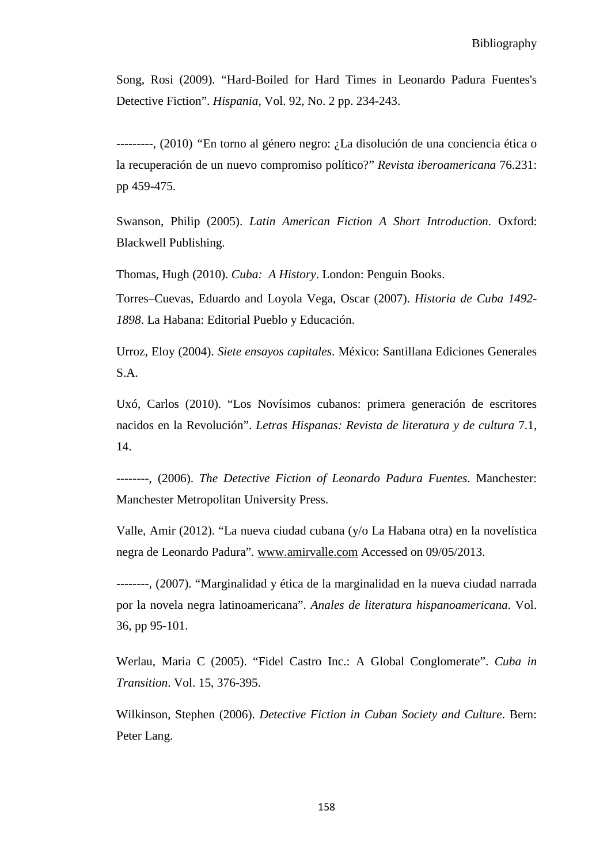Song, Rosi (2009). "Hard-Boiled for Hard Times in Leonardo Padura Fuentes's Detective Fiction". *Hispania*, Vol. 92, No. 2 pp. 234-243.

*---------,* (2010) *"*En torno al género negro: ¿La disolución de una conciencia ética o la recuperación de un nuevo compromiso político?" *Revista iberoamericana* 76.231: pp 459-475.

Swanson, Philip (2005). *Latin American Fiction A Short Introduction*. Oxford: Blackwell Publishing.

Thomas, Hugh (2010). *Cuba: A History*. London: Penguin Books.

Torres–Cuevas, Eduardo and Loyola Vega, Oscar (2007). *Historia de Cuba 1492- 1898*. La Habana: Editorial Pueblo y Educación.

Urroz, Eloy (2004). *Siete ensayos capitales*. México: Santillana Ediciones Generales S.A.

Uxó, Carlos (2010). "Los Novísimos cubanos: primera generación de escritores nacidos en la Revolución". *Letras Hispanas: Revista de literatura y de cultura* 7.1, 14.

--------, (2006). *The Detective Fiction of Leonardo Padura Fuentes*. Manchester: Manchester Metropolitan University Press.

Valle, Amir (2012). "La nueva ciudad cubana (y/o La Habana otra) en la novelística negra de Leonardo Padura"*.* [www.amirvalle.com](http://www.amirvalle.com/) Accessed on 09/05/2013.

*--------,* (2007). "Marginalidad y ética de la marginalidad en la nueva ciudad narrada por la novela negra latinoamericana". *Anales de literatura hispanoamericana*. Vol. 36, pp 95-101.

Werlau, Maria C (2005). "Fidel Castro Inc.: A Global Conglomerate". *Cuba in Transition*. Vol. 15, 376-395.

Wilkinson, Stephen (2006). *Detective Fiction in Cuban Society and Culture*. Bern: Peter Lang.